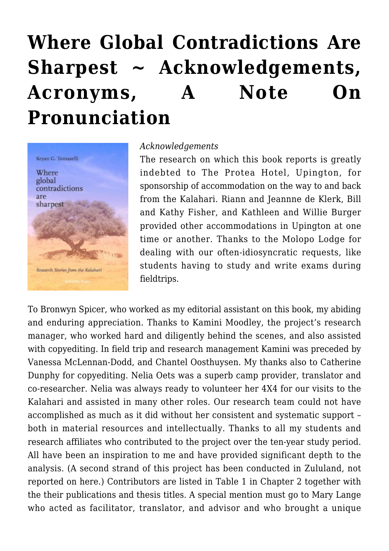# **[Where Global Contradictions Are](https://rozenbergquarterly.com/where-global-contradictions-are-sharpest-research-stories-from-the-kalahari-acknowledgements-acronyms-a-note-on-pronunciation/) [Sharpest ~ Acknowledgements,](https://rozenbergquarterly.com/where-global-contradictions-are-sharpest-research-stories-from-the-kalahari-acknowledgements-acronyms-a-note-on-pronunciation/) [Acronyms, A Note On](https://rozenbergquarterly.com/where-global-contradictions-are-sharpest-research-stories-from-the-kalahari-acknowledgements-acronyms-a-note-on-pronunciation/) [Pronunciation](https://rozenbergquarterly.com/where-global-contradictions-are-sharpest-research-stories-from-the-kalahari-acknowledgements-acronyms-a-note-on-pronunciation/)**



#### *Acknowledgements*

The research on which this book reports is greatly indebted to The Protea Hotel, Upington, for sponsorship of accommodation on the way to and back from the Kalahari. Riann and Jeannne de Klerk, Bill and Kathy Fisher, and Kathleen and Willie Burger provided other accommodations in Upington at one time or another. Thanks to the Molopo Lodge for dealing with our often-idiosyncratic requests, like students having to study and write exams during fieldtrips.

To Bronwyn Spicer, who worked as my editorial assistant on this book, my abiding and enduring appreciation. Thanks to Kamini Moodley, the project's research manager, who worked hard and diligently behind the scenes, and also assisted with copyediting. In field trip and research management Kamini was preceded by Vanessa McLennan-Dodd, and Chantel Oosthuysen. My thanks also to Catherine Dunphy for copyediting. Nelia Oets was a superb camp provider, translator and co-researcher. Nelia was always ready to volunteer her 4X4 for our visits to the Kalahari and assisted in many other roles. Our research team could not have accomplished as much as it did without her consistent and systematic support – both in material resources and intellectually. Thanks to all my students and research affiliates who contributed to the project over the ten-year study period. All have been an inspiration to me and have provided significant depth to the analysis. (A second strand of this project has been conducted in Zululand, not reported on here.) Contributors are listed in Table 1 in Chapter 2 together with the their publications and thesis titles. A special mention must go to Mary Lange who acted as facilitator, translator, and advisor and who brought a unique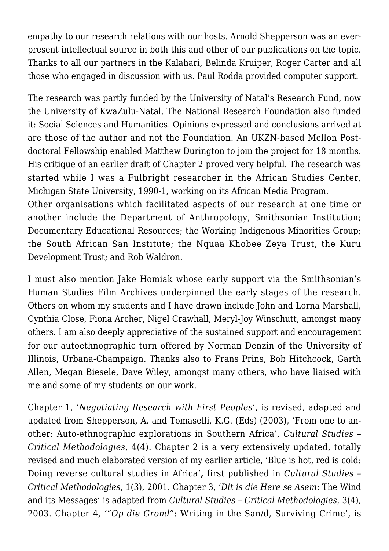empathy to our research relations with our hosts. Arnold Shepperson was an everpresent intellectual source in both this and other of our publications on the topic. Thanks to all our partners in the Kalahari, Belinda Kruiper, Roger Carter and all those who engaged in discussion with us. Paul Rodda provided computer support.

The research was partly funded by the University of Natal's Research Fund, now the University of KwaZulu-Natal. The National Research Foundation also funded it: Social Sciences and Humanities. Opinions expressed and conclusions arrived at are those of the author and not the Foundation. An UKZN-based Mellon Postdoctoral Fellowship enabled Matthew Durington to join the project for 18 months. His critique of an earlier draft of Chapter 2 proved very helpful. The research was started while I was a Fulbright researcher in the African Studies Center, Michigan State University, 1990-1, working on its African Media Program.

Other organisations which facilitated aspects of our research at one time or another include the Department of Anthropology, Smithsonian Institution; Documentary Educational Resources; the Working Indigenous Minorities Group; the South African San Institute; the Nquaa Khobee Zeya Trust, the Kuru Development Trust; and Rob Waldron.

I must also mention Jake Homiak whose early support via the Smithsonian's Human Studies Film Archives underpinned the early stages of the research. Others on whom my students and I have drawn include John and Lorna Marshall, Cynthia Close, Fiona Archer, Nigel Crawhall, Meryl-Joy Winschutt, amongst many others. I am also deeply appreciative of the sustained support and encouragement for our autoethnographic turn offered by Norman Denzin of the University of Illinois, Urbana-Champaign. Thanks also to Frans Prins, Bob Hitchcock, Garth Allen, Megan Biesele, Dave Wiley, amongst many others, who have liaised with me and some of my students on our work.

Chapter 1, *'Negotiating Research with First Peoples'*, is revised, adapted and updated from Shepperson, A. and Tomaselli, K.G. (Eds) (2003), 'From one to another: Auto-ethnographic explorations in Southern Africa', *Cultural Studies – Critical Methodologies*, 4(4). Chapter 2 is a very extensively updated, totally revised and much elaborated version of my earlier article, 'Blue is hot, red is cold: Doing reverse cultural studies in Africa'**,** first published in *Cultural Studies – Critical Methodologies*, 1(3), 2001. Chapter 3, '*Dit is die Here se Asem*: The Wind and its Messages' is adapted from *Cultural Studies – Critical Methodologies*, 3(4), 2003. Chapter 4, '"*Op die Grond"*: Writing in the San/d, Surviving Crime', is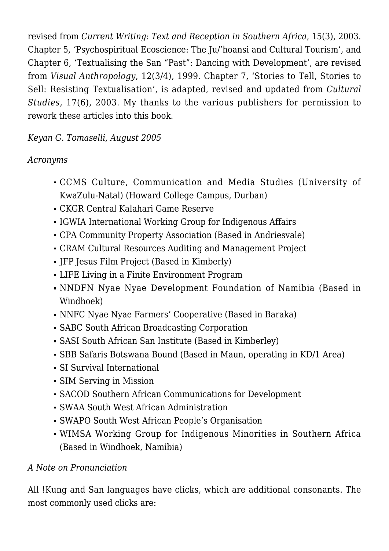revised from *Current Writing: Text and Reception in Southern Africa*, 15(3), 2003. Chapter 5, 'Psychospiritual Ecoscience: The Ju/'hoansi and Cultural Tourism', and Chapter 6, 'Textualising the San "Past": Dancing with Development', are revised from *Visual Anthropology*, 12(3/4), 1999. Chapter 7, 'Stories to Tell, Stories to Sell: Resisting Textualisation', is adapted, revised and updated from *Cultural Studies*, 17(6), 2003. My thanks to the various publishers for permission to rework these articles into this book.

### *Keyan G. Tomaselli, August 2005*

### *Acronyms*

- CCMS Culture, Communication and Media Studies (University of KwaZulu-Natal) (Howard College Campus, Durban)
- CKGR Central Kalahari Game Reserve
- IGWIA International Working Group for Indigenous Affairs
- CPA Community Property Association (Based in Andriesvale)
- CRAM Cultural Resources Auditing and Management Project
- JFP Jesus Film Project (Based in Kimberly)
- LIFE Living in a Finite Environment Program
- NNDFN Nyae Nyae Development Foundation of Namibia (Based in Windhoek)
- NNFC Nyae Nyae Farmers' Cooperative (Based in Baraka)
- SABC South African Broadcasting Corporation
- SASI South African San Institute (Based in Kimberley)
- SBB Safaris Botswana Bound (Based in Maun, operating in KD/1 Area)
- SI Survival International
- SIM Serving in Mission
- SACOD Southern African Communications for Development
- SWAA South West African Administration
- SWAPO South West African People's Organisation
- WIMSA Working Group for Indigenous Minorities in Southern Africa (Based in Windhoek, Namibia)

### *A Note on Pronunciation*

All !Kung and San languages have clicks, which are additional consonants. The most commonly used clicks are: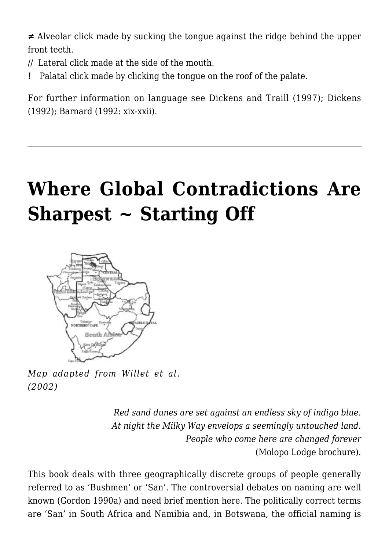**≠** Alveolar click made by sucking the tongue against the ridge behind the upper front teeth.

- // Lateral click made at the side of the mouth.
- **!** Palatal click made by clicking the tongue on the roof of the palate.

For further information on language see Dickens and Traill (1997); Dickens (1992); Barnard (1992: xix-xxii).

# **[Where Global Contradictions Are](https://rozenbergquarterly.com/where-global-contraditions-are-sharpest-starting-off/) [Sharpest ~ Starting Off](https://rozenbergquarterly.com/where-global-contraditions-are-sharpest-starting-off/)**



*Map adapted from Willet et al. (2002)*

*Red sand dunes are set against an endless sky of indigo blue. At night the Milky Way envelops a seemingly untouched land. People who come here are changed forever* (Molopo Lodge brochure).

This book deals with three geographically discrete groups of people generally referred to as 'Bushmen' or 'San'. The controversial debates on naming are well known (Gordon 1990a) and need brief mention here. The politically correct terms are 'San' in South Africa and Namibia and, in Botswana, the official naming is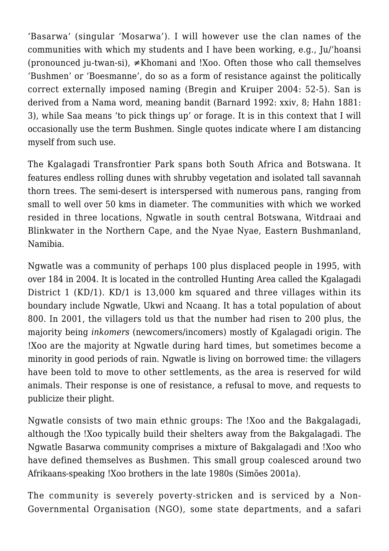'Basarwa' (singular 'Mosarwa'). I will however use the clan names of the communities with which my students and I have been working, e.g., Ju/'hoansi (pronounced ju-twan-si),  $\neq$ Khomani and !Xoo. Often those who call themselves 'Bushmen' or 'Boesmanne', do so as a form of resistance against the politically correct externally imposed naming (Bregin and Kruiper 2004: 52-5). San is derived from a Nama word, meaning bandit (Barnard 1992: xxiv, 8; Hahn 1881: 3), while Saa means 'to pick things up' or forage. It is in this context that I will occasionally use the term Bushmen. Single quotes indicate where I am distancing myself from such use.

The Kgalagadi Transfrontier Park spans both South Africa and Botswana. It features endless rolling dunes with shrubby vegetation and isolated tall savannah thorn trees. The semi-desert is interspersed with numerous pans, ranging from small to well over 50 kms in diameter. The communities with which we worked resided in three locations, Ngwatle in south central Botswana, Witdraai and Blinkwater in the Northern Cape, and the Nyae Nyae, Eastern Bushmanland, Namibia.

Ngwatle was a community of perhaps 100 plus displaced people in 1995, with over 184 in 2004. It is located in the controlled Hunting Area called the Kgalagadi District 1 (KD/1). KD/1 is 13,000 km squared and three villages within its boundary include Ngwatle, Ukwi and Ncaang. It has a total population of about 800. In 2001, the villagers told us that the number had risen to 200 plus, the majority being *inkomers* (newcomers/incomers) mostly of Kgalagadi origin. The !Xoo are the majority at Ngwatle during hard times, but sometimes become a minority in good periods of rain. Ngwatle is living on borrowed time: the villagers have been told to move to other settlements, as the area is reserved for wild animals. Their response is one of resistance, a refusal to move, and requests to publicize their plight.

Ngwatle consists of two main ethnic groups: The !Xoo and the Bakgalagadi, although the !Xoo typically build their shelters away from the Bakgalagadi. The Ngwatle Basarwa community comprises a mixture of Bakgalagadi and !Xoo who have defined themselves as Bushmen. This small group coalesced around two Afrikaans-speaking !Xoo brothers in the late 1980s (Simões 2001a).

The community is severely poverty-stricken and is serviced by a Non-Governmental Organisation (NGO), some state departments, and a safari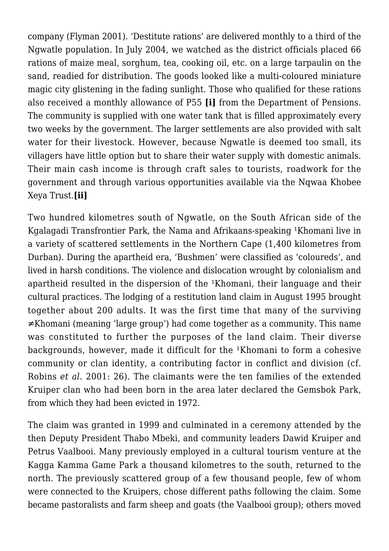company (Flyman 2001). 'Destitute rations' are delivered monthly to a third of the Ngwatle population. In July 2004, we watched as the district officials placed 66 rations of maize meal, sorghum, tea, cooking oil, etc. on a large tarpaulin on the sand, readied for distribution. The goods looked like a multi-coloured miniature magic city glistening in the fading sunlight. Those who qualified for these rations also received a monthly allowance of P55 **[i]** from the Department of Pensions. The community is supplied with one water tank that is filled approximately every two weeks by the government. The larger settlements are also provided with salt water for their livestock. However, because Ngwatle is deemed too small, its villagers have little option but to share their water supply with domestic animals. Their main cash income is through craft sales to tourists, roadwork for the government and through various opportunities available via the Nqwaa Khobee Xeya Trust.**[ii]**

Two hundred kilometres south of Ngwatle, on the South African side of the Kgalagadi Transfrontier Park, the Nama and Afrikaans-speaking <sup>1</sup>Khomani live in a variety of scattered settlements in the Northern Cape (1,400 kilometres from Durban). During the apartheid era, 'Bushmen' were classified as 'coloureds', and lived in harsh conditions. The violence and dislocation wrought by colonialism and apartheid resulted in the dispersion of the <sup>1</sup>Khomani, their language and their cultural practices. The lodging of a restitution land claim in August 1995 brought together about 200 adults. It was the first time that many of the surviving ≠Khomani (meaning 'large group') had come together as a community. This name was constituted to further the purposes of the land claim. Their diverse backgrounds, however, made it difficult for the <sup>1</sup>Khomani to form a cohesive community or clan identity, a contributing factor in conflict and division (cf. Robins *et al.* 2001: 26). The claimants were the ten families of the extended Kruiper clan who had been born in the area later declared the Gemsbok Park, from which they had been evicted in 1972.

The claim was granted in 1999 and culminated in a ceremony attended by the then Deputy President Thabo Mbeki, and community leaders Dawid Kruiper and Petrus Vaalbooi. Many previously employed in a cultural tourism venture at the Kagga Kamma Game Park a thousand kilometres to the south, returned to the north. The previously scattered group of a few thousand people, few of whom were connected to the Kruipers, chose different paths following the claim. Some became pastoralists and farm sheep and goats (the Vaalbooi group); others moved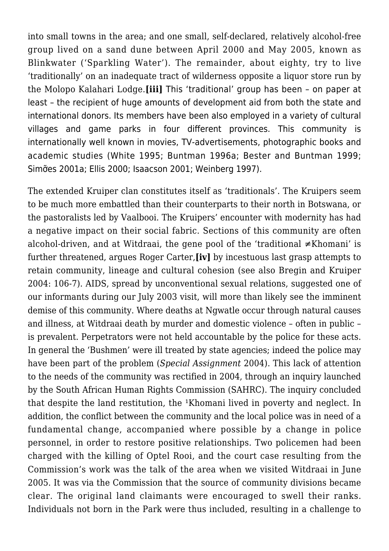into small towns in the area; and one small, self-declared, relatively alcohol-free group lived on a sand dune between April 2000 and May 2005, known as Blinkwater ('Sparkling Water'). The remainder, about eighty, try to live 'traditionally' on an inadequate tract of wilderness opposite a liquor store run by the Molopo Kalahari Lodge.**[iii]** This 'traditional' group has been – on paper at least – the recipient of huge amounts of development aid from both the state and international donors. Its members have been also employed in a variety of cultural villages and game parks in four different provinces. This community is internationally well known in movies, TV-advertisements, photographic books and academic studies (White 1995; Buntman 1996a; Bester and Buntman 1999; Simỡes 2001a; Ellis 2000; Isaacson 2001; Weinberg 1997).

The extended Kruiper clan constitutes itself as 'traditionals'. The Kruipers seem to be much more embattled than their counterparts to their north in Botswana, or the pastoralists led by Vaalbooi. The Kruipers' encounter with modernity has had a negative impact on their social fabric. Sections of this community are often alcohol-driven, and at Witdraai, the gene pool of the 'traditional ≠Khomani' is further threatened, argues Roger Carter,**[iv]** by incestuous last grasp attempts to retain community, lineage and cultural cohesion (see also Bregin and Kruiper 2004: 106-7). AIDS, spread by unconventional sexual relations, suggested one of our informants during our July 2003 visit, will more than likely see the imminent demise of this community. Where deaths at Ngwatle occur through natural causes and illness, at Witdraai death by murder and domestic violence – often in public – is prevalent. Perpetrators were not held accountable by the police for these acts. In general the 'Bushmen' were ill treated by state agencies; indeed the police may have been part of the problem (*Special Assignment* 2004). This lack of attention to the needs of the community was rectified in 2004, through an inquiry launched by the South African Human Rights Commission (SAHRC). The inquiry concluded that despite the land restitution, the <sup>1</sup>Khomani lived in poverty and neglect. In addition, the conflict between the community and the local police was in need of a fundamental change, accompanied where possible by a change in police personnel, in order to restore positive relationships. Two policemen had been charged with the killing of Optel Rooi, and the court case resulting from the Commission's work was the talk of the area when we visited Witdraai in June 2005. It was via the Commission that the source of community divisions became clear. The original land claimants were encouraged to swell their ranks. Individuals not born in the Park were thus included, resulting in a challenge to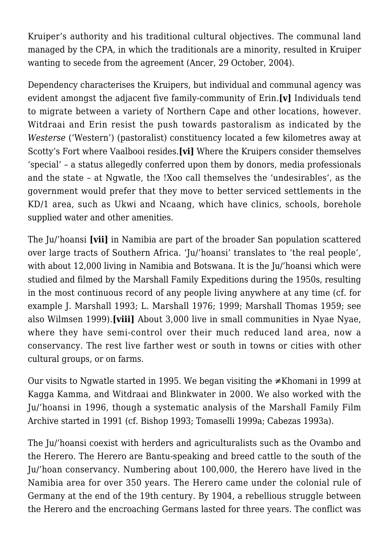Kruiper's authority and his traditional cultural objectives. The communal land managed by the CPA, in which the traditionals are a minority, resulted in Kruiper wanting to secede from the agreement (Ancer, 29 October, 2004).

Dependency characterises the Kruipers, but individual and communal agency was evident amongst the adjacent five family-community of Erin.**[v]** Individuals tend to migrate between a variety of Northern Cape and other locations, however. Witdraai and Erin resist the push towards pastoralism as indicated by the *Westerse* ('Western') (pastoralist) constituency located a few kilometres away at Scotty's Fort where Vaalbooi resides.**[vi]** Where the Kruipers consider themselves 'special' – a status allegedly conferred upon them by donors, media professionals and the state – at Ngwatle, the !Xoo call themselves the 'undesirables', as the government would prefer that they move to better serviced settlements in the KD/1 area, such as Ukwi and Ncaang, which have clinics, schools, borehole supplied water and other amenities.

The Ju/'hoansi **[vii]** in Namibia are part of the broader San population scattered over large tracts of Southern Africa. 'Ju/'hoansi' translates to 'the real people', with about 12,000 living in Namibia and Botswana. It is the Ju/'hoansi which were studied and filmed by the Marshall Family Expeditions during the 1950s, resulting in the most continuous record of any people living anywhere at any time (cf. for example J. Marshall 1993; L. Marshall 1976; 1999; Marshall Thomas 1959; see also Wilmsen 1999).**[viii]** About 3,000 live in small communities in Nyae Nyae, where they have semi-control over their much reduced land area, now a conservancy. The rest live farther west or south in towns or cities with other cultural groups, or on farms.

Our visits to Ngwatle started in 1995. We began visiting the ≠Khomani in 1999 at Kagga Kamma, and Witdraai and Blinkwater in 2000. We also worked with the Ju/'hoansi in 1996, though a systematic analysis of the Marshall Family Film Archive started in 1991 (cf. Bishop 1993; Tomaselli 1999a; Cabezas 1993a).

The Ju/'hoansi coexist with herders and agriculturalists such as the Ovambo and the Herero. The Herero are Bantu-speaking and breed cattle to the south of the Ju/'hoan conservancy. Numbering about 100,000, the Herero have lived in the Namibia area for over 350 years. The Herero came under the colonial rule of Germany at the end of the 19th century. By 1904, a rebellious struggle between the Herero and the encroaching Germans lasted for three years. The conflict was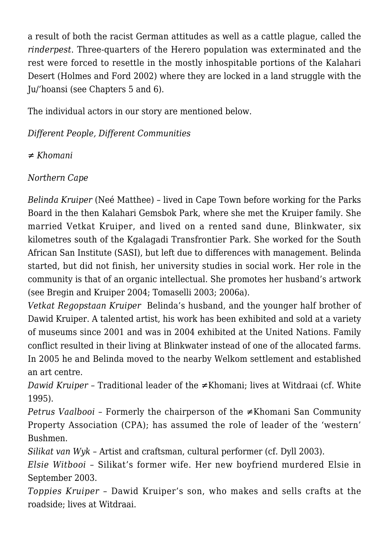a result of both the racist German attitudes as well as a cattle plague, called the *rinderpest*. Three-quarters of the Herero population was exterminated and the rest were forced to resettle in the mostly inhospitable portions of the Kalahari Desert (Holmes and Ford 2002) where they are locked in a land struggle with the Ju/'hoansi (see Chapters 5 and 6).

The individual actors in our story are mentioned below.

### *Different People, Different Communities*

*≠ Khomani*

*Northern Cape*

*Belinda Kruiper* (Neé Matthee) – lived in Cape Town before working for the Parks Board in the then Kalahari Gemsbok Park, where she met the Kruiper family. She married Vetkat Kruiper, and lived on a rented sand dune, Blinkwater, six kilometres south of the Kgalagadi Transfrontier Park. She worked for the South African San Institute (SASI), but left due to differences with management. Belinda started, but did not finish, her university studies in social work. Her role in the community is that of an organic intellectual. She promotes her husband's artwork (see Bregin and Kruiper 2004; Tomaselli 2003; 2006a).

*Vetkat Regopstaan Kruiper* Belinda's husband, and the younger half brother of Dawid Kruiper. A talented artist, his work has been exhibited and sold at a variety of museums since 2001 and was in 2004 exhibited at the United Nations. Family conflict resulted in their living at Blinkwater instead of one of the allocated farms. In 2005 he and Belinda moved to the nearby Welkom settlement and established an art centre.

*Dawid Kruiper* – Traditional leader of the ≠Khomani; lives at Witdraai (cf. White 1995).

*Petrus Vaalbooi* – Formerly the chairperson of the ≠Khomani San Community Property Association (CPA); has assumed the role of leader of the 'western' Bushmen.

*Silikat van Wyk* – Artist and craftsman, cultural performer (cf. Dyll 2003).

*Elsie Witbooi* – Silikat's former wife. Her new boyfriend murdered Elsie in September 2003.

*Toppies Kruiper* – Dawid Kruiper's son, who makes and sells crafts at the roadside; lives at Witdraai.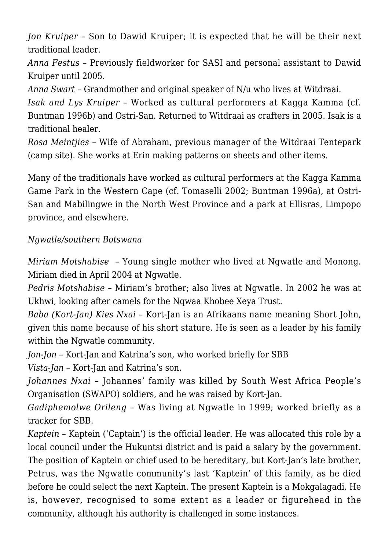*Jon Kruiper* – Son to Dawid Kruiper; it is expected that he will be their next traditional leader.

*Anna Festus* – Previously fieldworker for SASI and personal assistant to Dawid Kruiper until 2005.

*Anna Swart* – Grandmother and original speaker of N/u who lives at Witdraai.

*Isak and Lys Kruiper* – Worked as cultural performers at Kagga Kamma (cf. Buntman 1996b) and Ostri-San. Returned to Witdraai as crafters in 2005. Isak is a traditional healer.

*Rosa Meintjies* – Wife of Abraham, previous manager of the Witdraai Tentepark (camp site). She works at Erin making patterns on sheets and other items.

Many of the traditionals have worked as cultural performers at the Kagga Kamma Game Park in the Western Cape (cf. Tomaselli 2002; Buntman 1996a), at Ostri-San and Mabilingwe in the North West Province and a park at Ellisras, Limpopo province, and elsewhere.

#### *Ngwatle/southern Botswana*

*Miriam Motshabise* – Young single mother who lived at Ngwatle and Monong. Miriam died in April 2004 at Ngwatle.

*Pedris Motshabise* – Miriam's brother; also lives at Ngwatle. In 2002 he was at Ukhwi, looking after camels for the Nqwaa Khobee Xeya Trust.

*Baba (Kort-Jan) Kies Nxai* – Kort-Jan is an Afrikaans name meaning Short John, given this name because of his short stature. He is seen as a leader by his family within the Ngwatle community.

*Jon-Jon* – Kort-Jan and Katrina's son, who worked briefly for SBB

*Vista-Jan* – Kort-Jan and Katrina's son.

*Johannes Nxai* – Johannes' family was killed by South West Africa People's Organisation (SWAPO) soldiers, and he was raised by Kort-Jan.

*Gadiphemolwe Orileng* – Was living at Ngwatle in 1999; worked briefly as a tracker for SBB.

*Kaptein* – Kaptein ('Captain') is the official leader. He was allocated this role by a local council under the Hukuntsi district and is paid a salary by the government. The position of Kaptein or chief used to be hereditary, but Kort-Jan's late brother, Petrus, was the Ngwatle community's last 'Kaptein' of this family, as he died before he could select the next Kaptein. The present Kaptein is a Mokgalagadi. He is, however, recognised to some extent as a leader or figurehead in the community, although his authority is challenged in some instances.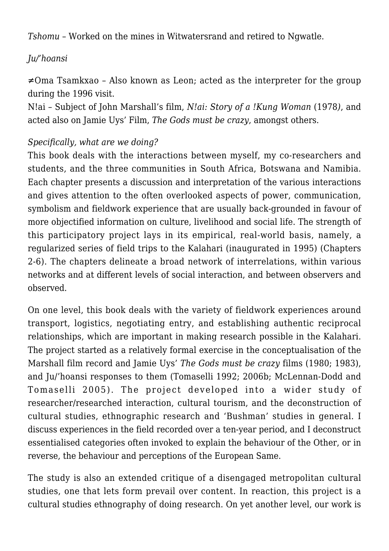*Tshomu* – Worked on the mines in Witwatersrand and retired to Ngwatle.

### *Ju/'hoansi*

≠Oma Tsamkxao – Also known as Leon; acted as the interpreter for the group during the 1996 visit.

N!ai – Subject of John Marshall's film, *N!ai: Story of a !Kung Woman* (1978*)*, and acted also on Jamie Uys' Film, *The Gods must be crazy*, amongst others.

#### *Specifically, what are we doing?*

This book deals with the interactions between myself, my co-researchers and students, and the three communities in South Africa, Botswana and Namibia. Each chapter presents a discussion and interpretation of the various interactions and gives attention to the often overlooked aspects of power, communication, symbolism and fieldwork experience that are usually back-grounded in favour of more objectified information on culture, livelihood and social life. The strength of this participatory project lays in its empirical, real-world basis, namely, a regularized series of field trips to the Kalahari (inaugurated in 1995) (Chapters 2-6). The chapters delineate a broad network of interrelations, within various networks and at different levels of social interaction, and between observers and observed.

On one level, this book deals with the variety of fieldwork experiences around transport, logistics, negotiating entry, and establishing authentic reciprocal relationships, which are important in making research possible in the Kalahari. The project started as a relatively formal exercise in the conceptualisation of the Marshall film record and Jamie Uys' *The Gods must be crazy* films (1980; 1983), and Ju/'hoansi responses to them (Tomaselli 1992; 2006b; McLennan-Dodd and Tomaselli 2005). The project developed into a wider study of researcher/researched interaction, cultural tourism, and the deconstruction of cultural studies, ethnographic research and 'Bushman' studies in general. I discuss experiences in the field recorded over a ten-year period, and I deconstruct essentialised categories often invoked to explain the behaviour of the Other, or in reverse, the behaviour and perceptions of the European Same.

The study is also an extended critique of a disengaged metropolitan cultural studies, one that lets form prevail over content. In reaction, this project is a cultural studies ethnography of doing research. On yet another level, our work is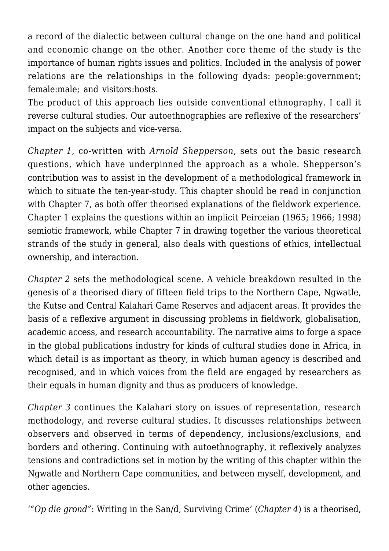a record of the dialectic between cultural change on the one hand and political and economic change on the other. Another core theme of the study is the importance of human rights issues and politics. Included in the analysis of power relations are the relationships in the following dyads: people:government; female:male; and visitors:hosts.

The product of this approach lies outside conventional ethnography. I call it reverse cultural studies. Our autoethnographies are reflexive of the researchers' impact on the subjects and vice-versa.

*Chapter 1*, co-written with *Arnold Shepperson*, sets out the basic research questions, which have underpinned the approach as a whole. Shepperson's contribution was to assist in the development of a methodological framework in which to situate the ten-year-study. This chapter should be read in conjunction with Chapter 7, as both offer theorised explanations of the fieldwork experience. Chapter 1 explains the questions within an implicit Peirceian (1965; 1966; 1998) semiotic framework, while Chapter 7 in drawing together the various theoretical strands of the study in general, also deals with questions of ethics, intellectual ownership, and interaction.

*Chapter 2* sets the methodological scene. A vehicle breakdown resulted in the genesis of a theorised diary of fifteen field trips to the Northern Cape, Ngwatle, the Kutse and Central Kalahari Game Reserves and adjacent areas. It provides the basis of a reflexive argument in discussing problems in fieldwork, globalisation, academic access, and research accountability. The narrative aims to forge a space in the global publications industry for kinds of cultural studies done in Africa, in which detail is as important as theory, in which human agency is described and recognised, and in which voices from the field are engaged by researchers as their equals in human dignity and thus as producers of knowledge.

*Chapter 3* continues the Kalahari story on issues of representation, research methodology, and reverse cultural studies. It discusses relationships between observers and observed in terms of dependency, inclusions/exclusions, and borders and othering. Continuing with autoethnography, it reflexively analyzes tensions and contradictions set in motion by the writing of this chapter within the Ngwatle and Northern Cape communities, and between myself, development, and other agencies.

'*"Op die grond"*: Writing in the San/d, Surviving Crime' (*Chapter 4*) is a theorised,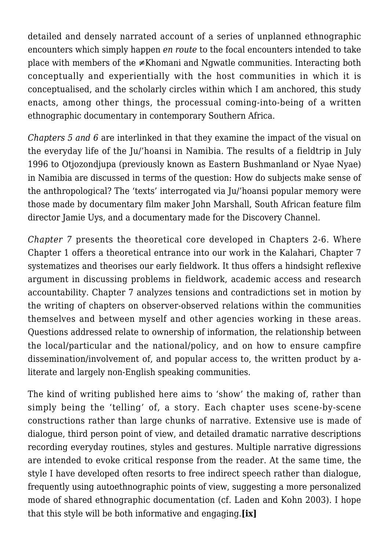detailed and densely narrated account of a series of unplanned ethnographic encounters which simply happen *en route* to the focal encounters intended to take place with members of the ≠Khomani and Ngwatle communities. Interacting both conceptually and experientially with the host communities in which it is conceptualised, and the scholarly circles within which I am anchored, this study enacts, among other things, the processual coming-into-being of a written ethnographic documentary in contemporary Southern Africa.

*Chapters 5 and 6* are interlinked in that they examine the impact of the visual on the everyday life of the Ju/'hoansi in Namibia. The results of a fieldtrip in July 1996 to Otjozondjupa (previously known as Eastern Bushmanland or Nyae Nyae) in Namibia are discussed in terms of the question: How do subjects make sense of the anthropological? The 'texts' interrogated via Ju/'hoansi popular memory were those made by documentary film maker John Marshall, South African feature film director Jamie Uys, and a documentary made for the Discovery Channel.

*Chapter 7* presents the theoretical core developed in Chapters 2-6. Where Chapter 1 offers a theoretical entrance into our work in the Kalahari, Chapter 7 systematizes and theorises our early fieldwork. It thus offers a hindsight reflexive argument in discussing problems in fieldwork, academic access and research accountability. Chapter 7 analyzes tensions and contradictions set in motion by the writing of chapters on observer-observed relations within the communities themselves and between myself and other agencies working in these areas. Questions addressed relate to ownership of information, the relationship between the local/particular and the national/policy, and on how to ensure campfire dissemination/involvement of, and popular access to, the written product by aliterate and largely non-English speaking communities.

The kind of writing published here aims to 'show' the making of, rather than simply being the 'telling' of, a story. Each chapter uses scene-by-scene constructions rather than large chunks of narrative. Extensive use is made of dialogue, third person point of view, and detailed dramatic narrative descriptions recording everyday routines, styles and gestures. Multiple narrative digressions are intended to evoke critical response from the reader. At the same time, the style I have developed often resorts to free indirect speech rather than dialogue, frequently using autoethnographic points of view, suggesting a more personalized mode of shared ethnographic documentation (cf. Laden and Kohn 2003). I hope that this style will be both informative and engaging.**[ix]**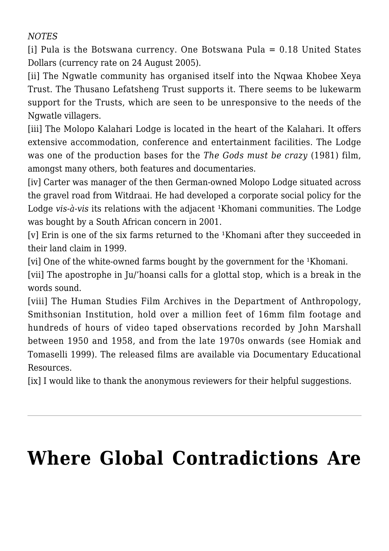*NOTES*

[i] Pula is the Botswana currency. One Botswana Pula = 0.18 United States Dollars (currency rate on 24 August 2005).

[ii] The Ngwatle community has organised itself into the Nqwaa Khobee Xeya Trust. The Thusano Lefatsheng Trust supports it. There seems to be lukewarm support for the Trusts, which are seen to be unresponsive to the needs of the Ngwatle villagers.

[iii] The Molopo Kalahari Lodge is located in the heart of the Kalahari. It offers extensive accommodation, conference and entertainment facilities. The Lodge was one of the production bases for the *The Gods must be crazy* (1981) film, amongst many others, both features and documentaries.

[iv] Carter was manager of the then German-owned Molopo Lodge situated across the gravel road from Witdraai. He had developed a corporate social policy for the Lodge *vis-à-vis* its relations with the adjacent <sup>1</sup>Khomani communities. The Lodge was bought by a South African concern in 2001.

[v] Erin is one of the six farms returned to the <sup>1</sup>Khomani after they succeeded in their land claim in 1999.

[vi] One of the white-owned farms bought by the government for the <sup>1</sup>Khomani.

[vii] The apostrophe in Ju/'hoansi calls for a glottal stop, which is a break in the words sound.

[viii] The Human Studies Film Archives in the Department of Anthropology, Smithsonian Institution, hold over a million feet of 16mm film footage and hundreds of hours of video taped observations recorded by John Marshall between 1950 and 1958, and from the late 1970s onwards (see Homiak and Tomaselli 1999). The released films are available via Documentary Educational Resources.

[ix] I would like to thank the anonymous reviewers for their helpful suggestions.

# **[Where Global Contradictions Are](https://rozenbergquarterly.com/where-global-contradictions-are-sharpest-the-negotiating-research-with-first-peoples/)**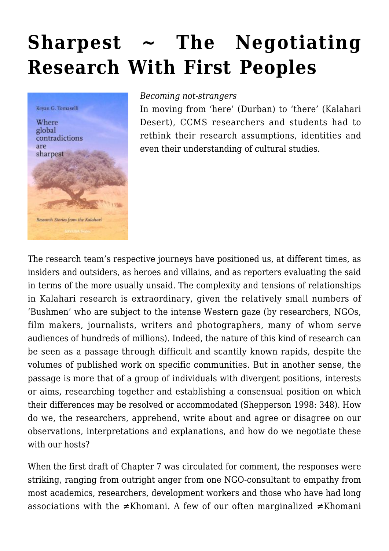### **[Sharpest ~ The Negotiating](https://rozenbergquarterly.com/where-global-contradictions-are-sharpest-the-negotiating-research-with-first-peoples/) [Research With First Peoples](https://rozenbergquarterly.com/where-global-contradictions-are-sharpest-the-negotiating-research-with-first-peoples/)**



#### *Becoming not-strangers*

In moving from 'here' (Durban) to 'there' (Kalahari Desert), CCMS researchers and students had to rethink their research assumptions, identities and even their understanding of cultural studies.

The research team's respective journeys have positioned us, at different times, as insiders and outsiders, as heroes and villains, and as reporters evaluating the said in terms of the more usually unsaid. The complexity and tensions of relationships in Kalahari research is extraordinary, given the relatively small numbers of 'Bushmen' who are subject to the intense Western gaze (by researchers, NGOs, film makers, journalists, writers and photographers, many of whom serve audiences of hundreds of millions). Indeed, the nature of this kind of research can be seen as a passage through difficult and scantily known rapids, despite the volumes of published work on specific communities. But in another sense, the passage is more that of a group of individuals with divergent positions, interests or aims, researching together and establishing a consensual position on which their differences may be resolved or accommodated (Shepperson 1998: 348). How do we, the researchers, apprehend, write about and agree or disagree on our observations, interpretations and explanations, and how do we negotiate these with our hosts?

When the first draft of Chapter 7 was circulated for comment, the responses were striking, ranging from outright anger from one NGO-consultant to empathy from most academics, researchers, development workers and those who have had long associations with the *≠*Khomani. A few of our often marginalized *≠*Khomani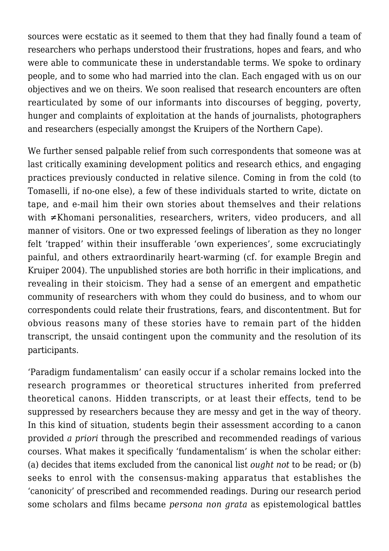sources were ecstatic as it seemed to them that they had finally found a team of researchers who perhaps understood their frustrations, hopes and fears, and who were able to communicate these in understandable terms. We spoke to ordinary people, and to some who had married into the clan. Each engaged with us on our objectives and we on theirs. We soon realised that research encounters are often rearticulated by some of our informants into discourses of begging, poverty, hunger and complaints of exploitation at the hands of journalists, photographers and researchers (especially amongst the Kruipers of the Northern Cape).

We further sensed palpable relief from such correspondents that someone was at last critically examining development politics and research ethics, and engaging practices previously conducted in relative silence. Coming in from the cold (to Tomaselli, if no-one else), a few of these individuals started to write, dictate on tape, and e-mail him their own stories about themselves and their relations with *≠*Khomani personalities, researchers, writers, video producers, and all manner of visitors. One or two expressed feelings of liberation as they no longer felt 'trapped' within their insufferable 'own experiences', some excruciatingly painful, and others extraordinarily heart-warming (cf. for example Bregin and Kruiper 2004). The unpublished stories are both horrific in their implications, and revealing in their stoicism. They had a sense of an emergent and empathetic community of researchers with whom they could do business, and to whom our correspondents could relate their frustrations, fears, and discontentment. But for obvious reasons many of these stories have to remain part of the hidden transcript, the unsaid contingent upon the community and the resolution of its participants.

'Paradigm fundamentalism' can easily occur if a scholar remains locked into the research programmes or theoretical structures inherited from preferred theoretical canons. Hidden transcripts, or at least their effects, tend to be suppressed by researchers because they are messy and get in the way of theory. In this kind of situation, students begin their assessment according to a canon provided *a priori* through the prescribed and recommended readings of various courses. What makes it specifically 'fundamentalism' is when the scholar either: (a) decides that items excluded from the canonical list *ought not* to be read; or (b) seeks to enrol with the consensus-making apparatus that establishes the 'canonicity' of prescribed and recommended readings. During our research period some scholars and films became *persona non grata* as epistemological battles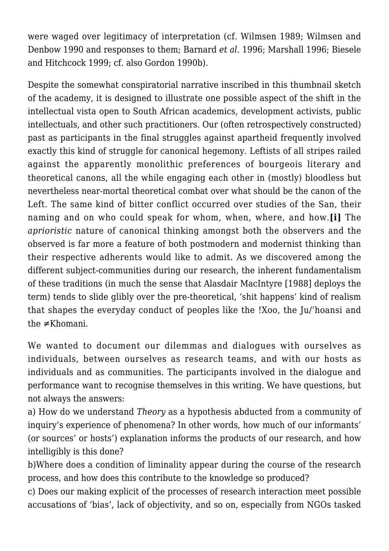were waged over legitimacy of interpretation (cf. Wilmsen 1989; Wilmsen and Denbow 1990 and responses to them; Barnard *et al.* 1996; Marshall 1996; Biesele and Hitchcock 1999; cf. also Gordon 1990b).

Despite the somewhat conspiratorial narrative inscribed in this thumbnail sketch of the academy, it is designed to illustrate one possible aspect of the shift in the intellectual vista open to South African academics, development activists, public intellectuals, and other such practitioners. Our (often retrospectively constructed) past as participants in the final struggles against apartheid frequently involved exactly this kind of struggle for canonical hegemony. Leftists of all stripes railed against the apparently monolithic preferences of bourgeois literary and theoretical canons, all the while engaging each other in (mostly) bloodless but nevertheless near-mortal theoretical combat over what should be the canon of the Left. The same kind of bitter conflict occurred over studies of the San, their naming and on who could speak for whom, when, where, and how.**[i]** The *aprioristic* nature of canonical thinking amongst both the observers and the observed is far more a feature of both postmodern and modernist thinking than their respective adherents would like to admit. As we discovered among the different subject-communities during our research, the inherent fundamentalism of these traditions (in much the sense that Alasdair MacIntyre [1988] deploys the term) tends to slide glibly over the pre-theoretical, 'shit happens' kind of realism that shapes the everyday conduct of peoples like the !Xoo, the Ju/'hoansi and the *≠*Khomani.

We wanted to document our dilemmas and dialogues with ourselves as individuals, between ourselves as research teams, and with our hosts as individuals and as communities. The participants involved in the dialogue and performance want to recognise themselves in this writing. We have questions, but not always the answers:

a) How do we understand *Theory* as a hypothesis abducted from a community of inquiry's experience of phenomena? In other words, how much of our informants' (or sources' or hosts') explanation informs the products of our research, and how intelligibly is this done?

b)Where does a condition of liminality appear during the course of the research process, and how does this contribute to the knowledge so produced?

c) Does our making explicit of the processes of research interaction meet possible accusations of 'bias', lack of objectivity, and so on, especially from NGOs tasked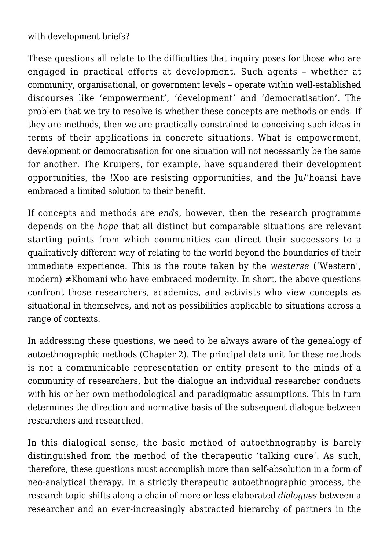with development briefs?

These questions all relate to the difficulties that inquiry poses for those who are engaged in practical efforts at development. Such agents – whether at community, organisational, or government levels – operate within well-established discourses like 'empowerment', 'development' and 'democratisation'. The problem that we try to resolve is whether these concepts are methods or ends. If they are methods, then we are practically constrained to conceiving such ideas in terms of their applications in concrete situations. What is empowerment, development or democratisation for one situation will not necessarily be the same for another. The Kruipers, for example, have squandered their development opportunities, the !Xoo are resisting opportunities, and the Ju/'hoansi have embraced a limited solution to their benefit.

If concepts and methods are *ends*, however, then the research programme depends on the *hope* that all distinct but comparable situations are relevant starting points from which communities can direct their successors to a qualitatively different way of relating to the world beyond the boundaries of their immediate experience. This is the route taken by the *westerse* ('Western', modern) *≠*Khomani who have embraced modernity. In short, the above questions confront those researchers, academics, and activists who view concepts as situational in themselves, and not as possibilities applicable to situations across a range of contexts.

In addressing these questions, we need to be always aware of the genealogy of autoethnographic methods (Chapter 2). The principal data unit for these methods is not a communicable representation or entity present to the minds of a community of researchers, but the dialogue an individual researcher conducts with his or her own methodological and paradigmatic assumptions. This in turn determines the direction and normative basis of the subsequent dialogue between researchers and researched.

In this dialogical sense, the basic method of autoethnography is barely distinguished from the method of the therapeutic 'talking cure'. As such, therefore, these questions must accomplish more than self-absolution in a form of neo-analytical therapy. In a strictly therapeutic autoethnographic process, the research topic shifts along a chain of more or less elaborated *dialogues* between a researcher and an ever-increasingly abstracted hierarchy of partners in the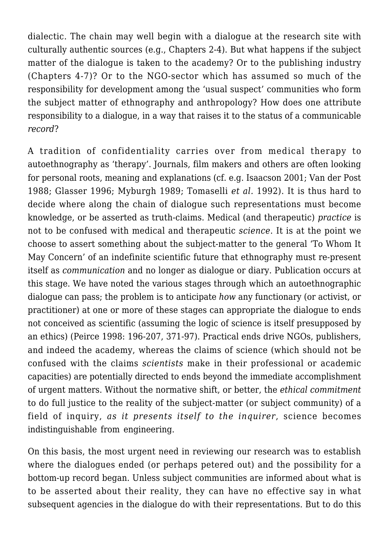dialectic. The chain may well begin with a dialogue at the research site with culturally authentic sources (e.g., Chapters 2-4). But what happens if the subject matter of the dialogue is taken to the academy? Or to the publishing industry (Chapters 4-7)? Or to the NGO-sector which has assumed so much of the responsibility for development among the 'usual suspect' communities who form the subject matter of ethnography and anthropology? How does one attribute responsibility to a dialogue, in a way that raises it to the status of a communicable *record*?

A tradition of confidentiality carries over from medical therapy to autoethnography as 'therapy'. Journals, film makers and others are often looking for personal roots, meaning and explanations (cf. e.g. Isaacson 2001; Van der Post 1988; Glasser 1996; Myburgh 1989; Tomaselli *et al.* 1992). It is thus hard to decide where along the chain of dialogue such representations must become knowledge, or be asserted as truth-claims. Medical (and therapeutic) *practice* is not to be confused with medical and therapeutic *science*. It is at the point we choose to assert something about the subject-matter to the general 'To Whom It May Concern' of an indefinite scientific future that ethnography must re-present itself as *communication* and no longer as dialogue or diary. Publication occurs at this stage. We have noted the various stages through which an autoethnographic dialogue can pass; the problem is to anticipate *how* any functionary (or activist, or practitioner) at one or more of these stages can appropriate the dialogue to ends not conceived as scientific (assuming the logic of science is itself presupposed by an ethics) (Peirce 1998: 196-207, 371-97). Practical ends drive NGOs, publishers, and indeed the academy, whereas the claims of science (which should not be confused with the claims *scientists* make in their professional or academic capacities) are potentially directed to ends beyond the immediate accomplishment of urgent matters. Without the normative shift, or better, the *ethical commitment* to do full justice to the reality of the subject-matter (or subject community) of a field of inquiry, *as it presents itself to the inquirer*, science becomes indistinguishable from engineering.

On this basis, the most urgent need in reviewing our research was to establish where the dialogues ended (or perhaps petered out) and the possibility for a bottom-up record began. Unless subject communities are informed about what is to be asserted about their reality, they can have no effective say in what subsequent agencies in the dialogue do with their representations. But to do this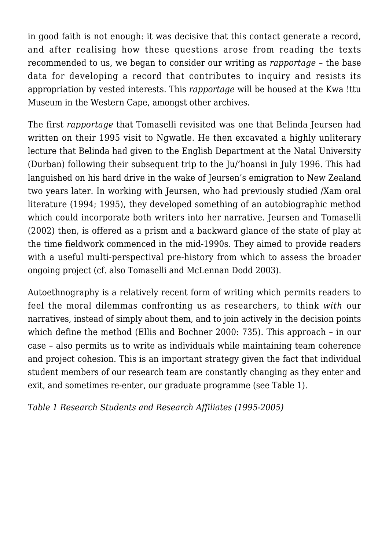in good faith is not enough: it was decisive that this contact generate a record, and after realising how these questions arose from reading the texts recommended to us, we began to consider our writing as *rapportage* – the base data for developing a record that contributes to inquiry and resists its appropriation by vested interests. This *rapportage* will be housed at the Kwa !ttu Museum in the Western Cape, amongst other archives.

The first *rapportage* that Tomaselli revisited was one that Belinda Jeursen had written on their 1995 visit to Ngwatle. He then excavated a highly unliterary lecture that Belinda had given to the English Department at the Natal University (Durban) following their subsequent trip to the Ju/'hoansi in July 1996. This had languished on his hard drive in the wake of Jeursen's emigration to New Zealand two years later. In working with Jeursen, who had previously studied /Xam oral literature (1994; 1995), they developed something of an autobiographic method which could incorporate both writers into her narrative. Jeursen and Tomaselli (2002) then, is offered as a prism and a backward glance of the state of play at the time fieldwork commenced in the mid-1990s. They aimed to provide readers with a useful multi-perspectival pre-history from which to assess the broader ongoing project (cf. also Tomaselli and McLennan Dodd 2003).

Autoethnography is a relatively recent form of writing which permits readers to feel the moral dilemmas confronting us as researchers, to think *with* our narratives, instead of simply about them, and to join actively in the decision points which define the method (Ellis and Bochner 2000: 735). This approach – in our case – also permits us to write as individuals while maintaining team coherence and project cohesion. This is an important strategy given the fact that individual student members of our research team are constantly changing as they enter and exit, and sometimes re-enter, our graduate programme (see Table 1).

*Table 1 Research Students and Research Affiliates (1995-2005)*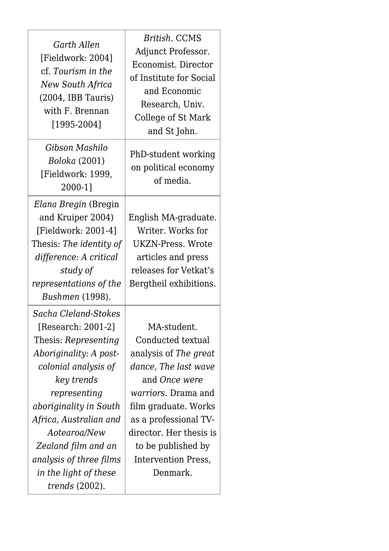| Garth Allen<br>[Fieldwork: 2004]<br>cf. Tourism in the<br>New South Africa<br>(2004, IBB Tauris)<br>with F. Brennan<br>$[1995 - 2004]$                                                                                                                                                                                        | <b>British. CCMS</b><br>Adjunct Professor.<br>Economist. Director<br>of Institute for Social<br>and Economic<br>Research, Univ.<br>College of St Mark<br>and St John.                                                                                          |
|-------------------------------------------------------------------------------------------------------------------------------------------------------------------------------------------------------------------------------------------------------------------------------------------------------------------------------|----------------------------------------------------------------------------------------------------------------------------------------------------------------------------------------------------------------------------------------------------------------|
| Gibson Mashilo<br>Boloka (2001)<br>[Fieldwork: 1999,<br>2000-1]                                                                                                                                                                                                                                                               | PhD-student working<br>on political economy<br>of media.                                                                                                                                                                                                       |
| Elana Bregin (Bregin<br>and Kruiper 2004)<br>[Fieldwork: 2001-4]<br>Thesis: The identity of<br>difference: A critical<br>study of<br>representations of the<br><b>Bushmen</b> (1998).                                                                                                                                         | English MA-graduate.<br>Writer. Works for<br><b>UKZN-Press. Wrote</b><br>articles and press<br>releases for Vetkat's<br>Bergtheil exhibitions.                                                                                                                 |
| Sacha Cleland-Stokes<br>[Research: $2001-2$ ]<br>Thesis: Representing<br>Aboriginality: A post-<br>colonial analysis of<br>key trends<br>representing<br><i>aboriginality in South</i><br>Africa, Australian and<br>Aotearoa/New<br>Zealand film and an<br>analysis of three films<br>in the light of these<br>trends (2002). | MA-student.<br>Conducted textual<br>analysis of The great<br>dance, The last wave<br>and Once were<br>warriors. Drama and<br>film graduate. Works<br>as a professional TV-<br>director. Her thesis is<br>to be published by<br>Intervention Press,<br>Denmark. |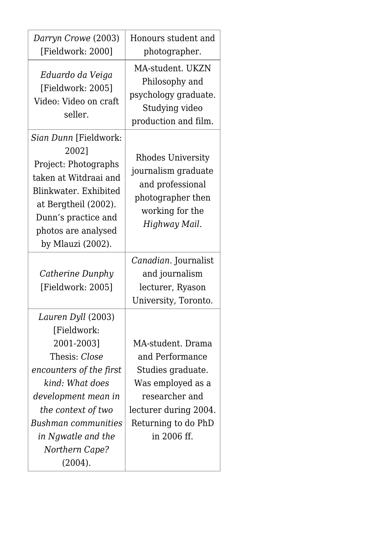| Darryn Crowe (2003)<br>[Fieldwork: 2000]                                                                                                                                                                                              | Honours student and<br>photographer.                                                                                                                            |
|---------------------------------------------------------------------------------------------------------------------------------------------------------------------------------------------------------------------------------------|-----------------------------------------------------------------------------------------------------------------------------------------------------------------|
| Eduardo da Veiga<br>[Fieldwork: 2005]<br>Video: Video on craft<br>seller.                                                                                                                                                             | MA-student. UKZN<br>Philosophy and<br>psychology graduate.<br>Studying video<br>production and film.                                                            |
| Sian Dunn [Fieldwork:<br>2002]<br>Project: Photographs<br>taken at Witdraai and<br>Blinkwater. Exhibited<br>at Bergtheil (2002).<br>Dunn's practice and<br>photos are analysed<br>by Mlauzi (2002).                                   | Rhodes University<br>journalism graduate<br>and professional<br>photographer then<br>working for the<br>Highway Mail.                                           |
| Catherine Dunphy<br>[Fieldwork: 2005]                                                                                                                                                                                                 | Canadian. Journalist<br>and journalism<br>lecturer, Ryason<br>University, Toronto.                                                                              |
| Lauren Dyll (2003)<br>[Fieldwork:<br>2001-2003]<br>Thesis: Close<br>encounters of the first<br>kind: What does<br>development mean in<br>the context of two<br>Bushman communities<br>in Ngwatle and the<br>Northern Cape?<br>(2004). | MA-student. Drama<br>and Performance<br>Studies graduate.<br>Was employed as a<br>researcher and<br>lecturer during 2004.<br>Returning to do PhD<br>in 2006 ff. |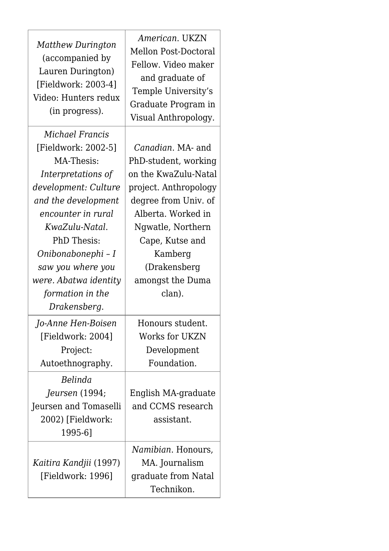| Matthew Durington<br>(accompanied by<br>Lauren Durington)<br>[Fieldwork: 2003-4]<br>Video: Hunters redux<br>(in progress). | American, UKZN<br>Mellon Post-Doctoral<br>Fellow. Video maker<br>and graduate of<br>Temple University's<br>Graduate Program in<br>Visual Anthropology. |
|----------------------------------------------------------------------------------------------------------------------------|--------------------------------------------------------------------------------------------------------------------------------------------------------|
| Michael Francis<br>[Fieldwork: 2002-5]<br>MA-Thesis:<br>Interpretations of<br>development: Culture                         | Canadian. MA- and<br>PhD-student, working<br>on the KwaZulu-Natal<br>project. Anthropology                                                             |
| and the development<br>encounter in rural<br>KwaZulu-Natal.<br>PhD Thesis:                                                 | degree from Univ. of<br>Alberta. Worked in<br>Ngwatle, Northern<br>Cape, Kutse and                                                                     |
| Onibonabonephi - I<br>saw you where you<br>were. Abatwa identity<br>formation in the<br>Drakensberg.                       | Kamberg<br>(Drakensberg<br>amongst the Duma<br>clan).                                                                                                  |
| Jo-Anne Hen-Boisen<br>[Fieldwork: 2004]<br>Project:<br>Autoethnography.                                                    | Honours student.<br><b>Works for UKZN</b><br>Development<br>Foundation.                                                                                |
| Belinda<br>Jeursen (1994;<br>Jeursen and Tomaselli<br>2002) [Fieldwork:<br>1995-6]                                         | English MA-graduate<br>and CCMS research<br>assistant.                                                                                                 |
| Kaitira Kandjii (1997)<br>[Fieldwork: 1996]                                                                                | Namibian. Honours,<br>MA. Journalism<br>graduate from Natal<br>Technikon.                                                                              |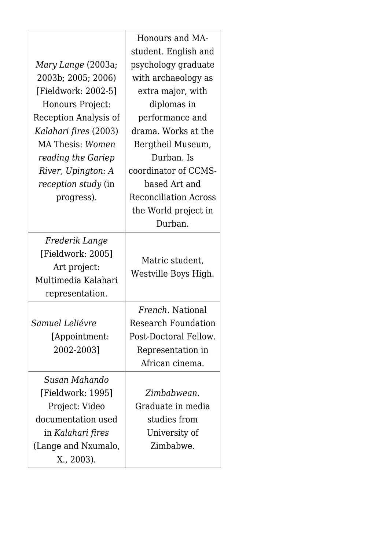| Mary Lange (2003a;<br>2003b; 2005; 2006)<br>[Fieldwork: 2002-5]<br>Honours Project:<br>Reception Analysis of<br>Kalahari fires (2003)<br>MA Thesis: Women<br>reading the Gariep<br>River, Upington: A<br><i>reception study</i> (in<br>progress). | Honours and MA-<br>student. English and<br>psychology graduate<br>with archaeology as<br>extra major, with<br>diplomas in<br>performance and<br>drama. Works at the<br>Bergtheil Museum,<br>Durban. Is<br>coordinator of CCMS-<br>based Art and<br><b>Reconciliation Across</b><br>the World project in<br>Durban. |
|---------------------------------------------------------------------------------------------------------------------------------------------------------------------------------------------------------------------------------------------------|--------------------------------------------------------------------------------------------------------------------------------------------------------------------------------------------------------------------------------------------------------------------------------------------------------------------|
| Frederik Lange<br>[Fieldwork: 2005]<br>Art project:<br>Multimedia Kalahari<br>representation.                                                                                                                                                     | Matric student,<br>Westville Boys High.                                                                                                                                                                                                                                                                            |
| Samuel Leliévre<br>[Appointment:<br>2002-2003]<br>Susan Mahando<br>[Fieldwork: 1995]                                                                                                                                                              | French. National<br><b>Research Foundation</b><br>Post-Doctoral Fellow.<br>Representation in<br>African cinema.<br>Zimbabwean.                                                                                                                                                                                     |
| Project: Video<br>documentation used<br>in Kalahari fires<br>(Lange and Nxumalo,<br>X., 2003).                                                                                                                                                    | Graduate in media<br>studies from<br>University of<br>Zimbabwe.                                                                                                                                                                                                                                                    |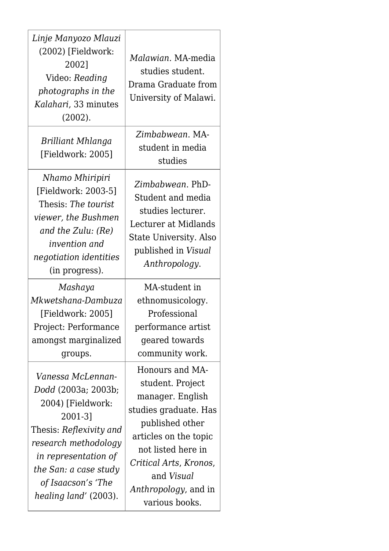| Linje Manyozo Mlauzi<br>(2002) [Fieldwork:<br>2002]<br>Video: Reading<br>photographs in the<br>Kalahari, 33 minutes<br>(2002).                                                                                              | Malawian. MA-media<br>studies student.<br>Drama Graduate from<br>University of Malawi.                                                                                                                                                              |
|-----------------------------------------------------------------------------------------------------------------------------------------------------------------------------------------------------------------------------|-----------------------------------------------------------------------------------------------------------------------------------------------------------------------------------------------------------------------------------------------------|
| Brilliant Mhlanga<br>[Fieldwork: 2005]                                                                                                                                                                                      | Zimbabwean. MA-<br>student in media<br>studies                                                                                                                                                                                                      |
| Nhamo Mhiripiri<br>[Fieldwork: 2003-5]<br>Thesis: The tourist<br>viewer, the Bushmen<br>and the Zulu: (Re)<br><i>invention and</i><br>negotiation identities<br>(in progress).                                              | Zimbabwean. PhD-<br>Student and media<br>studies lecturer.<br>Lecturer at Midlands<br>State University. Also<br>published in Visual<br>Anthropology.                                                                                                |
| Mashaya<br>Mkwetshana-Dambuza<br>[Fieldwork: 2005]<br>Project: Performance<br>amongst marginalized<br>groups.                                                                                                               | MA-student in<br>ethnomusicology.<br>Professional<br>performance artist<br>geared towards<br>community work.                                                                                                                                        |
| Vanessa McLennan-<br>Dodd (2003a; 2003b;<br>2004) [Fieldwork:<br>2001-31<br>Thesis: Reflexivity and<br>research methodology<br>in representation of<br>the San: a case study<br>of Isaacson's 'The<br>healing land' (2003). | Honours and MA-<br>student. Project<br>manager. English<br>studies graduate. Has<br>published other<br>articles on the topic<br>not listed here in<br>Critical Arts, Kronos,<br>and <i>Visual</i><br><i>Anthropology</i> , and in<br>various books. |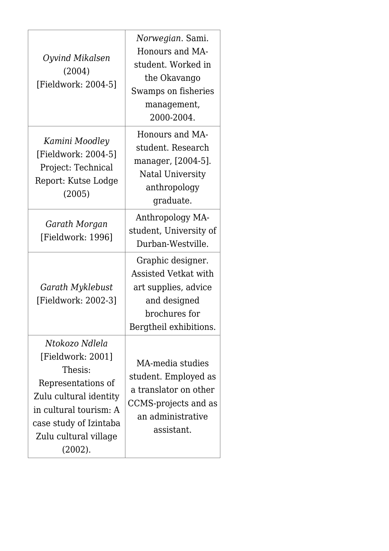| Oyvind Mikalsen<br>(2004)<br>[Fieldwork: 2004-5]                                                                                                                                       | <i>Norwegian</i> . Sami.<br>Honours and MA-<br>student. Worked in<br>the Okavango<br>Swamps on fisheries<br>management,<br>2000-2004. |
|----------------------------------------------------------------------------------------------------------------------------------------------------------------------------------------|---------------------------------------------------------------------------------------------------------------------------------------|
| Kamini Moodley<br>[Fieldwork: 2004-5]<br>Project: Technical<br>Report: Kutse Lodge<br>(2005)                                                                                           | Honours and MA-<br>student. Research<br>manager, [2004-5].<br>Natal University<br>anthropology<br>graduate.                           |
| Garath Morgan<br>[Fieldwork: 1996]                                                                                                                                                     | Anthropology MA-<br>student, University of<br>Durban-Westville.                                                                       |
| Garath Myklebust<br>[Fieldwork: 2002-3]                                                                                                                                                | Graphic designer.<br><b>Assisted Vetkat with</b><br>art supplies, advice<br>and designed<br>brochures for<br>Bergtheil exhibitions.   |
| Ntokozo Ndlela<br>[Fieldwork: 2001]<br>Thesis:<br>Representations of<br>Zulu cultural identity<br>in cultural tourism: A<br>case study of Izintaba<br>Zulu cultural village<br>(2002). | MA-media studies<br>student. Employed as<br>a translator on other<br>CCMS-projects and as<br>an administrative<br>assistant.          |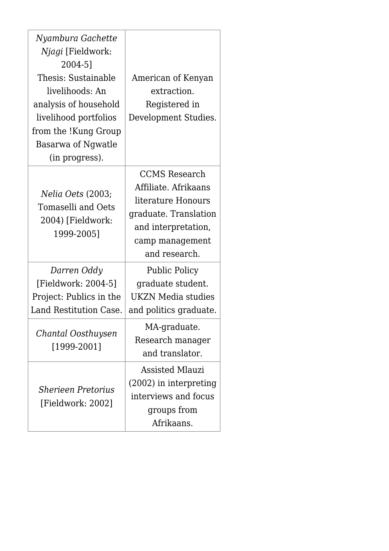| Nyambura Gachette<br>Njagi [Fieldwork:<br>2004-51<br><b>Thesis: Sustainable</b><br>livelihoods: An<br>analysis of household<br>livelihood portfolios<br>from the !Kung Group<br>Basarwa of Ngwatle<br>(in progress). | American of Kenyan<br>extraction.<br>Registered in<br>Development Studies.                                                                             |
|----------------------------------------------------------------------------------------------------------------------------------------------------------------------------------------------------------------------|--------------------------------------------------------------------------------------------------------------------------------------------------------|
| Nelia Oets (2003;<br><b>Tomaselli and Oets</b><br>2004) [Fieldwork:<br>1999-2005]                                                                                                                                    | <b>CCMS</b> Research<br>Affiliate. Afrikaans<br>literature Honours<br>graduate. Translation<br>and interpretation,<br>camp management<br>and research. |
| Darren Oddy<br>[Fieldwork: 2004-5]<br>Project: Publics in the<br>Land Restitution Case.                                                                                                                              | <b>Public Policy</b><br>graduate student.<br>UKZN Media studies<br>and politics graduate.                                                              |
| Chantal Oosthuysen<br>$[1999-2001]$                                                                                                                                                                                  | MA-graduate.<br>Research manager<br>and translator.                                                                                                    |
| <b>Sherieen Pretorius</b><br>[Fieldwork: 2002]                                                                                                                                                                       | <b>Assisted Mlauzi</b><br>$(2002)$ in interpreting<br>interviews and focus<br>groups from<br>Afrikaans.                                                |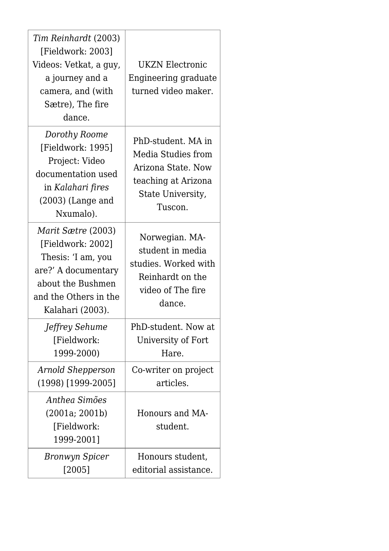| Tim Reinhardt (2003)<br>[Fieldwork: 2003]<br>Videos: Vetkat, a guy,<br>a journey and a<br>camera, and (with<br>Sætre), The fire<br>dance.              | <b>UKZN Electronic</b><br>Engineering graduate<br>turned video maker.                                                 |
|--------------------------------------------------------------------------------------------------------------------------------------------------------|-----------------------------------------------------------------------------------------------------------------------|
| Dorothy Roome<br>[Fieldwork: 1995]<br>Project: Video<br>documentation used<br>in Kalahari fires<br>$(2003)$ (Lange and<br>Nxumalo).                    | PhD-student. MA in<br>Media Studies from<br>Arizona State. Now<br>teaching at Arizona<br>State University,<br>Tuscon. |
| Marit Sætre (2003)<br>[Fieldwork: 2002]<br>Thesis: 'I am, you<br>are?' A documentary<br>about the Bushmen<br>and the Others in the<br>Kalahari (2003). | Norwegian. MA-<br>student in media<br>studies. Worked with<br>Reinhardt on the<br>video of The fire<br>dance.         |
| Jeffrey Sehume<br>[Fieldwork:<br>1999-2000)                                                                                                            | PhD-student. Now at<br>University of Fort<br>Hare.                                                                    |
| Arnold Shepperson<br>$(1998)$ [1999-2005]                                                                                                              | Co-writer on project<br>articles.                                                                                     |
| Anthea Simões<br>(2001a; 2001b)<br>[Fieldwork:<br>1999-2001]                                                                                           | Honours and MA-<br>student.                                                                                           |
| <b>Bronwyn Spicer</b><br>$[2005]$                                                                                                                      | Honours student,<br>editorial assistance.                                                                             |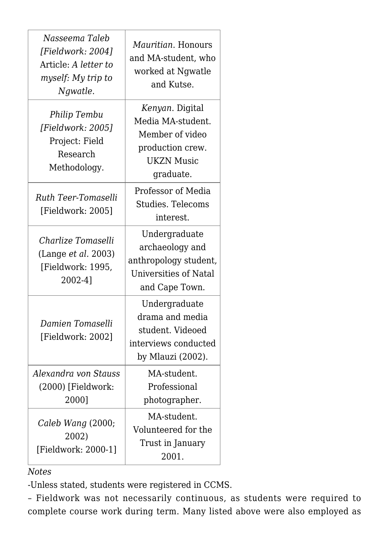| Nasseema Taleb<br>[Fieldwork: 2004]<br>Article: A letter to<br>myself: My trip to<br>Ngwatle. | Mauritian. Honours<br>and MA-student, who<br>worked at Ngwatle<br>and Kutse.                                  |
|-----------------------------------------------------------------------------------------------|---------------------------------------------------------------------------------------------------------------|
| Philip Tembu<br>[Fieldwork: 2005]<br>Project: Field<br>Research<br>Methodology.               | Kenyan. Digital<br>Media MA-student.<br>Member of video<br>production crew.<br><b>UKZN Music</b><br>graduate. |
| Ruth Teer-Tomaselli<br>[Fieldwork: 2005]                                                      | Professor of Media<br><b>Studies. Telecoms</b><br>interest.                                                   |
| Charlize Tomaselli<br>(Lange <i>et al.</i> 2003)<br>[Fieldwork: 1995,<br>2002-4]              | Undergraduate<br>archaeology and<br>anthropology student,<br>Universities of Natal<br>and Cape Town.          |
| Damien Tomaselli<br>[Fieldwork: 2002]                                                         | Undergraduate<br>drama and media<br>student. Videoed<br>interviews conducted<br>by Mlauzi (2002).             |
| Alexandra von Stauss<br>$(2000)$ [Fieldwork:<br>20001                                         | MA-student.<br>Professional<br>photographer.                                                                  |
| Caleb Wang (2000;<br>2002)<br>[Fieldwork: 2000-1]                                             | MA-student.<br>Volunteered for the<br>Trust in January<br>2001.                                               |

*Notes*

-Unless stated, students were registered in CCMS.

– Fieldwork was not necessarily continuous, as students were required to complete course work during term. Many listed above were also employed as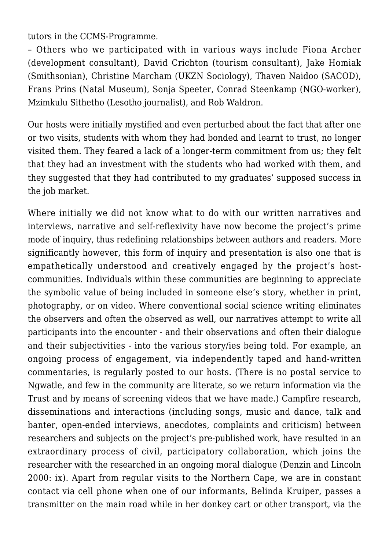tutors in the CCMS-Programme.

– Others who we participated with in various ways include Fiona Archer (development consultant), David Crichton (tourism consultant), Jake Homiak (Smithsonian), Christine Marcham (UKZN Sociology), Thaven Naidoo (SACOD), Frans Prins (Natal Museum), Sonja Speeter, Conrad Steenkamp (NGO-worker), Mzimkulu Sithetho (Lesotho journalist), and Rob Waldron.

Our hosts were initially mystified and even perturbed about the fact that after one or two visits, students with whom they had bonded and learnt to trust, no longer visited them. They feared a lack of a longer-term commitment from us; they felt that they had an investment with the students who had worked with them, and they suggested that they had contributed to my graduates' supposed success in the job market.

Where initially we did not know what to do with our written narratives and interviews, narrative and self-reflexivity have now become the project's prime mode of inquiry, thus redefining relationships between authors and readers. More significantly however, this form of inquiry and presentation is also one that is empathetically understood and creatively engaged by the project's hostcommunities. Individuals within these communities are beginning to appreciate the symbolic value of being included in someone else's story, whether in print, photography, or on video. Where conventional social science writing eliminates the observers and often the observed as well, our narratives attempt to write all participants into the encounter - and their observations and often their dialogue and their subjectivities ‑ into the various story/ies being told. For example, an ongoing process of engagement, via independently taped and hand-written commentaries, is regularly posted to our hosts. (There is no postal service to Ngwatle, and few in the community are literate, so we return information via the Trust and by means of screening videos that we have made.) Campfire research, disseminations and interactions (including songs, music and dance, talk and banter, open-ended interviews, anecdotes, complaints and criticism) between researchers and subjects on the project's pre-published work, have resulted in an extraordinary process of civil, participatory collaboration, which joins the researcher with the researched in an ongoing moral dialogue (Denzin and Lincoln 2000: ix). Apart from regular visits to the Northern Cape, we are in constant contact via cell phone when one of our informants, Belinda Kruiper, passes a transmitter on the main road while in her donkey cart or other transport, via the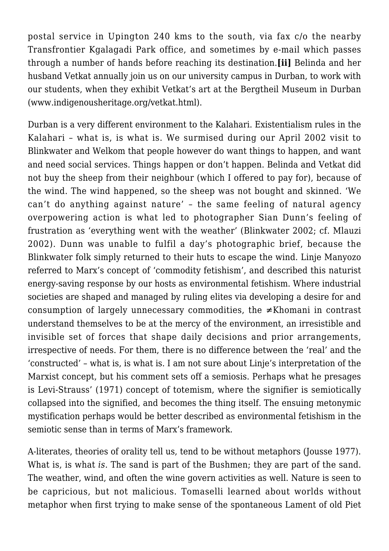postal service in Upington 240 kms to the south, via fax c/o the nearby Transfrontier Kgalagadi Park office, and sometimes by e-mail which passes through a number of hands before reaching its destination.**[ii]** Belinda and her husband Vetkat annually join us on our university campus in Durban, to work with our students, when they exhibit Vetkat's art at the Bergtheil Museum in Durban (www.indigenousheritage.org/vetkat.html).

Durban is a very different environment to the Kalahari. Existentialism rules in the Kalahari – what is, is what is. We surmised during our April 2002 visit to Blinkwater and Welkom that people however do want things to happen, and want and need social services. Things happen or don't happen. Belinda and Vetkat did not buy the sheep from their neighbour (which I offered to pay for), because of the wind. The wind happened, so the sheep was not bought and skinned. 'We can't do anything against nature' – the same feeling of natural agency overpowering action is what led to photographer Sian Dunn's feeling of frustration as 'everything went with the weather' (Blinkwater 2002; cf. Mlauzi 2002). Dunn was unable to fulfil a day's photographic brief, because the Blinkwater folk simply returned to their huts to escape the wind. Linje Manyozo referred to Marx's concept of 'commodity fetishism', and described this naturist energy-saving response by our hosts as environmental fetishism. Where industrial societies are shaped and managed by ruling elites via developing a desire for and consumption of largely unnecessary commodities, the ≠Khomani in contrast understand themselves to be at the mercy of the environment, an irresistible and invisible set of forces that shape daily decisions and prior arrangements, irrespective of needs. For them, there is no difference between the 'real' and the 'constructed' – what is, is what is. I am not sure about Linje's interpretation of the Marxist concept, but his comment sets off a semiosis. Perhaps what he presages is Levi-Strauss' (1971) concept of totemism, where the signifier is semiotically collapsed into the signified, and becomes the thing itself. The ensuing metonymic mystification perhaps would be better described as environmental fetishism in the semiotic sense than in terms of Marx's framework.

A-literates, theories of orality tell us, tend to be without metaphors (Jousse 1977). What is, is what *is*. The sand is part of the Bushmen; they are part of the sand. The weather, wind, and often the wine govern activities as well. Nature is seen to be capricious, but not malicious. Tomaselli learned about worlds without metaphor when first trying to make sense of the spontaneous Lament of old Piet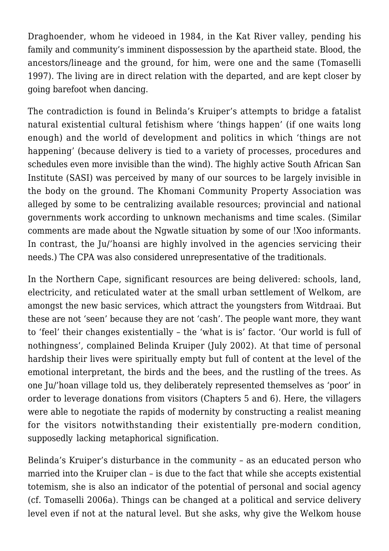Draghoender, whom he videoed in 1984, in the Kat River valley, pending his family and community's imminent dispossession by the apartheid state. Blood, the ancestors/lineage and the ground, for him, were one and the same (Tomaselli 1997). The living are in direct relation with the departed, and are kept closer by going barefoot when dancing.

The contradiction is found in Belinda's Kruiper's attempts to bridge a fatalist natural existential cultural fetishism where 'things happen' (if one waits long enough) and the world of development and politics in which 'things are not happening' (because delivery is tied to a variety of processes, procedures and schedules even more invisible than the wind). The highly active South African San Institute (SASI) was perceived by many of our sources to be largely invisible in the body on the ground. The Khomani Community Property Association was alleged by some to be centralizing available resources; provincial and national governments work according to unknown mechanisms and time scales. (Similar comments are made about the Ngwatle situation by some of our !Xoo informants. In contrast, the Ju/'hoansi are highly involved in the agencies servicing their needs.) The CPA was also considered unrepresentative of the traditionals.

In the Northern Cape, significant resources are being delivered: schools, land, electricity, and reticulated water at the small urban settlement of Welkom, are amongst the new basic services, which attract the youngsters from Witdraai. But these are not 'seen' because they are not 'cash'. The people want more, they want to 'feel' their changes existentially – the 'what is is' factor. 'Our world is full of nothingness', complained Belinda Kruiper (July 2002). At that time of personal hardship their lives were spiritually empty but full of content at the level of the emotional interpretant, the birds and the bees, and the rustling of the trees. As one Ju/'hoan village told us, they deliberately represented themselves as 'poor' in order to leverage donations from visitors (Chapters 5 and 6). Here, the villagers were able to negotiate the rapids of modernity by constructing a realist meaning for the visitors notwithstanding their existentially pre-modern condition, supposedly lacking metaphorical signification.

Belinda's Kruiper's disturbance in the community – as an educated person who married into the Kruiper clan – is due to the fact that while she accepts existential totemism, she is also an indicator of the potential of personal and social agency (cf. Tomaselli 2006a). Things can be changed at a political and service delivery level even if not at the natural level. But she asks, why give the Welkom house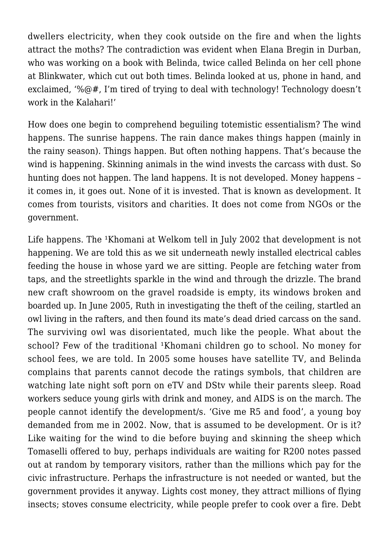dwellers electricity, when they cook outside on the fire and when the lights attract the moths? The contradiction was evident when Elana Bregin in Durban, who was working on a book with Belinda, twice called Belinda on her cell phone at Blinkwater, which cut out both times. Belinda looked at us, phone in hand, and exclaimed, '%@#, I'm tired of trying to deal with technology! Technology doesn't work in the Kalahari!'

How does one begin to comprehend beguiling totemistic essentialism? The wind happens. The sunrise happens. The rain dance makes things happen (mainly in the rainy season). Things happen. But often nothing happens. That's because the wind is happening. Skinning animals in the wind invests the carcass with dust. So hunting does not happen. The land happens. It is not developed. Money happens – it comes in, it goes out. None of it is invested. That is known as development. It comes from tourists, visitors and charities. It does not come from NGOs or the government.

Life happens. The <sup>1</sup>Khomani at Welkom tell in July 2002 that development is not happening. We are told this as we sit underneath newly installed electrical cables feeding the house in whose yard we are sitting. People are fetching water from taps, and the streetlights sparkle in the wind and through the drizzle. The brand new craft showroom on the gravel roadside is empty, its windows broken and boarded up. In June 2005, Ruth in investigating the theft of the ceiling, startled an owl living in the rafters, and then found its mate's dead dried carcass on the sand. The surviving owl was disorientated, much like the people. What about the school? Few of the traditional <sup>1</sup>Khomani children go to school. No money for school fees, we are told. In 2005 some houses have satellite TV, and Belinda complains that parents cannot decode the ratings symbols, that children are watching late night soft porn on eTV and DStv while their parents sleep. Road workers seduce young girls with drink and money, and AIDS is on the march. The people cannot identify the development/s. 'Give me R5 and food', a young boy demanded from me in 2002. Now, that is assumed to be development. Or is it? Like waiting for the wind to die before buying and skinning the sheep which Tomaselli offered to buy, perhaps individuals are waiting for R200 notes passed out at random by temporary visitors, rather than the millions which pay for the civic infrastructure. Perhaps the infrastructure is not needed or wanted, but the government provides it anyway. Lights cost money, they attract millions of flying insects; stoves consume electricity, while people prefer to cook over a fire. Debt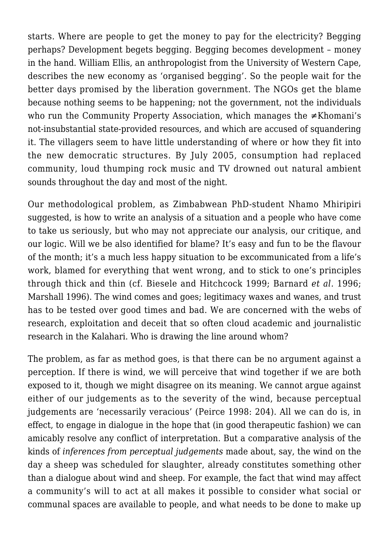starts. Where are people to get the money to pay for the electricity? Begging perhaps? Development begets begging. Begging becomes development – money in the hand. William Ellis, an anthropologist from the University of Western Cape, describes the new economy as 'organised begging'. So the people wait for the better days promised by the liberation government. The NGOs get the blame because nothing seems to be happening; not the government, not the individuals who run the Community Property Association, which manages the *≠*Khomani's not-insubstantial state-provided resources, and which are accused of squandering it. The villagers seem to have little understanding of where or how they fit into the new democratic structures. By July 2005, consumption had replaced community, loud thumping rock music and TV drowned out natural ambient sounds throughout the day and most of the night.

Our methodological problem, as Zimbabwean PhD-student Nhamo Mhiripiri suggested, is how to write an analysis of a situation and a people who have come to take us seriously, but who may not appreciate our analysis, our critique, and our logic. Will we be also identified for blame? It's easy and fun to be the flavour of the month; it's a much less happy situation to be excommunicated from a life's work, blamed for everything that went wrong, and to stick to one's principles through thick and thin (cf. Biesele and Hitchcock 1999; Barnard *et al.* 1996; Marshall 1996). The wind comes and goes; legitimacy waxes and wanes, and trust has to be tested over good times and bad. We are concerned with the webs of research, exploitation and deceit that so often cloud academic and journalistic research in the Kalahari. Who is drawing the line around whom?

The problem, as far as method goes, is that there can be no argument against a perception. If there is wind, we will perceive that wind together if we are both exposed to it, though we might disagree on its meaning. We cannot argue against either of our judgements as to the severity of the wind, because perceptual judgements are 'necessarily veracious' (Peirce 1998: 204). All we can do is, in effect, to engage in dialogue in the hope that (in good therapeutic fashion) we can amicably resolve any conflict of interpretation. But a comparative analysis of the kinds of *inferences from perceptual judgements* made about, say, the wind on the day a sheep was scheduled for slaughter, already constitutes something other than a dialogue about wind and sheep. For example, the fact that wind may affect a community's will to act at all makes it possible to consider what social or communal spaces are available to people, and what needs to be done to make up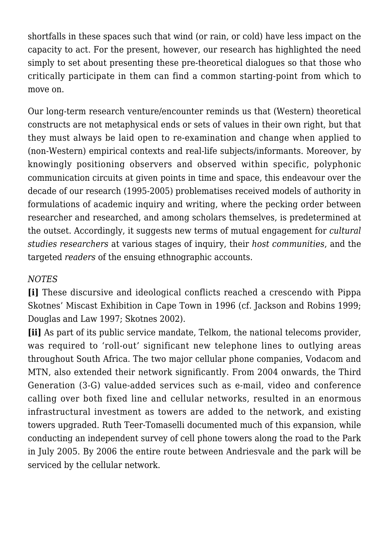shortfalls in these spaces such that wind (or rain, or cold) have less impact on the capacity to act. For the present, however, our research has highlighted the need simply to set about presenting these pre-theoretical dialogues so that those who critically participate in them can find a common starting-point from which to move on.

Our long-term research venture/encounter reminds us that (Western) theoretical constructs are not metaphysical ends or sets of values in their own right, but that they must always be laid open to re-examination and change when applied to (non-Western) empirical contexts and real-life subjects/informants. Moreover, by knowingly positioning observers and observed within specific, polyphonic communication circuits at given points in time and space, this endeavour over the decade of our research (1995-2005) problematises received models of authority in formulations of academic inquiry and writing, where the pecking order between researcher and researched, and among scholars themselves, is predetermined at the outset. Accordingly, it suggests new terms of mutual engagement for *cultural studies researchers* at various stages of inquiry, their *host communities*, and the targeted *readers* of the ensuing ethnographic accounts.

#### *NOTES*

**[i]** These discursive and ideological conflicts reached a crescendo with Pippa Skotnes' Miscast Exhibition in Cape Town in 1996 (cf. Jackson and Robins 1999; Douglas and Law 1997; Skotnes 2002).

**[ii]** As part of its public service mandate, Telkom, the national telecoms provider, was required to 'roll-out' significant new telephone lines to outlying areas throughout South Africa. The two major cellular phone companies, Vodacom and MTN, also extended their network significantly. From 2004 onwards, the Third Generation (3-G) value-added services such as e-mail, video and conference calling over both fixed line and cellular networks, resulted in an enormous infrastructural investment as towers are added to the network, and existing towers upgraded. Ruth Teer-Tomaselli documented much of this expansion, while conducting an independent survey of cell phone towers along the road to the Park in July 2005. By 2006 the entire route between Andriesvale and the park will be serviced by the cellular network.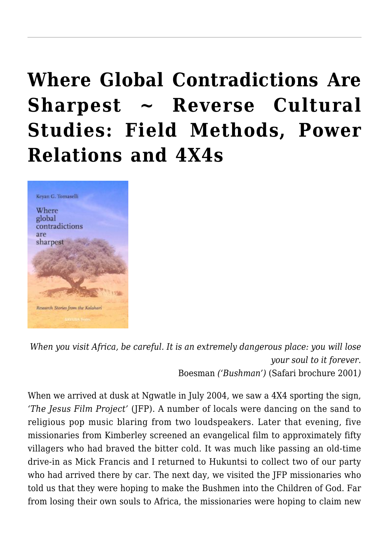# **[Where Global Contradictions Are](https://rozenbergquarterly.com/where-global-contradictions-are-sharpest-reverse-cultural-studies-field-methods-power-relations-and-4x4s/) [Sharpest ~ Reverse Cultural](https://rozenbergquarterly.com/where-global-contradictions-are-sharpest-reverse-cultural-studies-field-methods-power-relations-and-4x4s/) [Studies: Field Methods, Power](https://rozenbergquarterly.com/where-global-contradictions-are-sharpest-reverse-cultural-studies-field-methods-power-relations-and-4x4s/) [Relations and 4X4s](https://rozenbergquarterly.com/where-global-contradictions-are-sharpest-reverse-cultural-studies-field-methods-power-relations-and-4x4s/)**



*When you visit Africa, be careful. It is an extremely dangerous place: you will lose your soul to it forever.* Boesman *('Bushman')* (Safari brochure 2001*)*

When we arrived at dusk at Ngwatle in July 2004, we saw a 4X4 sporting the sign, *'The Jesus Film Project'* (JFP). A number of locals were dancing on the sand to religious pop music blaring from two loudspeakers. Later that evening, five missionaries from Kimberley screened an evangelical film to approximately fifty villagers who had braved the bitter cold. It was much like passing an old-time drive-in as Mick Francis and I returned to Hukuntsi to collect two of our party who had arrived there by car. The next day, we visited the JFP missionaries who told us that they were hoping to make the Bushmen into the Children of God. Far from losing their own souls to Africa, the missionaries were hoping to claim new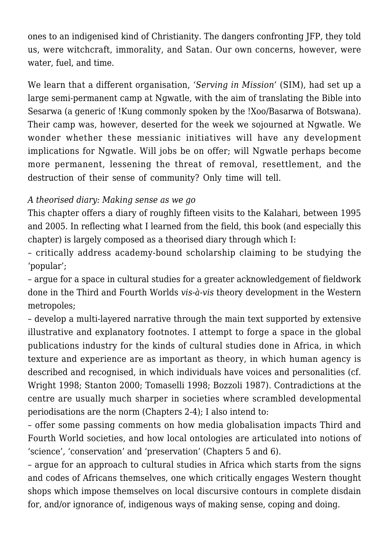ones to an indigenised kind of Christianity. The dangers confronting JFP, they told us, were witchcraft, immorality, and Satan. Our own concerns, however, were water, fuel, and time.

We learn that a different organisation, *'Serving in Mission'* (SIM), had set up a large semi-permanent camp at Ngwatle, with the aim of translating the Bible into Sesarwa (a generic of !Kung commonly spoken by the !Xoo/Basarwa of Botswana). Their camp was, however, deserted for the week we sojourned at Ngwatle. We wonder whether these messianic initiatives will have any development implications for Ngwatle. Will jobs be on offer; will Ngwatle perhaps become more permanent, lessening the threat of removal, resettlement, and the destruction of their sense of community? Only time will tell.

### *A theorised diary: Making sense as we go*

This chapter offers a diary of roughly fifteen visits to the Kalahari, between 1995 and 2005. In reflecting what I learned from the field, this book (and especially this chapter) is largely composed as a theorised diary through which I:

– critically address academy-bound scholarship claiming to be studying the 'popular';

– argue for a space in cultural studies for a greater acknowledgement of fieldwork done in the Third and Fourth Worlds *vis-à-vis* theory development in the Western metropoles;

– develop a multi-layered narrative through the main text supported by extensive illustrative and explanatory footnotes. I attempt to forge a space in the global publications industry for the kinds of cultural studies done in Africa, in which texture and experience are as important as theory, in which human agency is described and recognised, in which individuals have voices and personalities (cf. Wright 1998; Stanton 2000; Tomaselli 1998; Bozzoli 1987). Contradictions at the centre are usually much sharper in societies where scrambled developmental periodisations are the norm (Chapters 2-4); I also intend to:

– offer some passing comments on how media globalisation impacts Third and Fourth World societies, and how local ontologies are articulated into notions of 'science', 'conservation' and 'preservation' (Chapters 5 and 6).

– argue for an approach to cultural studies in Africa which starts from the signs and codes of Africans themselves, one which critically engages Western thought shops which impose themselves on local discursive contours in complete disdain for, and/or ignorance of, indigenous ways of making sense, coping and doing.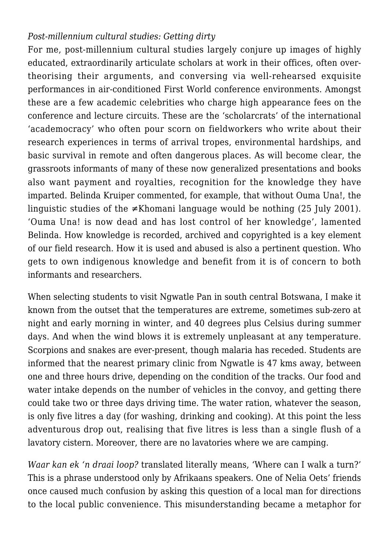## *Post-millennium cultural studies: Getting dirty*

For me, post-millennium cultural studies largely conjure up images of highly educated, extraordinarily articulate scholars at work in their offices, often overtheorising their arguments, and conversing via well-rehearsed exquisite performances in air-conditioned First World conference environments. Amongst these are a few academic celebrities who charge high appearance fees on the conference and lecture circuits. These are the 'scholarcrats' of the international 'academocracy' who often pour scorn on fieldworkers who write about their research experiences in terms of arrival tropes, environmental hardships, and basic survival in remote and often dangerous places. As will become clear, the grassroots informants of many of these now generalized presentations and books also want payment and royalties, recognition for the knowledge they have imparted. Belinda Kruiper commented, for example, that without Ouma Una!, the linguistic studies of the ≠Khomani language would be nothing  $(25 \text{ July } 2001)$ . 'Ouma Una! is now dead and has lost control of her knowledge', lamented Belinda. How knowledge is recorded, archived and copyrighted is a key element of our field research. How it is used and abused is also a pertinent question. Who gets to own indigenous knowledge and benefit from it is of concern to both informants and researchers.

When selecting students to visit Ngwatle Pan in south central Botswana, I make it known from the outset that the temperatures are extreme, sometimes sub-zero at night and early morning in winter, and 40 degrees plus Celsius during summer days. And when the wind blows it is extremely unpleasant at any temperature. Scorpions and snakes are ever-present, though malaria has receded. Students are informed that the nearest primary clinic from Ngwatle is 47 kms away, between one and three hours drive, depending on the condition of the tracks. Our food and water intake depends on the number of vehicles in the convoy, and getting there could take two or three days driving time. The water ration, whatever the season, is only five litres a day (for washing, drinking and cooking). At this point the less adventurous drop out, realising that five litres is less than a single flush of a lavatory cistern. Moreover, there are no lavatories where we are camping.

*Waar kan ek 'n draai loop?* translated literally means, 'Where can I walk a turn?' This is a phrase understood only by Afrikaans speakers. One of Nelia Oets' friends once caused much confusion by asking this question of a local man for directions to the local public convenience. This misunderstanding became a metaphor for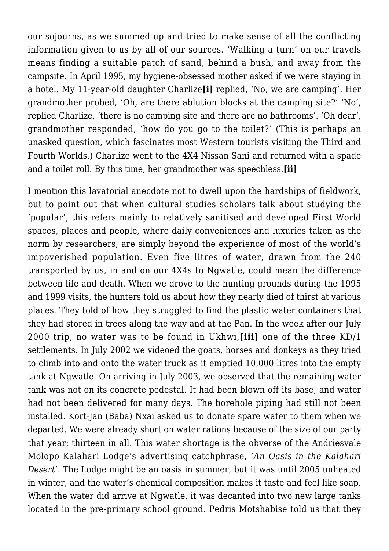our sojourns, as we summed up and tried to make sense of all the conflicting information given to us by all of our sources. 'Walking a turn' on our travels means finding a suitable patch of sand, behind a bush, and away from the campsite. In April 1995, my hygiene-obsessed mother asked if we were staying in a hotel. My 11-year-old daughter Charlize**[i]** replied, 'No, we are camping'. Her grandmother probed, 'Oh, are there ablution blocks at the camping site?' 'No', replied Charlize, 'there is no camping site and there are no bathrooms'. 'Oh dear', grandmother responded, 'how do you go to the toilet?' (This is perhaps an unasked question, which fascinates most Western tourists visiting the Third and Fourth Worlds.) Charlize went to the 4X4 Nissan Sani and returned with a spade and a toilet roll. By this time, her grandmother was speechless.**[ii]**

I mention this lavatorial anecdote not to dwell upon the hardships of fieldwork, but to point out that when cultural studies scholars talk about studying the 'popular', this refers mainly to relatively sanitised and developed First World spaces, places and people, where daily conveniences and luxuries taken as the norm by researchers, are simply beyond the experience of most of the world's impoverished population. Even five litres of water, drawn from the 240 transported by us, in and on our 4X4s to Ngwatle, could mean the difference between life and death. When we drove to the hunting grounds during the 1995 and 1999 visits, the hunters told us about how they nearly died of thirst at various places. They told of how they struggled to find the plastic water containers that they had stored in trees along the way and at the Pan. In the week after our July 2000 trip, no water was to be found in Ukhwi,**[iii]** one of the three KD/1 settlements. In July 2002 we videoed the goats, horses and donkeys as they tried to climb into and onto the water truck as it emptied 10,000 litres into the empty tank at Ngwatle. On arriving in July 2003, we observed that the remaining water tank was not on its concrete pedestal. It had been blown off its base, and water had not been delivered for many days. The borehole piping had still not been installed. Kort-Jan (Baba) Nxai asked us to donate spare water to them when we departed. We were already short on water rations because of the size of our party that year: thirteen in all. This water shortage is the obverse of the Andriesvale Molopo Kalahari Lodge's advertising catchphrase, *'An Oasis in the Kalahari Desert'*. The Lodge might be an oasis in summer, but it was until 2005 unheated in winter, and the water's chemical composition makes it taste and feel like soap. When the water did arrive at Ngwatle, it was decanted into two new large tanks located in the pre-primary school ground. Pedris Motshabise told us that they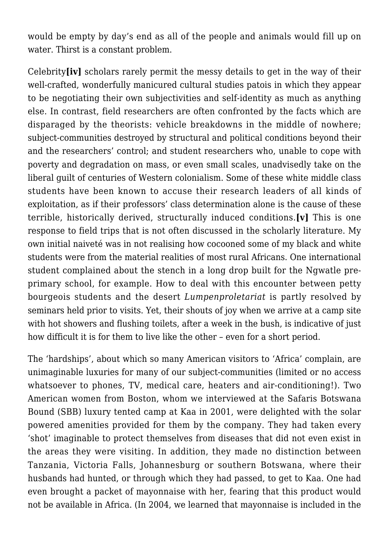would be empty by day's end as all of the people and animals would fill up on water. Thirst is a constant problem.

Celebrity**[iv]** scholars rarely permit the messy details to get in the way of their well-crafted, wonderfully manicured cultural studies patois in which they appear to be negotiating their own subjectivities and self-identity as much as anything else. In contrast, field researchers are often confronted by the facts which are disparaged by the theorists: vehicle breakdowns in the middle of nowhere; subject-communities destroyed by structural and political conditions beyond their and the researchers' control; and student researchers who, unable to cope with poverty and degradation on mass, or even small scales, unadvisedly take on the liberal guilt of centuries of Western colonialism. Some of these white middle class students have been known to accuse their research leaders of all kinds of exploitation, as if their professors' class determination alone is the cause of these terrible, historically derived, structurally induced conditions.**[v]** This is one response to field trips that is not often discussed in the scholarly literature. My own initial naiveté was in not realising how cocooned some of my black and white students were from the material realities of most rural Africans. One international student complained about the stench in a long drop built for the Ngwatle preprimary school, for example. How to deal with this encounter between petty bourgeois students and the desert *Lumpenproletariat* is partly resolved by seminars held prior to visits. Yet, their shouts of joy when we arrive at a camp site with hot showers and flushing toilets, after a week in the bush, is indicative of just how difficult it is for them to live like the other – even for a short period.

The 'hardships', about which so many American visitors to 'Africa' complain, are unimaginable luxuries for many of our subject-communities (limited or no access whatsoever to phones, TV, medical care, heaters and air-conditioning!). Two American women from Boston, whom we interviewed at the Safaris Botswana Bound (SBB) luxury tented camp at Kaa in 2001, were delighted with the solar powered amenities provided for them by the company. They had taken every 'shot' imaginable to protect themselves from diseases that did not even exist in the areas they were visiting. In addition, they made no distinction between Tanzania, Victoria Falls, Johannesburg or southern Botswana, where their husbands had hunted, or through which they had passed, to get to Kaa. One had even brought a packet of mayonnaise with her, fearing that this product would not be available in Africa. (In 2004, we learned that mayonnaise is included in the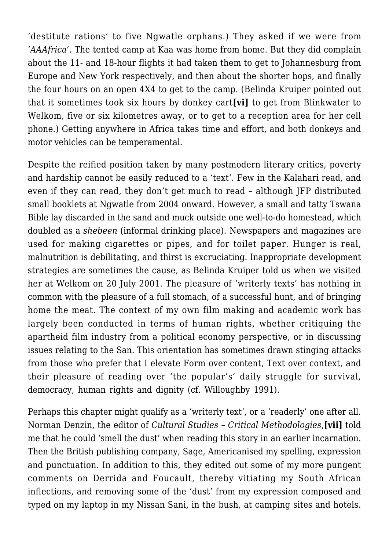'destitute rations' to five Ngwatle orphans.) They asked if we were from '*AAAfrica*'. The tented camp at Kaa was home from home. But they did complain about the 11- and 18-hour flights it had taken them to get to Johannesburg from Europe and New York respectively, and then about the shorter hops, and finally the four hours on an open 4X4 to get to the camp. (Belinda Kruiper pointed out that it sometimes took six hours by donkey cart**[vi]** to get from Blinkwater to Welkom, five or six kilometres away, or to get to a reception area for her cell phone.) Getting anywhere in Africa takes time and effort, and both donkeys and motor vehicles can be temperamental.

Despite the reified position taken by many postmodern literary critics, poverty and hardship cannot be easily reduced to a 'text'. Few in the Kalahari read, and even if they can read, they don't get much to read – although JFP distributed small booklets at Ngwatle from 2004 onward. However, a small and tatty Tswana Bible lay discarded in the sand and muck outside one well-to-do homestead, which doubled as a *shebeen* (informal drinking place). Newspapers and magazines are used for making cigarettes or pipes, and for toilet paper. Hunger is real, malnutrition is debilitating, and thirst is excruciating. Inappropriate development strategies are sometimes the cause, as Belinda Kruiper told us when we visited her at Welkom on 20 July 2001. The pleasure of 'writerly texts' has nothing in common with the pleasure of a full stomach, of a successful hunt, and of bringing home the meat. The context of my own film making and academic work has largely been conducted in terms of human rights, whether critiquing the apartheid film industry from a political economy perspective, or in discussing issues relating to the San. This orientation has sometimes drawn stinging attacks from those who prefer that I elevate Form over content, Text over context, and their pleasure of reading over 'the popular's' daily struggle for survival, democracy, human rights and dignity (cf. Willoughby 1991).

Perhaps this chapter might qualify as a 'writerly text', or a 'readerly' one after all. Norman Denzin, the editor of *Cultural Studies – Critical Methodologies*,**[vii]** told me that he could 'smell the dust' when reading this story in an earlier incarnation. Then the British publishing company, Sage, Americanised my spelling, expression and punctuation. In addition to this, they edited out some of my more pungent comments on Derrida and Foucault, thereby vitiating my South African inflections, and removing some of the 'dust' from my expression composed and typed on my laptop in my Nissan Sani, in the bush, at camping sites and hotels.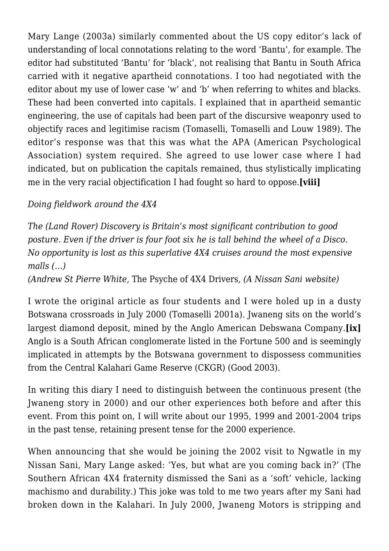Mary Lange (2003a) similarly commented about the US copy editor's lack of understanding of local connotations relating to the word 'Bantu', for example. The editor had substituted 'Bantu' for 'black', not realising that Bantu in South Africa carried with it negative apartheid connotations. I too had negotiated with the editor about my use of lower case 'w' and 'b' when referring to whites and blacks. These had been converted into capitals. I explained that in apartheid semantic engineering, the use of capitals had been part of the discursive weaponry used to objectify races and legitimise racism (Tomaselli, Tomaselli and Louw 1989). The editor's response was that this was what the APA (American Psychological Association) system required. She agreed to use lower case where I had indicated, but on publication the capitals remained, thus stylistically implicating me in the very racial objectification I had fought so hard to oppose.**[viii]**

# *Doing fieldwork around the 4X4*

*The (Land Rover) Discovery is Britain's most significant contribution to good posture. Even if the driver is four foot six he is tall behind the wheel of a Disco. No opportunity is lost as this superlative 4X4 cruises around the most expensive malls (…)*

*(Andrew St Pierre White,* The Psyche of 4X4 Drivers*, (A Nissan Sani website)*

I wrote the original article as four students and I were holed up in a dusty Botswana crossroads in July 2000 (Tomaselli 2001a). Jwaneng sits on the world's largest diamond deposit, mined by the Anglo American Debswana Company.**[ix]** Anglo is a South African conglomerate listed in the Fortune 500 and is seemingly implicated in attempts by the Botswana government to dispossess communities from the Central Kalahari Game Reserve (CKGR) (Good 2003).

In writing this diary I need to distinguish between the continuous present (the Jwaneng story in 2000) and our other experiences both before and after this event. From this point on, I will write about our 1995, 1999 and 2001-2004 trips in the past tense, retaining present tense for the 2000 experience.

When announcing that she would be joining the 2002 visit to Ngwatle in my Nissan Sani, Mary Lange asked: 'Yes, but what are you coming back in?' (The Southern African 4X4 fraternity dismissed the Sani as a 'soft' vehicle, lacking machismo and durability.) This joke was told to me two years after my Sani had broken down in the Kalahari. In July 2000, Jwaneng Motors is stripping and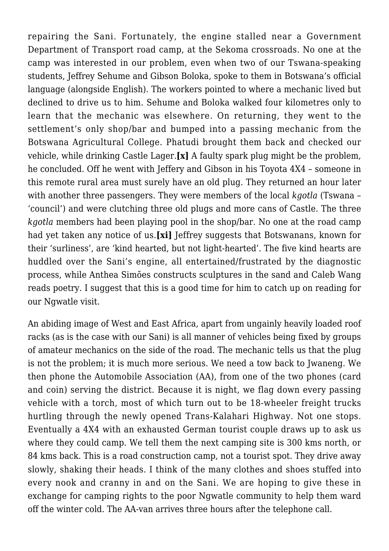repairing the Sani. Fortunately, the engine stalled near a Government Department of Transport road camp, at the Sekoma crossroads. No one at the camp was interested in our problem, even when two of our Tswana-speaking students, Jeffrey Sehume and Gibson Boloka, spoke to them in Botswana's official language (alongside English). The workers pointed to where a mechanic lived but declined to drive us to him. Sehume and Boloka walked four kilometres only to learn that the mechanic was elsewhere. On returning, they went to the settlement's only shop/bar and bumped into a passing mechanic from the Botswana Agricultural College. Phatudi brought them back and checked our vehicle, while drinking Castle Lager.**[x]** A faulty spark plug might be the problem, he concluded. Off he went with Jeffery and Gibson in his Toyota 4X4 – someone in this remote rural area must surely have an old plug. They returned an hour later with another three passengers. They were members of the local *kgotla* (Tswana – 'council') and were clutching three old plugs and more cans of Castle. The three *kgotla* members had been playing pool in the shop/bar. No one at the road camp had yet taken any notice of us.**[xi]** Jeffrey suggests that Botswanans, known for their 'surliness', are 'kind hearted, but not light-hearted'. The five kind hearts are huddled over the Sani's engine, all entertained/frustrated by the diagnostic process, while Anthea Simões constructs sculptures in the sand and Caleb Wang reads poetry. I suggest that this is a good time for him to catch up on reading for our Ngwatle visit.

An abiding image of West and East Africa, apart from ungainly heavily loaded roof racks (as is the case with our Sani) is all manner of vehicles being fixed by groups of amateur mechanics on the side of the road. The mechanic tells us that the plug is not the problem; it is much more serious. We need a tow back to Jwaneng. We then phone the Automobile Association (AA), from one of the two phones (card and coin) serving the district. Because it is night, we flag down every passing vehicle with a torch, most of which turn out to be 18-wheeler freight trucks hurtling through the newly opened Trans-Kalahari Highway. Not one stops. Eventually a 4X4 with an exhausted German tourist couple draws up to ask us where they could camp. We tell them the next camping site is 300 kms north, or 84 kms back. This is a road construction camp, not a tourist spot. They drive away slowly, shaking their heads. I think of the many clothes and shoes stuffed into every nook and cranny in and on the Sani. We are hoping to give these in exchange for camping rights to the poor Ngwatle community to help them ward off the winter cold. The AA-van arrives three hours after the telephone call.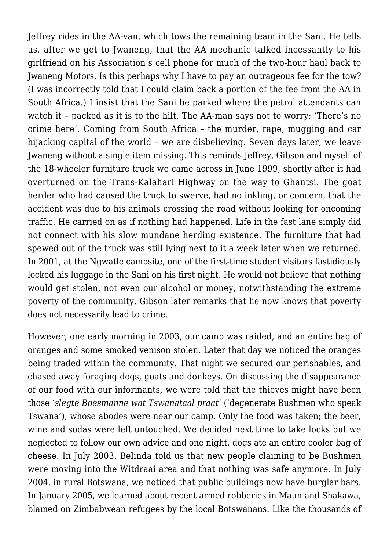Jeffrey rides in the AA-van, which tows the remaining team in the Sani. He tells us, after we get to Jwaneng, that the AA mechanic talked incessantly to his girlfriend on his Association's cell phone for much of the two-hour haul back to Jwaneng Motors. Is this perhaps why I have to pay an outrageous fee for the tow? (I was incorrectly told that I could claim back a portion of the fee from the AA in South Africa.) I insist that the Sani be parked where the petrol attendants can watch it – packed as it is to the hilt. The AA-man says not to worry: 'There's no crime here'. Coming from South Africa – the murder, rape, mugging and car hijacking capital of the world – we are disbelieving. Seven days later, we leave Jwaneng without a single item missing. This reminds Jeffrey, Gibson and myself of the 18-wheeler furniture truck we came across in June 1999, shortly after it had overturned on the Trans-Kalahari Highway on the way to Ghantsi. The goat herder who had caused the truck to swerve, had no inkling, or concern, that the accident was due to his animals crossing the road without looking for oncoming traffic. He carried on as if nothing had happened. Life in the fast lane simply did not connect with his slow mundane herding existence. The furniture that had spewed out of the truck was still lying next to it a week later when we returned. In 2001, at the Ngwatle campsite, one of the first-time student visitors fastidiously locked his luggage in the Sani on his first night. He would not believe that nothing would get stolen, not even our alcohol or money, notwithstanding the extreme poverty of the community. Gibson later remarks that he now knows that poverty does not necessarily lead to crime.

However, one early morning in 2003, our camp was raided, and an entire bag of oranges and some smoked venison stolen. Later that day we noticed the oranges being traded within the community. That night we secured our perishables, and chased away foraging dogs, goats and donkeys. On discussing the disappearance of our food with our informants, we were told that the thieves might have been those '*slegte Boesmanne wat Tswanataal praat*' ('degenerate Bushmen who speak Tswana'), whose abodes were near our camp. Only the food was taken; the beer, wine and sodas were left untouched. We decided next time to take locks but we neglected to follow our own advice and one night, dogs ate an entire cooler bag of cheese. In July 2003, Belinda told us that new people claiming to be Bushmen were moving into the Witdraai area and that nothing was safe anymore. In July 2004, in rural Botswana, we noticed that public buildings now have burglar bars. In January 2005, we learned about recent armed robberies in Maun and Shakawa, blamed on Zimbabwean refugees by the local Botswanans. Like the thousands of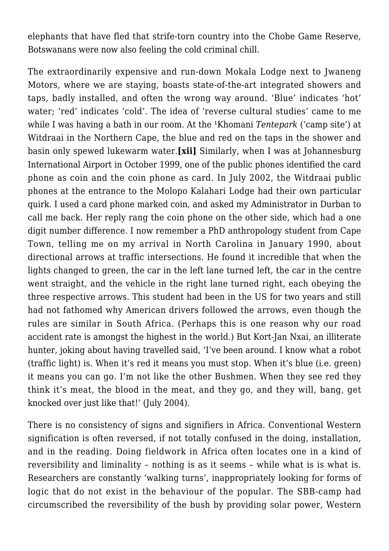elephants that have fled that strife-torn country into the Chobe Game Reserve, Botswanans were now also feeling the cold criminal chill.

The extraordinarily expensive and run-down Mokala Lodge next to Jwaneng Motors, where we are staying, boasts state-of-the-art integrated showers and taps, badly installed, and often the wrong way around. 'Blue' indicates 'hot' water; 'red' indicates 'cold'. The idea of 'reverse cultural studies' came to me while I was having a bath in our room. At the <sup>1</sup>Khomani *Tentepark* ('camp site') at Witdraai in the Northern Cape, the blue and red on the taps in the shower and basin only spewed lukewarm water.**[xii]** Similarly, when I was at Johannesburg International Airport in October 1999, one of the public phones identified the card phone as coin and the coin phone as card. In July 2002, the Witdraai public phones at the entrance to the Molopo Kalahari Lodge had their own particular quirk. I used a card phone marked coin, and asked my Administrator in Durban to call me back. Her reply rang the coin phone on the other side, which had a one digit number difference. I now remember a PhD anthropology student from Cape Town, telling me on my arrival in North Carolina in January 1990, about directional arrows at traffic intersections. He found it incredible that when the lights changed to green, the car in the left lane turned left, the car in the centre went straight, and the vehicle in the right lane turned right, each obeying the three respective arrows. This student had been in the US for two years and still had not fathomed why American drivers followed the arrows, even though the rules are similar in South Africa. (Perhaps this is one reason why our road accident rate is amongst the highest in the world.) But Kort-Jan Nxai, an illiterate hunter, joking about having travelled said, 'I've been around. I know what a robot (traffic light) is. When it's red it means you must stop. When it's blue (i.e. green) it means you can go. I'm not like the other Bushmen. When they see red they think it's meat, the blood in the meat, and they go, and they will, bang, get knocked over just like that!' (July 2004).

There is no consistency of signs and signifiers in Africa. Conventional Western signification is often reversed, if not totally confused in the doing, installation, and in the reading. Doing fieldwork in Africa often locates one in a kind of reversibility and liminality – nothing is as it seems – while what is is what is. Researchers are constantly 'walking turns', inappropriately looking for forms of logic that do not exist in the behaviour of the popular. The SBB-camp had circumscribed the reversibility of the bush by providing solar power, Western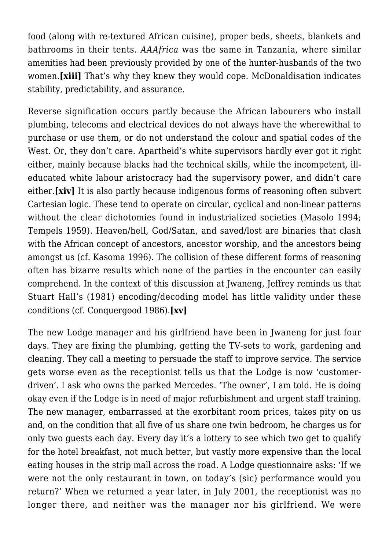food (along with re-textured African cuisine), proper beds, sheets, blankets and bathrooms in their tents. *AAAfrica* was the same in Tanzania, where similar amenities had been previously provided by one of the hunter-husbands of the two women.**[xiii]** That's why they knew they would cope. McDonaldisation indicates stability, predictability, and assurance.

Reverse signification occurs partly because the African labourers who install plumbing, telecoms and electrical devices do not always have the wherewithal to purchase or use them, or do not understand the colour and spatial codes of the West. Or, they don't care. Apartheid's white supervisors hardly ever got it right either, mainly because blacks had the technical skills, while the incompetent, illeducated white labour aristocracy had the supervisory power, and didn't care either.**[xiv]** It is also partly because indigenous forms of reasoning often subvert Cartesian logic. These tend to operate on circular, cyclical and non-linear patterns without the clear dichotomies found in industrialized societies (Masolo 1994; Tempels 1959). Heaven/hell, God/Satan, and saved/lost are binaries that clash with the African concept of ancestors, ancestor worship, and the ancestors being amongst us (cf. Kasoma 1996). The collision of these different forms of reasoning often has bizarre results which none of the parties in the encounter can easily comprehend. In the context of this discussion at Jwaneng, Jeffrey reminds us that Stuart Hall's (1981) encoding/decoding model has little validity under these conditions (cf. Conquergood 1986).**[xv]**

The new Lodge manager and his girlfriend have been in Jwaneng for just four days. They are fixing the plumbing, getting the TV-sets to work, gardening and cleaning. They call a meeting to persuade the staff to improve service. The service gets worse even as the receptionist tells us that the Lodge is now 'customerdriven'. I ask who owns the parked Mercedes. 'The owner', I am told. He is doing okay even if the Lodge is in need of major refurbishment and urgent staff training. The new manager, embarrassed at the exorbitant room prices, takes pity on us and, on the condition that all five of us share one twin bedroom, he charges us for only two guests each day. Every day it's a lottery to see which two get to qualify for the hotel breakfast, not much better, but vastly more expensive than the local eating houses in the strip mall across the road. A Lodge questionnaire asks: 'If we were not the only restaurant in town, on today's (sic) performance would you return?' When we returned a year later, in July 2001, the receptionist was no longer there, and neither was the manager nor his girlfriend. We were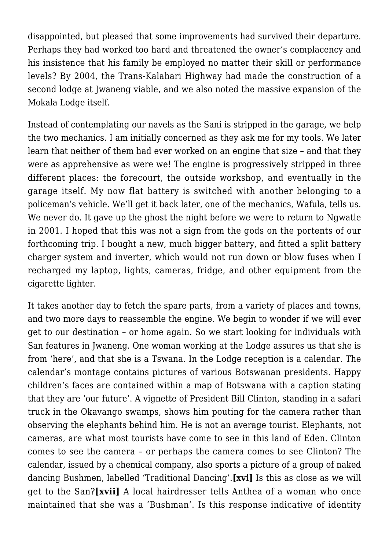disappointed, but pleased that some improvements had survived their departure. Perhaps they had worked too hard and threatened the owner's complacency and his insistence that his family be employed no matter their skill or performance levels? By 2004, the Trans-Kalahari Highway had made the construction of a second lodge at Jwaneng viable, and we also noted the massive expansion of the Mokala Lodge itself.

Instead of contemplating our navels as the Sani is stripped in the garage, we help the two mechanics. I am initially concerned as they ask me for my tools. We later learn that neither of them had ever worked on an engine that size – and that they were as apprehensive as were we! The engine is progressively stripped in three different places: the forecourt, the outside workshop, and eventually in the garage itself. My now flat battery is switched with another belonging to a policeman's vehicle. We'll get it back later, one of the mechanics, Wafula, tells us. We never do. It gave up the ghost the night before we were to return to Ngwatle in 2001. I hoped that this was not a sign from the gods on the portents of our forthcoming trip. I bought a new, much bigger battery, and fitted a split battery charger system and inverter, which would not run down or blow fuses when I recharged my laptop, lights, cameras, fridge, and other equipment from the cigarette lighter.

It takes another day to fetch the spare parts, from a variety of places and towns, and two more days to reassemble the engine. We begin to wonder if we will ever get to our destination – or home again. So we start looking for individuals with San features in Jwaneng. One woman working at the Lodge assures us that she is from 'here', and that she is a Tswana. In the Lodge reception is a calendar. The calendar's montage contains pictures of various Botswanan presidents. Happy children's faces are contained within a map of Botswana with a caption stating that they are 'our future'. A vignette of President Bill Clinton, standing in a safari truck in the Okavango swamps, shows him pouting for the camera rather than observing the elephants behind him. He is not an average tourist. Elephants, not cameras, are what most tourists have come to see in this land of Eden. Clinton comes to see the camera – or perhaps the camera comes to see Clinton? The calendar, issued by a chemical company, also sports a picture of a group of naked dancing Bushmen, labelled 'Traditional Dancing'.**[xvi]** Is this as close as we will get to the San?**[xvii]** A local hairdresser tells Anthea of a woman who once maintained that she was a 'Bushman'. Is this response indicative of identity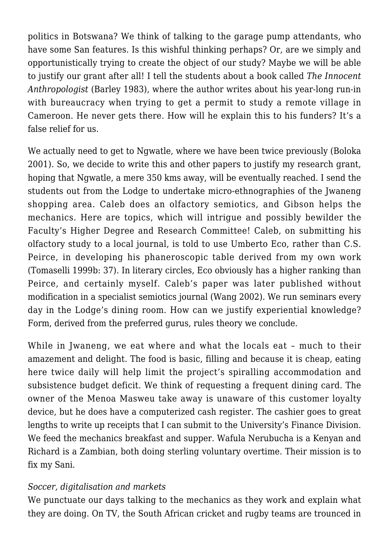politics in Botswana? We think of talking to the garage pump attendants, who have some San features. Is this wishful thinking perhaps? Or, are we simply and opportunistically trying to create the object of our study? Maybe we will be able to justify our grant after all! I tell the students about a book called *The Innocent Anthropologist* (Barley 1983), where the author writes about his year-long run-in with bureaucracy when trying to get a permit to study a remote village in Cameroon. He never gets there. How will he explain this to his funders? It's a false relief for us.

We actually need to get to Ngwatle, where we have been twice previously (Boloka 2001). So, we decide to write this and other papers to justify my research grant, hoping that Ngwatle, a mere 350 kms away, will be eventually reached. I send the students out from the Lodge to undertake micro-ethnographies of the Iwaneng shopping area. Caleb does an olfactory semiotics, and Gibson helps the mechanics. Here are topics, which will intrigue and possibly bewilder the Faculty's Higher Degree and Research Committee! Caleb, on submitting his olfactory study to a local journal, is told to use Umberto Eco, rather than C.S. Peirce, in developing his phaneroscopic table derived from my own work (Tomaselli 1999b: 37). In literary circles, Eco obviously has a higher ranking than Peirce, and certainly myself. Caleb's paper was later published without modification in a specialist semiotics journal (Wang 2002). We run seminars every day in the Lodge's dining room. How can we justify experiential knowledge? Form, derived from the preferred gurus, rules theory we conclude.

While in Jwaneng, we eat where and what the locals eat – much to their amazement and delight. The food is basic, filling and because it is cheap, eating here twice daily will help limit the project's spiralling accommodation and subsistence budget deficit. We think of requesting a frequent dining card. The owner of the Menoa Masweu take away is unaware of this customer loyalty device, but he does have a computerized cash register. The cashier goes to great lengths to write up receipts that I can submit to the University's Finance Division. We feed the mechanics breakfast and supper. Wafula Nerubucha is a Kenyan and Richard is a Zambian, both doing sterling voluntary overtime. Their mission is to fix my Sani.

### *Soccer, digitalisation and markets*

We punctuate our days talking to the mechanics as they work and explain what they are doing. On TV, the South African cricket and rugby teams are trounced in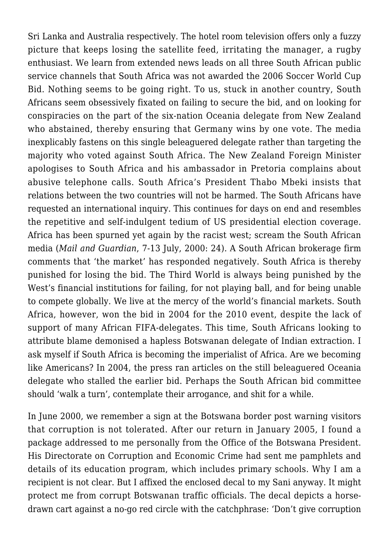Sri Lanka and Australia respectively. The hotel room television offers only a fuzzy picture that keeps losing the satellite feed, irritating the manager, a rugby enthusiast. We learn from extended news leads on all three South African public service channels that South Africa was not awarded the 2006 Soccer World Cup Bid. Nothing seems to be going right. To us, stuck in another country, South Africans seem obsessively fixated on failing to secure the bid, and on looking for conspiracies on the part of the six-nation Oceania delegate from New Zealand who abstained, thereby ensuring that Germany wins by one vote. The media inexplicably fastens on this single beleaguered delegate rather than targeting the majority who voted against South Africa. The New Zealand Foreign Minister apologises to South Africa and his ambassador in Pretoria complains about abusive telephone calls. South Africa's President Thabo Mbeki insists that relations between the two countries will not be harmed. The South Africans have requested an international inquiry. This continues for days on end and resembles the repetitive and self-indulgent tedium of US presidential election coverage. Africa has been spurned yet again by the racist west; scream the South African media (*Mail and Guardian*, 7-13 July, 2000: 24). A South African brokerage firm comments that 'the market' has responded negatively. South Africa is thereby punished for losing the bid. The Third World is always being punished by the West's financial institutions for failing, for not playing ball, and for being unable to compete globally. We live at the mercy of the world's financial markets. South Africa, however, won the bid in 2004 for the 2010 event, despite the lack of support of many African FIFA-delegates. This time, South Africans looking to attribute blame demonised a hapless Botswanan delegate of Indian extraction. I ask myself if South Africa is becoming the imperialist of Africa. Are we becoming like Americans? In 2004, the press ran articles on the still beleaguered Oceania delegate who stalled the earlier bid. Perhaps the South African bid committee should 'walk a turn', contemplate their arrogance, and shit for a while.

In June 2000, we remember a sign at the Botswana border post warning visitors that corruption is not tolerated. After our return in January 2005, I found a package addressed to me personally from the Office of the Botswana President. His Directorate on Corruption and Economic Crime had sent me pamphlets and details of its education program, which includes primary schools. Why I am a recipient is not clear. But I affixed the enclosed decal to my Sani anyway. It might protect me from corrupt Botswanan traffic officials. The decal depicts a horsedrawn cart against a no-go red circle with the catchphrase: 'Don't give corruption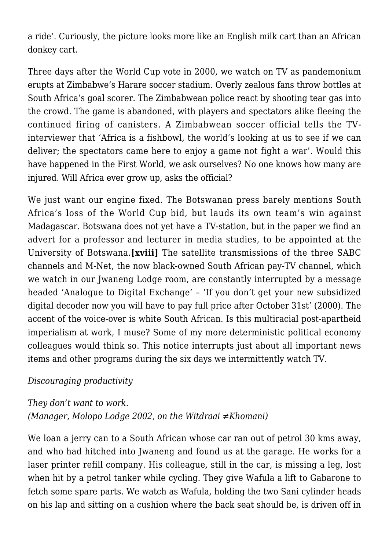a ride'. Curiously, the picture looks more like an English milk cart than an African donkey cart.

Three days after the World Cup vote in 2000, we watch on TV as pandemonium erupts at Zimbabwe's Harare soccer stadium. Overly zealous fans throw bottles at South Africa's goal scorer. The Zimbabwean police react by shooting tear gas into the crowd. The game is abandoned, with players and spectators alike fleeing the continued firing of canisters. A Zimbabwean soccer official tells the TVinterviewer that 'Africa is a fishbowl, the world's looking at us to see if we can deliver; the spectators came here to enjoy a game not fight a war'. Would this have happened in the First World, we ask ourselves? No one knows how many are injured. Will Africa ever grow up, asks the official?

We just want our engine fixed. The Botswanan press barely mentions South Africa's loss of the World Cup bid, but lauds its own team's win against Madagascar. Botswana does not yet have a TV-station, but in the paper we find an advert for a professor and lecturer in media studies, to be appointed at the University of Botswana.**[xviii]** The satellite transmissions of the three SABC channels and M-Net, the now black-owned South African pay-TV channel, which we watch in our Jwaneng Lodge room, are constantly interrupted by a message headed 'Analogue to Digital Exchange' – 'If you don't get your new subsidized digital decoder now you will have to pay full price after October 31st' (2000). The accent of the voice-over is white South African. Is this multiracial post-apartheid imperialism at work, I muse? Some of my more deterministic political economy colleagues would think so. This notice interrupts just about all important news items and other programs during the six days we intermittently watch TV.

### *Discouraging productivity*

*They don't want to work. (Manager, Molopo Lodge 2002, on the Witdraai ≠Khomani)*

We loan a jerry can to a South African whose car ran out of petrol 30 kms away, and who had hitched into Jwaneng and found us at the garage. He works for a laser printer refill company. His colleague, still in the car, is missing a leg, lost when hit by a petrol tanker while cycling. They give Wafula a lift to Gabarone to fetch some spare parts. We watch as Wafula, holding the two Sani cylinder heads on his lap and sitting on a cushion where the back seat should be, is driven off in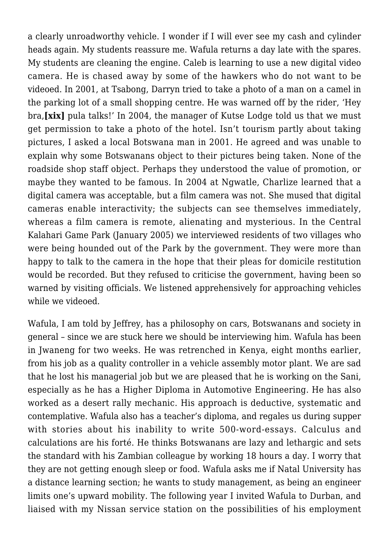a clearly unroadworthy vehicle. I wonder if I will ever see my cash and cylinder heads again. My students reassure me. Wafula returns a day late with the spares. My students are cleaning the engine. Caleb is learning to use a new digital video camera. He is chased away by some of the hawkers who do not want to be videoed. In 2001, at Tsabong, Darryn tried to take a photo of a man on a camel in the parking lot of a small shopping centre. He was warned off by the rider, 'Hey bra,**[xix]** pula talks!' In 2004, the manager of Kutse Lodge told us that we must get permission to take a photo of the hotel. Isn't tourism partly about taking pictures, I asked a local Botswana man in 2001. He agreed and was unable to explain why some Botswanans object to their pictures being taken. None of the roadside shop staff object. Perhaps they understood the value of promotion, or maybe they wanted to be famous. In 2004 at Ngwatle, Charlize learned that a digital camera was acceptable, but a film camera was not. She mused that digital cameras enable interactivity; the subjects can see themselves immediately, whereas a film camera is remote, alienating and mysterious. In the Central Kalahari Game Park (January 2005) we interviewed residents of two villages who were being hounded out of the Park by the government. They were more than happy to talk to the camera in the hope that their pleas for domicile restitution would be recorded. But they refused to criticise the government, having been so warned by visiting officials. We listened apprehensively for approaching vehicles while we videoed.

Wafula, I am told by Jeffrey, has a philosophy on cars, Botswanans and society in general – since we are stuck here we should be interviewing him. Wafula has been in Jwaneng for two weeks. He was retrenched in Kenya, eight months earlier, from his job as a quality controller in a vehicle assembly motor plant. We are sad that he lost his managerial job but we are pleased that he is working on the Sani, especially as he has a Higher Diploma in Automotive Engineering. He has also worked as a desert rally mechanic. His approach is deductive, systematic and contemplative. Wafula also has a teacher's diploma, and regales us during supper with stories about his inability to write 500-word-essays. Calculus and calculations are his forté. He thinks Botswanans are lazy and lethargic and sets the standard with his Zambian colleague by working 18 hours a day. I worry that they are not getting enough sleep or food. Wafula asks me if Natal University has a distance learning section; he wants to study management, as being an engineer limits one's upward mobility. The following year I invited Wafula to Durban, and liaised with my Nissan service station on the possibilities of his employment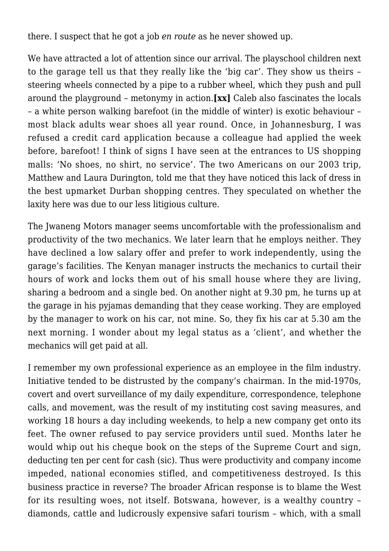there. I suspect that he got a job *en route* as he never showed up.

We have attracted a lot of attention since our arrival. The playschool children next to the garage tell us that they really like the 'big car'. They show us theirs – steering wheels connected by a pipe to a rubber wheel, which they push and pull around the playground – metonymy in action.**[xx]** Caleb also fascinates the locals – a white person walking barefoot (in the middle of winter) is exotic behaviour – most black adults wear shoes all year round. Once, in Johannesburg, I was refused a credit card application because a colleague had applied the week before, barefoot! I think of signs I have seen at the entrances to US shopping malls: 'No shoes, no shirt, no service'. The two Americans on our 2003 trip, Matthew and Laura Durington, told me that they have noticed this lack of dress in the best upmarket Durban shopping centres. They speculated on whether the laxity here was due to our less litigious culture.

The Jwaneng Motors manager seems uncomfortable with the professionalism and productivity of the two mechanics. We later learn that he employs neither. They have declined a low salary offer and prefer to work independently, using the garage's facilities. The Kenyan manager instructs the mechanics to curtail their hours of work and locks them out of his small house where they are living, sharing a bedroom and a single bed. On another night at 9.30 pm, he turns up at the garage in his pyjamas demanding that they cease working. They are employed by the manager to work on his car, not mine. So, they fix his car at 5.30 am the next morning. I wonder about my legal status as a 'client', and whether the mechanics will get paid at all.

I remember my own professional experience as an employee in the film industry. Initiative tended to be distrusted by the company's chairman. In the mid-1970s, covert and overt surveillance of my daily expenditure, correspondence, telephone calls, and movement, was the result of my instituting cost saving measures, and working 18 hours a day including weekends, to help a new company get onto its feet. The owner refused to pay service providers until sued. Months later he would whip out his cheque book on the steps of the Supreme Court and sign, deducting ten per cent for cash (sic). Thus were productivity and company income impeded, national economies stifled, and competitiveness destroyed. Is this business practice in reverse? The broader African response is to blame the West for its resulting woes, not itself. Botswana, however, is a wealthy country – diamonds, cattle and ludicrously expensive safari tourism – which, with a small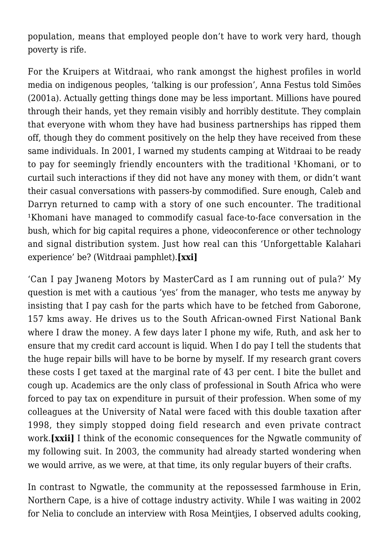population, means that employed people don't have to work very hard, though poverty is rife.

For the Kruipers at Witdraai, who rank amongst the highest profiles in world media on indigenous peoples, 'talking is our profession', Anna Festus told Simões (2001a). Actually getting things done may be less important. Millions have poured through their hands, yet they remain visibly and horribly destitute. They complain that everyone with whom they have had business partnerships has ripped them off, though they do comment positively on the help they have received from these same individuals. In 2001, I warned my students camping at Witdraai to be ready to pay for seemingly friendly encounters with the traditional <sup>1</sup>Khomani, or to curtail such interactions if they did not have any money with them, or didn't want their casual conversations with passers-by commodified. Sure enough, Caleb and Darryn returned to camp with a story of one such encounter. The traditional <sup>1</sup>Khomani have managed to commodify casual face-to-face conversation in the bush, which for big capital requires a phone, videoconference or other technology and signal distribution system. Just how real can this 'Unforgettable Kalahari experience' be? (Witdraai pamphlet).**[xxi]**

'Can I pay Jwaneng Motors by MasterCard as I am running out of pula?' My question is met with a cautious 'yes' from the manager, who tests me anyway by insisting that I pay cash for the parts which have to be fetched from Gaborone, 157 kms away. He drives us to the South African-owned First National Bank where I draw the money. A few days later I phone my wife, Ruth, and ask her to ensure that my credit card account is liquid. When I do pay I tell the students that the huge repair bills will have to be borne by myself. If my research grant covers these costs I get taxed at the marginal rate of 43 per cent. I bite the bullet and cough up. Academics are the only class of professional in South Africa who were forced to pay tax on expenditure in pursuit of their profession. When some of my colleagues at the University of Natal were faced with this double taxation after 1998, they simply stopped doing field research and even private contract work.**[xxii]** I think of the economic consequences for the Ngwatle community of my following suit. In 2003, the community had already started wondering when we would arrive, as we were, at that time, its only regular buyers of their crafts.

In contrast to Ngwatle, the community at the repossessed farmhouse in Erin, Northern Cape, is a hive of cottage industry activity. While I was waiting in 2002 for Nelia to conclude an interview with Rosa Meintjies, I observed adults cooking,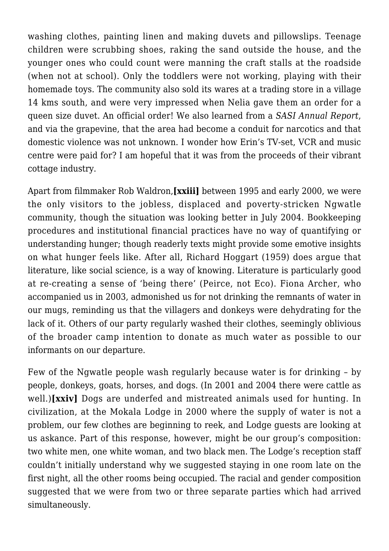washing clothes, painting linen and making duvets and pillowslips. Teenage children were scrubbing shoes, raking the sand outside the house, and the younger ones who could count were manning the craft stalls at the roadside (when not at school). Only the toddlers were not working, playing with their homemade toys. The community also sold its wares at a trading store in a village 14 kms south, and were very impressed when Nelia gave them an order for a queen size duvet. An official order! We also learned from a *SASI Annual Report*, and via the grapevine, that the area had become a conduit for narcotics and that domestic violence was not unknown. I wonder how Erin's TV-set, VCR and music centre were paid for? I am hopeful that it was from the proceeds of their vibrant cottage industry.

Apart from filmmaker Rob Waldron,**[xxiii]** between 1995 and early 2000, we were the only visitors to the jobless, displaced and poverty-stricken Ngwatle community, though the situation was looking better in July 2004. Bookkeeping procedures and institutional financial practices have no way of quantifying or understanding hunger; though readerly texts might provide some emotive insights on what hunger feels like. After all, Richard Hoggart (1959) does argue that literature, like social science, is a way of knowing. Literature is particularly good at re-creating a sense of 'being there' (Peirce, not Eco). Fiona Archer, who accompanied us in 2003, admonished us for not drinking the remnants of water in our mugs, reminding us that the villagers and donkeys were dehydrating for the lack of it. Others of our party regularly washed their clothes, seemingly oblivious of the broader camp intention to donate as much water as possible to our informants on our departure.

Few of the Ngwatle people wash regularly because water is for drinking – by people, donkeys, goats, horses, and dogs. (In 2001 and 2004 there were cattle as well.)**[xxiv]** Dogs are underfed and mistreated animals used for hunting. In civilization, at the Mokala Lodge in 2000 where the supply of water is not a problem, our few clothes are beginning to reek, and Lodge guests are looking at us askance. Part of this response, however, might be our group's composition: two white men, one white woman, and two black men. The Lodge's reception staff couldn't initially understand why we suggested staying in one room late on the first night, all the other rooms being occupied. The racial and gender composition suggested that we were from two or three separate parties which had arrived simultaneously.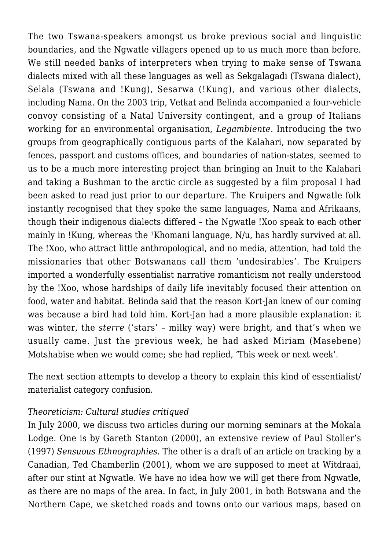The two Tswana-speakers amongst us broke previous social and linguistic boundaries, and the Ngwatle villagers opened up to us much more than before. We still needed banks of interpreters when trying to make sense of Tswana dialects mixed with all these languages as well as Sekgalagadi (Tswana dialect), Selala (Tswana and !Kung), Sesarwa (!Kung), and various other dialects, including Nama. On the 2003 trip, Vetkat and Belinda accompanied a four-vehicle convoy consisting of a Natal University contingent, and a group of Italians working for an environmental organisation, *Legambiente*. Introducing the two groups from geographically contiguous parts of the Kalahari, now separated by fences, passport and customs offices, and boundaries of nation-states, seemed to us to be a much more interesting project than bringing an Inuit to the Kalahari and taking a Bushman to the arctic circle as suggested by a film proposal I had been asked to read just prior to our departure. The Kruipers and Ngwatle folk instantly recognised that they spoke the same languages, Nama and Afrikaans, though their indigenous dialects differed – the Ngwatle !Xoo speak to each other mainly in !Kung, whereas the <sup>1</sup>Khomani language, N/u, has hardly survived at all. The !Xoo, who attract little anthropological, and no media, attention, had told the missionaries that other Botswanans call them 'undesirables'. The Kruipers imported a wonderfully essentialist narrative romanticism not really understood by the !Xoo, whose hardships of daily life inevitably focused their attention on food, water and habitat. Belinda said that the reason Kort-Jan knew of our coming was because a bird had told him. Kort-Jan had a more plausible explanation: it was winter, the *sterre* ('stars' – milky way) were bright, and that's when we usually came. Just the previous week, he had asked Miriam (Masebene) Motshabise when we would come; she had replied, 'This week or next week'.

The next section attempts to develop a theory to explain this kind of essentialist/ materialist category confusion.

#### *Theoreticism: Cultural studies critiqued*

In July 2000, we discuss two articles during our morning seminars at the Mokala Lodge. One is by Gareth Stanton (2000), an extensive review of Paul Stoller's (1997) *Sensuous Ethnographies*. The other is a draft of an article on tracking by a Canadian, Ted Chamberlin (2001), whom we are supposed to meet at Witdraai, after our stint at Ngwatle. We have no idea how we will get there from Ngwatle, as there are no maps of the area. In fact, in July 2001, in both Botswana and the Northern Cape, we sketched roads and towns onto our various maps, based on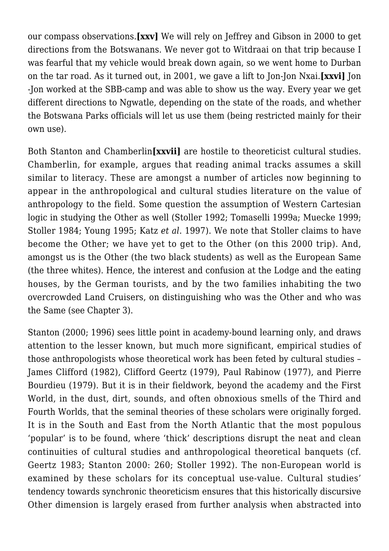our compass observations.**[xxv]** We will rely on Jeffrey and Gibson in 2000 to get directions from the Botswanans. We never got to Witdraai on that trip because I was fearful that my vehicle would break down again, so we went home to Durban on the tar road. As it turned out, in 2001, we gave a lift to Jon-Jon Nxai.**[xxvi]** Jon -Jon worked at the SBB-camp and was able to show us the way. Every year we get different directions to Ngwatle, depending on the state of the roads, and whether the Botswana Parks officials will let us use them (being restricted mainly for their own use).

Both Stanton and Chamberlin**[xxvii]** are hostile to theoreticist cultural studies. Chamberlin, for example, argues that reading animal tracks assumes a skill similar to literacy. These are amongst a number of articles now beginning to appear in the anthropological and cultural studies literature on the value of anthropology to the field. Some question the assumption of Western Cartesian logic in studying the Other as well (Stoller 1992; Tomaselli 1999a; Muecke 1999; Stoller 1984; Young 1995; Katz *et al*. 1997). We note that Stoller claims to have become the Other; we have yet to get to the Other (on this 2000 trip). And, amongst us is the Other (the two black students) as well as the European Same (the three whites). Hence, the interest and confusion at the Lodge and the eating houses, by the German tourists, and by the two families inhabiting the two overcrowded Land Cruisers, on distinguishing who was the Other and who was the Same (see Chapter 3).

Stanton (2000; 1996) sees little point in academy-bound learning only, and draws attention to the lesser known, but much more significant, empirical studies of those anthropologists whose theoretical work has been feted by cultural studies – James Clifford (1982), Clifford Geertz (1979), Paul Rabinow (1977), and Pierre Bourdieu (1979). But it is in their fieldwork, beyond the academy and the First World, in the dust, dirt, sounds, and often obnoxious smells of the Third and Fourth Worlds, that the seminal theories of these scholars were originally forged. It is in the South and East from the North Atlantic that the most populous 'popular' is to be found, where 'thick' descriptions disrupt the neat and clean continuities of cultural studies and anthropological theoretical banquets (cf. Geertz 1983; Stanton 2000: 260; Stoller 1992). The non-European world is examined by these scholars for its conceptual use-value. Cultural studies' tendency towards synchronic theoreticism ensures that this historically discursive Other dimension is largely erased from further analysis when abstracted into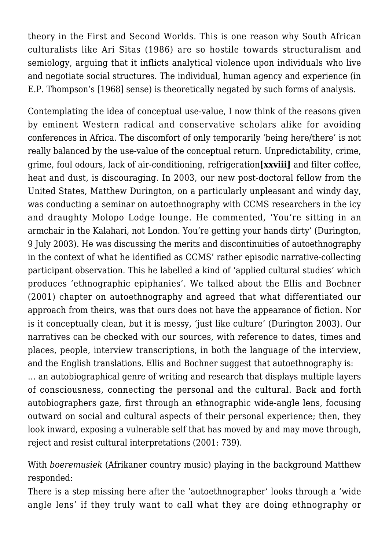theory in the First and Second Worlds. This is one reason why South African culturalists like Ari Sitas (1986) are so hostile towards structuralism and semiology, arguing that it inflicts analytical violence upon individuals who live and negotiate social structures. The individual, human agency and experience (in E.P. Thompson's [1968] sense) is theoretically negated by such forms of analysis.

Contemplating the idea of conceptual use-value, I now think of the reasons given by eminent Western radical and conservative scholars alike for avoiding conferences in Africa. The discomfort of only temporarily 'being here/there' is not really balanced by the use-value of the conceptual return. Unpredictability, crime, grime, foul odours, lack of air-conditioning, refrigeration**[xxviii]** and filter coffee, heat and dust, is discouraging. In 2003, our new post-doctoral fellow from the United States, Matthew Durington, on a particularly unpleasant and windy day, was conducting a seminar on autoethnography with CCMS researchers in the icy and draughty Molopo Lodge lounge. He commented, 'You're sitting in an armchair in the Kalahari, not London. You're getting your hands dirty' (Durington, 9 July 2003). He was discussing the merits and discontinuities of autoethnography in the context of what he identified as CCMS' rather episodic narrative-collecting participant observation. This he labelled a kind of 'applied cultural studies' which produces 'ethnographic epiphanies'. We talked about the Ellis and Bochner (2001) chapter on autoethnography and agreed that what differentiated our approach from theirs, was that ours does not have the appearance of fiction. Nor is it conceptually clean, but it is messy, 'just like culture' (Durington 2003). Our narratives can be checked with our sources, with reference to dates, times and places, people, interview transcriptions, in both the language of the interview, and the English translations. Ellis and Bochner suggest that autoethnography is:

… an autobiographical genre of writing and research that displays multiple layers of consciousness, connecting the personal and the cultural. Back and forth autobiographers gaze, first through an ethnographic wide-angle lens, focusing outward on social and cultural aspects of their personal experience; then, they look inward, exposing a vulnerable self that has moved by and may move through, reject and resist cultural interpretations (2001: 739).

With *boeremusiek* (Afrikaner country music) playing in the background Matthew responded:

There is a step missing here after the 'autoethnographer' looks through a 'wide angle lens' if they truly want to call what they are doing ethnography or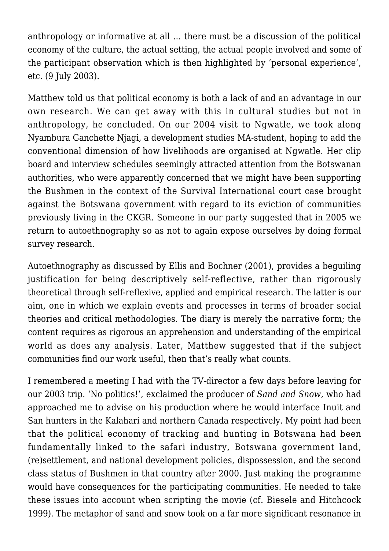anthropology or informative at all … there must be a discussion of the political economy of the culture, the actual setting, the actual people involved and some of the participant observation which is then highlighted by 'personal experience', etc. (9 July 2003).

Matthew told us that political economy is both a lack of and an advantage in our own research. We can get away with this in cultural studies but not in anthropology, he concluded. On our 2004 visit to Ngwatle, we took along Nyambura Ganchette Njagi, a development studies MA-student, hoping to add the conventional dimension of how livelihoods are organised at Ngwatle. Her clip board and interview schedules seemingly attracted attention from the Botswanan authorities, who were apparently concerned that we might have been supporting the Bushmen in the context of the Survival International court case brought against the Botswana government with regard to its eviction of communities previously living in the CKGR. Someone in our party suggested that in 2005 we return to autoethnography so as not to again expose ourselves by doing formal survey research.

Autoethnography as discussed by Ellis and Bochner (2001), provides a beguiling justification for being descriptively self-reflective, rather than rigorously theoretical through self-reflexive, applied and empirical research. The latter is our aim, one in which we explain events and processes in terms of broader social theories and critical methodologies. The diary is merely the narrative form; the content requires as rigorous an apprehension and understanding of the empirical world as does any analysis. Later, Matthew suggested that if the subject communities find our work useful, then that's really what counts.

I remembered a meeting I had with the TV-director a few days before leaving for our 2003 trip. 'No politics!', exclaimed the producer of *Sand and Snow,* who had approached me to advise on his production where he would interface Inuit and San hunters in the Kalahari and northern Canada respectively. My point had been that the political economy of tracking and hunting in Botswana had been fundamentally linked to the safari industry, Botswana government land, (re)settlement, and national development policies, dispossession, and the second class status of Bushmen in that country after 2000. Just making the programme would have consequences for the participating communities. He needed to take these issues into account when scripting the movie (cf. Biesele and Hitchcock 1999). The metaphor of sand and snow took on a far more significant resonance in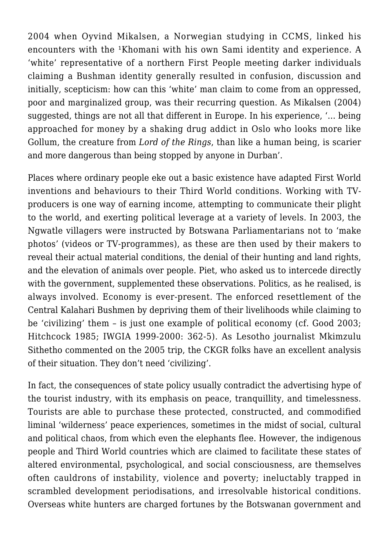2004 when Oyvind Mikalsen, a Norwegian studying in CCMS, linked his encounters with the <sup>1</sup>Khomani with his own Sami identity and experience. A 'white' representative of a northern First People meeting darker individuals claiming a Bushman identity generally resulted in confusion, discussion and initially, scepticism: how can this 'white' man claim to come from an oppressed, poor and marginalized group, was their recurring question. As Mikalsen (2004) suggested, things are not all that different in Europe. In his experience, '… being approached for money by a shaking drug addict in Oslo who looks more like Gollum, the creature from *Lord of the Rings*, than like a human being, is scarier and more dangerous than being stopped by anyone in Durban'.

Places where ordinary people eke out a basic existence have adapted First World inventions and behaviours to their Third World conditions. Working with TVproducers is one way of earning income, attempting to communicate their plight to the world, and exerting political leverage at a variety of levels. In 2003, the Ngwatle villagers were instructed by Botswana Parliamentarians not to 'make photos' (videos or TV-programmes), as these are then used by their makers to reveal their actual material conditions, the denial of their hunting and land rights, and the elevation of animals over people. Piet, who asked us to intercede directly with the government, supplemented these observations. Politics, as he realised, is always involved. Economy is ever-present. The enforced resettlement of the Central Kalahari Bushmen by depriving them of their livelihoods while claiming to be 'civilizing' them – is just one example of political economy (cf. Good 2003; Hitchcock 1985; IWGIA 1999-2000: 362-5). As Lesotho journalist Mkimzulu Sithetho commented on the 2005 trip, the CKGR folks have an excellent analysis of their situation. They don't need 'civilizing'.

In fact, the consequences of state policy usually contradict the advertising hype of the tourist industry, with its emphasis on peace, tranquillity, and timelessness. Tourists are able to purchase these protected, constructed, and commodified liminal 'wilderness' peace experiences, sometimes in the midst of social, cultural and political chaos, from which even the elephants flee. However, the indigenous people and Third World countries which are claimed to facilitate these states of altered environmental, psychological, and social consciousness, are themselves often cauldrons of instability, violence and poverty; ineluctably trapped in scrambled development periodisations, and irresolvable historical conditions. Overseas white hunters are charged fortunes by the Botswanan government and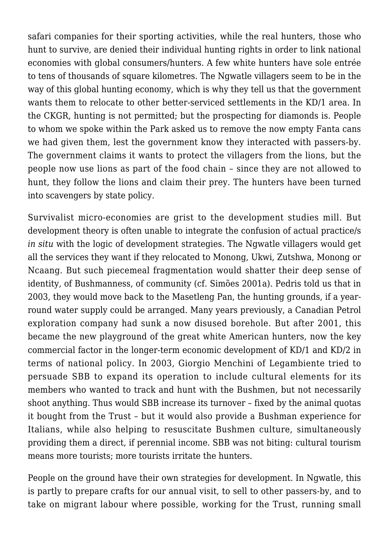safari companies for their sporting activities, while the real hunters, those who hunt to survive, are denied their individual hunting rights in order to link national economies with global consumers/hunters. A few white hunters have sole entrée to tens of thousands of square kilometres. The Ngwatle villagers seem to be in the way of this global hunting economy, which is why they tell us that the government wants them to relocate to other better-serviced settlements in the KD/1 area. In the CKGR, hunting is not permitted; but the prospecting for diamonds is. People to whom we spoke within the Park asked us to remove the now empty Fanta cans we had given them, lest the government know they interacted with passers-by. The government claims it wants to protect the villagers from the lions, but the people now use lions as part of the food chain – since they are not allowed to hunt, they follow the lions and claim their prey. The hunters have been turned into scavengers by state policy.

Survivalist micro-economies are grist to the development studies mill. But development theory is often unable to integrate the confusion of actual practice/s *in situ* with the logic of development strategies. The Ngwatle villagers would get all the services they want if they relocated to Monong, Ukwi, Zutshwa, Monong or Ncaang. But such piecemeal fragmentation would shatter their deep sense of identity, of Bushmanness, of community (cf. Simões 2001a). Pedris told us that in 2003, they would move back to the Masetleng Pan, the hunting grounds, if a yearround water supply could be arranged. Many years previously, a Canadian Petrol exploration company had sunk a now disused borehole. But after 2001, this became the new playground of the great white American hunters, now the key commercial factor in the longer-term economic development of KD/1 and KD/2 in terms of national policy. In 2003, Giorgio Menchini of Legambiente tried to persuade SBB to expand its operation to include cultural elements for its members who wanted to track and hunt with the Bushmen, but not necessarily shoot anything. Thus would SBB increase its turnover – fixed by the animal quotas it bought from the Trust – but it would also provide a Bushman experience for Italians, while also helping to resuscitate Bushmen culture, simultaneously providing them a direct, if perennial income. SBB was not biting: cultural tourism means more tourists; more tourists irritate the hunters.

People on the ground have their own strategies for development. In Ngwatle, this is partly to prepare crafts for our annual visit, to sell to other passers-by, and to take on migrant labour where possible, working for the Trust, running small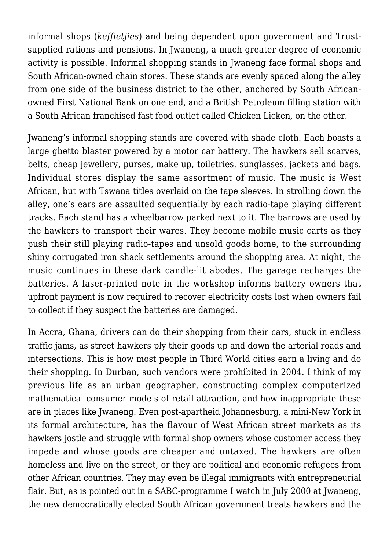informal shops (*keffietjies*) and being dependent upon government and Trustsupplied rations and pensions. In Jwaneng, a much greater degree of economic activity is possible. Informal shopping stands in Jwaneng face formal shops and South African-owned chain stores. These stands are evenly spaced along the alley from one side of the business district to the other, anchored by South Africanowned First National Bank on one end, and a British Petroleum filling station with a South African franchised fast food outlet called Chicken Licken, on the other.

Jwaneng's informal shopping stands are covered with shade cloth. Each boasts a large ghetto blaster powered by a motor car battery. The hawkers sell scarves, belts, cheap jewellery, purses, make up, toiletries, sunglasses, jackets and bags. Individual stores display the same assortment of music. The music is West African, but with Tswana titles overlaid on the tape sleeves. In strolling down the alley, one's ears are assaulted sequentially by each radio-tape playing different tracks. Each stand has a wheelbarrow parked next to it. The barrows are used by the hawkers to transport their wares. They become mobile music carts as they push their still playing radio-tapes and unsold goods home, to the surrounding shiny corrugated iron shack settlements around the shopping area. At night, the music continues in these dark candle-lit abodes. The garage recharges the batteries. A laser-printed note in the workshop informs battery owners that upfront payment is now required to recover electricity costs lost when owners fail to collect if they suspect the batteries are damaged.

In Accra, Ghana, drivers can do their shopping from their cars, stuck in endless traffic jams, as street hawkers ply their goods up and down the arterial roads and intersections. This is how most people in Third World cities earn a living and do their shopping. In Durban, such vendors were prohibited in 2004. I think of my previous life as an urban geographer, constructing complex computerized mathematical consumer models of retail attraction, and how inappropriate these are in places like Jwaneng. Even post-apartheid Johannesburg, a mini-New York in its formal architecture, has the flavour of West African street markets as its hawkers jostle and struggle with formal shop owners whose customer access they impede and whose goods are cheaper and untaxed. The hawkers are often homeless and live on the street, or they are political and economic refugees from other African countries. They may even be illegal immigrants with entrepreneurial flair. But, as is pointed out in a SABC-programme I watch in July 2000 at Jwaneng, the new democratically elected South African government treats hawkers and the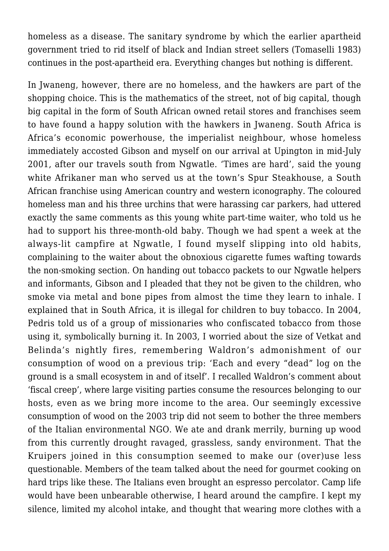homeless as a disease. The sanitary syndrome by which the earlier apartheid government tried to rid itself of black and Indian street sellers (Tomaselli 1983) continues in the post-apartheid era. Everything changes but nothing is different.

In Jwaneng, however, there are no homeless, and the hawkers are part of the shopping choice. This is the mathematics of the street, not of big capital, though big capital in the form of South African owned retail stores and franchises seem to have found a happy solution with the hawkers in Jwaneng. South Africa is Africa's economic powerhouse, the imperialist neighbour, whose homeless immediately accosted Gibson and myself on our arrival at Upington in mid-July 2001, after our travels south from Ngwatle. 'Times are hard', said the young white Afrikaner man who served us at the town's Spur Steakhouse, a South African franchise using American country and western iconography. The coloured homeless man and his three urchins that were harassing car parkers, had uttered exactly the same comments as this young white part-time waiter, who told us he had to support his three-month-old baby. Though we had spent a week at the always-lit campfire at Ngwatle, I found myself slipping into old habits, complaining to the waiter about the obnoxious cigarette fumes wafting towards the non-smoking section. On handing out tobacco packets to our Ngwatle helpers and informants, Gibson and I pleaded that they not be given to the children, who smoke via metal and bone pipes from almost the time they learn to inhale. I explained that in South Africa, it is illegal for children to buy tobacco. In 2004, Pedris told us of a group of missionaries who confiscated tobacco from those using it, symbolically burning it. In 2003, I worried about the size of Vetkat and Belinda's nightly fires, remembering Waldron's admonishment of our consumption of wood on a previous trip: 'Each and every "dead" log on the ground is a small ecosystem in and of itself'. I recalled Waldron's comment about 'fiscal creep', where large visiting parties consume the resources belonging to our hosts, even as we bring more income to the area. Our seemingly excessive consumption of wood on the 2003 trip did not seem to bother the three members of the Italian environmental NGO. We ate and drank merrily, burning up wood from this currently drought ravaged, grassless, sandy environment. That the Kruipers joined in this consumption seemed to make our (over)use less questionable. Members of the team talked about the need for gourmet cooking on hard trips like these. The Italians even brought an espresso percolator. Camp life would have been unbearable otherwise, I heard around the campfire. I kept my silence, limited my alcohol intake, and thought that wearing more clothes with a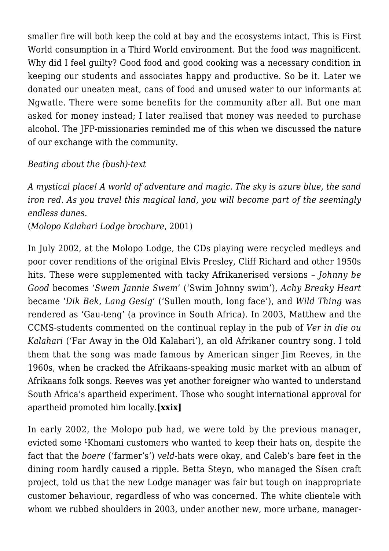smaller fire will both keep the cold at bay and the ecosystems intact. This is First World consumption in a Third World environment. But the food *was* magnificent. Why did I feel guilty? Good food and good cooking was a necessary condition in keeping our students and associates happy and productive. So be it. Later we donated our uneaten meat, cans of food and unused water to our informants at Ngwatle. There were some benefits for the community after all. But one man asked for money instead; I later realised that money was needed to purchase alcohol. The JFP-missionaries reminded me of this when we discussed the nature of our exchange with the community.

# *Beating about the (bush)-text*

*A mystical place! A world of adventure and magic. The sky is azure blue, the sand iron red. As you travel this magical land, you will become part of the seemingly endless dunes.*

(*Molopo Kalahari Lodge brochure*, 2001)

In July 2002, at the Molopo Lodge, the CDs playing were recycled medleys and poor cover renditions of the original Elvis Presley, Cliff Richard and other 1950s hits. These were supplemented with tacky Afrikanerised versions – *Johnny be Good* becomes '*Swem Jannie Swem*' ('Swim Johnny swim'), *Achy Breaky Heart* became '*Dik Bek, Lang Gesig*' ('Sullen mouth, long face'), and *Wild Thing* was rendered as 'Gau-teng' (a province in South Africa). In 2003, Matthew and the CCMS-students commented on the continual replay in the pub of *Ver in die ou Kalahari* ('Far Away in the Old Kalahari'), an old Afrikaner country song. I told them that the song was made famous by American singer Jim Reeves, in the 1960s, when he cracked the Afrikaans-speaking music market with an album of Afrikaans folk songs. Reeves was yet another foreigner who wanted to understand South Africa's apartheid experiment. Those who sought international approval for apartheid promoted him locally.**[xxix]**

In early 2002, the Molopo pub had, we were told by the previous manager, evicted some <sup>1</sup>Khomani customers who wanted to keep their hats on, despite the fact that the *boere* ('farmer's') *veld*-hats were okay, and Caleb's bare feet in the dining room hardly caused a ripple. Betta Steyn, who managed the Sísen craft project, told us that the new Lodge manager was fair but tough on inappropriate customer behaviour, regardless of who was concerned. The white clientele with whom we rubbed shoulders in 2003, under another new, more urbane, manager-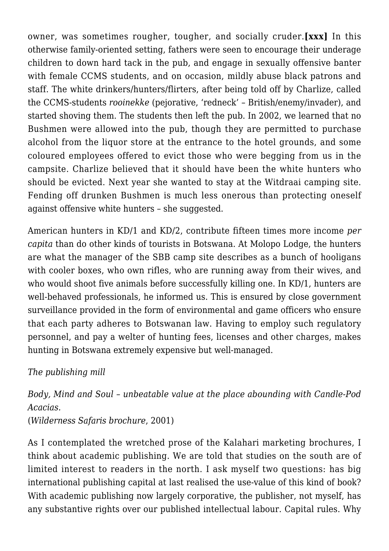owner, was sometimes rougher, tougher, and socially cruder.**[xxx]** In this otherwise family-oriented setting, fathers were seen to encourage their underage children to down hard tack in the pub, and engage in sexually offensive banter with female CCMS students, and on occasion, mildly abuse black patrons and staff. The white drinkers/hunters/flirters, after being told off by Charlize, called the CCMS-students *rooinekke* (pejorative, 'redneck' – British/enemy/invader), and started shoving them. The students then left the pub. In 2002, we learned that no Bushmen were allowed into the pub, though they are permitted to purchase alcohol from the liquor store at the entrance to the hotel grounds, and some coloured employees offered to evict those who were begging from us in the campsite. Charlize believed that it should have been the white hunters who should be evicted. Next year she wanted to stay at the Witdraai camping site. Fending off drunken Bushmen is much less onerous than protecting oneself against offensive white hunters – she suggested.

American hunters in KD/1 and KD/2, contribute fifteen times more income *per capita* than do other kinds of tourists in Botswana. At Molopo Lodge, the hunters are what the manager of the SBB camp site describes as a bunch of hooligans with cooler boxes, who own rifles, who are running away from their wives, and who would shoot five animals before successfully killing one. In KD/1, hunters are well-behaved professionals, he informed us. This is ensured by close government surveillance provided in the form of environmental and game officers who ensure that each party adheres to Botswanan law. Having to employ such regulatory personnel, and pay a welter of hunting fees, licenses and other charges, makes hunting in Botswana extremely expensive but well-managed.

### *The publishing mill*

*Body, Mind and Soul – unbeatable value at the place abounding with Candle-Pod Acacias.* (*Wilderness Safaris brochure*, 2001)

As I contemplated the wretched prose of the Kalahari marketing brochures, I think about academic publishing. We are told that studies on the south are of limited interest to readers in the north. I ask myself two questions: has big international publishing capital at last realised the use-value of this kind of book? With academic publishing now largely corporative, the publisher, not myself, has any substantive rights over our published intellectual labour. Capital rules. Why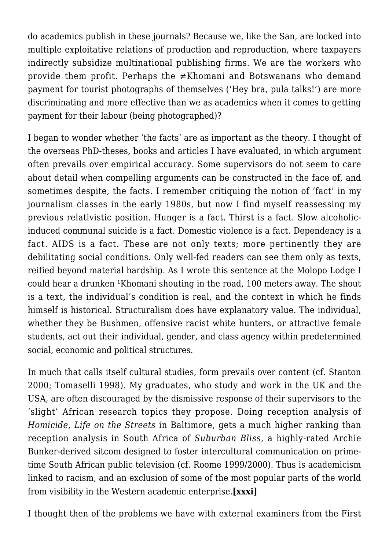do academics publish in these journals? Because we, like the San, are locked into multiple exploitative relations of production and reproduction, where taxpayers indirectly subsidize multinational publishing firms. We are the workers who provide them profit. Perhaps the ≠Khomani and Botswanans who demand payment for tourist photographs of themselves ('Hey bra, pula talks!') are more discriminating and more effective than we as academics when it comes to getting payment for their labour (being photographed)?

I began to wonder whether 'the facts' are as important as the theory. I thought of the overseas PhD-theses, books and articles I have evaluated, in which argument often prevails over empirical accuracy. Some supervisors do not seem to care about detail when compelling arguments can be constructed in the face of, and sometimes despite, the facts. I remember critiquing the notion of 'fact' in my journalism classes in the early 1980s, but now I find myself reassessing my previous relativistic position. Hunger is a fact. Thirst is a fact. Slow alcoholicinduced communal suicide is a fact. Domestic violence is a fact. Dependency is a fact. AIDS is a fact. These are not only texts; more pertinently they are debilitating social conditions. Only well-fed readers can see them only as texts, reified beyond material hardship. As I wrote this sentence at the Molopo Lodge I could hear a drunken <sup>1</sup>Khomani shouting in the road, 100 meters away. The shout is a text, the individual's condition is real, and the context in which he finds himself is historical. Structuralism does have explanatory value. The individual, whether they be Bushmen, offensive racist white hunters, or attractive female students, act out their individual, gender, and class agency within predetermined social, economic and political structures.

In much that calls itself cultural studies, form prevails over content (cf. Stanton 2000; Tomaselli 1998). My graduates, who study and work in the UK and the USA, are often discouraged by the dismissive response of their supervisors to the 'slight' African research topics they propose. Doing reception analysis of *Homicide, Life on the Streets* in Baltimore, gets a much higher ranking than reception analysis in South Africa of *Suburban Bliss*, a highly-rated Archie Bunker-derived sitcom designed to foster intercultural communication on primetime South African public television (cf. Roome 1999/2000). Thus is academicism linked to racism, and an exclusion of some of the most popular parts of the world from visibility in the Western academic enterprise.**[xxxi]**

I thought then of the problems we have with external examiners from the First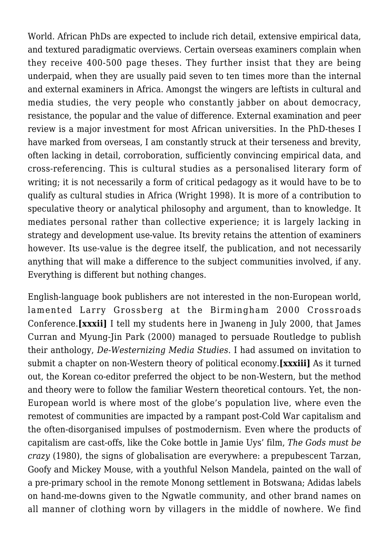World. African PhDs are expected to include rich detail, extensive empirical data, and textured paradigmatic overviews. Certain overseas examiners complain when they receive 400-500 page theses. They further insist that they are being underpaid, when they are usually paid seven to ten times more than the internal and external examiners in Africa. Amongst the wingers are leftists in cultural and media studies, the very people who constantly jabber on about democracy, resistance, the popular and the value of difference. External examination and peer review is a major investment for most African universities. In the PhD-theses I have marked from overseas, I am constantly struck at their terseness and brevity, often lacking in detail, corroboration, sufficiently convincing empirical data, and cross-referencing. This is cultural studies as a personalised literary form of writing; it is not necessarily a form of critical pedagogy as it would have to be to qualify as cultural studies in Africa (Wright 1998). It is more of a contribution to speculative theory or analytical philosophy and argument, than to knowledge. It mediates personal rather than collective experience; it is largely lacking in strategy and development use-value. Its brevity retains the attention of examiners however. Its use-value is the degree itself, the publication, and not necessarily anything that will make a difference to the subject communities involved, if any. Everything is different but nothing changes.

English-language book publishers are not interested in the non-European world, lamented Larry Grossberg at the Birmingham 2000 Crossroads Conference.**[xxxii]** I tell my students here in Jwaneng in July 2000, that James Curran and Myung-Jin Park (2000) managed to persuade Routledge to publish their anthology, *De-Westernizing Media Studies*. I had assumed on invitation to submit a chapter on non-Western theory of political economy.**[xxxiii]** As it turned out, the Korean co-editor preferred the object to be non-Western, but the method and theory were to follow the familiar Western theoretical contours. Yet, the non-European world is where most of the globe's population live, where even the remotest of communities are impacted by a rampant post-Cold War capitalism and the often-disorganised impulses of postmodernism. Even where the products of capitalism are cast-offs, like the Coke bottle in Jamie Uys' film, *The Gods must be crazy* (1980), the signs of globalisation are everywhere: a prepubescent Tarzan, Goofy and Mickey Mouse, with a youthful Nelson Mandela, painted on the wall of a pre-primary school in the remote Monong settlement in Botswana; Adidas labels on hand-me-downs given to the Ngwatle community, and other brand names on all manner of clothing worn by villagers in the middle of nowhere. We find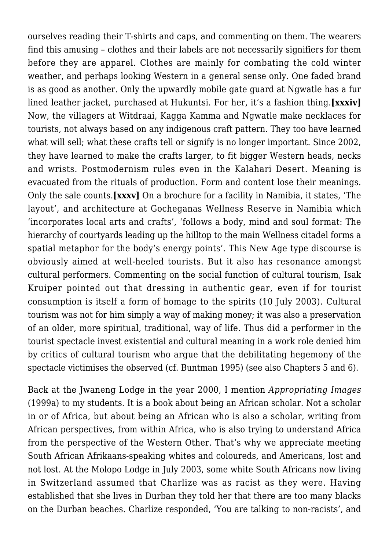ourselves reading their T-shirts and caps, and commenting on them. The wearers find this amusing – clothes and their labels are not necessarily signifiers for them before they are apparel. Clothes are mainly for combating the cold winter weather, and perhaps looking Western in a general sense only. One faded brand is as good as another. Only the upwardly mobile gate guard at Ngwatle has a fur lined leather jacket, purchased at Hukuntsi. For her, it's a fashion thing.**[xxxiv]** Now, the villagers at Witdraai, Kagga Kamma and Ngwatle make necklaces for tourists, not always based on any indigenous craft pattern. They too have learned what will sell; what these crafts tell or signify is no longer important. Since 2002, they have learned to make the crafts larger, to fit bigger Western heads, necks and wrists. Postmodernism rules even in the Kalahari Desert. Meaning is evacuated from the rituals of production. Form and content lose their meanings. Only the sale counts.**[xxxv]** On a brochure for a facility in Namibia, it states, 'The layout', and architecture at Gocheganas Wellness Reserve in Namibia which 'incorporates local arts and crafts', 'follows a body, mind and soul format: The hierarchy of courtyards leading up the hilltop to the main Wellness citadel forms a spatial metaphor for the body's energy points'. This New Age type discourse is obviously aimed at well-heeled tourists. But it also has resonance amongst cultural performers. Commenting on the social function of cultural tourism, Isak Kruiper pointed out that dressing in authentic gear, even if for tourist consumption is itself a form of homage to the spirits (10 July 2003). Cultural tourism was not for him simply a way of making money; it was also a preservation of an older, more spiritual, traditional, way of life. Thus did a performer in the tourist spectacle invest existential and cultural meaning in a work role denied him by critics of cultural tourism who argue that the debilitating hegemony of the spectacle victimises the observed (cf. Buntman 1995) (see also Chapters 5 and 6).

Back at the Jwaneng Lodge in the year 2000, I mention *Appropriating Images* (1999a) to my students. It is a book about being an African scholar. Not a scholar in or of Africa, but about being an African who is also a scholar, writing from African perspectives, from within Africa, who is also trying to understand Africa from the perspective of the Western Other. That's why we appreciate meeting South African Afrikaans-speaking whites and coloureds, and Americans, lost and not lost. At the Molopo Lodge in July 2003, some white South Africans now living in Switzerland assumed that Charlize was as racist as they were. Having established that she lives in Durban they told her that there are too many blacks on the Durban beaches. Charlize responded, 'You are talking to non-racists', and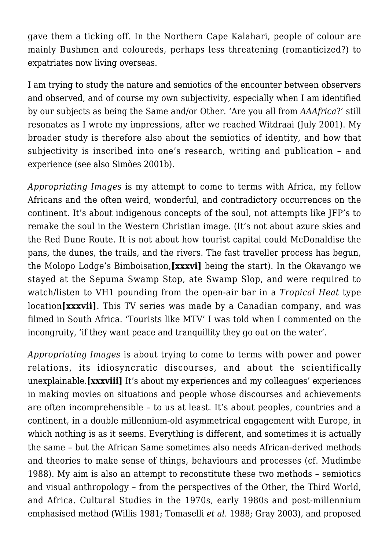gave them a ticking off. In the Northern Cape Kalahari, people of colour are mainly Bushmen and coloureds, perhaps less threatening (romanticized?) to expatriates now living overseas.

I am trying to study the nature and semiotics of the encounter between observers and observed, and of course my own subjectivity, especially when I am identified by our subjects as being the Same and/or Other. 'Are you all from *AAAfrica*?' still resonates as I wrote my impressions, after we reached Witdraai (July 2001). My broader study is therefore also about the semiotics of identity, and how that subjectivity is inscribed into one's research, writing and publication – and experience (see also Simões 2001b).

*Appropriating Images* is my attempt to come to terms with Africa, my fellow Africans and the often weird, wonderful, and contradictory occurrences on the continent. It's about indigenous concepts of the soul, not attempts like JFP's to remake the soul in the Western Christian image. (It's not about azure skies and the Red Dune Route. It is not about how tourist capital could McDonaldise the pans, the dunes, the trails, and the rivers. The fast traveller process has begun, the Molopo Lodge's Bimboisation,**[xxxvi]** being the start). In the Okavango we stayed at the Sepuma Swamp Stop, ate Swamp Slop, and were required to watch/listen to VH1 pounding from the open-air bar in a *Tropical Heat* type location**[xxxvii]**. This TV series was made by a Canadian company, and was filmed in South Africa. 'Tourists like MTV' I was told when I commented on the incongruity, 'if they want peace and tranquillity they go out on the water'.

*Appropriating Images* is about trying to come to terms with power and power relations, its idiosyncratic discourses, and about the scientifically unexplainable.**[xxxviii]** It's about my experiences and my colleagues' experiences in making movies on situations and people whose discourses and achievements are often incomprehensible – to us at least. It's about peoples, countries and a continent, in a double millennium-old asymmetrical engagement with Europe, in which nothing is as it seems. Everything is different, and sometimes it is actually the same – but the African Same sometimes also needs African-derived methods and theories to make sense of things, behaviours and processes (cf. Mudimbe 1988). My aim is also an attempt to reconstitute these two methods – semiotics and visual anthropology – from the perspectives of the Other, the Third World, and Africa. Cultural Studies in the 1970s, early 1980s and post-millennium emphasised method (Willis 1981; Tomaselli *et al.* 1988; Gray 2003), and proposed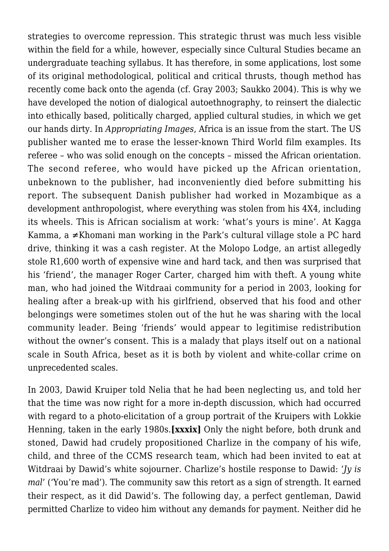strategies to overcome repression. This strategic thrust was much less visible within the field for a while, however, especially since Cultural Studies became an undergraduate teaching syllabus. It has therefore, in some applications, lost some of its original methodological, political and critical thrusts, though method has recently come back onto the agenda (cf. Gray 2003; Saukko 2004). This is why we have developed the notion of dialogical autoethnography, to reinsert the dialectic into ethically based, politically charged, applied cultural studies, in which we get our hands dirty. In *Appropriating Images*, Africa is an issue from the start. The US publisher wanted me to erase the lesser-known Third World film examples. Its referee – who was solid enough on the concepts – missed the African orientation. The second referee, who would have picked up the African orientation, unbeknown to the publisher, had inconveniently died before submitting his report. The subsequent Danish publisher had worked in Mozambique as a development anthropologist, where everything was stolen from his 4X4, including its wheels. This is African socialism at work: 'what's yours is mine'. At Kagga Kamma, a ≠Khomani man working in the Park's cultural village stole a PC hard drive, thinking it was a cash register. At the Molopo Lodge, an artist allegedly stole R1,600 worth of expensive wine and hard tack, and then was surprised that his 'friend', the manager Roger Carter, charged him with theft. A young white man, who had joined the Witdraai community for a period in 2003, looking for healing after a break-up with his girlfriend, observed that his food and other belongings were sometimes stolen out of the hut he was sharing with the local community leader. Being 'friends' would appear to legitimise redistribution without the owner's consent. This is a malady that plays itself out on a national scale in South Africa, beset as it is both by violent and white-collar crime on unprecedented scales.

In 2003, Dawid Kruiper told Nelia that he had been neglecting us, and told her that the time was now right for a more in-depth discussion, which had occurred with regard to a photo-elicitation of a group portrait of the Kruipers with Lokkie Henning, taken in the early 1980s.**[xxxix]** Only the night before, both drunk and stoned, Dawid had crudely propositioned Charlize in the company of his wife, child, and three of the CCMS research team, which had been invited to eat at Witdraai by Dawid's white sojourner. Charlize's hostile response to Dawid: '*Jy is mal*' ('You're mad'). The community saw this retort as a sign of strength. It earned their respect, as it did Dawid's. The following day, a perfect gentleman, Dawid permitted Charlize to video him without any demands for payment. Neither did he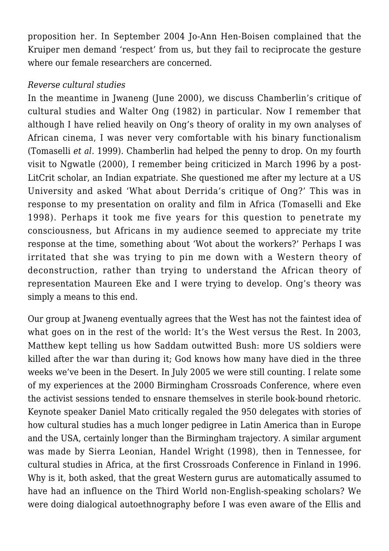proposition her. In September 2004 Jo-Ann Hen-Boisen complained that the Kruiper men demand 'respect' from us, but they fail to reciprocate the gesture where our female researchers are concerned.

#### *Reverse cultural studies*

In the meantime in Jwaneng (June 2000), we discuss Chamberlin's critique of cultural studies and Walter Ong (1982) in particular. Now I remember that although I have relied heavily on Ong's theory of orality in my own analyses of African cinema, I was never very comfortable with his binary functionalism (Tomaselli *et al.* 1999). Chamberlin had helped the penny to drop. On my fourth visit to Ngwatle (2000), I remember being criticized in March 1996 by a post-LitCrit scholar, an Indian expatriate. She questioned me after my lecture at a US University and asked 'What about Derrida's critique of Ong?' This was in response to my presentation on orality and film in Africa (Tomaselli and Eke 1998). Perhaps it took me five years for this question to penetrate my consciousness, but Africans in my audience seemed to appreciate my trite response at the time, something about 'Wot about the workers?' Perhaps I was irritated that she was trying to pin me down with a Western theory of deconstruction, rather than trying to understand the African theory of representation Maureen Eke and I were trying to develop. Ong's theory was simply a means to this end.

Our group at Jwaneng eventually agrees that the West has not the faintest idea of what goes on in the rest of the world: It's the West versus the Rest. In 2003, Matthew kept telling us how Saddam outwitted Bush: more US soldiers were killed after the war than during it; God knows how many have died in the three weeks we've been in the Desert. In July 2005 we were still counting. I relate some of my experiences at the 2000 Birmingham Crossroads Conference, where even the activist sessions tended to ensnare themselves in sterile book-bound rhetoric. Keynote speaker Daniel Mato critically regaled the 950 delegates with stories of how cultural studies has a much longer pedigree in Latin America than in Europe and the USA, certainly longer than the Birmingham trajectory. A similar argument was made by Sierra Leonian, Handel Wright (1998), then in Tennessee, for cultural studies in Africa, at the first Crossroads Conference in Finland in 1996. Why is it, both asked, that the great Western gurus are automatically assumed to have had an influence on the Third World non-English-speaking scholars? We were doing dialogical autoethnography before I was even aware of the Ellis and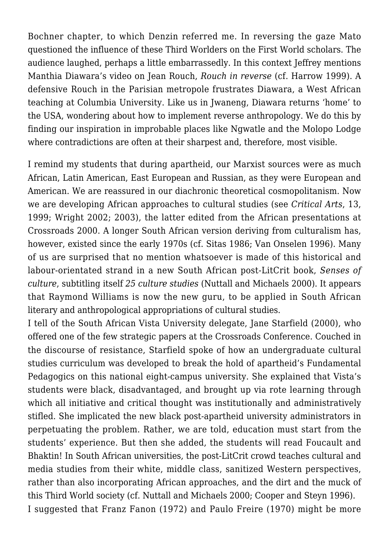Bochner chapter, to which Denzin referred me. In reversing the gaze Mato questioned the influence of these Third Worlders on the First World scholars. The audience laughed, perhaps a little embarrassedly. In this context Jeffrey mentions Manthia Diawara's video on Jean Rouch, *Rouch in reverse* (cf. Harrow 1999). A defensive Rouch in the Parisian metropole frustrates Diawara, a West African teaching at Columbia University. Like us in Jwaneng, Diawara returns 'home' to the USA, wondering about how to implement reverse anthropology. We do this by finding our inspiration in improbable places like Ngwatle and the Molopo Lodge where contradictions are often at their sharpest and, therefore, most visible.

I remind my students that during apartheid, our Marxist sources were as much African, Latin American, East European and Russian, as they were European and American. We are reassured in our diachronic theoretical cosmopolitanism. Now we are developing African approaches to cultural studies (see *Critical Arts*, 13, 1999; Wright 2002; 2003), the latter edited from the African presentations at Crossroads 2000. A longer South African version deriving from culturalism has, however, existed since the early 1970s (cf. Sitas 1986; Van Onselen 1996). Many of us are surprised that no mention whatsoever is made of this historical and labour-orientated strand in a new South African post-LitCrit book, *Senses of culture*, subtitling itself *25 culture studies* (Nuttall and Michaels 2000). It appears that Raymond Williams is now the new guru, to be applied in South African literary and anthropological appropriations of cultural studies.

I tell of the South African Vista University delegate, Jane Starfield (2000), who offered one of the few strategic papers at the Crossroads Conference. Couched in the discourse of resistance, Starfield spoke of how an undergraduate cultural studies curriculum was developed to break the hold of apartheid's Fundamental Pedagogics on this national eight-campus university. She explained that Vista's students were black, disadvantaged, and brought up via rote learning through which all initiative and critical thought was institutionally and administratively stifled. She implicated the new black post-apartheid university administrators in perpetuating the problem. Rather, we are told, education must start from the students' experience. But then she added, the students will read Foucault and Bhaktin! In South African universities, the post-LitCrit crowd teaches cultural and media studies from their white, middle class, sanitized Western perspectives, rather than also incorporating African approaches, and the dirt and the muck of this Third World society (cf. Nuttall and Michaels 2000; Cooper and Steyn 1996). I suggested that Franz Fanon (1972) and Paulo Freire (1970) might be more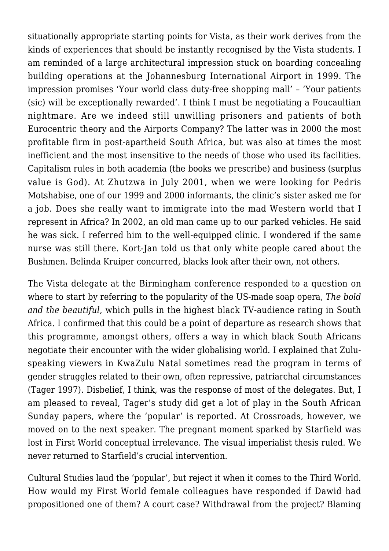situationally appropriate starting points for Vista, as their work derives from the kinds of experiences that should be instantly recognised by the Vista students. I am reminded of a large architectural impression stuck on boarding concealing building operations at the Johannesburg International Airport in 1999. The impression promises 'Your world class duty-free shopping mall' – 'Your patients (sic) will be exceptionally rewarded'. I think I must be negotiating a Foucaultian nightmare. Are we indeed still unwilling prisoners and patients of both Eurocentric theory and the Airports Company? The latter was in 2000 the most profitable firm in post-apartheid South Africa, but was also at times the most inefficient and the most insensitive to the needs of those who used its facilities. Capitalism rules in both academia (the books we prescribe) and business (surplus value is God). At Zhutzwa in July 2001, when we were looking for Pedris Motshabise, one of our 1999 and 2000 informants, the clinic's sister asked me for a job. Does she really want to immigrate into the mad Western world that I represent in Africa? In 2002, an old man came up to our parked vehicles. He said he was sick. I referred him to the well-equipped clinic. I wondered if the same nurse was still there. Kort-Jan told us that only white people cared about the Bushmen. Belinda Kruiper concurred, blacks look after their own, not others.

The Vista delegate at the Birmingham conference responded to a question on where to start by referring to the popularity of the US-made soap opera, *The bold and the beautiful*, which pulls in the highest black TV-audience rating in South Africa. I confirmed that this could be a point of departure as research shows that this programme, amongst others, offers a way in which black South Africans negotiate their encounter with the wider globalising world. I explained that Zuluspeaking viewers in KwaZulu Natal sometimes read the program in terms of gender struggles related to their own, often repressive, patriarchal circumstances (Tager 1997). Disbelief, I think, was the response of most of the delegates. But, I am pleased to reveal, Tager's study did get a lot of play in the South African Sunday papers, where the 'popular' is reported. At Crossroads, however, we moved on to the next speaker. The pregnant moment sparked by Starfield was lost in First World conceptual irrelevance. The visual imperialist thesis ruled. We never returned to Starfield's crucial intervention.

Cultural Studies laud the 'popular', but reject it when it comes to the Third World. How would my First World female colleagues have responded if Dawid had propositioned one of them? A court case? Withdrawal from the project? Blaming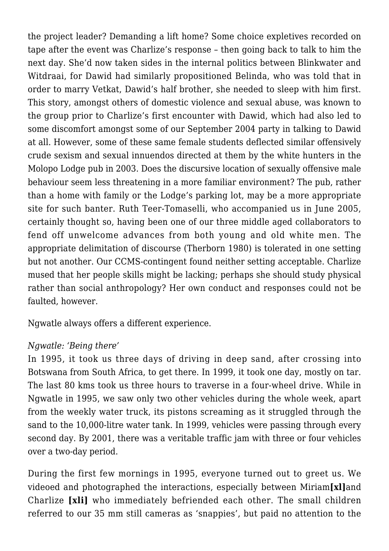the project leader? Demanding a lift home? Some choice expletives recorded on tape after the event was Charlize's response – then going back to talk to him the next day. She'd now taken sides in the internal politics between Blinkwater and Witdraai, for Dawid had similarly propositioned Belinda, who was told that in order to marry Vetkat, Dawid's half brother, she needed to sleep with him first. This story, amongst others of domestic violence and sexual abuse, was known to the group prior to Charlize's first encounter with Dawid, which had also led to some discomfort amongst some of our September 2004 party in talking to Dawid at all. However, some of these same female students deflected similar offensively crude sexism and sexual innuendos directed at them by the white hunters in the Molopo Lodge pub in 2003. Does the discursive location of sexually offensive male behaviour seem less threatening in a more familiar environment? The pub, rather than a home with family or the Lodge's parking lot, may be a more appropriate site for such banter. Ruth Teer-Tomaselli, who accompanied us in June 2005, certainly thought so, having been one of our three middle aged collaborators to fend off unwelcome advances from both young and old white men. The appropriate delimitation of discourse (Therborn 1980) is tolerated in one setting but not another. Our CCMS-contingent found neither setting acceptable. Charlize mused that her people skills might be lacking; perhaps she should study physical rather than social anthropology? Her own conduct and responses could not be faulted, however.

Ngwatle always offers a different experience.

## *Ngwatle: 'Being there'*

In 1995, it took us three days of driving in deep sand, after crossing into Botswana from South Africa, to get there. In 1999, it took one day, mostly on tar. The last 80 kms took us three hours to traverse in a four-wheel drive. While in Ngwatle in 1995, we saw only two other vehicles during the whole week, apart from the weekly water truck, its pistons screaming as it struggled through the sand to the 10,000-litre water tank. In 1999, vehicles were passing through every second day. By 2001, there was a veritable traffic jam with three or four vehicles over a two-day period.

During the first few mornings in 1995, everyone turned out to greet us. We videoed and photographed the interactions, especially between Miriam**[xl]**and Charlize **[xli]** who immediately befriended each other. The small children referred to our 35 mm still cameras as 'snappies', but paid no attention to the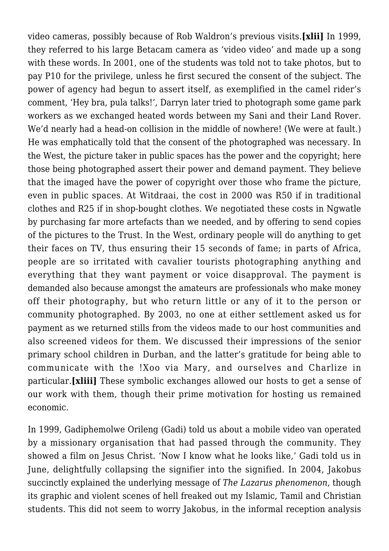video cameras, possibly because of Rob Waldron's previous visits.**[xlii]** In 1999, they referred to his large Betacam camera as 'video video' and made up a song with these words. In 2001, one of the students was told not to take photos, but to pay P10 for the privilege, unless he first secured the consent of the subject. The power of agency had begun to assert itself, as exemplified in the camel rider's comment, 'Hey bra, pula talks!', Darryn later tried to photograph some game park workers as we exchanged heated words between my Sani and their Land Rover. We'd nearly had a head-on collision in the middle of nowhere! (We were at fault.) He was emphatically told that the consent of the photographed was necessary. In the West, the picture taker in public spaces has the power and the copyright; here those being photographed assert their power and demand payment. They believe that the imaged have the power of copyright over those who frame the picture, even in public spaces. At Witdraai, the cost in 2000 was R50 if in traditional clothes and R25 if in shop-bought clothes. We negotiated these costs in Ngwatle by purchasing far more artefacts than we needed, and by offering to send copies of the pictures to the Trust. In the West, ordinary people will do anything to get their faces on TV, thus ensuring their 15 seconds of fame; in parts of Africa, people are so irritated with cavalier tourists photographing anything and everything that they want payment or voice disapproval. The payment is demanded also because amongst the amateurs are professionals who make money off their photography, but who return little or any of it to the person or community photographed. By 2003, no one at either settlement asked us for payment as we returned stills from the videos made to our host communities and also screened videos for them. We discussed their impressions of the senior primary school children in Durban, and the latter's gratitude for being able to communicate with the !Xoo via Mary, and ourselves and Charlize in particular.**[xliii]** These symbolic exchanges allowed our hosts to get a sense of our work with them, though their prime motivation for hosting us remained economic.

In 1999, Gadiphemolwe Orileng (Gadi) told us about a mobile video van operated by a missionary organisation that had passed through the community. They showed a film on Jesus Christ. 'Now I know what he looks like,' Gadi told us in June, delightfully collapsing the signifier into the signified. In 2004, Jakobus succinctly explained the underlying message of *The Lazarus phenomenon*, though its graphic and violent scenes of hell freaked out my Islamic, Tamil and Christian students. This did not seem to worry Jakobus, in the informal reception analysis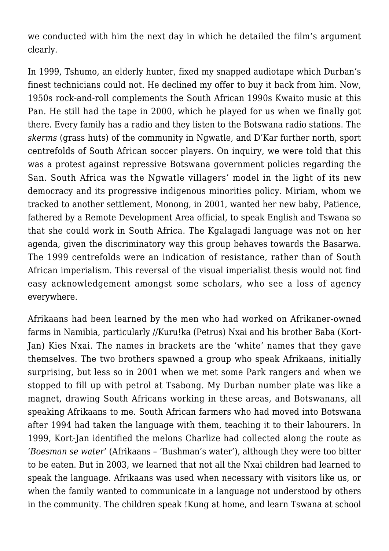we conducted with him the next day in which he detailed the film's argument clearly.

In 1999, Tshumo, an elderly hunter, fixed my snapped audiotape which Durban's finest technicians could not. He declined my offer to buy it back from him. Now, 1950s rock-and-roll complements the South African 1990s Kwaito music at this Pan. He still had the tape in 2000, which he played for us when we finally got there. Every family has a radio and they listen to the Botswana radio stations. The *skerms* (grass huts) of the community in Ngwatle, and D'Kar further north, sport centrefolds of South African soccer players. On inquiry, we were told that this was a protest against repressive Botswana government policies regarding the San. South Africa was the Ngwatle villagers' model in the light of its new democracy and its progressive indigenous minorities policy. Miriam, whom we tracked to another settlement, Monong, in 2001, wanted her new baby, Patience, fathered by a Remote Development Area official, to speak English and Tswana so that she could work in South Africa. The Kgalagadi language was not on her agenda, given the discriminatory way this group behaves towards the Basarwa. The 1999 centrefolds were an indication of resistance, rather than of South African imperialism. This reversal of the visual imperialist thesis would not find easy acknowledgement amongst some scholars, who see a loss of agency everywhere.

Afrikaans had been learned by the men who had worked on Afrikaner-owned farms in Namibia, particularly //Kuru!ka (Petrus) Nxai and his brother Baba (Kort-Jan) Kies Nxai. The names in brackets are the 'white' names that they gave themselves. The two brothers spawned a group who speak Afrikaans, initially surprising, but less so in 2001 when we met some Park rangers and when we stopped to fill up with petrol at Tsabong. My Durban number plate was like a magnet, drawing South Africans working in these areas, and Botswanans, all speaking Afrikaans to me. South African farmers who had moved into Botswana after 1994 had taken the language with them, teaching it to their labourers. In 1999, Kort-Jan identified the melons Charlize had collected along the route as '*Boesman se water*' (Afrikaans – 'Bushman's water'), although they were too bitter to be eaten. But in 2003, we learned that not all the Nxai children had learned to speak the language. Afrikaans was used when necessary with visitors like us, or when the family wanted to communicate in a language not understood by others in the community. The children speak !Kung at home, and learn Tswana at school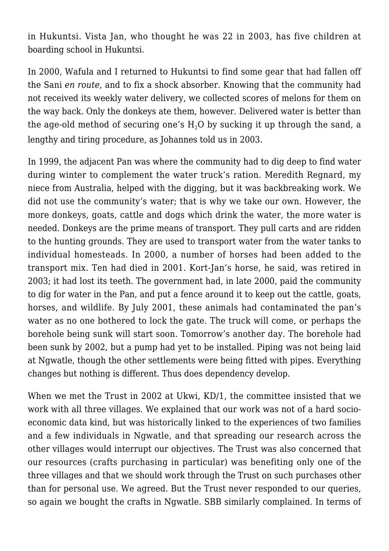in Hukuntsi. Vista Jan, who thought he was 22 in 2003, has five children at boarding school in Hukuntsi.

In 2000, Wafula and I returned to Hukuntsi to find some gear that had fallen off the Sani *en route*, and to fix a shock absorber. Knowing that the community had not received its weekly water delivery, we collected scores of melons for them on the way back. Only the donkeys ate them, however. Delivered water is better than the age-old method of securing one's  $H<sub>2</sub>O$  by sucking it up through the sand, a lengthy and tiring procedure, as Johannes told us in 2003.

In 1999, the adjacent Pan was where the community had to dig deep to find water during winter to complement the water truck's ration. Meredith Regnard, my niece from Australia, helped with the digging, but it was backbreaking work. We did not use the community's water; that is why we take our own. However, the more donkeys, goats, cattle and dogs which drink the water, the more water is needed. Donkeys are the prime means of transport. They pull carts and are ridden to the hunting grounds. They are used to transport water from the water tanks to individual homesteads. In 2000, a number of horses had been added to the transport mix. Ten had died in 2001. Kort-Jan's horse, he said, was retired in 2003; it had lost its teeth. The government had, in late 2000, paid the community to dig for water in the Pan, and put a fence around it to keep out the cattle, goats, horses, and wildlife. By July 2001, these animals had contaminated the pan's water as no one bothered to lock the gate. The truck will come, or perhaps the borehole being sunk will start soon. Tomorrow's another day. The borehole had been sunk by 2002, but a pump had yet to be installed. Piping was not being laid at Ngwatle, though the other settlements were being fitted with pipes. Everything changes but nothing is different. Thus does dependency develop.

When we met the Trust in 2002 at Ukwi, KD/1, the committee insisted that we work with all three villages. We explained that our work was not of a hard socioeconomic data kind, but was historically linked to the experiences of two families and a few individuals in Ngwatle, and that spreading our research across the other villages would interrupt our objectives. The Trust was also concerned that our resources (crafts purchasing in particular) was benefiting only one of the three villages and that we should work through the Trust on such purchases other than for personal use. We agreed. But the Trust never responded to our queries, so again we bought the crafts in Ngwatle. SBB similarly complained. In terms of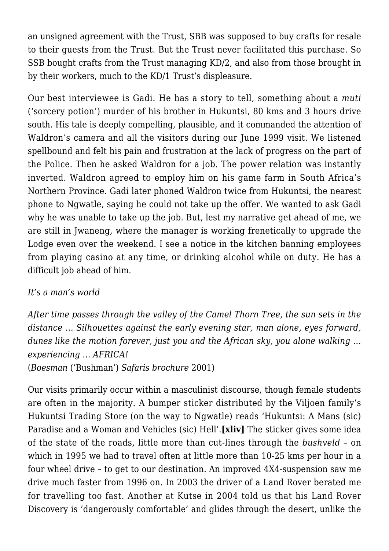an unsigned agreement with the Trust, SBB was supposed to buy crafts for resale to their guests from the Trust. But the Trust never facilitated this purchase. So SSB bought crafts from the Trust managing KD/2, and also from those brought in by their workers, much to the KD/1 Trust's displeasure.

Our best interviewee is Gadi. He has a story to tell, something about a *muti* ('sorcery potion') murder of his brother in Hukuntsi, 80 kms and 3 hours drive south. His tale is deeply compelling, plausible, and it commanded the attention of Waldron's camera and all the visitors during our June 1999 visit. We listened spellbound and felt his pain and frustration at the lack of progress on the part of the Police. Then he asked Waldron for a job. The power relation was instantly inverted. Waldron agreed to employ him on his game farm in South Africa's Northern Province. Gadi later phoned Waldron twice from Hukuntsi, the nearest phone to Ngwatle, saying he could not take up the offer. We wanted to ask Gadi why he was unable to take up the job. But, lest my narrative get ahead of me, we are still in Jwaneng, where the manager is working frenetically to upgrade the Lodge even over the weekend. I see a notice in the kitchen banning employees from playing casino at any time, or drinking alcohol while on duty. He has a difficult job ahead of him.

#### *It's a man's world*

*After time passes through the valley of the Camel Thorn Tree, the sun sets in the distance … Silhouettes against the early evening star, man alone, eyes forward, dunes like the motion forever, just you and the African sky, you alone walking … experiencing … AFRICA!*

(*Boesman* ('Bushman') *Safaris brochure* 2001)

Our visits primarily occur within a masculinist discourse, though female students are often in the majority. A bumper sticker distributed by the Viljoen family's Hukuntsi Trading Store (on the way to Ngwatle) reads 'Hukuntsi: A Mans (sic) Paradise and a Woman and Vehicles (sic) Hell'.**[xliv]** The sticker gives some idea of the state of the roads, little more than cut-lines through the *bushveld* – on which in 1995 we had to travel often at little more than 10-25 kms per hour in a four wheel drive – to get to our destination. An improved 4X4-suspension saw me drive much faster from 1996 on. In 2003 the driver of a Land Rover berated me for travelling too fast. Another at Kutse in 2004 told us that his Land Rover Discovery is 'dangerously comfortable' and glides through the desert, unlike the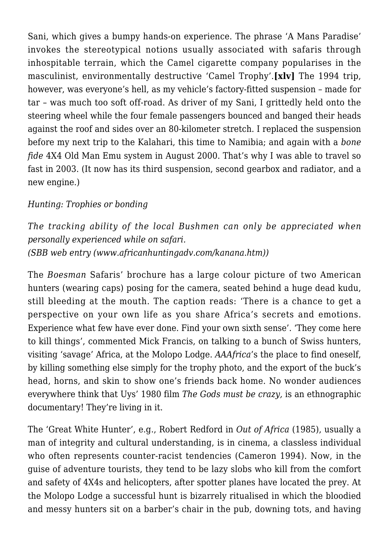Sani, which gives a bumpy hands-on experience. The phrase 'A Mans Paradise' invokes the stereotypical notions usually associated with safaris through inhospitable terrain, which the Camel cigarette company popularises in the masculinist, environmentally destructive 'Camel Trophy'.**[xlv]** The 1994 trip, however, was everyone's hell, as my vehicle's factory-fitted suspension – made for tar – was much too soft off-road. As driver of my Sani, I grittedly held onto the steering wheel while the four female passengers bounced and banged their heads against the roof and sides over an 80-kilometer stretch. I replaced the suspension before my next trip to the Kalahari, this time to Namibia; and again with a *bone fide* 4X4 Old Man Emu system in August 2000. That's why I was able to travel so fast in 2003. (It now has its third suspension, second gearbox and radiator, and a new engine.)

# *Hunting: Trophies or bonding*

*The tracking ability of the local Bushmen can only be appreciated when personally experienced while on safari. (SBB web entry (www.africanhuntingadv.com/kanana.htm))*

The *Boesman* Safaris' brochure has a large colour picture of two American hunters (wearing caps) posing for the camera, seated behind a huge dead kudu, still bleeding at the mouth. The caption reads: 'There is a chance to get a perspective on your own life as you share Africa's secrets and emotions. Experience what few have ever done. Find your own sixth sense'. 'They come here to kill things', commented Mick Francis, on talking to a bunch of Swiss hunters, visiting 'savage' Africa, at the Molopo Lodge. *AAAfrica*'s the place to find oneself, by killing something else simply for the trophy photo, and the export of the buck's head, horns, and skin to show one's friends back home. No wonder audiences everywhere think that Uys' 1980 film *The Gods must be crazy,* is an ethnographic documentary! They're living in it.

The 'Great White Hunter', e.g., Robert Redford in *Out of Africa* (1985), usually a man of integrity and cultural understanding, is in cinema, a classless individual who often represents counter-racist tendencies (Cameron 1994). Now, in the guise of adventure tourists, they tend to be lazy slobs who kill from the comfort and safety of 4X4s and helicopters, after spotter planes have located the prey. At the Molopo Lodge a successful hunt is bizarrely ritualised in which the bloodied and messy hunters sit on a barber's chair in the pub, downing tots, and having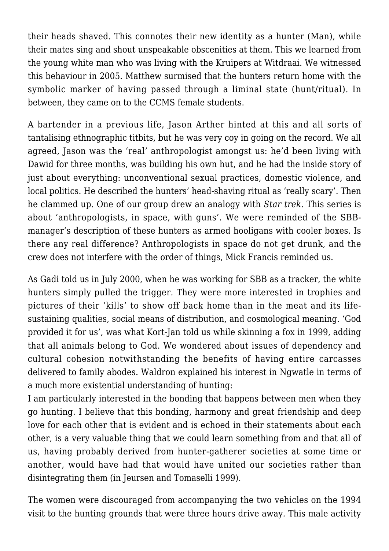their heads shaved. This connotes their new identity as a hunter (Man), while their mates sing and shout unspeakable obscenities at them. This we learned from the young white man who was living with the Kruipers at Witdraai. We witnessed this behaviour in 2005. Matthew surmised that the hunters return home with the symbolic marker of having passed through a liminal state (hunt/ritual). In between, they came on to the CCMS female students.

A bartender in a previous life, Jason Arther hinted at this and all sorts of tantalising ethnographic titbits, but he was very coy in going on the record. We all agreed, Jason was the 'real' anthropologist amongst us: he'd been living with Dawid for three months, was building his own hut, and he had the inside story of just about everything: unconventional sexual practices, domestic violence, and local politics. He described the hunters' head-shaving ritual as 'really scary'. Then he clammed up. One of our group drew an analogy with *Star trek*. This series is about 'anthropologists, in space, with guns'. We were reminded of the SBBmanager's description of these hunters as armed hooligans with cooler boxes. Is there any real difference? Anthropologists in space do not get drunk, and the crew does not interfere with the order of things, Mick Francis reminded us.

As Gadi told us in July 2000, when he was working for SBB as a tracker, the white hunters simply pulled the trigger. They were more interested in trophies and pictures of their 'kills' to show off back home than in the meat and its lifesustaining qualities, social means of distribution, and cosmological meaning. 'God provided it for us', was what Kort-Jan told us while skinning a fox in 1999, adding that all animals belong to God. We wondered about issues of dependency and cultural cohesion notwithstanding the benefits of having entire carcasses delivered to family abodes. Waldron explained his interest in Ngwatle in terms of a much more existential understanding of hunting:

I am particularly interested in the bonding that happens between men when they go hunting. I believe that this bonding, harmony and great friendship and deep love for each other that is evident and is echoed in their statements about each other, is a very valuable thing that we could learn something from and that all of us, having probably derived from hunter-gatherer societies at some time or another, would have had that would have united our societies rather than disintegrating them (in Jeursen and Tomaselli 1999).

The women were discouraged from accompanying the two vehicles on the 1994 visit to the hunting grounds that were three hours drive away. This male activity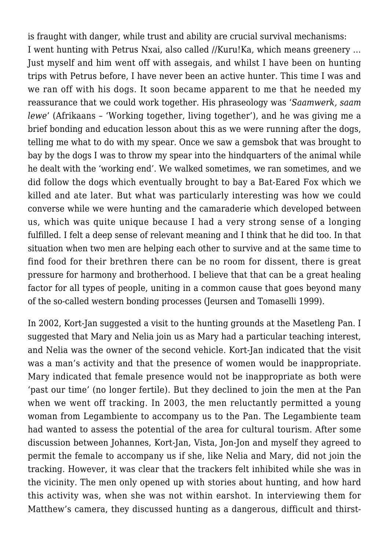is fraught with danger, while trust and ability are crucial survival mechanisms: I went hunting with Petrus Nxai, also called //Kuru!Ka, which means greenery … Just myself and him went off with assegais, and whilst I have been on hunting trips with Petrus before, I have never been an active hunter. This time I was and we ran off with his dogs. It soon became apparent to me that he needed my reassurance that we could work together. His phraseology was '*Saamwerk, saam lewe*' (Afrikaans – 'Working together, living together'), and he was giving me a brief bonding and education lesson about this as we were running after the dogs, telling me what to do with my spear. Once we saw a gemsbok that was brought to bay by the dogs I was to throw my spear into the hindquarters of the animal while he dealt with the 'working end'. We walked sometimes, we ran sometimes, and we did follow the dogs which eventually brought to bay a Bat-Eared Fox which we killed and ate later. But what was particularly interesting was how we could converse while we were hunting and the camaraderie which developed between us, which was quite unique because I had a very strong sense of a longing fulfilled. I felt a deep sense of relevant meaning and I think that he did too. In that situation when two men are helping each other to survive and at the same time to find food for their brethren there can be no room for dissent, there is great pressure for harmony and brotherhood. I believe that that can be a great healing factor for all types of people, uniting in a common cause that goes beyond many of the so-called western bonding processes (Jeursen and Tomaselli 1999).

In 2002, Kort-Jan suggested a visit to the hunting grounds at the Masetleng Pan. I suggested that Mary and Nelia join us as Mary had a particular teaching interest, and Nelia was the owner of the second vehicle. Kort-Jan indicated that the visit was a man's activity and that the presence of women would be inappropriate. Mary indicated that female presence would not be inappropriate as both were 'past our time' (no longer fertile). But they declined to join the men at the Pan when we went off tracking. In 2003, the men reluctantly permitted a young woman from Legambiente to accompany us to the Pan. The Legambiente team had wanted to assess the potential of the area for cultural tourism. After some discussion between Johannes, Kort-Jan, Vista, Jon-Jon and myself they agreed to permit the female to accompany us if she, like Nelia and Mary, did not join the tracking. However, it was clear that the trackers felt inhibited while she was in the vicinity. The men only opened up with stories about hunting, and how hard this activity was, when she was not within earshot. In interviewing them for Matthew's camera, they discussed hunting as a dangerous, difficult and thirst-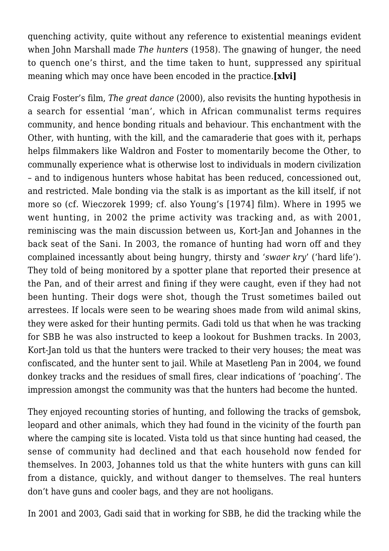quenching activity, quite without any reference to existential meanings evident when John Marshall made *The hunters* (1958). The gnawing of hunger, the need to quench one's thirst, and the time taken to hunt, suppressed any spiritual meaning which may once have been encoded in the practice.**[xlvi]**

Craig Foster's film, *The great dance* (2000), also revisits the hunting hypothesis in a search for essential 'man', which in African communalist terms requires community, and hence bonding rituals and behaviour. This enchantment with the Other, with hunting, with the kill, and the camaraderie that goes with it, perhaps helps filmmakers like Waldron and Foster to momentarily become the Other, to communally experience what is otherwise lost to individuals in modern civilization – and to indigenous hunters whose habitat has been reduced, concessioned out, and restricted. Male bonding via the stalk is as important as the kill itself, if not more so (cf. Wieczorek 1999; cf. also Young's [1974] film). Where in 1995 we went hunting, in 2002 the prime activity was tracking and, as with 2001, reminiscing was the main discussion between us, Kort-Jan and Johannes in the back seat of the Sani. In 2003, the romance of hunting had worn off and they complained incessantly about being hungry, thirsty and '*swaer kry*' ('hard life'). They told of being monitored by a spotter plane that reported their presence at the Pan, and of their arrest and fining if they were caught, even if they had not been hunting. Their dogs were shot, though the Trust sometimes bailed out arrestees. If locals were seen to be wearing shoes made from wild animal skins, they were asked for their hunting permits. Gadi told us that when he was tracking for SBB he was also instructed to keep a lookout for Bushmen tracks. In 2003, Kort-Jan told us that the hunters were tracked to their very houses; the meat was confiscated, and the hunter sent to jail. While at Masetleng Pan in 2004, we found donkey tracks and the residues of small fires, clear indications of 'poaching'. The impression amongst the community was that the hunters had become the hunted.

They enjoyed recounting stories of hunting, and following the tracks of gemsbok, leopard and other animals, which they had found in the vicinity of the fourth pan where the camping site is located. Vista told us that since hunting had ceased, the sense of community had declined and that each household now fended for themselves. In 2003, Johannes told us that the white hunters with guns can kill from a distance, quickly, and without danger to themselves. The real hunters don't have guns and cooler bags, and they are not hooligans.

In 2001 and 2003, Gadi said that in working for SBB, he did the tracking while the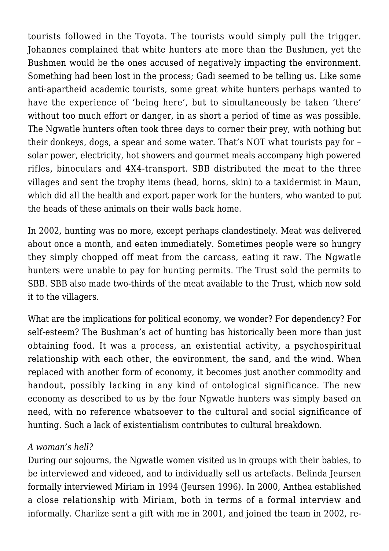tourists followed in the Toyota. The tourists would simply pull the trigger. Johannes complained that white hunters ate more than the Bushmen, yet the Bushmen would be the ones accused of negatively impacting the environment. Something had been lost in the process; Gadi seemed to be telling us. Like some anti-apartheid academic tourists, some great white hunters perhaps wanted to have the experience of 'being here', but to simultaneously be taken 'there' without too much effort or danger, in as short a period of time as was possible. The Ngwatle hunters often took three days to corner their prey, with nothing but their donkeys, dogs, a spear and some water. That's NOT what tourists pay for – solar power, electricity, hot showers and gourmet meals accompany high powered rifles, binoculars and 4X4-transport. SBB distributed the meat to the three villages and sent the trophy items (head, horns, skin) to a taxidermist in Maun, which did all the health and export paper work for the hunters, who wanted to put the heads of these animals on their walls back home.

In 2002, hunting was no more, except perhaps clandestinely. Meat was delivered about once a month, and eaten immediately. Sometimes people were so hungry they simply chopped off meat from the carcass, eating it raw. The Ngwatle hunters were unable to pay for hunting permits. The Trust sold the permits to SBB. SBB also made two-thirds of the meat available to the Trust, which now sold it to the villagers.

What are the implications for political economy, we wonder? For dependency? For self-esteem? The Bushman's act of hunting has historically been more than just obtaining food. It was a process, an existential activity, a psychospiritual relationship with each other, the environment, the sand, and the wind. When replaced with another form of economy, it becomes just another commodity and handout, possibly lacking in any kind of ontological significance. The new economy as described to us by the four Ngwatle hunters was simply based on need, with no reference whatsoever to the cultural and social significance of hunting. Such a lack of existentialism contributes to cultural breakdown.

#### *A woman's hell?*

During our sojourns, the Ngwatle women visited us in groups with their babies, to be interviewed and videoed, and to individually sell us artefacts. Belinda Jeursen formally interviewed Miriam in 1994 (Jeursen 1996). In 2000, Anthea established a close relationship with Miriam, both in terms of a formal interview and informally. Charlize sent a gift with me in 2001, and joined the team in 2002, re-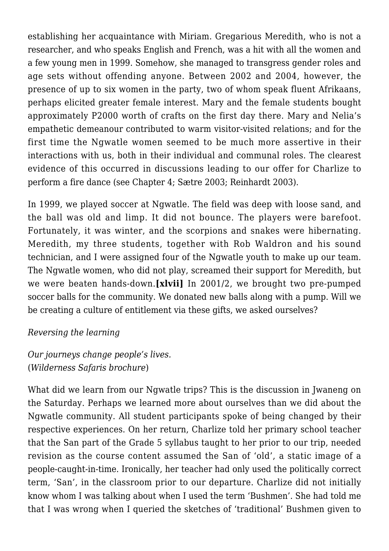establishing her acquaintance with Miriam. Gregarious Meredith, who is not a researcher, and who speaks English and French, was a hit with all the women and a few young men in 1999. Somehow, she managed to transgress gender roles and age sets without offending anyone. Between 2002 and 2004, however, the presence of up to six women in the party, two of whom speak fluent Afrikaans, perhaps elicited greater female interest. Mary and the female students bought approximately P2000 worth of crafts on the first day there. Mary and Nelia's empathetic demeanour contributed to warm visitor-visited relations; and for the first time the Ngwatle women seemed to be much more assertive in their interactions with us, both in their individual and communal roles. The clearest evidence of this occurred in discussions leading to our offer for Charlize to perform a fire dance (see Chapter 4; Sætre 2003; Reinhardt 2003).

In 1999, we played soccer at Ngwatle. The field was deep with loose sand, and the ball was old and limp. It did not bounce. The players were barefoot. Fortunately, it was winter, and the scorpions and snakes were hibernating. Meredith, my three students, together with Rob Waldron and his sound technician, and I were assigned four of the Ngwatle youth to make up our team. The Ngwatle women, who did not play, screamed their support for Meredith, but we were beaten hands-down.**[xlvii]** In 2001/2, we brought two pre-pumped soccer balls for the community. We donated new balls along with a pump. Will we be creating a culture of entitlement via these gifts, we asked ourselves?

## *Reversing the learning*

*Our journeys change people's lives.* (*Wilderness Safaris brochure*)

What did we learn from our Ngwatle trips? This is the discussion in Jwaneng on the Saturday. Perhaps we learned more about ourselves than we did about the Ngwatle community. All student participants spoke of being changed by their respective experiences. On her return, Charlize told her primary school teacher that the San part of the Grade 5 syllabus taught to her prior to our trip, needed revision as the course content assumed the San of 'old', a static image of a people-caught-in-time. Ironically, her teacher had only used the politically correct term, 'San', in the classroom prior to our departure. Charlize did not initially know whom I was talking about when I used the term 'Bushmen'. She had told me that I was wrong when I queried the sketches of 'traditional' Bushmen given to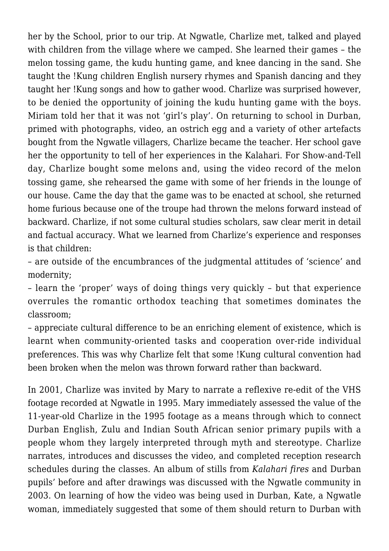her by the School, prior to our trip. At Ngwatle, Charlize met, talked and played with children from the village where we camped. She learned their games – the melon tossing game, the kudu hunting game, and knee dancing in the sand. She taught the !Kung children English nursery rhymes and Spanish dancing and they taught her !Kung songs and how to gather wood. Charlize was surprised however, to be denied the opportunity of joining the kudu hunting game with the boys. Miriam told her that it was not 'girl's play'. On returning to school in Durban, primed with photographs, video, an ostrich egg and a variety of other artefacts bought from the Ngwatle villagers, Charlize became the teacher. Her school gave her the opportunity to tell of her experiences in the Kalahari. For Show-and-Tell day, Charlize bought some melons and, using the video record of the melon tossing game, she rehearsed the game with some of her friends in the lounge of our house. Came the day that the game was to be enacted at school, she returned home furious because one of the troupe had thrown the melons forward instead of backward. Charlize, if not some cultural studies scholars, saw clear merit in detail and factual accuracy. What we learned from Charlize's experience and responses is that children:

– are outside of the encumbrances of the judgmental attitudes of 'science' and modernity;

– learn the 'proper' ways of doing things very quickly – but that experience overrules the romantic orthodox teaching that sometimes dominates the classroom;

– appreciate cultural difference to be an enriching element of existence, which is learnt when community-oriented tasks and cooperation over-ride individual preferences. This was why Charlize felt that some !Kung cultural convention had been broken when the melon was thrown forward rather than backward.

In 2001, Charlize was invited by Mary to narrate a reflexive re-edit of the VHS footage recorded at Ngwatle in 1995. Mary immediately assessed the value of the 11-year-old Charlize in the 1995 footage as a means through which to connect Durban English, Zulu and Indian South African senior primary pupils with a people whom they largely interpreted through myth and stereotype. Charlize narrates, introduces and discusses the video, and completed reception research schedules during the classes. An album of stills from *Kalahari fires* and Durban pupils' before and after drawings was discussed with the Ngwatle community in 2003. On learning of how the video was being used in Durban, Kate, a Ngwatle woman, immediately suggested that some of them should return to Durban with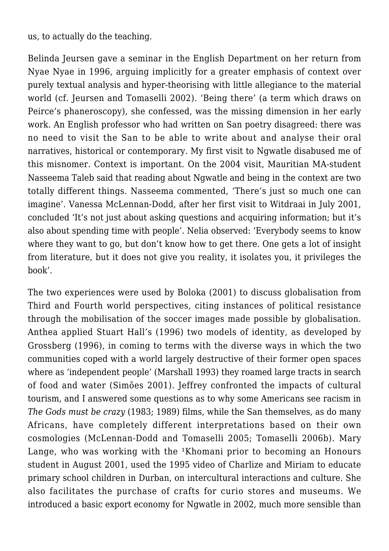us, to actually do the teaching.

Belinda Jeursen gave a seminar in the English Department on her return from Nyae Nyae in 1996, arguing implicitly for a greater emphasis of context over purely textual analysis and hyper-theorising with little allegiance to the material world (cf. Jeursen and Tomaselli 2002). 'Being there' (a term which draws on Peirce's phaneroscopy), she confessed, was the missing dimension in her early work. An English professor who had written on San poetry disagreed: there was no need to visit the San to be able to write about and analyse their oral narratives, historical or contemporary. My first visit to Ngwatle disabused me of this misnomer. Context is important. On the 2004 visit, Mauritian MA-student Nasseema Taleb said that reading about Ngwatle and being in the context are two totally different things. Nasseema commented, 'There's just so much one can imagine'. Vanessa McLennan-Dodd, after her first visit to Witdraai in July 2001, concluded 'It's not just about asking questions and acquiring information; but it's also about spending time with people'. Nelia observed: 'Everybody seems to know where they want to go, but don't know how to get there. One gets a lot of insight from literature, but it does not give you reality, it isolates you, it privileges the book'.

The two experiences were used by Boloka (2001) to discuss globalisation from Third and Fourth world perspectives, citing instances of political resistance through the mobilisation of the soccer images made possible by globalisation. Anthea applied Stuart Hall's (1996) two models of identity, as developed by Grossberg (1996), in coming to terms with the diverse ways in which the two communities coped with a world largely destructive of their former open spaces where as 'independent people' (Marshall 1993) they roamed large tracts in search of food and water (Simões 2001). Jeffrey confronted the impacts of cultural tourism, and I answered some questions as to why some Americans see racism in *The Gods must be crazy* (1983; 1989) films, while the San themselves, as do many Africans, have completely different interpretations based on their own cosmologies (McLennan-Dodd and Tomaselli 2005; Tomaselli 2006b). Mary Lange, who was working with the <sup>1</sup>Khomani prior to becoming an Honours student in August 2001, used the 1995 video of Charlize and Miriam to educate primary school children in Durban, on intercultural interactions and culture. She also facilitates the purchase of crafts for curio stores and museums. We introduced a basic export economy for Ngwatle in 2002, much more sensible than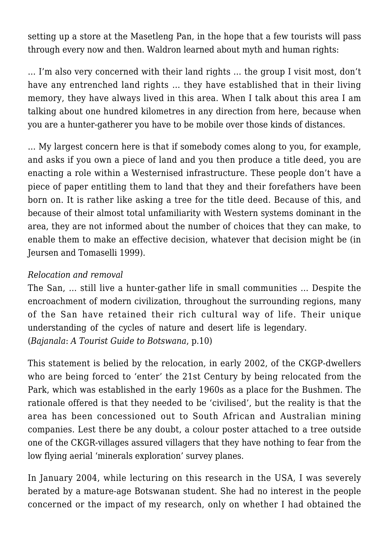setting up a store at the Masetleng Pan, in the hope that a few tourists will pass through every now and then. Waldron learned about myth and human rights:

… I'm also very concerned with their land rights … the group I visit most, don't have any entrenched land rights … they have established that in their living memory, they have always lived in this area. When I talk about this area I am talking about one hundred kilometres in any direction from here, because when you are a hunter-gatherer you have to be mobile over those kinds of distances.

… My largest concern here is that if somebody comes along to you, for example, and asks if you own a piece of land and you then produce a title deed, you are enacting a role within a Westernised infrastructure. These people don't have a piece of paper entitling them to land that they and their forefathers have been born on. It is rather like asking a tree for the title deed. Because of this, and because of their almost total unfamiliarity with Western systems dominant in the area, they are not informed about the number of choices that they can make, to enable them to make an effective decision, whatever that decision might be (in Jeursen and Tomaselli 1999).

### *Relocation and removal*

The San, … still live a hunter-gather life in small communities … Despite the encroachment of modern civilization, throughout the surrounding regions, many of the San have retained their rich cultural way of life. Their unique understanding of the cycles of nature and desert life is legendary. (*Bajanala*: *A Tourist Guide to Botswana*, p.10)

This statement is belied by the relocation, in early 2002, of the CKGP-dwellers who are being forced to 'enter' the 21st Century by being relocated from the Park, which was established in the early 1960s as a place for the Bushmen. The rationale offered is that they needed to be 'civilised', but the reality is that the area has been concessioned out to South African and Australian mining companies. Lest there be any doubt, a colour poster attached to a tree outside one of the CKGR-villages assured villagers that they have nothing to fear from the low flying aerial 'minerals exploration' survey planes.

In January 2004, while lecturing on this research in the USA, I was severely berated by a mature-age Botswanan student. She had no interest in the people concerned or the impact of my research, only on whether I had obtained the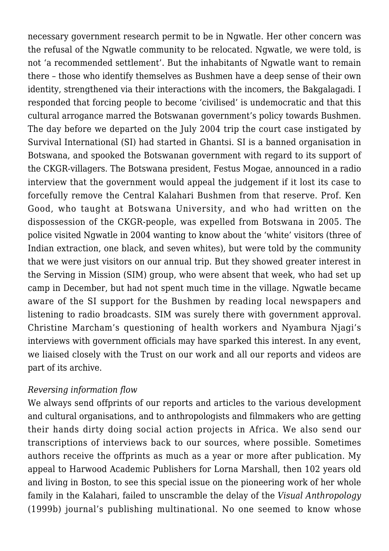necessary government research permit to be in Ngwatle. Her other concern was the refusal of the Ngwatle community to be relocated. Ngwatle, we were told, is not 'a recommended settlement'. But the inhabitants of Ngwatle want to remain there – those who identify themselves as Bushmen have a deep sense of their own identity, strengthened via their interactions with the incomers, the Bakgalagadi. I responded that forcing people to become 'civilised' is undemocratic and that this cultural arrogance marred the Botswanan government's policy towards Bushmen. The day before we departed on the July 2004 trip the court case instigated by Survival International (SI) had started in Ghantsi. SI is a banned organisation in Botswana, and spooked the Botswanan government with regard to its support of the CKGR-villagers. The Botswana president, Festus Mogae, announced in a radio interview that the government would appeal the judgement if it lost its case to forcefully remove the Central Kalahari Bushmen from that reserve. Prof. Ken Good, who taught at Botswana University, and who had written on the dispossession of the CKGR-people, was expelled from Botswana in 2005. The police visited Ngwatle in 2004 wanting to know about the 'white' visitors (three of Indian extraction, one black, and seven whites), but were told by the community that we were just visitors on our annual trip. But they showed greater interest in the Serving in Mission (SIM) group, who were absent that week, who had set up camp in December, but had not spent much time in the village. Ngwatle became aware of the SI support for the Bushmen by reading local newspapers and listening to radio broadcasts. SIM was surely there with government approval. Christine Marcham's questioning of health workers and Nyambura Njagi's interviews with government officials may have sparked this interest. In any event, we liaised closely with the Trust on our work and all our reports and videos are part of its archive.

#### *Reversing information flow*

We always send offprints of our reports and articles to the various development and cultural organisations, and to anthropologists and filmmakers who are getting their hands dirty doing social action projects in Africa. We also send our transcriptions of interviews back to our sources, where possible. Sometimes authors receive the offprints as much as a year or more after publication. My appeal to Harwood Academic Publishers for Lorna Marshall, then 102 years old and living in Boston, to see this special issue on the pioneering work of her whole family in the Kalahari, failed to unscramble the delay of the *Visual Anthropology* (1999b) journal's publishing multinational. No one seemed to know whose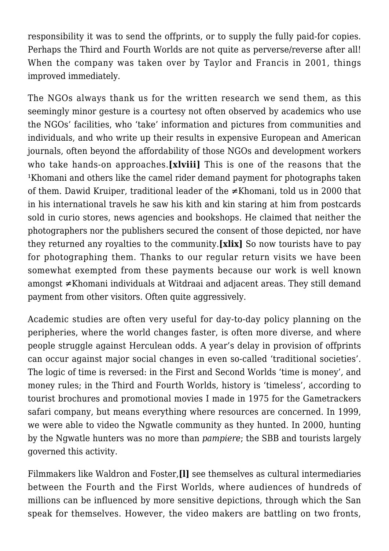responsibility it was to send the offprints, or to supply the fully paid-for copies. Perhaps the Third and Fourth Worlds are not quite as perverse/reverse after all! When the company was taken over by Taylor and Francis in 2001, things improved immediately.

The NGOs always thank us for the written research we send them, as this seemingly minor gesture is a courtesy not often observed by academics who use the NGOs' facilities, who 'take' information and pictures from communities and individuals, and who write up their results in expensive European and American journals, often beyond the affordability of those NGOs and development workers who take hands-on approaches.**[xlviii]** This is one of the reasons that the <sup>1</sup>Khomani and others like the camel rider demand payment for photographs taken of them. Dawid Kruiper, traditional leader of the ≠Khomani, told us in 2000 that in his international travels he saw his kith and kin staring at him from postcards sold in curio stores, news agencies and bookshops. He claimed that neither the photographers nor the publishers secured the consent of those depicted, nor have they returned any royalties to the community.**[xlix]** So now tourists have to pay for photographing them. Thanks to our regular return visits we have been somewhat exempted from these payments because our work is well known amongst ≠Khomani individuals at Witdraai and adjacent areas. They still demand payment from other visitors. Often quite aggressively.

Academic studies are often very useful for day-to-day policy planning on the peripheries, where the world changes faster, is often more diverse, and where people struggle against Herculean odds. A year's delay in provision of offprints can occur against major social changes in even so-called 'traditional societies'. The logic of time is reversed: in the First and Second Worlds 'time is money', and money rules; in the Third and Fourth Worlds, history is 'timeless', according to tourist brochures and promotional movies I made in 1975 for the Gametrackers safari company, but means everything where resources are concerned. In 1999, we were able to video the Ngwatle community as they hunted. In 2000, hunting by the Ngwatle hunters was no more than *pampiere*; the SBB and tourists largely governed this activity.

Filmmakers like Waldron and Foster,**[l]** see themselves as cultural intermediaries between the Fourth and the First Worlds, where audiences of hundreds of millions can be influenced by more sensitive depictions, through which the San speak for themselves. However, the video makers are battling on two fronts,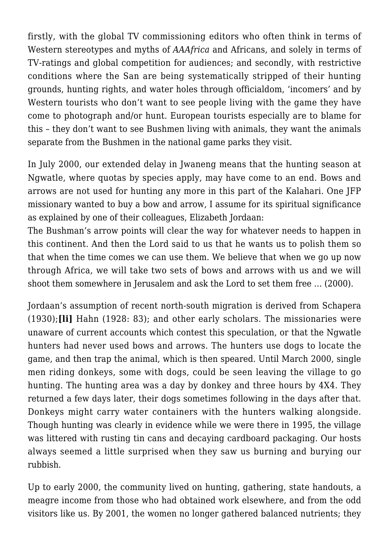firstly, with the global TV commissioning editors who often think in terms of Western stereotypes and myths of *AAAfrica* and Africans, and solely in terms of TV-ratings and global competition for audiences; and secondly, with restrictive conditions where the San are being systematically stripped of their hunting grounds, hunting rights, and water holes through officialdom, 'incomers' and by Western tourists who don't want to see people living with the game they have come to photograph and/or hunt. European tourists especially are to blame for this – they don't want to see Bushmen living with animals, they want the animals separate from the Bushmen in the national game parks they visit.

In July 2000, our extended delay in Jwaneng means that the hunting season at Ngwatle, where quotas by species apply, may have come to an end. Bows and arrows are not used for hunting any more in this part of the Kalahari. One JFP missionary wanted to buy a bow and arrow, I assume for its spiritual significance as explained by one of their colleagues, Elizabeth Jordaan:

The Bushman's arrow points will clear the way for whatever needs to happen in this continent. And then the Lord said to us that he wants us to polish them so that when the time comes we can use them. We believe that when we go up now through Africa, we will take two sets of bows and arrows with us and we will shoot them somewhere in Jerusalem and ask the Lord to set them free … (2000).

Jordaan's assumption of recent north-south migration is derived from Schapera (1930);**[li]** Hahn (1928: 83); and other early scholars. The missionaries were unaware of current accounts which contest this speculation, or that the Ngwatle hunters had never used bows and arrows. The hunters use dogs to locate the game, and then trap the animal, which is then speared. Until March 2000, single men riding donkeys, some with dogs, could be seen leaving the village to go hunting. The hunting area was a day by donkey and three hours by 4X4. They returned a few days later, their dogs sometimes following in the days after that. Donkeys might carry water containers with the hunters walking alongside. Though hunting was clearly in evidence while we were there in 1995, the village was littered with rusting tin cans and decaying cardboard packaging. Our hosts always seemed a little surprised when they saw us burning and burying our rubbish.

Up to early 2000, the community lived on hunting, gathering, state handouts, a meagre income from those who had obtained work elsewhere, and from the odd visitors like us. By 2001, the women no longer gathered balanced nutrients; they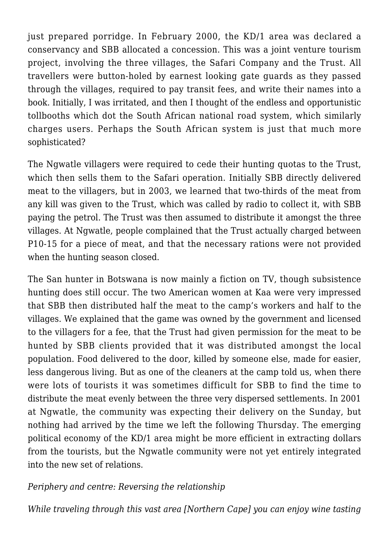just prepared porridge. In February 2000, the KD/1 area was declared a conservancy and SBB allocated a concession. This was a joint venture tourism project, involving the three villages, the Safari Company and the Trust. All travellers were button-holed by earnest looking gate guards as they passed through the villages, required to pay transit fees, and write their names into a book. Initially, I was irritated, and then I thought of the endless and opportunistic tollbooths which dot the South African national road system, which similarly charges users. Perhaps the South African system is just that much more sophisticated?

The Ngwatle villagers were required to cede their hunting quotas to the Trust, which then sells them to the Safari operation. Initially SBB directly delivered meat to the villagers, but in 2003, we learned that two-thirds of the meat from any kill was given to the Trust, which was called by radio to collect it, with SBB paying the petrol. The Trust was then assumed to distribute it amongst the three villages. At Ngwatle, people complained that the Trust actually charged between P10-15 for a piece of meat, and that the necessary rations were not provided when the hunting season closed.

The San hunter in Botswana is now mainly a fiction on TV, though subsistence hunting does still occur. The two American women at Kaa were very impressed that SBB then distributed half the meat to the camp's workers and half to the villages. We explained that the game was owned by the government and licensed to the villagers for a fee, that the Trust had given permission for the meat to be hunted by SBB clients provided that it was distributed amongst the local population. Food delivered to the door, killed by someone else, made for easier, less dangerous living. But as one of the cleaners at the camp told us, when there were lots of tourists it was sometimes difficult for SBB to find the time to distribute the meat evenly between the three very dispersed settlements. In 2001 at Ngwatle, the community was expecting their delivery on the Sunday, but nothing had arrived by the time we left the following Thursday. The emerging political economy of the KD/1 area might be more efficient in extracting dollars from the tourists, but the Ngwatle community were not yet entirely integrated into the new set of relations.

#### *Periphery and centre: Reversing the relationship*

*While traveling through this vast area [Northern Cape] you can enjoy wine tasting*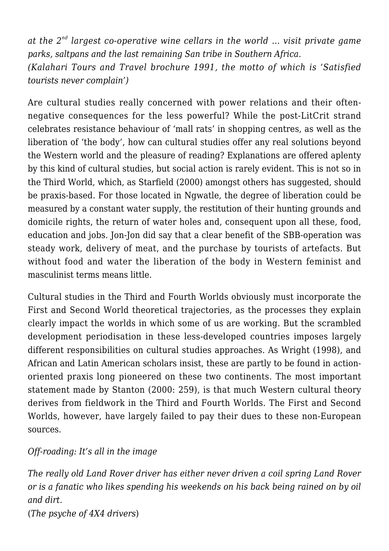*at the 2nd largest co-operative wine cellars in the world … visit private game parks, saltpans and the last remaining San tribe in Southern Africa. (Kalahari Tours and Travel brochure 1991, the motto of which is 'Satisfied tourists never complain')*

Are cultural studies really concerned with power relations and their oftennegative consequences for the less powerful? While the post-LitCrit strand celebrates resistance behaviour of 'mall rats' in shopping centres, as well as the liberation of 'the body', how can cultural studies offer any real solutions beyond the Western world and the pleasure of reading? Explanations are offered aplenty by this kind of cultural studies, but social action is rarely evident. This is not so in the Third World, which, as Starfield (2000) amongst others has suggested, should be praxis-based. For those located in Ngwatle, the degree of liberation could be measured by a constant water supply, the restitution of their hunting grounds and domicile rights, the return of water holes and, consequent upon all these, food, education and jobs. Jon-Jon did say that a clear benefit of the SBB-operation was steady work, delivery of meat, and the purchase by tourists of artefacts. But without food and water the liberation of the body in Western feminist and masculinist terms means little.

Cultural studies in the Third and Fourth Worlds obviously must incorporate the First and Second World theoretical trajectories, as the processes they explain clearly impact the worlds in which some of us are working. But the scrambled development periodisation in these less-developed countries imposes largely different responsibilities on cultural studies approaches. As Wright (1998), and African and Latin American scholars insist, these are partly to be found in actionoriented praxis long pioneered on these two continents. The most important statement made by Stanton (2000: 259), is that much Western cultural theory derives from fieldwork in the Third and Fourth Worlds. The First and Second Worlds, however, have largely failed to pay their dues to these non-European sources.

## *Off-roading: It's all in the image*

*The really old Land Rover driver has either never driven a coil spring Land Rover or is a fanatic who likes spending his weekends on his back being rained on by oil and dirt.* (*The psyche of 4X4 drivers*)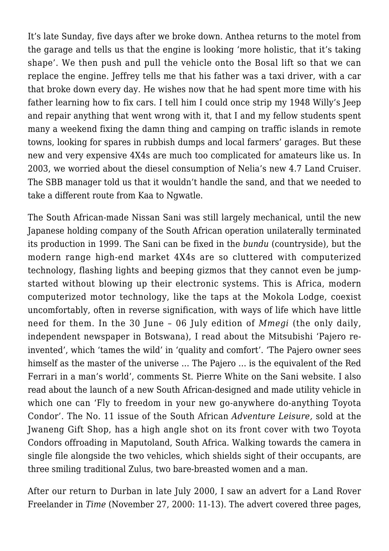It's late Sunday, five days after we broke down. Anthea returns to the motel from the garage and tells us that the engine is looking 'more holistic, that it's taking shape'. We then push and pull the vehicle onto the Bosal lift so that we can replace the engine. Jeffrey tells me that his father was a taxi driver, with a car that broke down every day. He wishes now that he had spent more time with his father learning how to fix cars. I tell him I could once strip my 1948 Willy's Jeep and repair anything that went wrong with it, that I and my fellow students spent many a weekend fixing the damn thing and camping on traffic islands in remote towns, looking for spares in rubbish dumps and local farmers' garages. But these new and very expensive 4X4s are much too complicated for amateurs like us. In 2003, we worried about the diesel consumption of Nelia's new 4.7 Land Cruiser. The SBB manager told us that it wouldn't handle the sand, and that we needed to take a different route from Kaa to Ngwatle.

The South African-made Nissan Sani was still largely mechanical, until the new Japanese holding company of the South African operation unilaterally terminated its production in 1999. The Sani can be fixed in the *bundu* (countryside), but the modern range high-end market 4X4s are so cluttered with computerized technology, flashing lights and beeping gizmos that they cannot even be jumpstarted without blowing up their electronic systems. This is Africa, modern computerized motor technology, like the taps at the Mokola Lodge, coexist uncomfortably, often in reverse signification, with ways of life which have little need for them. In the 30 June – 06 July edition of *Mmegi* (the only daily, independent newspaper in Botswana), I read about the Mitsubishi 'Pajero reinvented', which 'tames the wild' in 'quality and comfort'. 'The Pajero owner sees himself as the master of the universe … The Pajero … is the equivalent of the Red Ferrari in a man's world', comments St. Pierre White on the Sani website. I also read about the launch of a new South African-designed and made utility vehicle in which one can 'Fly to freedom in your new go-anywhere do-anything Toyota Condor'. The No. 11 issue of the South African *Adventure Leisure,* sold at the Jwaneng Gift Shop, has a high angle shot on its front cover with two Toyota Condors offroading in Maputoland, South Africa. Walking towards the camera in single file alongside the two vehicles, which shields sight of their occupants, are three smiling traditional Zulus, two bare-breasted women and a man.

After our return to Durban in late July 2000, I saw an advert for a Land Rover Freelander in *Time* (November 27, 2000: 11-13). The advert covered three pages,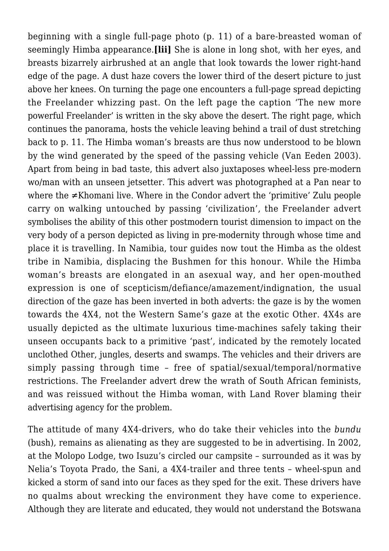beginning with a single full-page photo (p. 11) of a bare-breasted woman of seemingly Himba appearance.**[lii]** She is alone in long shot, with her eyes, and breasts bizarrely airbrushed at an angle that look towards the lower right-hand edge of the page. A dust haze covers the lower third of the desert picture to just above her knees. On turning the page one encounters a full-page spread depicting the Freelander whizzing past. On the left page the caption 'The new more powerful Freelander' is written in the sky above the desert. The right page, which continues the panorama, hosts the vehicle leaving behind a trail of dust stretching back to p. 11. The Himba woman's breasts are thus now understood to be blown by the wind generated by the speed of the passing vehicle (Van Eeden 2003). Apart from being in bad taste, this advert also juxtaposes wheel-less pre-modern wo/man with an unseen jetsetter. This advert was photographed at a Pan near to where the ≠Khomani live. Where in the Condor advert the 'primitive' Zulu people carry on walking untouched by passing 'civilization', the Freelander advert symbolises the ability of this other postmodern tourist dimension to impact on the very body of a person depicted as living in pre-modernity through whose time and place it is travelling. In Namibia, tour guides now tout the Himba as the oldest tribe in Namibia, displacing the Bushmen for this honour. While the Himba woman's breasts are elongated in an asexual way, and her open-mouthed expression is one of scepticism/defiance/amazement/indignation, the usual direction of the gaze has been inverted in both adverts: the gaze is by the women towards the 4X4, not the Western Same's gaze at the exotic Other. 4X4s are usually depicted as the ultimate luxurious time-machines safely taking their unseen occupants back to a primitive 'past', indicated by the remotely located unclothed Other, jungles, deserts and swamps. The vehicles and their drivers are simply passing through time – free of spatial/sexual/temporal/normative restrictions. The Freelander advert drew the wrath of South African feminists, and was reissued without the Himba woman, with Land Rover blaming their advertising agency for the problem.

The attitude of many 4X4-drivers, who do take their vehicles into the *bundu* (bush)*,* remains as alienating as they are suggested to be in advertising. In 2002, at the Molopo Lodge, two Isuzu's circled our campsite – surrounded as it was by Nelia's Toyota Prado, the Sani, a 4X4-trailer and three tents – wheel-spun and kicked a storm of sand into our faces as they sped for the exit. These drivers have no qualms about wrecking the environment they have come to experience. Although they are literate and educated, they would not understand the Botswana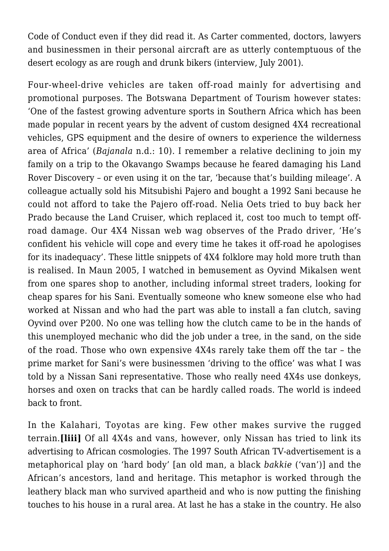Code of Conduct even if they did read it. As Carter commented, doctors, lawyers and businessmen in their personal aircraft are as utterly contemptuous of the desert ecology as are rough and drunk bikers (interview, July 2001).

Four-wheel-drive vehicles are taken off-road mainly for advertising and promotional purposes. The Botswana Department of Tourism however states: 'One of the fastest growing adventure sports in Southern Africa which has been made popular in recent years by the advent of custom designed 4X4 recreational vehicles, GPS equipment and the desire of owners to experience the wilderness area of Africa' (*Bajanala* n.d.: 10). I remember a relative declining to join my family on a trip to the Okavango Swamps because he feared damaging his Land Rover Discovery – or even using it on the tar, 'because that's building mileage'. A colleague actually sold his Mitsubishi Pajero and bought a 1992 Sani because he could not afford to take the Pajero off-road. Nelia Oets tried to buy back her Prado because the Land Cruiser, which replaced it, cost too much to tempt offroad damage. Our 4X4 Nissan web wag observes of the Prado driver, 'He's confident his vehicle will cope and every time he takes it off-road he apologises for its inadequacy'. These little snippets of 4X4 folklore may hold more truth than is realised. In Maun 2005, I watched in bemusement as Oyvind Mikalsen went from one spares shop to another, including informal street traders, looking for cheap spares for his Sani. Eventually someone who knew someone else who had worked at Nissan and who had the part was able to install a fan clutch, saving Oyvind over P200. No one was telling how the clutch came to be in the hands of this unemployed mechanic who did the job under a tree, in the sand, on the side of the road. Those who own expensive 4X4s rarely take them off the tar – the prime market for Sani's were businessmen 'driving to the office' was what I was told by a Nissan Sani representative. Those who really need 4X4s use donkeys, horses and oxen on tracks that can be hardly called roads. The world is indeed back to front.

In the Kalahari, Toyotas are king. Few other makes survive the rugged terrain.**[liii]** Of all 4X4s and vans, however, only Nissan has tried to link its advertising to African cosmologies. The 1997 South African TV-advertisement is a metaphorical play on 'hard body' [an old man, a black *bakkie* ('van')] and the African's ancestors, land and heritage. This metaphor is worked through the leathery black man who survived apartheid and who is now putting the finishing touches to his house in a rural area. At last he has a stake in the country. He also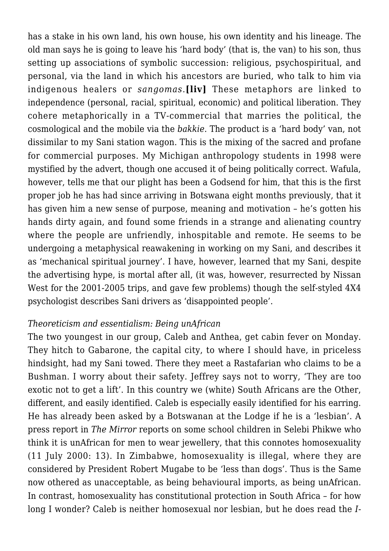has a stake in his own land, his own house, his own identity and his lineage. The old man says he is going to leave his 'hard body' (that is, the van) to his son, thus setting up associations of symbolic succession: religious, psychospiritual, and personal, via the land in which his ancestors are buried, who talk to him via indigenous healers or *sangomas*.**[liv]** These metaphors are linked to independence (personal, racial, spiritual, economic) and political liberation. They cohere metaphorically in a TV-commercial that marries the political, the cosmological and the mobile via the *bakkie*. The product is a 'hard body' van, not dissimilar to my Sani station wagon. This is the mixing of the sacred and profane for commercial purposes. My Michigan anthropology students in 1998 were mystified by the advert, though one accused it of being politically correct. Wafula, however, tells me that our plight has been a Godsend for him, that this is the first proper job he has had since arriving in Botswana eight months previously, that it has given him a new sense of purpose, meaning and motivation – he's gotten his hands dirty again, and found some friends in a strange and alienating country where the people are unfriendly, inhospitable and remote. He seems to be undergoing a metaphysical reawakening in working on my Sani, and describes it as 'mechanical spiritual journey'. I have, however, learned that my Sani, despite the advertising hype, is mortal after all, (it was, however, resurrected by Nissan West for the 2001-2005 trips, and gave few problems) though the self-styled 4X4 psychologist describes Sani drivers as 'disappointed people'.

#### *Theoreticism and essentialism: Being unAfrican*

The two youngest in our group, Caleb and Anthea, get cabin fever on Monday. They hitch to Gabarone, the capital city, to where I should have, in priceless hindsight, had my Sani towed. There they meet a Rastafarian who claims to be a Bushman. I worry about their safety. Jeffrey says not to worry, 'They are too exotic not to get a lift'. In this country we (white) South Africans are the Other, different, and easily identified. Caleb is especially easily identified for his earring. He has already been asked by a Botswanan at the Lodge if he is a 'lesbian'. A press report in *The Mirror* reports on some school children in Selebi Phikwe who think it is unAfrican for men to wear jewellery, that this connotes homosexuality (11 July 2000: 13). In Zimbabwe, homosexuality is illegal, where they are considered by President Robert Mugabe to be 'less than dogs'. Thus is the Same now othered as unacceptable, as being behavioural imports, as being unAfrican. In contrast, homosexuality has constitutional protection in South Africa – for how long I wonder? Caleb is neither homosexual nor lesbian, but he does read the *I-*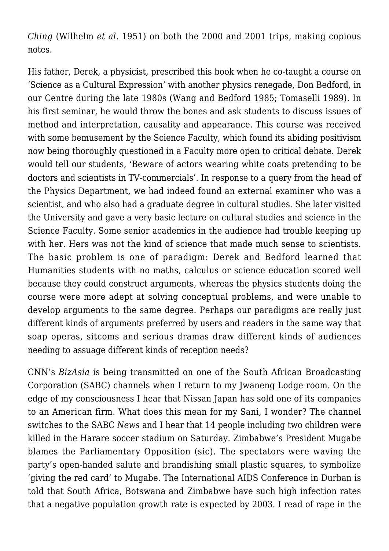*Ching* (Wilhelm *et al.* 1951) on both the 2000 and 2001 trips, making copious notes.

His father, Derek, a physicist, prescribed this book when he co-taught a course on 'Science as a Cultural Expression' with another physics renegade, Don Bedford, in our Centre during the late 1980s (Wang and Bedford 1985; Tomaselli 1989). In his first seminar, he would throw the bones and ask students to discuss issues of method and interpretation, causality and appearance. This course was received with some bemusement by the Science Faculty, which found its abiding positivism now being thoroughly questioned in a Faculty more open to critical debate. Derek would tell our students, 'Beware of actors wearing white coats pretending to be doctors and scientists in TV-commercials'. In response to a query from the head of the Physics Department, we had indeed found an external examiner who was a scientist, and who also had a graduate degree in cultural studies. She later visited the University and gave a very basic lecture on cultural studies and science in the Science Faculty. Some senior academics in the audience had trouble keeping up with her. Hers was not the kind of science that made much sense to scientists. The basic problem is one of paradigm: Derek and Bedford learned that Humanities students with no maths, calculus or science education scored well because they could construct arguments, whereas the physics students doing the course were more adept at solving conceptual problems, and were unable to develop arguments to the same degree. Perhaps our paradigms are really just different kinds of arguments preferred by users and readers in the same way that soap operas, sitcoms and serious dramas draw different kinds of audiences needing to assuage different kinds of reception needs?

CNN's *BizAsia* is being transmitted on one of the South African Broadcasting Corporation (SABC) channels when I return to my Jwaneng Lodge room. On the edge of my consciousness I hear that Nissan Japan has sold one of its companies to an American firm. What does this mean for my Sani, I wonder? The channel switches to the SABC *News* and I hear that 14 people including two children were killed in the Harare soccer stadium on Saturday. Zimbabwe's President Mugabe blames the Parliamentary Opposition (sic). The spectators were waving the party's open-handed salute and brandishing small plastic squares, to symbolize 'giving the red card' to Mugabe. The International AIDS Conference in Durban is told that South Africa, Botswana and Zimbabwe have such high infection rates that a negative population growth rate is expected by 2003. I read of rape in the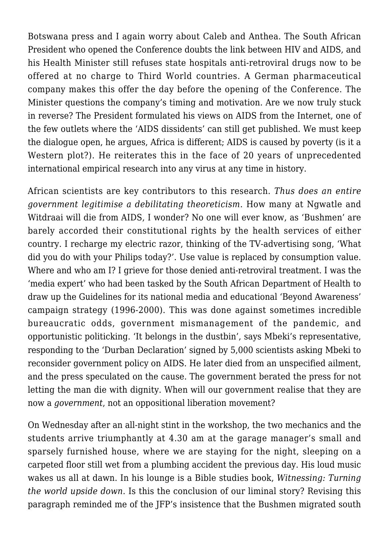Botswana press and I again worry about Caleb and Anthea. The South African President who opened the Conference doubts the link between HIV and AIDS, and his Health Minister still refuses state hospitals anti-retroviral drugs now to be offered at no charge to Third World countries. A German pharmaceutical company makes this offer the day before the opening of the Conference. The Minister questions the company's timing and motivation. Are we now truly stuck in reverse? The President formulated his views on AIDS from the Internet, one of the few outlets where the 'AIDS dissidents' can still get published. We must keep the dialogue open, he argues, Africa is different; AIDS is caused by poverty (is it a Western plot?). He reiterates this in the face of 20 years of unprecedented international empirical research into any virus at any time in history.

African scientists are key contributors to this research. *Thus does an entire government legitimise a debilitating theoreticism*. How many at Ngwatle and Witdraai will die from AIDS, I wonder? No one will ever know, as 'Bushmen' are barely accorded their constitutional rights by the health services of either country. I recharge my electric razor, thinking of the TV-advertising song, 'What did you do with your Philips today?'. Use value is replaced by consumption value. Where and who am I? I grieve for those denied anti-retroviral treatment. I was the 'media expert' who had been tasked by the South African Department of Health to draw up the Guidelines for its national media and educational 'Beyond Awareness' campaign strategy (1996-2000). This was done against sometimes incredible bureaucratic odds, government mismanagement of the pandemic, and opportunistic politicking. 'It belongs in the dustbin', says Mbeki's representative, responding to the 'Durban Declaration' signed by 5,000 scientists asking Mbeki to reconsider government policy on AIDS. He later died from an unspecified ailment, and the press speculated on the cause. The government berated the press for not letting the man die with dignity. When will our government realise that they are now a *government*, not an oppositional liberation movement?

On Wednesday after an all-night stint in the workshop, the two mechanics and the students arrive triumphantly at 4.30 am at the garage manager's small and sparsely furnished house, where we are staying for the night, sleeping on a carpeted floor still wet from a plumbing accident the previous day. His loud music wakes us all at dawn. In his lounge is a Bible studies book, *Witnessing: Turning the world upside down*. Is this the conclusion of our liminal story? Revising this paragraph reminded me of the JFP's insistence that the Bushmen migrated south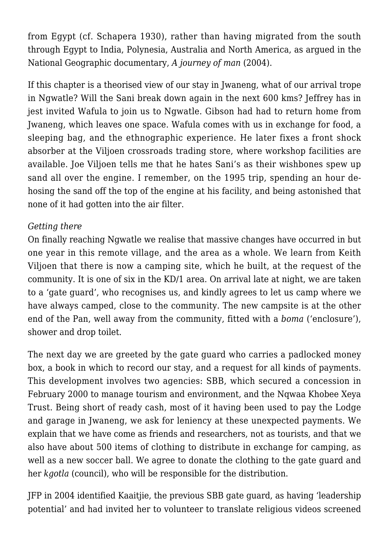from Egypt (cf. Schapera 1930), rather than having migrated from the south through Egypt to India, Polynesia, Australia and North America, as argued in the National Geographic documentary, *A journey of man* (2004).

If this chapter is a theorised view of our stay in Jwaneng, what of our arrival trope in Ngwatle? Will the Sani break down again in the next 600 kms? Jeffrey has in jest invited Wafula to join us to Ngwatle. Gibson had had to return home from Jwaneng, which leaves one space. Wafula comes with us in exchange for food, a sleeping bag, and the ethnographic experience. He later fixes a front shock absorber at the Viljoen crossroads trading store, where workshop facilities are available. Joe Viljoen tells me that he hates Sani's as their wishbones spew up sand all over the engine. I remember, on the 1995 trip, spending an hour dehosing the sand off the top of the engine at his facility, and being astonished that none of it had gotten into the air filter.

### *Getting there*

On finally reaching Ngwatle we realise that massive changes have occurred in but one year in this remote village, and the area as a whole. We learn from Keith Viljoen that there is now a camping site, which he built, at the request of the community. It is one of six in the KD/1 area. On arrival late at night, we are taken to a 'gate guard', who recognises us, and kindly agrees to let us camp where we have always camped, close to the community. The new campsite is at the other end of the Pan, well away from the community, fitted with a *boma* ('enclosure'), shower and drop toilet.

The next day we are greeted by the gate guard who carries a padlocked money box, a book in which to record our stay, and a request for all kinds of payments. This development involves two agencies: SBB, which secured a concession in February 2000 to manage tourism and environment, and the Nqwaa Khobee Xeya Trust. Being short of ready cash, most of it having been used to pay the Lodge and garage in Jwaneng, we ask for leniency at these unexpected payments. We explain that we have come as friends and researchers, not as tourists, and that we also have about 500 items of clothing to distribute in exchange for camping, as well as a new soccer ball. We agree to donate the clothing to the gate guard and her *kgotla* (council), who will be responsible for the distribution.

JFP in 2004 identified Kaaitjie, the previous SBB gate guard, as having 'leadership potential' and had invited her to volunteer to translate religious videos screened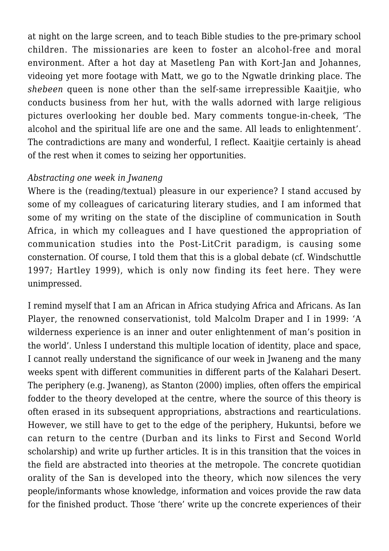at night on the large screen, and to teach Bible studies to the pre-primary school children. The missionaries are keen to foster an alcohol-free and moral environment. After a hot day at Masetleng Pan with Kort-Jan and Johannes, videoing yet more footage with Matt, we go to the Ngwatle drinking place. The *shebeen* queen is none other than the self-same irrepressible Kaaitjie, who conducts business from her hut, with the walls adorned with large religious pictures overlooking her double bed. Mary comments tongue-in-cheek, 'The alcohol and the spiritual life are one and the same. All leads to enlightenment'. The contradictions are many and wonderful. I reflect. Kaaitiie certainly is ahead of the rest when it comes to seizing her opportunities.

### *Abstracting one week in Jwaneng*

Where is the (reading/textual) pleasure in our experience? I stand accused by some of my colleagues of caricaturing literary studies, and I am informed that some of my writing on the state of the discipline of communication in South Africa, in which my colleagues and I have questioned the appropriation of communication studies into the Post-LitCrit paradigm, is causing some consternation. Of course, I told them that this is a global debate (cf. Windschuttle 1997; Hartley 1999), which is only now finding its feet here. They were unimpressed.

I remind myself that I am an African in Africa studying Africa and Africans. As Ian Player, the renowned conservationist, told Malcolm Draper and I in 1999: 'A wilderness experience is an inner and outer enlightenment of man's position in the world'. Unless I understand this multiple location of identity, place and space, I cannot really understand the significance of our week in Jwaneng and the many weeks spent with different communities in different parts of the Kalahari Desert. The periphery (e.g. Jwaneng), as Stanton (2000) implies, often offers the empirical fodder to the theory developed at the centre, where the source of this theory is often erased in its subsequent appropriations, abstractions and rearticulations. However, we still have to get to the edge of the periphery, Hukuntsi, before we can return to the centre (Durban and its links to First and Second World scholarship) and write up further articles. It is in this transition that the voices in the field are abstracted into theories at the metropole. The concrete quotidian orality of the San is developed into the theory, which now silences the very people/informants whose knowledge, information and voices provide the raw data for the finished product. Those 'there' write up the concrete experiences of their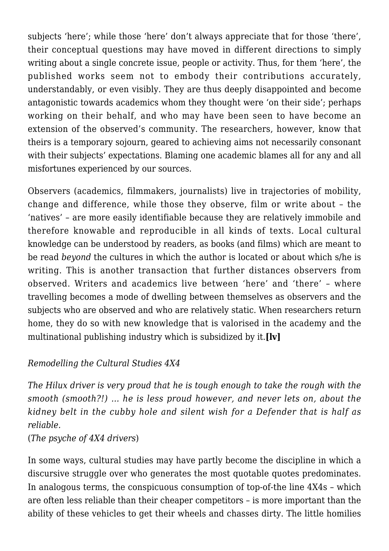subjects 'here'; while those 'here' don't always appreciate that for those 'there', their conceptual questions may have moved in different directions to simply writing about a single concrete issue, people or activity. Thus, for them 'here', the published works seem not to embody their contributions accurately, understandably, or even visibly. They are thus deeply disappointed and become antagonistic towards academics whom they thought were 'on their side'; perhaps working on their behalf, and who may have been seen to have become an extension of the observed's community. The researchers, however, know that theirs is a temporary sojourn, geared to achieving aims not necessarily consonant with their subjects' expectations. Blaming one academic blames all for any and all misfortunes experienced by our sources.

Observers (academics, filmmakers, journalists) live in trajectories of mobility, change and difference, while those they observe, film or write about – the 'natives' – are more easily identifiable because they are relatively immobile and therefore knowable and reproducible in all kinds of texts. Local cultural knowledge can be understood by readers, as books (and films) which are meant to be read *beyond* the cultures in which the author is located or about which s/he is writing. This is another transaction that further distances observers from observed. Writers and academics live between 'here' and 'there' – where travelling becomes a mode of dwelling between themselves as observers and the subjects who are observed and who are relatively static. When researchers return home, they do so with new knowledge that is valorised in the academy and the multinational publishing industry which is subsidized by it.**[lv]**

# *Remodelling the Cultural Studies 4X4*

*The Hilux driver is very proud that he is tough enough to take the rough with the smooth (smooth?!) … he is less proud however, and never lets on, about the kidney belt in the cubby hole and silent wish for a Defender that is half as reliable.*

(*The psyche of 4X4 drivers*)

In some ways, cultural studies may have partly become the discipline in which a discursive struggle over who generates the most quotable quotes predominates. In analogous terms, the conspicuous consumption of top-of-the line 4X4s – which are often less reliable than their cheaper competitors – is more important than the ability of these vehicles to get their wheels and chasses dirty. The little homilies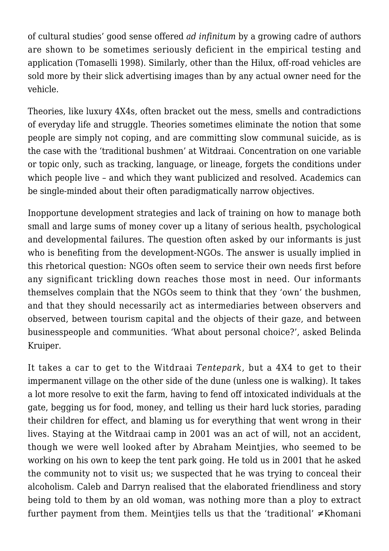of cultural studies' good sense offered *ad infinitum* by a growing cadre of authors are shown to be sometimes seriously deficient in the empirical testing and application (Tomaselli 1998). Similarly, other than the Hilux, off-road vehicles are sold more by their slick advertising images than by any actual owner need for the vehicle.

Theories, like luxury 4X4s, often bracket out the mess, smells and contradictions of everyday life and struggle. Theories sometimes eliminate the notion that some people are simply not coping, and are committing slow communal suicide, as is the case with the 'traditional bushmen' at Witdraai. Concentration on one variable or topic only, such as tracking, language, or lineage, forgets the conditions under which people live – and which they want publicized and resolved. Academics can be single-minded about their often paradigmatically narrow objectives.

Inopportune development strategies and lack of training on how to manage both small and large sums of money cover up a litany of serious health, psychological and developmental failures. The question often asked by our informants is just who is benefiting from the development-NGOs. The answer is usually implied in this rhetorical question: NGOs often seem to service their own needs first before any significant trickling down reaches those most in need. Our informants themselves complain that the NGOs seem to think that they 'own' the bushmen, and that they should necessarily act as intermediaries between observers and observed, between tourism capital and the objects of their gaze, and between businesspeople and communities. 'What about personal choice?', asked Belinda Kruiper.

It takes a car to get to the Witdraai *Tentepark*, but a 4X4 to get to their impermanent village on the other side of the dune (unless one is walking). It takes a lot more resolve to exit the farm, having to fend off intoxicated individuals at the gate, begging us for food, money, and telling us their hard luck stories, parading their children for effect, and blaming us for everything that went wrong in their lives. Staying at the Witdraai camp in 2001 was an act of will, not an accident, though we were well looked after by Abraham Meintjies, who seemed to be working on his own to keep the tent park going. He told us in 2001 that he asked the community not to visit us; we suspected that he was trying to conceal their alcoholism. Caleb and Darryn realised that the elaborated friendliness and story being told to them by an old woman, was nothing more than a ploy to extract further payment from them. Meintjies tells us that the 'traditional' ≠Khomani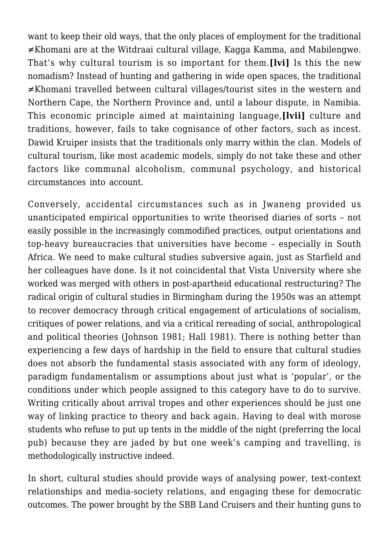want to keep their old ways, that the only places of employment for the traditional ≠Khomani are at the Witdraai cultural village, Kagga Kamma, and Mabilengwe. That's why cultural tourism is so important for them.**[lvi]** Is this the new nomadism? Instead of hunting and gathering in wide open spaces, the traditional ≠Khomani travelled between cultural villages/tourist sites in the western and Northern Cape, the Northern Province and, until a labour dispute, in Namibia. This economic principle aimed at maintaining language,**[lvii]** culture and traditions, however, fails to take cognisance of other factors, such as incest. Dawid Kruiper insists that the traditionals only marry within the clan. Models of cultural tourism, like most academic models, simply do not take these and other factors like communal alcoholism, communal psychology, and historical circumstances into account.

Conversely, accidental circumstances such as in Jwaneng provided us unanticipated empirical opportunities to write theorised diaries of sorts – not easily possible in the increasingly commodified practices, output orientations and top-heavy bureaucracies that universities have become – especially in South Africa. We need to make cultural studies subversive again, just as Starfield and her colleagues have done. Is it not coincidental that Vista University where she worked was merged with others in post-apartheid educational restructuring? The radical origin of cultural studies in Birmingham during the 1950s was an attempt to recover democracy through critical engagement of articulations of socialism, critiques of power relations, and via a critical rereading of social, anthropological and political theories (Johnson 1981; Hall 1981). There is nothing better than experiencing a few days of hardship in the field to ensure that cultural studies does not absorb the fundamental stasis associated with any form of ideology, paradigm fundamentalism or assumptions about just what is 'popular', or the conditions under which people assigned to this category have to do to survive. Writing critically about arrival tropes and other experiences should be just one way of linking practice to theory and back again. Having to deal with morose students who refuse to put up tents in the middle of the night (preferring the local pub) because they are jaded by but one week's camping and travelling, is methodologically instructive indeed.

In short, cultural studies should provide ways of analysing power, text-context relationships and media-society relations, and engaging these for democratic outcomes. The power brought by the SBB Land Cruisers and their hunting guns to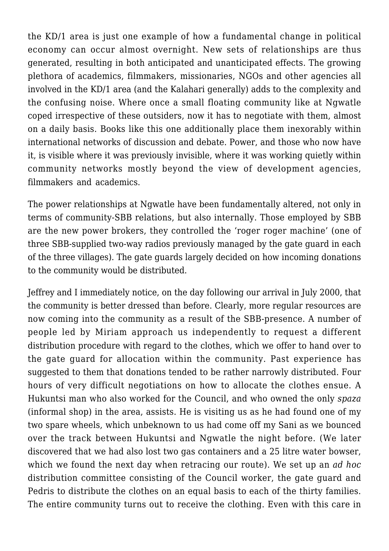the KD/1 area is just one example of how a fundamental change in political economy can occur almost overnight. New sets of relationships are thus generated, resulting in both anticipated and unanticipated effects. The growing plethora of academics, filmmakers, missionaries, NGOs and other agencies all involved in the KD/1 area (and the Kalahari generally) adds to the complexity and the confusing noise. Where once a small floating community like at Ngwatle coped irrespective of these outsiders, now it has to negotiate with them, almost on a daily basis. Books like this one additionally place them inexorably within international networks of discussion and debate. Power, and those who now have it, is visible where it was previously invisible, where it was working quietly within community networks mostly beyond the view of development agencies, filmmakers and academics.

The power relationships at Ngwatle have been fundamentally altered, not only in terms of community-SBB relations, but also internally. Those employed by SBB are the new power brokers, they controlled the 'roger roger machine' (one of three SBB-supplied two-way radios previously managed by the gate guard in each of the three villages). The gate guards largely decided on how incoming donations to the community would be distributed.

Jeffrey and I immediately notice, on the day following our arrival in July 2000, that the community is better dressed than before. Clearly, more regular resources are now coming into the community as a result of the SBB-presence. A number of people led by Miriam approach us independently to request a different distribution procedure with regard to the clothes, which we offer to hand over to the gate guard for allocation within the community. Past experience has suggested to them that donations tended to be rather narrowly distributed. Four hours of very difficult negotiations on how to allocate the clothes ensue. A Hukuntsi man who also worked for the Council, and who owned the only *spaza* (informal shop) in the area, assists. He is visiting us as he had found one of my two spare wheels, which unbeknown to us had come off my Sani as we bounced over the track between Hukuntsi and Ngwatle the night before. (We later discovered that we had also lost two gas containers and a 25 litre water bowser, which we found the next day when retracing our route). We set up an *ad hoc* distribution committee consisting of the Council worker, the gate guard and Pedris to distribute the clothes on an equal basis to each of the thirty families. The entire community turns out to receive the clothing. Even with this care in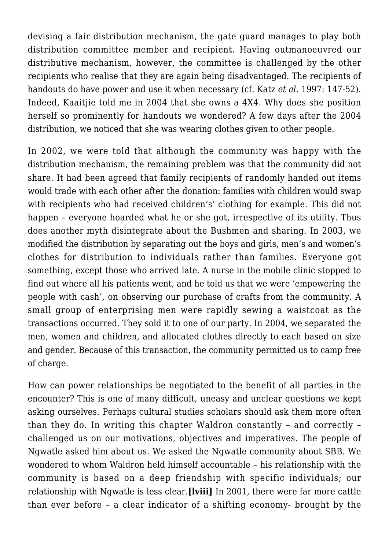devising a fair distribution mechanism, the gate guard manages to play both distribution committee member and recipient. Having outmanoeuvred our distributive mechanism, however, the committee is challenged by the other recipients who realise that they are again being disadvantaged. The recipients of handouts do have power and use it when necessary (cf. Katz *et al*. 1997: 147-52). Indeed, Kaaitjie told me in 2004 that she owns a 4X4. Why does she position herself so prominently for handouts we wondered? A few days after the 2004 distribution, we noticed that she was wearing clothes given to other people.

In 2002, we were told that although the community was happy with the distribution mechanism, the remaining problem was that the community did not share. It had been agreed that family recipients of randomly handed out items would trade with each other after the donation: families with children would swap with recipients who had received children's' clothing for example. This did not happen – everyone hoarded what he or she got, irrespective of its utility. Thus does another myth disintegrate about the Bushmen and sharing. In 2003, we modified the distribution by separating out the boys and girls, men's and women's clothes for distribution to individuals rather than families. Everyone got something, except those who arrived late. A nurse in the mobile clinic stopped to find out where all his patients went, and he told us that we were 'empowering the people with cash', on observing our purchase of crafts from the community. A small group of enterprising men were rapidly sewing a waistcoat as the transactions occurred. They sold it to one of our party. In 2004, we separated the men, women and children, and allocated clothes directly to each based on size and gender. Because of this transaction, the community permitted us to camp free of charge.

How can power relationships be negotiated to the benefit of all parties in the encounter? This is one of many difficult, uneasy and unclear questions we kept asking ourselves. Perhaps cultural studies scholars should ask them more often than they do. In writing this chapter Waldron constantly – and correctly – challenged us on our motivations, objectives and imperatives. The people of Ngwatle asked him about us. We asked the Ngwatle community about SBB. We wondered to whom Waldron held himself accountable – his relationship with the community is based on a deep friendship with specific individuals; our relationship with Ngwatle is less clear.**[lviii]** In 2001, there were far more cattle than ever before – a clear indicator of a shifting economy- brought by the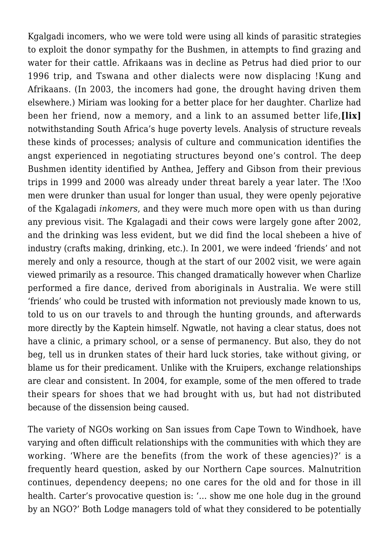Kgalgadi incomers, who we were told were using all kinds of parasitic strategies to exploit the donor sympathy for the Bushmen, in attempts to find grazing and water for their cattle. Afrikaans was in decline as Petrus had died prior to our 1996 trip, and Tswana and other dialects were now displacing !Kung and Afrikaans. (In 2003, the incomers had gone, the drought having driven them elsewhere.) Miriam was looking for a better place for her daughter. Charlize had been her friend, now a memory, and a link to an assumed better life,**[lix]** notwithstanding South Africa's huge poverty levels. Analysis of structure reveals these kinds of processes; analysis of culture and communication identifies the angst experienced in negotiating structures beyond one's control. The deep Bushmen identity identified by Anthea, Jeffery and Gibson from their previous trips in 1999 and 2000 was already under threat barely a year later. The !Xoo men were drunker than usual for longer than usual, they were openly pejorative of the Kgalagadi *inkomers*, and they were much more open with us than during any previous visit. The Kgalagadi and their cows were largely gone after 2002, and the drinking was less evident, but we did find the local shebeen a hive of industry (crafts making, drinking, etc.). In 2001, we were indeed 'friends' and not merely and only a resource, though at the start of our 2002 visit, we were again viewed primarily as a resource. This changed dramatically however when Charlize performed a fire dance, derived from aboriginals in Australia. We were still 'friends' who could be trusted with information not previously made known to us, told to us on our travels to and through the hunting grounds, and afterwards more directly by the Kaptein himself. Ngwatle, not having a clear status, does not have a clinic, a primary school, or a sense of permanency. But also, they do not beg, tell us in drunken states of their hard luck stories, take without giving, or blame us for their predicament. Unlike with the Kruipers, exchange relationships are clear and consistent. In 2004, for example, some of the men offered to trade their spears for shoes that we had brought with us, but had not distributed because of the dissension being caused.

The variety of NGOs working on San issues from Cape Town to Windhoek, have varying and often difficult relationships with the communities with which they are working. 'Where are the benefits (from the work of these agencies)?' is a frequently heard question, asked by our Northern Cape sources. Malnutrition continues, dependency deepens; no one cares for the old and for those in ill health. Carter's provocative question is: '… show me one hole dug in the ground by an NGO?' Both Lodge managers told of what they considered to be potentially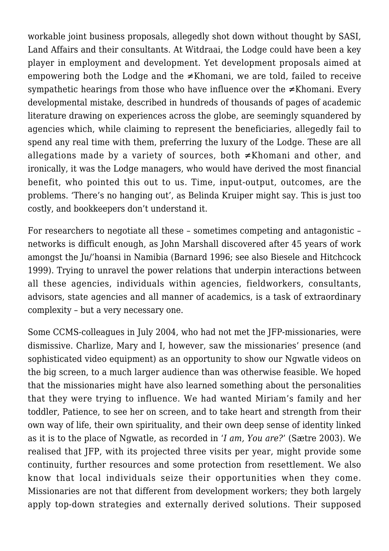workable joint business proposals, allegedly shot down without thought by SASI, Land Affairs and their consultants. At Witdraai, the Lodge could have been a key player in employment and development. Yet development proposals aimed at empowering both the Lodge and the ≠Khomani, we are told, failed to receive sympathetic hearings from those who have influence over the ≠Khomani. Every developmental mistake, described in hundreds of thousands of pages of academic literature drawing on experiences across the globe, are seemingly squandered by agencies which, while claiming to represent the beneficiaries, allegedly fail to spend any real time with them, preferring the luxury of the Lodge. These are all allegations made by a variety of sources, both ≠Khomani and other, and ironically, it was the Lodge managers, who would have derived the most financial benefit, who pointed this out to us. Time, input-output, outcomes, are the problems. 'There's no hanging out', as Belinda Kruiper might say. This is just too costly, and bookkeepers don't understand it.

For researchers to negotiate all these – sometimes competing and antagonistic – networks is difficult enough, as John Marshall discovered after 45 years of work amongst the Ju/'hoansi in Namibia (Barnard 1996; see also Biesele and Hitchcock 1999). Trying to unravel the power relations that underpin interactions between all these agencies, individuals within agencies, fieldworkers, consultants, advisors, state agencies and all manner of academics, is a task of extraordinary complexity – but a very necessary one.

Some CCMS-colleagues in July 2004, who had not met the JFP-missionaries, were dismissive. Charlize, Mary and I, however, saw the missionaries' presence (and sophisticated video equipment) as an opportunity to show our Ngwatle videos on the big screen, to a much larger audience than was otherwise feasible. We hoped that the missionaries might have also learned something about the personalities that they were trying to influence. We had wanted Miriam's family and her toddler, Patience, to see her on screen, and to take heart and strength from their own way of life, their own spirituality, and their own deep sense of identity linked as it is to the place of Ngwatle, as recorded in '*I am, You are?*' (Sætre 2003). We realised that JFP, with its projected three visits per year, might provide some continuity, further resources and some protection from resettlement. We also know that local individuals seize their opportunities when they come. Missionaries are not that different from development workers; they both largely apply top-down strategies and externally derived solutions. Their supposed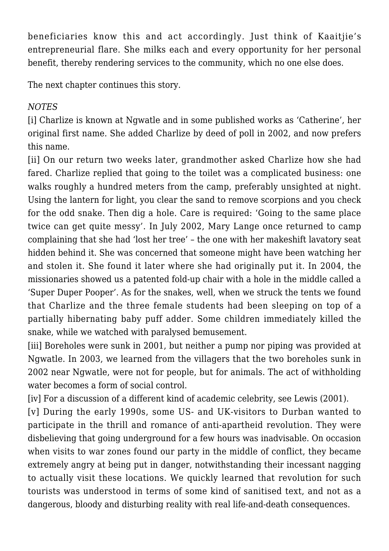beneficiaries know this and act accordingly. Just think of Kaaitjie's entrepreneurial flare. She milks each and every opportunity for her personal benefit, thereby rendering services to the community, which no one else does.

The next chapter continues this story.

# *NOTES*

[i] Charlize is known at Ngwatle and in some published works as 'Catherine', her original first name. She added Charlize by deed of poll in 2002, and now prefers this name.

[ii] On our return two weeks later, grandmother asked Charlize how she had fared. Charlize replied that going to the toilet was a complicated business: one walks roughly a hundred meters from the camp, preferably unsighted at night. Using the lantern for light, you clear the sand to remove scorpions and you check for the odd snake. Then dig a hole. Care is required: 'Going to the same place twice can get quite messy'. In July 2002, Mary Lange once returned to camp complaining that she had 'lost her tree' – the one with her makeshift lavatory seat hidden behind it. She was concerned that someone might have been watching her and stolen it. She found it later where she had originally put it. In 2004, the missionaries showed us a patented fold-up chair with a hole in the middle called a 'Super Duper Pooper'. As for the snakes, well, when we struck the tents we found that Charlize and the three female students had been sleeping on top of a partially hibernating baby puff adder. Some children immediately killed the snake, while we watched with paralysed bemusement.

[iii] Boreholes were sunk in 2001, but neither a pump nor piping was provided at Ngwatle. In 2003, we learned from the villagers that the two boreholes sunk in 2002 near Ngwatle, were not for people, but for animals. The act of withholding water becomes a form of social control.

[iv] For a discussion of a different kind of academic celebrity, see Lewis (2001).

[v] During the early 1990s, some US- and UK-visitors to Durban wanted to participate in the thrill and romance of anti-apartheid revolution. They were disbelieving that going underground for a few hours was inadvisable. On occasion when visits to war zones found our party in the middle of conflict, they became extremely angry at being put in danger, notwithstanding their incessant nagging to actually visit these locations. We quickly learned that revolution for such tourists was understood in terms of some kind of sanitised text, and not as a dangerous, bloody and disturbing reality with real life-and-death consequences.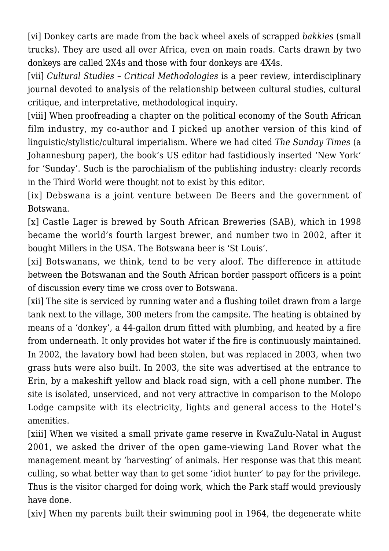[vi] Donkey carts are made from the back wheel axels of scrapped *bakkies* (small trucks). They are used all over Africa, even on main roads. Carts drawn by two donkeys are called 2X4s and those with four donkeys are 4X4s.

[vii] *Cultural Studies – Critical Methodologies* is a peer review, interdisciplinary journal devoted to analysis of the relationship between cultural studies, cultural critique, and interpretative, methodological inquiry.

[viii] When proofreading a chapter on the political economy of the South African film industry, my co-author and I picked up another version of this kind of linguistic/stylistic/cultural imperialism. Where we had cited *The Sunday Times* (a Johannesburg paper), the book's US editor had fastidiously inserted 'New York' for 'Sunday'. Such is the parochialism of the publishing industry: clearly records in the Third World were thought not to exist by this editor.

[ix] Debswana is a joint venture between De Beers and the government of Botswana.

[x] Castle Lager is brewed by South African Breweries (SAB), which in 1998 became the world's fourth largest brewer, and number two in 2002, after it bought Millers in the USA. The Botswana beer is 'St Louis'.

[xi] Botswanans, we think, tend to be very aloof. The difference in attitude between the Botswanan and the South African border passport officers is a point of discussion every time we cross over to Botswana.

[xii] The site is serviced by running water and a flushing toilet drawn from a large tank next to the village, 300 meters from the campsite. The heating is obtained by means of a 'donkey', a 44-gallon drum fitted with plumbing, and heated by a fire from underneath. It only provides hot water if the fire is continuously maintained. In 2002, the lavatory bowl had been stolen, but was replaced in 2003, when two grass huts were also built. In 2003, the site was advertised at the entrance to Erin, by a makeshift yellow and black road sign, with a cell phone number. The site is isolated, unserviced, and not very attractive in comparison to the Molopo Lodge campsite with its electricity, lights and general access to the Hotel's amenities.

[xiii] When we visited a small private game reserve in KwaZulu-Natal in August 2001, we asked the driver of the open game-viewing Land Rover what the management meant by 'harvesting' of animals. Her response was that this meant culling, so what better way than to get some 'idiot hunter' to pay for the privilege. Thus is the visitor charged for doing work, which the Park staff would previously have done.

[xiv] When my parents built their swimming pool in 1964, the degenerate white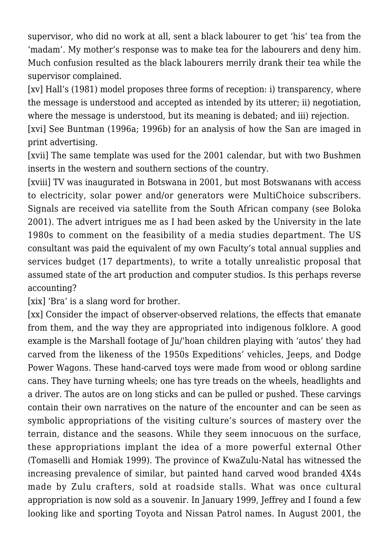supervisor, who did no work at all, sent a black labourer to get 'his' tea from the 'madam'. My mother's response was to make tea for the labourers and deny him. Much confusion resulted as the black labourers merrily drank their tea while the supervisor complained.

[xv] Hall's (1981) model proposes three forms of reception: i) transparency, where the message is understood and accepted as intended by its utterer; ii) negotiation, where the message is understood, but its meaning is debated; and iii) rejection.

[xvi] See Buntman (1996a; 1996b) for an analysis of how the San are imaged in print advertising.

[xvii] The same template was used for the 2001 calendar, but with two Bushmen inserts in the western and southern sections of the country.

[xviii] TV was inaugurated in Botswana in 2001, but most Botswanans with access to electricity, solar power and/or generators were MultiChoice subscribers. Signals are received via satellite from the South African company (see Boloka 2001). The advert intrigues me as I had been asked by the University in the late 1980s to comment on the feasibility of a media studies department. The US consultant was paid the equivalent of my own Faculty's total annual supplies and services budget (17 departments), to write a totally unrealistic proposal that assumed state of the art production and computer studios. Is this perhaps reverse accounting?

[xix] 'Bra' is a slang word for brother.

[xx] Consider the impact of observer-observed relations, the effects that emanate from them, and the way they are appropriated into indigenous folklore. A good example is the Marshall footage of Ju/'hoan children playing with 'autos' they had carved from the likeness of the 1950s Expeditions' vehicles, Jeeps, and Dodge Power Wagons. These hand-carved toys were made from wood or oblong sardine cans. They have turning wheels; one has tyre treads on the wheels, headlights and a driver. The autos are on long sticks and can be pulled or pushed. These carvings contain their own narratives on the nature of the encounter and can be seen as symbolic appropriations of the visiting culture's sources of mastery over the terrain, distance and the seasons. While they seem innocuous on the surface, these appropriations implant the idea of a more powerful external Other (Tomaselli and Homiak 1999). The province of KwaZulu-Natal has witnessed the increasing prevalence of similar, but painted hand carved wood branded 4X4s made by Zulu crafters, sold at roadside stalls. What was once cultural appropriation is now sold as a souvenir. In January 1999, Jeffrey and I found a few looking like and sporting Toyota and Nissan Patrol names. In August 2001, the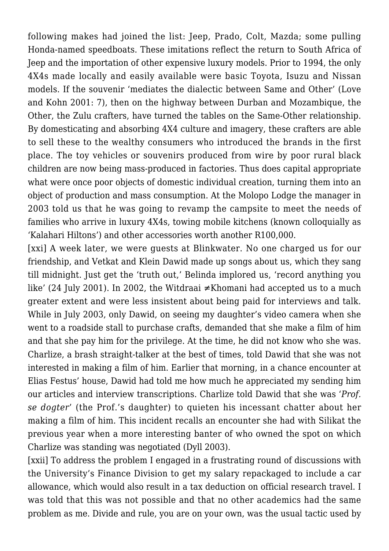following makes had joined the list: Jeep, Prado, Colt, Mazda; some pulling Honda-named speedboats. These imitations reflect the return to South Africa of Jeep and the importation of other expensive luxury models. Prior to 1994, the only 4X4s made locally and easily available were basic Toyota, Isuzu and Nissan models. If the souvenir 'mediates the dialectic between Same and Other' (Love and Kohn 2001: 7), then on the highway between Durban and Mozambique, the Other, the Zulu crafters, have turned the tables on the Same-Other relationship. By domesticating and absorbing 4X4 culture and imagery, these crafters are able to sell these to the wealthy consumers who introduced the brands in the first place. The toy vehicles or souvenirs produced from wire by poor rural black children are now being mass-produced in factories. Thus does capital appropriate what were once poor objects of domestic individual creation, turning them into an object of production and mass consumption. At the Molopo Lodge the manager in 2003 told us that he was going to revamp the campsite to meet the needs of families who arrive in luxury 4X4s, towing mobile kitchens (known colloquially as 'Kalahari Hiltons') and other accessories worth another R100,000.

[xxi] A week later, we were guests at Blinkwater. No one charged us for our friendship, and Vetkat and Klein Dawid made up songs about us, which they sang till midnight. Just get the 'truth out,' Belinda implored us, 'record anything you like' (24 July 2001). In 2002, the Witdraai ≠Khomani had accepted us to a much greater extent and were less insistent about being paid for interviews and talk. While in July 2003, only Dawid, on seeing my daughter's video camera when she went to a roadside stall to purchase crafts, demanded that she make a film of him and that she pay him for the privilege. At the time, he did not know who she was. Charlize, a brash straight-talker at the best of times, told Dawid that she was not interested in making a film of him. Earlier that morning, in a chance encounter at Elias Festus' house, Dawid had told me how much he appreciated my sending him our articles and interview transcriptions. Charlize told Dawid that she was '*Prof. se dogter*' (the Prof.'s daughter) to quieten his incessant chatter about her making a film of him. This incident recalls an encounter she had with Silikat the previous year when a more interesting banter of who owned the spot on which Charlize was standing was negotiated (Dyll 2003).

[xxii] To address the problem I engaged in a frustrating round of discussions with the University's Finance Division to get my salary repackaged to include a car allowance, which would also result in a tax deduction on official research travel. I was told that this was not possible and that no other academics had the same problem as me. Divide and rule, you are on your own, was the usual tactic used by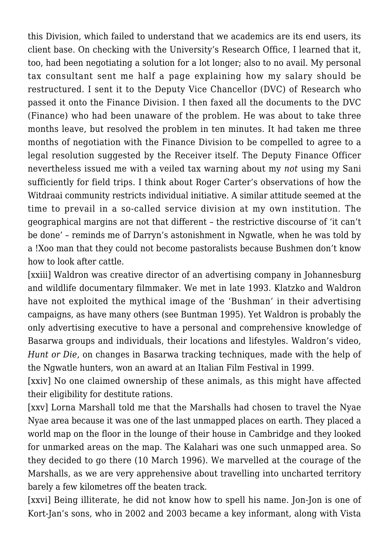this Division, which failed to understand that we academics are its end users, its client base. On checking with the University's Research Office, I learned that it, too, had been negotiating a solution for a lot longer; also to no avail. My personal tax consultant sent me half a page explaining how my salary should be restructured. I sent it to the Deputy Vice Chancellor (DVC) of Research who passed it onto the Finance Division. I then faxed all the documents to the DVC (Finance) who had been unaware of the problem. He was about to take three months leave, but resolved the problem in ten minutes. It had taken me three months of negotiation with the Finance Division to be compelled to agree to a legal resolution suggested by the Receiver itself. The Deputy Finance Officer nevertheless issued me with a veiled tax warning about my *not* using my Sani sufficiently for field trips. I think about Roger Carter's observations of how the Witdraai community restricts individual initiative. A similar attitude seemed at the time to prevail in a so-called service division at my own institution. The geographical margins are not that different – the restrictive discourse of 'it can't be done' – reminds me of Darryn's astonishment in Ngwatle, when he was told by a !Xoo man that they could not become pastoralists because Bushmen don't know how to look after cattle.

[xxiii] Waldron was creative director of an advertising company in Johannesburg and wildlife documentary filmmaker. We met in late 1993. Klatzko and Waldron have not exploited the mythical image of the 'Bushman' in their advertising campaigns, as have many others (see Buntman 1995). Yet Waldron is probably the only advertising executive to have a personal and comprehensive knowledge of Basarwa groups and individuals, their locations and lifestyles. Waldron's video, *Hunt or Die*, on changes in Basarwa tracking techniques, made with the help of the Ngwatle hunters, won an award at an Italian Film Festival in 1999.

[xxiv] No one claimed ownership of these animals, as this might have affected their eligibility for destitute rations.

[xxv] Lorna Marshall told me that the Marshalls had chosen to travel the Nyae Nyae area because it was one of the last unmapped places on earth. They placed a world map on the floor in the lounge of their house in Cambridge and they looked for unmarked areas on the map. The Kalahari was one such unmapped area. So they decided to go there (10 March 1996). We marvelled at the courage of the Marshalls, as we are very apprehensive about travelling into uncharted territory barely a few kilometres off the beaten track.

[xxvi] Being illiterate, he did not know how to spell his name. Jon-Jon is one of Kort-Jan's sons, who in 2002 and 2003 became a key informant, along with Vista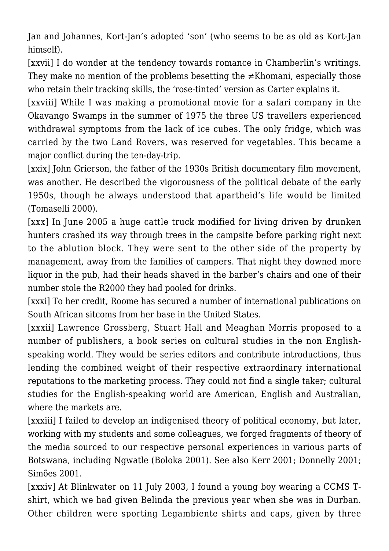Jan and Johannes, Kort-Jan's adopted 'son' (who seems to be as old as Kort-Jan himself).

[xxvii] I do wonder at the tendency towards romance in Chamberlin's writings. They make no mention of the problems besetting the  $\neq$ Khomani, especially those who retain their tracking skills, the 'rose-tinted' version as Carter explains it.

[xxviii] While I was making a promotional movie for a safari company in the Okavango Swamps in the summer of 1975 the three US travellers experienced withdrawal symptoms from the lack of ice cubes. The only fridge, which was carried by the two Land Rovers, was reserved for vegetables. This became a major conflict during the ten-day-trip.

[xxix] John Grierson, the father of the 1930s British documentary film movement, was another. He described the vigorousness of the political debate of the early 1950s, though he always understood that apartheid's life would be limited (Tomaselli 2000).

[xxx] In June 2005 a huge cattle truck modified for living driven by drunken hunters crashed its way through trees in the campsite before parking right next to the ablution block. They were sent to the other side of the property by management, away from the families of campers. That night they downed more liquor in the pub, had their heads shaved in the barber's chairs and one of their number stole the R2000 they had pooled for drinks.

[xxxi] To her credit, Roome has secured a number of international publications on South African sitcoms from her base in the United States.

[xxxii] Lawrence Grossberg, Stuart Hall and Meaghan Morris proposed to a number of publishers, a book series on cultural studies in the non Englishspeaking world. They would be series editors and contribute introductions, thus lending the combined weight of their respective extraordinary international reputations to the marketing process. They could not find a single taker; cultural studies for the English-speaking world are American, English and Australian, where the markets are.

[xxxiii] I failed to develop an indigenised theory of political economy, but later, working with my students and some colleagues, we forged fragments of theory of the media sourced to our respective personal experiences in various parts of Botswana, including Ngwatle (Boloka 2001). See also Kerr 2001; Donnelly 2001; Simões 2001.

[xxxiv] At Blinkwater on 11 July 2003, I found a young boy wearing a CCMS Tshirt, which we had given Belinda the previous year when she was in Durban. Other children were sporting Legambiente shirts and caps, given by three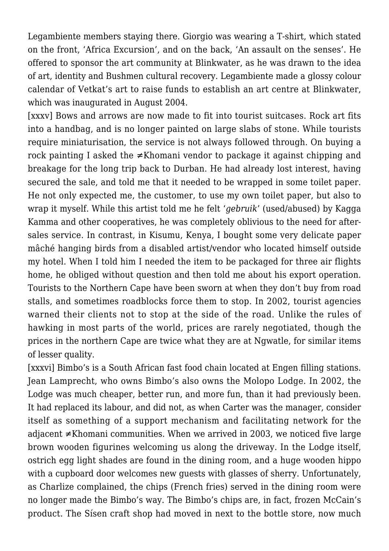Legambiente members staying there. Giorgio was wearing a T-shirt, which stated on the front, 'Africa Excursion', and on the back, 'An assault on the senses'. He offered to sponsor the art community at Blinkwater, as he was drawn to the idea of art, identity and Bushmen cultural recovery. Legambiente made a glossy colour calendar of Vetkat's art to raise funds to establish an art centre at Blinkwater, which was inaugurated in August 2004.

[xxxv] Bows and arrows are now made to fit into tourist suitcases. Rock art fits into a handbag, and is no longer painted on large slabs of stone. While tourists require miniaturisation, the service is not always followed through. On buying a rock painting I asked the ≠Khomani vendor to package it against chipping and breakage for the long trip back to Durban. He had already lost interest, having secured the sale, and told me that it needed to be wrapped in some toilet paper. He not only expected me, the customer, to use my own toilet paper, but also to wrap it myself. While this artist told me he felt '*gebruik*' (used/abused) by Kagga Kamma and other cooperatives, he was completely oblivious to the need for aftersales service. In contrast, in Kisumu, Kenya, I bought some very delicate paper mâché hanging birds from a disabled artist/vendor who located himself outside my hotel. When I told him I needed the item to be packaged for three air flights home, he obliged without question and then told me about his export operation. Tourists to the Northern Cape have been sworn at when they don't buy from road stalls, and sometimes roadblocks force them to stop. In 2002, tourist agencies warned their clients not to stop at the side of the road. Unlike the rules of hawking in most parts of the world, prices are rarely negotiated, though the prices in the northern Cape are twice what they are at Ngwatle, for similar items of lesser quality.

[xxxvi] Bimbo's is a South African fast food chain located at Engen filling stations. Jean Lamprecht, who owns Bimbo's also owns the Molopo Lodge. In 2002, the Lodge was much cheaper, better run, and more fun, than it had previously been. It had replaced its labour, and did not, as when Carter was the manager, consider itself as something of a support mechanism and facilitating network for the adjacent ≠Khomani communities. When we arrived in 2003, we noticed five large brown wooden figurines welcoming us along the driveway. In the Lodge itself, ostrich egg light shades are found in the dining room, and a huge wooden hippo with a cupboard door welcomes new guests with glasses of sherry. Unfortunately, as Charlize complained, the chips (French fries) served in the dining room were no longer made the Bimbo's way. The Bimbo's chips are, in fact, frozen McCain's product. The Sísen craft shop had moved in next to the bottle store, now much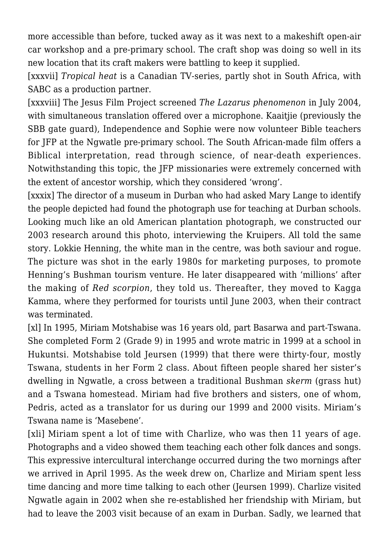more accessible than before, tucked away as it was next to a makeshift open-air car workshop and a pre-primary school. The craft shop was doing so well in its new location that its craft makers were battling to keep it supplied.

[xxxvii] *Tropical heat* is a Canadian TV-series, partly shot in South Africa, with SABC as a production partner.

[xxxviii] The Jesus Film Project screened *The Lazarus phenomenon* in July 2004, with simultaneous translation offered over a microphone. Kaaitjie (previously the SBB gate guard), Independence and Sophie were now volunteer Bible teachers for JFP at the Ngwatle pre-primary school. The South African-made film offers a Biblical interpretation, read through science, of near-death experiences. Notwithstanding this topic, the JFP missionaries were extremely concerned with the extent of ancestor worship, which they considered 'wrong'.

[xxxix] The director of a museum in Durban who had asked Mary Lange to identify the people depicted had found the photograph use for teaching at Durban schools. Looking much like an old American plantation photograph, we constructed our 2003 research around this photo, interviewing the Kruipers. All told the same story. Lokkie Henning, the white man in the centre, was both saviour and rogue. The picture was shot in the early 1980s for marketing purposes, to promote Henning's Bushman tourism venture. He later disappeared with 'millions' after the making of *Red scorpion*, they told us. Thereafter, they moved to Kagga Kamma, where they performed for tourists until June 2003, when their contract was terminated.

[xl] In 1995, Miriam Motshabise was 16 years old, part Basarwa and part-Tswana. She completed Form 2 (Grade 9) in 1995 and wrote matric in 1999 at a school in Hukuntsi. Motshabise told Jeursen (1999) that there were thirty-four, mostly Tswana, students in her Form 2 class. About fifteen people shared her sister's dwelling in Ngwatle, a cross between a traditional Bushman *skerm* (grass hut) and a Tswana homestead. Miriam had five brothers and sisters, one of whom, Pedris, acted as a translator for us during our 1999 and 2000 visits. Miriam's Tswana name is 'Masebene'.

[xli] Miriam spent a lot of time with Charlize, who was then 11 years of age. Photographs and a video showed them teaching each other folk dances and songs. This expressive intercultural interchange occurred during the two mornings after we arrived in April 1995. As the week drew on, Charlize and Miriam spent less time dancing and more time talking to each other (Jeursen 1999). Charlize visited Ngwatle again in 2002 when she re-established her friendship with Miriam, but had to leave the 2003 visit because of an exam in Durban. Sadly, we learned that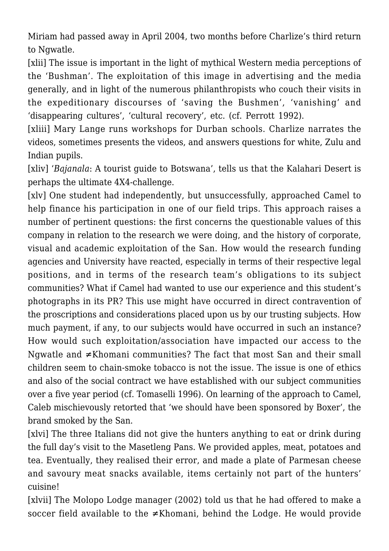Miriam had passed away in April 2004, two months before Charlize's third return to Ngwatle.

[xlii] The issue is important in the light of mythical Western media perceptions of the 'Bushman'. The exploitation of this image in advertising and the media generally, and in light of the numerous philanthropists who couch their visits in the expeditionary discourses of 'saving the Bushmen', 'vanishing' and 'disappearing cultures', 'cultural recovery', etc. (cf. Perrott 1992).

[xliii] Mary Lange runs workshops for Durban schools. Charlize narrates the videos, sometimes presents the videos, and answers questions for white, Zulu and Indian pupils.

[xliv] '*Bajanala*: A tourist guide to Botswana', tells us that the Kalahari Desert is perhaps the ultimate 4X4-challenge.

[xlv] One student had independently, but unsuccessfully, approached Camel to help finance his participation in one of our field trips. This approach raises a number of pertinent questions: the first concerns the questionable values of this company in relation to the research we were doing, and the history of corporate, visual and academic exploitation of the San. How would the research funding agencies and University have reacted, especially in terms of their respective legal positions, and in terms of the research team's obligations to its subject communities? What if Camel had wanted to use our experience and this student's photographs in its PR? This use might have occurred in direct contravention of the proscriptions and considerations placed upon us by our trusting subjects. How much payment, if any, to our subjects would have occurred in such an instance? How would such exploitation/association have impacted our access to the Ngwatle and ≠Khomani communities? The fact that most San and their small children seem to chain-smoke tobacco is not the issue. The issue is one of ethics and also of the social contract we have established with our subject communities over a five year period (cf. Tomaselli 1996). On learning of the approach to Camel, Caleb mischievously retorted that 'we should have been sponsored by Boxer', the brand smoked by the San.

[xlvi] The three Italians did not give the hunters anything to eat or drink during the full day's visit to the Masetleng Pans. We provided apples, meat, potatoes and tea. Eventually, they realised their error, and made a plate of Parmesan cheese and savoury meat snacks available, items certainly not part of the hunters' cuisine!

[xlvii] The Molopo Lodge manager (2002) told us that he had offered to make a soccer field available to the ≠Khomani, behind the Lodge. He would provide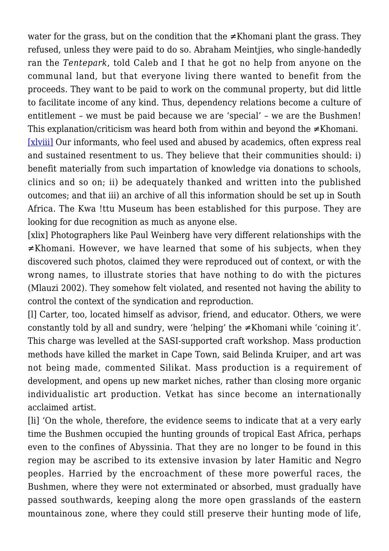water for the grass, but on the condition that the  $\neq$ Khomani plant the grass. They refused, unless they were paid to do so. Abraham Meintjies, who single-handedly ran the *Tentepark*, told Caleb and I that he got no help from anyone on the communal land, but that everyone living there wanted to benefit from the proceeds. They want to be paid to work on the communal property, but did little to facilitate income of any kind. Thus, dependency relations become a culture of entitlement – we must be paid because we are 'special' – we are the Bushmen! This explanation/criticism was heard both from within and beyond the ≠Khomani. [\[xlviii\]](#page--1-0) Our informants, who feel used and abused by academics, often express real and sustained resentment to us. They believe that their communities should: i) benefit materially from such impartation of knowledge via donations to schools, clinics and so on; ii) be adequately thanked and written into the published outcomes; and that iii) an archive of all this information should be set up in South Africa. The Kwa !ttu Museum has been established for this purpose. They are looking for due recognition as much as anyone else.

[xlix] Photographers like Paul Weinberg have very different relationships with the ≠Khomani. However, we have learned that some of his subjects, when they discovered such photos, claimed they were reproduced out of context, or with the wrong names, to illustrate stories that have nothing to do with the pictures (Mlauzi 2002). They somehow felt violated, and resented not having the ability to control the context of the syndication and reproduction.

[l] Carter, too, located himself as advisor, friend, and educator. Others, we were constantly told by all and sundry, were 'helping' the ≠Khomani while 'coining it'. This charge was levelled at the SASI-supported craft workshop. Mass production methods have killed the market in Cape Town, said Belinda Kruiper, and art was not being made, commented Silikat. Mass production is a requirement of development, and opens up new market niches, rather than closing more organic individualistic art production. Vetkat has since become an internationally acclaimed artist.

[li] 'On the whole, therefore, the evidence seems to indicate that at a very early time the Bushmen occupied the hunting grounds of tropical East Africa, perhaps even to the confines of Abyssinia. That they are no longer to be found in this region may be ascribed to its extensive invasion by later Hamitic and Negro peoples. Harried by the encroachment of these more powerful races, the Bushmen, where they were not exterminated or absorbed, must gradually have passed southwards, keeping along the more open grasslands of the eastern mountainous zone, where they could still preserve their hunting mode of life,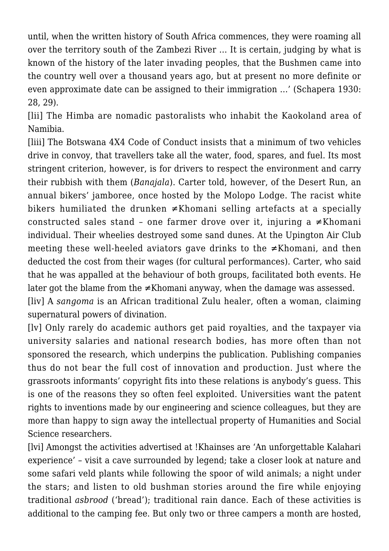until, when the written history of South Africa commences, they were roaming all over the territory south of the Zambezi River … It is certain, judging by what is known of the history of the later invading peoples, that the Bushmen came into the country well over a thousand years ago, but at present no more definite or even approximate date can be assigned to their immigration …' (Schapera 1930: 28, 29).

[lii] The Himba are nomadic pastoralists who inhabit the Kaokoland area of Namibia.

[liii] The Botswana 4X4 Code of Conduct insists that a minimum of two vehicles drive in convoy, that travellers take all the water, food, spares, and fuel. Its most stringent criterion, however, is for drivers to respect the environment and carry their rubbish with them (*Banajala*). Carter told, however, of the Desert Run, an annual bikers' jamboree, once hosted by the Molopo Lodge. The racist white bikers humiliated the drunken ≠Khomani selling artefacts at a specially constructed sales stand – one farmer drove over it, injuring a ≠Khomani individual. Their wheelies destroyed some sand dunes. At the Upington Air Club meeting these well-heeled aviators gave drinks to the ≠Khomani, and then deducted the cost from their wages (for cultural performances). Carter, who said that he was appalled at the behaviour of both groups, facilitated both events. He later got the blame from the ≠Khomani anyway, when the damage was assessed.

[liv] A *sangoma* is an African traditional Zulu healer, often a woman, claiming supernatural powers of divination.

[lv] Only rarely do academic authors get paid royalties, and the taxpayer via university salaries and national research bodies, has more often than not sponsored the research, which underpins the publication. Publishing companies thus do not bear the full cost of innovation and production. Just where the grassroots informants' copyright fits into these relations is anybody's guess. This is one of the reasons they so often feel exploited. Universities want the patent rights to inventions made by our engineering and science colleagues, but they are more than happy to sign away the intellectual property of Humanities and Social Science researchers.

[lvi] Amongst the activities advertised at !Khainses are 'An unforgettable Kalahari experience' – visit a cave surrounded by legend; take a closer look at nature and some safari veld plants while following the spoor of wild animals; a night under the stars; and listen to old bushman stories around the fire while enjoying traditional *asbrood* ('bread'); traditional rain dance. Each of these activities is additional to the camping fee. But only two or three campers a month are hosted,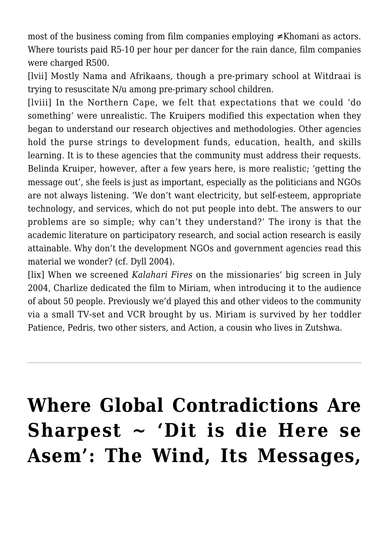most of the business coming from film companies employing ≠Khomani as actors. Where tourists paid R5-10 per hour per dancer for the rain dance, film companies were charged R500.

[lvii] Mostly Nama and Afrikaans, though a pre-primary school at Witdraai is trying to resuscitate N/u among pre-primary school children.

[lviii] In the Northern Cape, we felt that expectations that we could 'do something' were unrealistic. The Kruipers modified this expectation when they began to understand our research objectives and methodologies. Other agencies hold the purse strings to development funds, education, health, and skills learning. It is to these agencies that the community must address their requests. Belinda Kruiper, however, after a few years here, is more realistic; 'getting the message out', she feels is just as important, especially as the politicians and NGOs are not always listening. 'We don't want electricity, but self-esteem, appropriate technology, and services, which do not put people into debt. The answers to our problems are so simple; why can't they understand?' The irony is that the academic literature on participatory research, and social action research is easily attainable. Why don't the development NGOs and government agencies read this material we wonder? (cf. Dyll 2004).

[lix] When we screened *Kalahari Fires* on the missionaries' big screen in July 2004, Charlize dedicated the film to Miriam, when introducing it to the audience of about 50 people. Previously we'd played this and other videos to the community via a small TV-set and VCR brought by us. Miriam is survived by her toddler Patience, Pedris, two other sisters, and Action, a cousin who lives in Zutshwa.

# **[Where Global Contradictions Are](https://rozenbergquarterly.com/where-global-contradictions-are-sharpest-dit-is-die-here-se-asem-the-wind-its-messages-and-issues-of-autoethnographic-methodology-in-the-kalahari/) [Sharpest ~ 'Dit is die Here se](https://rozenbergquarterly.com/where-global-contradictions-are-sharpest-dit-is-die-here-se-asem-the-wind-its-messages-and-issues-of-autoethnographic-methodology-in-the-kalahari/) [Asem': The Wind, Its Messages,](https://rozenbergquarterly.com/where-global-contradictions-are-sharpest-dit-is-die-here-se-asem-the-wind-its-messages-and-issues-of-autoethnographic-methodology-in-the-kalahari/)**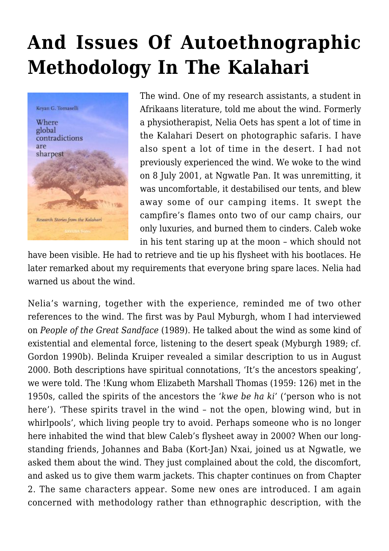## **[And Issues Of Autoethnographic](https://rozenbergquarterly.com/where-global-contradictions-are-sharpest-dit-is-die-here-se-asem-the-wind-its-messages-and-issues-of-autoethnographic-methodology-in-the-kalahari/) [Methodology In The Kalahari](https://rozenbergquarterly.com/where-global-contradictions-are-sharpest-dit-is-die-here-se-asem-the-wind-its-messages-and-issues-of-autoethnographic-methodology-in-the-kalahari/)**



The wind. One of my research assistants, a student in Afrikaans literature, told me about the wind. Formerly a physiotherapist, Nelia Oets has spent a lot of time in the Kalahari Desert on photographic safaris. I have also spent a lot of time in the desert. I had not previously experienced the wind. We woke to the wind on 8 July 2001, at Ngwatle Pan. It was unremitting, it was uncomfortable, it destabilised our tents, and blew away some of our camping items. It swept the campfire's flames onto two of our camp chairs, our only luxuries, and burned them to cinders. Caleb woke in his tent staring up at the moon – which should not

have been visible. He had to retrieve and tie up his flysheet with his bootlaces. He later remarked about my requirements that everyone bring spare laces. Nelia had warned us about the wind.

Nelia's warning, together with the experience, reminded me of two other references to the wind. The first was by Paul Myburgh, whom I had interviewed on *People of the Great Sandface* (1989). He talked about the wind as some kind of existential and elemental force, listening to the desert speak (Myburgh 1989; cf. Gordon 1990b). Belinda Kruiper revealed a similar description to us in August 2000. Both descriptions have spiritual connotations, 'It's the ancestors speaking', we were told. The !Kung whom Elizabeth Marshall Thomas (1959: 126) met in the 1950s, called the spirits of the ancestors the '*kwe be ha ki*' ('person who is not here'). 'These spirits travel in the wind – not the open, blowing wind, but in whirlpools', which living people try to avoid. Perhaps someone who is no longer here inhabited the wind that blew Caleb's flysheet away in 2000? When our longstanding friends, Johannes and Baba (Kort-Jan) Nxai, joined us at Ngwatle, we asked them about the wind. They just complained about the cold, the discomfort, and asked us to give them warm jackets. This chapter continues on from Chapter 2. The same characters appear. Some new ones are introduced. I am again concerned with methodology rather than ethnographic description, with the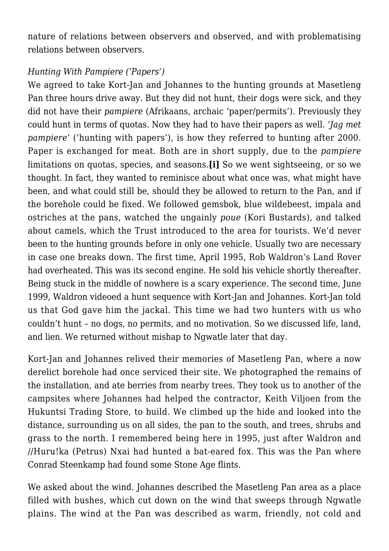nature of relations between observers and observed, and with problematising relations between observers.

### *Hunting With Pampiere ('Papers')*

We agreed to take Kort-Jan and Johannes to the hunting grounds at Masetleng Pan three hours drive away. But they did not hunt, their dogs were sick, and they did not have their *pampiere* (Afrikaans, archaic 'paper/permits'). Previously they could hunt in terms of quotas. Now they had to have their papers as well. '*Jag met pampiere*' ('hunting with papers'), is how they referred to hunting after 2000. Paper is exchanged for meat. Both are in short supply, due to the *pampiere* limitations on quotas, species, and seasons.**[i]** So we went sightseeing, or so we thought. In fact, they wanted to reminisce about what once was, what might have been, and what could still be, should they be allowed to return to the Pan, and if the borehole could be fixed. We followed gemsbok, blue wildebeest, impala and ostriches at the pans, watched the ungainly *poue* (Kori Bustards), and talked about camels, which the Trust introduced to the area for tourists. We'd never been to the hunting grounds before in only one vehicle. Usually two are necessary in case one breaks down. The first time, April 1995, Rob Waldron's Land Rover had overheated. This was its second engine. He sold his vehicle shortly thereafter. Being stuck in the middle of nowhere is a scary experience. The second time, June 1999, Waldron videoed a hunt sequence with Kort-Jan and Johannes. Kort-Jan told us that God gave him the jackal. This time we had two hunters with us who couldn't hunt – no dogs, no permits, and no motivation. So we discussed life, land, and lien. We returned without mishap to Ngwatle later that day.

Kort-Jan and Johannes relived their memories of Masetleng Pan, where a now derelict borehole had once serviced their site. We photographed the remains of the installation, and ate berries from nearby trees. They took us to another of the campsites where Johannes had helped the contractor, Keith Viljoen from the Hukuntsi Trading Store, to build. We climbed up the hide and looked into the distance, surrounding us on all sides, the pan to the south, and trees, shrubs and grass to the north. I remembered being here in 1995, just after Waldron and //Huru!ka (Petrus) Nxai had hunted a bat-eared fox. This was the Pan where Conrad Steenkamp had found some Stone Age flints.

We asked about the wind. Johannes described the Masetleng Pan area as a place filled with bushes, which cut down on the wind that sweeps through Ngwatle plains. The wind at the Pan was described as warm, friendly, not cold and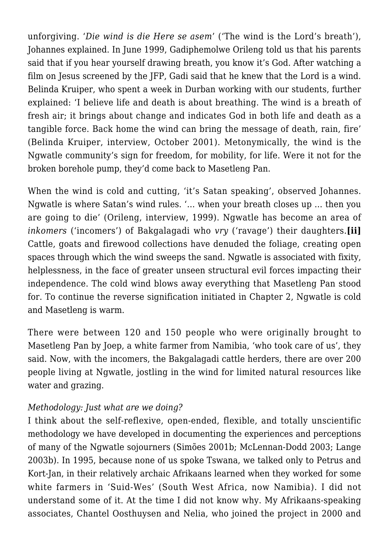unforgiving. '*Die wind is die Here se asem*' ('The wind is the Lord's breath'), Johannes explained. In June 1999, Gadiphemolwe Orileng told us that his parents said that if you hear yourself drawing breath, you know it's God. After watching a film on Jesus screened by the JFP, Gadi said that he knew that the Lord is a wind. Belinda Kruiper, who spent a week in Durban working with our students, further explained: 'I believe life and death is about breathing. The wind is a breath of fresh air; it brings about change and indicates God in both life and death as a tangible force. Back home the wind can bring the message of death, rain, fire' (Belinda Kruiper, interview, October 2001). Metonymically, the wind is the Ngwatle community's sign for freedom, for mobility, for life. Were it not for the broken borehole pump, they'd come back to Masetleng Pan.

When the wind is cold and cutting, 'it's Satan speaking', observed Johannes. Ngwatle is where Satan's wind rules. '… when your breath closes up … then you are going to die' (Orileng, interview, 1999). Ngwatle has become an area of *inkomers* ('incomers') of Bakgalagadi who *vry* ('ravage') their daughters.**[ii]** Cattle, goats and firewood collections have denuded the foliage, creating open spaces through which the wind sweeps the sand. Ngwatle is associated with fixity, helplessness, in the face of greater unseen structural evil forces impacting their independence. The cold wind blows away everything that Masetleng Pan stood for. To continue the reverse signification initiated in Chapter 2, Ngwatle is cold and Masetleng is warm.

There were between 120 and 150 people who were originally brought to Masetleng Pan by Joep, a white farmer from Namibia, 'who took care of us', they said. Now, with the incomers, the Bakgalagadi cattle herders, there are over 200 people living at Ngwatle, jostling in the wind for limited natural resources like water and grazing.

#### *Methodology: Just what are we doing?*

I think about the self-reflexive, open-ended, flexible, and totally unscientific methodology we have developed in documenting the experiences and perceptions of many of the Ngwatle sojourners (Simões 2001b; McLennan-Dodd 2003; Lange 2003b). In 1995, because none of us spoke Tswana, we talked only to Petrus and Kort-Jan, in their relatively archaic Afrikaans learned when they worked for some white farmers in 'Suid-Wes' (South West Africa, now Namibia). I did not understand some of it. At the time I did not know why. My Afrikaans-speaking associates, Chantel Oosthuysen and Nelia, who joined the project in 2000 and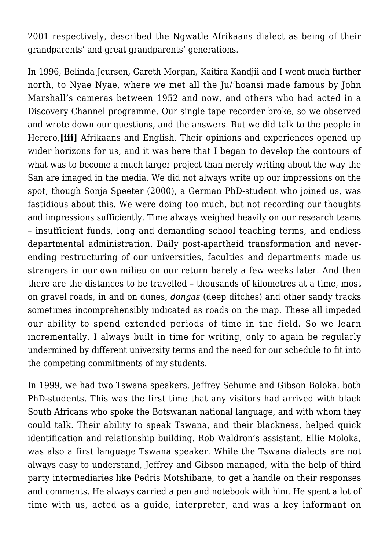2001 respectively, described the Ngwatle Afrikaans dialect as being of their grandparents' and great grandparents' generations.

In 1996, Belinda Jeursen, Gareth Morgan, Kaitira Kandjii and I went much further north, to Nyae Nyae, where we met all the Ju/'hoansi made famous by John Marshall's cameras between 1952 and now, and others who had acted in a Discovery Channel programme. Our single tape recorder broke, so we observed and wrote down our questions, and the answers. But we did talk to the people in Herero,**[iii]** Afrikaans and English. Their opinions and experiences opened up wider horizons for us, and it was here that I began to develop the contours of what was to become a much larger project than merely writing about the way the San are imaged in the media. We did not always write up our impressions on the spot, though Sonja Speeter (2000), a German PhD-student who joined us, was fastidious about this. We were doing too much, but not recording our thoughts and impressions sufficiently. Time always weighed heavily on our research teams – insufficient funds, long and demanding school teaching terms, and endless departmental administration. Daily post-apartheid transformation and neverending restructuring of our universities, faculties and departments made us strangers in our own milieu on our return barely a few weeks later. And then there are the distances to be travelled – thousands of kilometres at a time, most on gravel roads, in and on dunes, *dongas* (deep ditches) and other sandy tracks sometimes incomprehensibly indicated as roads on the map. These all impeded our ability to spend extended periods of time in the field. So we learn incrementally. I always built in time for writing, only to again be regularly undermined by different university terms and the need for our schedule to fit into the competing commitments of my students.

In 1999, we had two Tswana speakers, Jeffrey Sehume and Gibson Boloka, both PhD-students. This was the first time that any visitors had arrived with black South Africans who spoke the Botswanan national language, and with whom they could talk. Their ability to speak Tswana, and their blackness, helped quick identification and relationship building. Rob Waldron's assistant, Ellie Moloka, was also a first language Tswana speaker. While the Tswana dialects are not always easy to understand, Jeffrey and Gibson managed, with the help of third party intermediaries like Pedris Motshibane, to get a handle on their responses and comments. He always carried a pen and notebook with him. He spent a lot of time with us, acted as a guide, interpreter, and was a key informant on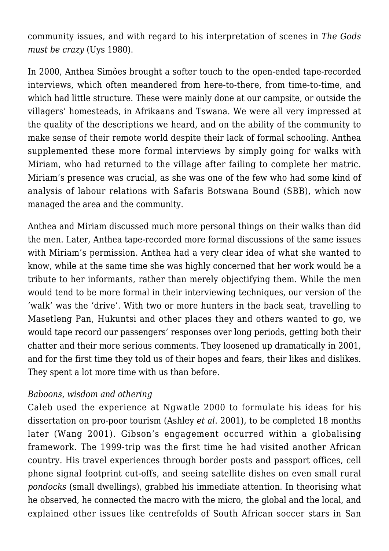community issues, and with regard to his interpretation of scenes in *The Gods must be crazy* (Uys 1980).

In 2000, Anthea Simões brought a softer touch to the open-ended tape-recorded interviews, which often meandered from here-to-there, from time-to-time, and which had little structure. These were mainly done at our campsite, or outside the villagers' homesteads, in Afrikaans and Tswana. We were all very impressed at the quality of the descriptions we heard, and on the ability of the community to make sense of their remote world despite their lack of formal schooling. Anthea supplemented these more formal interviews by simply going for walks with Miriam, who had returned to the village after failing to complete her matric. Miriam's presence was crucial, as she was one of the few who had some kind of analysis of labour relations with Safaris Botswana Bound (SBB), which now managed the area and the community.

Anthea and Miriam discussed much more personal things on their walks than did the men. Later, Anthea tape-recorded more formal discussions of the same issues with Miriam's permission. Anthea had a very clear idea of what she wanted to know, while at the same time she was highly concerned that her work would be a tribute to her informants, rather than merely objectifying them. While the men would tend to be more formal in their interviewing techniques, our version of the 'walk' was the 'drive'. With two or more hunters in the back seat, travelling to Masetleng Pan, Hukuntsi and other places they and others wanted to go, we would tape record our passengers' responses over long periods, getting both their chatter and their more serious comments. They loosened up dramatically in 2001, and for the first time they told us of their hopes and fears, their likes and dislikes. They spent a lot more time with us than before.

#### *Baboons, wisdom and othering*

Caleb used the experience at Ngwatle 2000 to formulate his ideas for his dissertation on pro-poor tourism (Ashley *et al*. 2001), to be completed 18 months later (Wang 2001). Gibson's engagement occurred within a globalising framework. The 1999-trip was the first time he had visited another African country. His travel experiences through border posts and passport offices, cell phone signal footprint cut-offs, and seeing satellite dishes on even small rural *pondocks* (small dwellings), grabbed his immediate attention. In theorising what he observed, he connected the macro with the micro, the global and the local, and explained other issues like centrefolds of South African soccer stars in San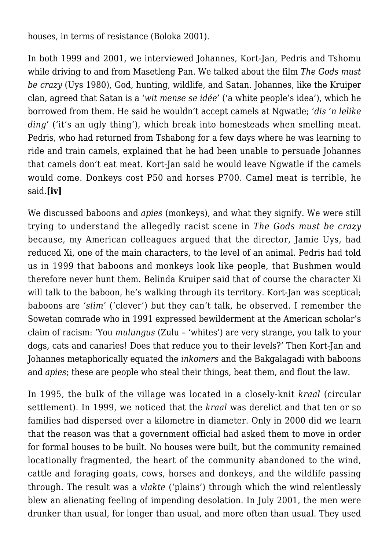houses, in terms of resistance (Boloka 2001).

In both 1999 and 2001, we interviewed Johannes, Kort-Jan, Pedris and Tshomu while driving to and from Masetleng Pan. We talked about the film *The Gods must be crazy* (Uys 1980), God, hunting, wildlife, and Satan. Johannes, like the Kruiper clan, agreed that Satan is a '*wit mense se idée*' ('a white people's idea'), which he borrowed from them. He said he wouldn't accept camels at Ngwatle; '*dis 'n lelike ding*' ('it's an ugly thing'), which break into homesteads when smelling meat. Pedris, who had returned from Tshabong for a few days where he was learning to ride and train camels, explained that he had been unable to persuade Johannes that camels don't eat meat. Kort-Jan said he would leave Ngwatle if the camels would come. Donkeys cost P50 and horses P700. Camel meat is terrible, he said.**[iv]**

We discussed baboons and *apies* (monkeys), and what they signify. We were still trying to understand the allegedly racist scene in *The Gods must be crazy* because, my American colleagues argued that the director, Jamie Uys, had reduced Xi, one of the main characters, to the level of an animal. Pedris had told us in 1999 that baboons and monkeys look like people, that Bushmen would therefore never hunt them. Belinda Kruiper said that of course the character Xi will talk to the baboon, he's walking through its territory. Kort-Jan was sceptical; baboons are '*slim*' ('clever') but they can't talk, he observed. I remember the Sowetan comrade who in 1991 expressed bewilderment at the American scholar's claim of racism: 'You *mulungus* (Zulu – 'whites') are very strange, you talk to your dogs, cats and canaries! Does that reduce you to their levels?' Then Kort-Jan and Johannes metaphorically equated the *inkomers* and the Bakgalagadi with baboons and *apies*; these are people who steal their things, beat them, and flout the law.

In 1995, the bulk of the village was located in a closely-knit *kraal* (circular settlement). In 1999, we noticed that the *kraal* was derelict and that ten or so families had dispersed over a kilometre in diameter. Only in 2000 did we learn that the reason was that a government official had asked them to move in order for formal houses to be built. No houses were built, but the community remained locationally fragmented, the heart of the community abandoned to the wind, cattle and foraging goats, cows, horses and donkeys, and the wildlife passing through. The result was a *vlakte* ('plains') through which the wind relentlessly blew an alienating feeling of impending desolation. In July 2001, the men were drunker than usual, for longer than usual, and more often than usual. They used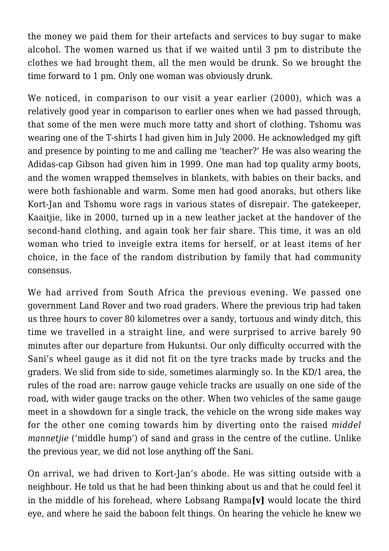the money we paid them for their artefacts and services to buy sugar to make alcohol. The women warned us that if we waited until 3 pm to distribute the clothes we had brought them, all the men would be drunk. So we brought the time forward to 1 pm. Only one woman was obviously drunk.

We noticed, in comparison to our visit a year earlier (2000), which was a relatively good year in comparison to earlier ones when we had passed through, that some of the men were much more tatty and short of clothing. Tshomu was wearing one of the T-shirts I had given him in July 2000. He acknowledged my gift and presence by pointing to me and calling me 'teacher?' He was also wearing the Adidas-cap Gibson had given him in 1999. One man had top quality army boots, and the women wrapped themselves in blankets, with babies on their backs, and were both fashionable and warm. Some men had good anoraks, but others like Kort-Jan and Tshomu wore rags in various states of disrepair. The gatekeeper, Kaaitjie, like in 2000, turned up in a new leather jacket at the handover of the second-hand clothing, and again took her fair share. This time, it was an old woman who tried to inveigle extra items for herself, or at least items of her choice, in the face of the random distribution by family that had community consensus.

We had arrived from South Africa the previous evening. We passed one government Land Rover and two road graders. Where the previous trip had taken us three hours to cover 80 kilometres over a sandy, tortuous and windy ditch, this time we travelled in a straight line, and were surprised to arrive barely 90 minutes after our departure from Hukuntsi. Our only difficulty occurred with the Sani's wheel gauge as it did not fit on the tyre tracks made by trucks and the graders. We slid from side to side, sometimes alarmingly so. In the KD/1 area, the rules of the road are: narrow gauge vehicle tracks are usually on one side of the road, with wider gauge tracks on the other. When two vehicles of the same gauge meet in a showdown for a single track, the vehicle on the wrong side makes way for the other one coming towards him by diverting onto the raised *middel mannetjie* ('middle hump') of sand and grass in the centre of the cutline. Unlike the previous year, we did not lose anything off the Sani.

On arrival, we had driven to Kort-Jan's abode. He was sitting outside with a neighbour. He told us that he had been thinking about us and that he could feel it in the middle of his forehead, where Lobsang Rampa**[v]** would locate the third eye, and where he said the baboon felt things. On hearing the vehicle he knew we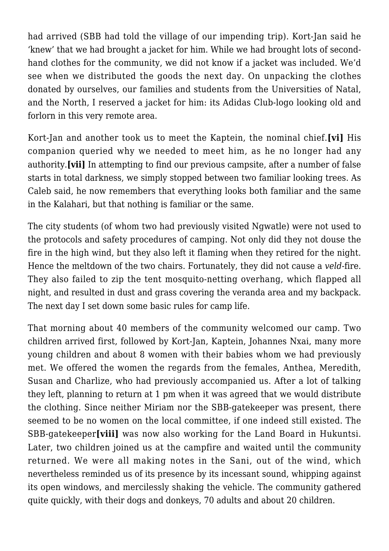had arrived (SBB had told the village of our impending trip). Kort-Jan said he 'knew' that we had brought a jacket for him. While we had brought lots of secondhand clothes for the community, we did not know if a jacket was included. We'd see when we distributed the goods the next day. On unpacking the clothes donated by ourselves, our families and students from the Universities of Natal, and the North, I reserved a jacket for him: its Adidas Club-logo looking old and forlorn in this very remote area.

Kort-Jan and another took us to meet the Kaptein, the nominal chief.**[vi]** His companion queried why we needed to meet him, as he no longer had any authority.**[vii]** In attempting to find our previous campsite, after a number of false starts in total darkness, we simply stopped between two familiar looking trees. As Caleb said, he now remembers that everything looks both familiar and the same in the Kalahari, but that nothing is familiar or the same.

The city students (of whom two had previously visited Ngwatle) were not used to the protocols and safety procedures of camping. Not only did they not douse the fire in the high wind, but they also left it flaming when they retired for the night. Hence the meltdown of the two chairs. Fortunately, they did not cause a *veld*-fire. They also failed to zip the tent mosquito-netting overhang, which flapped all night, and resulted in dust and grass covering the veranda area and my backpack. The next day I set down some basic rules for camp life.

That morning about 40 members of the community welcomed our camp. Two children arrived first, followed by Kort-Jan, Kaptein, Johannes Nxai, many more young children and about 8 women with their babies whom we had previously met. We offered the women the regards from the females, Anthea, Meredith, Susan and Charlize, who had previously accompanied us. After a lot of talking they left, planning to return at 1 pm when it was agreed that we would distribute the clothing. Since neither Miriam nor the SBB-gatekeeper was present, there seemed to be no women on the local committee, if one indeed still existed. The SBB-gatekeeper**[viii]** was now also working for the Land Board in Hukuntsi. Later, two children joined us at the campfire and waited until the community returned. We were all making notes in the Sani, out of the wind, which nevertheless reminded us of its presence by its incessant sound, whipping against its open windows, and mercilessly shaking the vehicle. The community gathered quite quickly, with their dogs and donkeys, 70 adults and about 20 children.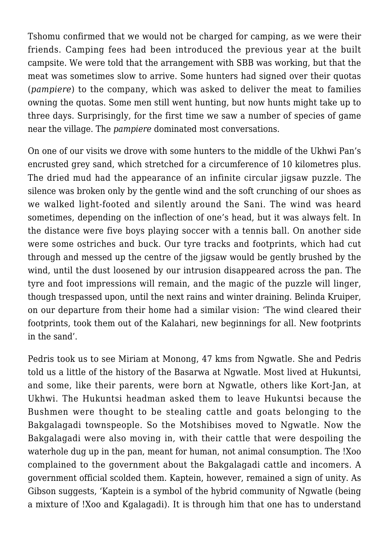Tshomu confirmed that we would not be charged for camping, as we were their friends. Camping fees had been introduced the previous year at the built campsite. We were told that the arrangement with SBB was working, but that the meat was sometimes slow to arrive. Some hunters had signed over their quotas (*pampiere*) to the company, which was asked to deliver the meat to families owning the quotas. Some men still went hunting, but now hunts might take up to three days. Surprisingly, for the first time we saw a number of species of game near the village. The *pampiere* dominated most conversations.

On one of our visits we drove with some hunters to the middle of the Ukhwi Pan's encrusted grey sand, which stretched for a circumference of 10 kilometres plus. The dried mud had the appearance of an infinite circular jigsaw puzzle. The silence was broken only by the gentle wind and the soft crunching of our shoes as we walked light-footed and silently around the Sani. The wind was heard sometimes, depending on the inflection of one's head, but it was always felt. In the distance were five boys playing soccer with a tennis ball. On another side were some ostriches and buck. Our tyre tracks and footprints, which had cut through and messed up the centre of the jigsaw would be gently brushed by the wind, until the dust loosened by our intrusion disappeared across the pan. The tyre and foot impressions will remain, and the magic of the puzzle will linger, though trespassed upon, until the next rains and winter draining. Belinda Kruiper, on our departure from their home had a similar vision: 'The wind cleared their footprints, took them out of the Kalahari, new beginnings for all. New footprints in the sand'.

Pedris took us to see Miriam at Monong, 47 kms from Ngwatle. She and Pedris told us a little of the history of the Basarwa at Ngwatle. Most lived at Hukuntsi, and some, like their parents, were born at Ngwatle, others like Kort-Jan, at Ukhwi. The Hukuntsi headman asked them to leave Hukuntsi because the Bushmen were thought to be stealing cattle and goats belonging to the Bakgalagadi townspeople. So the Motshibises moved to Ngwatle. Now the Bakgalagadi were also moving in, with their cattle that were despoiling the waterhole dug up in the pan, meant for human, not animal consumption. The !Xoo complained to the government about the Bakgalagadi cattle and incomers. A government official scolded them. Kaptein, however, remained a sign of unity. As Gibson suggests, 'Kaptein is a symbol of the hybrid community of Ngwatle (being a mixture of !Xoo and Kgalagadi). It is through him that one has to understand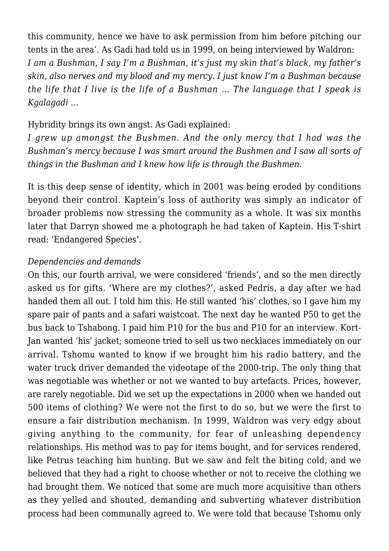this community, hence we have to ask permission from him before pitching our tents in the area'. As Gadi had told us in 1999, on being interviewed by Waldron: *I am a Bushman, I say I'm a Bushman, it's just my skin that's black, my father's skin, also nerves and my blood and my mercy. I just know I'm a Bushman because the life that I live is the life of a Bushman … The language that I speak is Kgalagadi …*

#### Hybridity brings its own angst. As Gadi explained:

*I grew up amongst the Bushmen. And the only mercy that I had was the Bushman's mercy because I was smart around the Bushmen and I saw all sorts of things in the Bushman and I knew how life is through the Bushmen.*

It is this deep sense of identity, which in 2001 was being eroded by conditions beyond their control. Kaptein's loss of authority was simply an indicator of broader problems now stressing the community as a whole. It was six months later that Darryn showed me a photograph he had taken of Kaptein. His T-shirt read: 'Endangered Species'.

### *Dependencies and demands*

On this, our fourth arrival, we were considered 'friends', and so the men directly asked us for gifts. 'Where are my clothes?', asked Pedris, a day after we had handed them all out. I told him this. He still wanted 'his' clothes, so I gave him my spare pair of pants and a safari waistcoat. The next day he wanted P50 to get the bus back to Tshabong. I paid him P10 for the bus and P10 for an interview. Kort-Jan wanted 'his' jacket; someone tried to sell us two necklaces immediately on our arrival. Tshomu wanted to know if we brought him his radio battery, and the water truck driver demanded the videotape of the 2000-trip. The only thing that was negotiable was whether or not we wanted to buy artefacts. Prices, however, are rarely negotiable. Did we set up the expectations in 2000 when we handed out 500 items of clothing? We were not the first to do so, but we were the first to ensure a fair distribution mechanism. In 1999, Waldron was very edgy about giving anything to the community, for fear of unleashing dependency relationships. His method was to pay for items bought, and for services rendered, like Petrus teaching him hunting. But we saw and felt the biting cold, and we believed that they had a right to choose whether or not to receive the clothing we had brought them. We noticed that some are much more acquisitive than others as they yelled and shouted, demanding and subverting whatever distribution process had been communally agreed to. We were told that because Tshomu only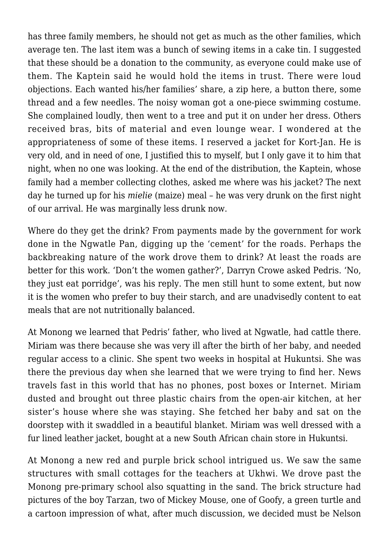has three family members, he should not get as much as the other families, which average ten. The last item was a bunch of sewing items in a cake tin. I suggested that these should be a donation to the community, as everyone could make use of them. The Kaptein said he would hold the items in trust. There were loud objections. Each wanted his/her families' share, a zip here, a button there, some thread and a few needles. The noisy woman got a one-piece swimming costume. She complained loudly, then went to a tree and put it on under her dress. Others received bras, bits of material and even lounge wear. I wondered at the appropriateness of some of these items. I reserved a jacket for Kort-Jan. He is very old, and in need of one, I justified this to myself, but I only gave it to him that night, when no one was looking. At the end of the distribution, the Kaptein, whose family had a member collecting clothes, asked me where was his jacket? The next day he turned up for his *mielie* (maize) meal – he was very drunk on the first night of our arrival. He was marginally less drunk now.

Where do they get the drink? From payments made by the government for work done in the Ngwatle Pan, digging up the 'cement' for the roads. Perhaps the backbreaking nature of the work drove them to drink? At least the roads are better for this work. 'Don't the women gather?', Darryn Crowe asked Pedris. 'No, they just eat porridge', was his reply. The men still hunt to some extent, but now it is the women who prefer to buy their starch, and are unadvisedly content to eat meals that are not nutritionally balanced.

At Monong we learned that Pedris' father, who lived at Ngwatle, had cattle there. Miriam was there because she was very ill after the birth of her baby, and needed regular access to a clinic. She spent two weeks in hospital at Hukuntsi. She was there the previous day when she learned that we were trying to find her. News travels fast in this world that has no phones, post boxes or Internet. Miriam dusted and brought out three plastic chairs from the open-air kitchen, at her sister's house where she was staying. She fetched her baby and sat on the doorstep with it swaddled in a beautiful blanket. Miriam was well dressed with a fur lined leather jacket, bought at a new South African chain store in Hukuntsi.

At Monong a new red and purple brick school intrigued us. We saw the same structures with small cottages for the teachers at Ukhwi. We drove past the Monong pre-primary school also squatting in the sand. The brick structure had pictures of the boy Tarzan, two of Mickey Mouse, one of Goofy, a green turtle and a cartoon impression of what, after much discussion, we decided must be Nelson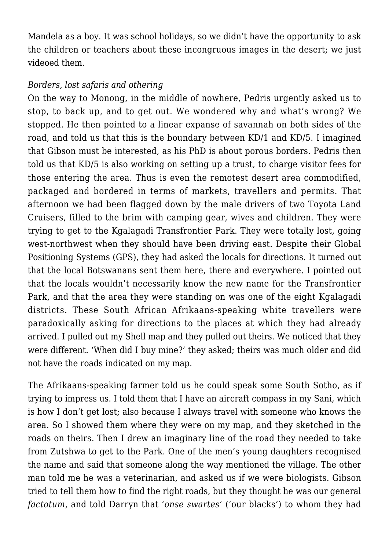Mandela as a boy. It was school holidays, so we didn't have the opportunity to ask the children or teachers about these incongruous images in the desert; we just videoed them.

#### *Borders, lost safaris and othering*

On the way to Monong, in the middle of nowhere, Pedris urgently asked us to stop, to back up, and to get out. We wondered why and what's wrong? We stopped. He then pointed to a linear expanse of savannah on both sides of the road, and told us that this is the boundary between KD/1 and KD/5. I imagined that Gibson must be interested, as his PhD is about porous borders. Pedris then told us that KD/5 is also working on setting up a trust, to charge visitor fees for those entering the area. Thus is even the remotest desert area commodified, packaged and bordered in terms of markets, travellers and permits. That afternoon we had been flagged down by the male drivers of two Toyota Land Cruisers, filled to the brim with camping gear, wives and children. They were trying to get to the Kgalagadi Transfrontier Park. They were totally lost, going west-northwest when they should have been driving east. Despite their Global Positioning Systems (GPS), they had asked the locals for directions. It turned out that the local Botswanans sent them here, there and everywhere. I pointed out that the locals wouldn't necessarily know the new name for the Transfrontier Park, and that the area they were standing on was one of the eight Kgalagadi districts. These South African Afrikaans-speaking white travellers were paradoxically asking for directions to the places at which they had already arrived. I pulled out my Shell map and they pulled out theirs. We noticed that they were different. 'When did I buy mine?' they asked; theirs was much older and did not have the roads indicated on my map.

The Afrikaans-speaking farmer told us he could speak some South Sotho, as if trying to impress us. I told them that I have an aircraft compass in my Sani, which is how I don't get lost; also because I always travel with someone who knows the area. So I showed them where they were on my map, and they sketched in the roads on theirs. Then I drew an imaginary line of the road they needed to take from Zutshwa to get to the Park. One of the men's young daughters recognised the name and said that someone along the way mentioned the village. The other man told me he was a veterinarian, and asked us if we were biologists. Gibson tried to tell them how to find the right roads, but they thought he was our general *factotum*, and told Darryn that '*onse swartes*' ('our blacks') to whom they had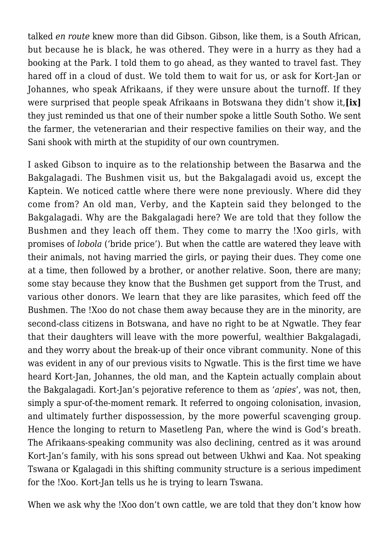talked *en route* knew more than did Gibson. Gibson, like them, is a South African, but because he is black, he was othered. They were in a hurry as they had a booking at the Park. I told them to go ahead, as they wanted to travel fast. They hared off in a cloud of dust. We told them to wait for us, or ask for Kort-Jan or Johannes, who speak Afrikaans, if they were unsure about the turnoff. If they were surprised that people speak Afrikaans in Botswana they didn't show it,**[ix]** they just reminded us that one of their number spoke a little South Sotho. We sent the farmer, the vetenerarian and their respective families on their way, and the Sani shook with mirth at the stupidity of our own countrymen.

I asked Gibson to inquire as to the relationship between the Basarwa and the Bakgalagadi. The Bushmen visit us, but the Bakgalagadi avoid us, except the Kaptein. We noticed cattle where there were none previously. Where did they come from? An old man, Verby, and the Kaptein said they belonged to the Bakgalagadi. Why are the Bakgalagadi here? We are told that they follow the Bushmen and they leach off them. They come to marry the !Xoo girls, with promises of *lobola* ('bride price'). But when the cattle are watered they leave with their animals, not having married the girls, or paying their dues. They come one at a time, then followed by a brother, or another relative. Soon, there are many; some stay because they know that the Bushmen get support from the Trust, and various other donors. We learn that they are like parasites, which feed off the Bushmen. The !Xoo do not chase them away because they are in the minority, are second-class citizens in Botswana, and have no right to be at Ngwatle. They fear that their daughters will leave with the more powerful, wealthier Bakgalagadi, and they worry about the break-up of their once vibrant community. None of this was evident in any of our previous visits to Ngwatle. This is the first time we have heard Kort-Jan, Johannes, the old man, and the Kaptein actually complain about the Bakgalagadi. Kort-Jan's pejorative reference to them as '*apies*', was not, then, simply a spur-of-the-moment remark. It referred to ongoing colonisation, invasion, and ultimately further dispossession, by the more powerful scavenging group. Hence the longing to return to Masetleng Pan, where the wind is God's breath. The Afrikaans-speaking community was also declining, centred as it was around Kort-Jan's family, with his sons spread out between Ukhwi and Kaa. Not speaking Tswana or Kgalagadi in this shifting community structure is a serious impediment for the !Xoo. Kort-Jan tells us he is trying to learn Tswana.

When we ask why the !Xoo don't own cattle, we are told that they don't know how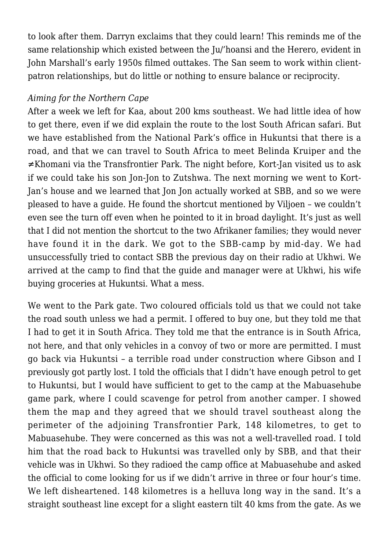to look after them. Darryn exclaims that they could learn! This reminds me of the same relationship which existed between the Ju/'hoansi and the Herero, evident in John Marshall's early 1950s filmed outtakes. The San seem to work within clientpatron relationships, but do little or nothing to ensure balance or reciprocity.

### *Aiming for the Northern Cape*

After a week we left for Kaa, about 200 kms southeast. We had little idea of how to get there, even if we did explain the route to the lost South African safari. But we have established from the National Park's office in Hukuntsi that there is a road, and that we can travel to South Africa to meet Belinda Kruiper and the ≠Khomani via the Transfrontier Park. The night before, Kort-Jan visited us to ask if we could take his son Jon-Jon to Zutshwa. The next morning we went to Kort-Jan's house and we learned that Jon Jon actually worked at SBB, and so we were pleased to have a guide. He found the shortcut mentioned by Viljoen – we couldn't even see the turn off even when he pointed to it in broad daylight. It's just as well that I did not mention the shortcut to the two Afrikaner families; they would never have found it in the dark. We got to the SBB-camp by mid-day. We had unsuccessfully tried to contact SBB the previous day on their radio at Ukhwi. We arrived at the camp to find that the guide and manager were at Ukhwi, his wife buying groceries at Hukuntsi. What a mess.

We went to the Park gate. Two coloured officials told us that we could not take the road south unless we had a permit. I offered to buy one, but they told me that I had to get it in South Africa. They told me that the entrance is in South Africa, not here, and that only vehicles in a convoy of two or more are permitted. I must go back via Hukuntsi – a terrible road under construction where Gibson and I previously got partly lost. I told the officials that I didn't have enough petrol to get to Hukuntsi, but I would have sufficient to get to the camp at the Mabuasehube game park, where I could scavenge for petrol from another camper. I showed them the map and they agreed that we should travel southeast along the perimeter of the adjoining Transfrontier Park, 148 kilometres, to get to Mabuasehube. They were concerned as this was not a well-travelled road. I told him that the road back to Hukuntsi was travelled only by SBB, and that their vehicle was in Ukhwi. So they radioed the camp office at Mabuasehube and asked the official to come looking for us if we didn't arrive in three or four hour's time. We left disheartened. 148 kilometres is a helluva long way in the sand. It's a straight southeast line except for a slight eastern tilt 40 kms from the gate. As we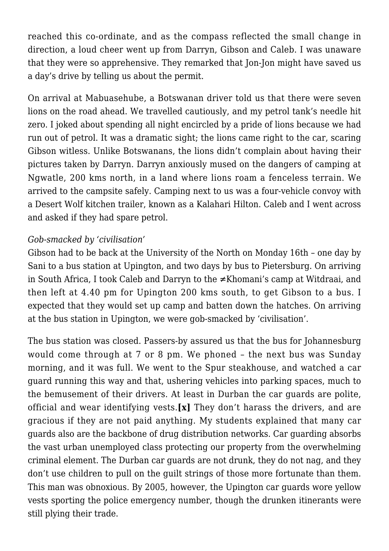reached this co-ordinate, and as the compass reflected the small change in direction, a loud cheer went up from Darryn, Gibson and Caleb. I was unaware that they were so apprehensive. They remarked that Jon-Jon might have saved us a day's drive by telling us about the permit.

On arrival at Mabuasehube, a Botswanan driver told us that there were seven lions on the road ahead. We travelled cautiously, and my petrol tank's needle hit zero. I joked about spending all night encircled by a pride of lions because we had run out of petrol. It was a dramatic sight; the lions came right to the car, scaring Gibson witless. Unlike Botswanans, the lions didn't complain about having their pictures taken by Darryn. Darryn anxiously mused on the dangers of camping at Ngwatle, 200 kms north, in a land where lions roam a fenceless terrain. We arrived to the campsite safely. Camping next to us was a four-vehicle convoy with a Desert Wolf kitchen trailer, known as a Kalahari Hilton. Caleb and I went across and asked if they had spare petrol.

### *Gob-smacked by 'civilisation'*

Gibson had to be back at the University of the North on Monday 16th – one day by Sani to a bus station at Upington, and two days by bus to Pietersburg. On arriving in South Africa, I took Caleb and Darryn to the ≠Khomani's camp at Witdraai, and then left at 4.40 pm for Upington 200 kms south, to get Gibson to a bus. I expected that they would set up camp and batten down the hatches. On arriving at the bus station in Upington, we were gob-smacked by 'civilisation'.

The bus station was closed. Passers-by assured us that the bus for Johannesburg would come through at 7 or 8 pm. We phoned – the next bus was Sunday morning, and it was full. We went to the Spur steakhouse, and watched a car guard running this way and that, ushering vehicles into parking spaces, much to the bemusement of their drivers. At least in Durban the car guards are polite, official and wear identifying vests.**[x]** They don't harass the drivers, and are gracious if they are not paid anything. My students explained that many car guards also are the backbone of drug distribution networks. Car guarding absorbs the vast urban unemployed class protecting our property from the overwhelming criminal element. The Durban car guards are not drunk, they do not nag, and they don't use children to pull on the guilt strings of those more fortunate than them. This man was obnoxious. By 2005, however, the Upington car guards wore yellow vests sporting the police emergency number, though the drunken itinerants were still plying their trade.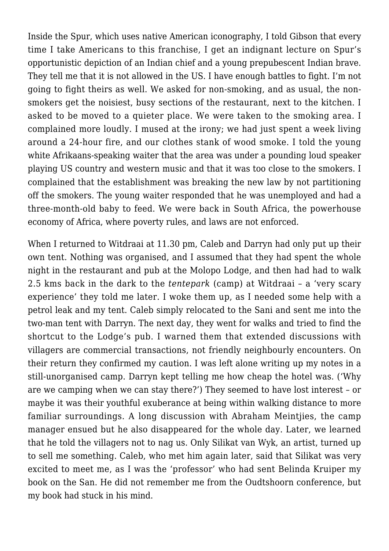Inside the Spur, which uses native American iconography, I told Gibson that every time I take Americans to this franchise, I get an indignant lecture on Spur's opportunistic depiction of an Indian chief and a young prepubescent Indian brave. They tell me that it is not allowed in the US. I have enough battles to fight. I'm not going to fight theirs as well. We asked for non-smoking, and as usual, the nonsmokers get the noisiest, busy sections of the restaurant, next to the kitchen. I asked to be moved to a quieter place. We were taken to the smoking area. I complained more loudly. I mused at the irony; we had just spent a week living around a 24-hour fire, and our clothes stank of wood smoke. I told the young white Afrikaans-speaking waiter that the area was under a pounding loud speaker playing US country and western music and that it was too close to the smokers. I complained that the establishment was breaking the new law by not partitioning off the smokers. The young waiter responded that he was unemployed and had a three-month-old baby to feed. We were back in South Africa, the powerhouse economy of Africa, where poverty rules, and laws are not enforced.

When I returned to Witdraai at 11.30 pm, Caleb and Darryn had only put up their own tent. Nothing was organised, and I assumed that they had spent the whole night in the restaurant and pub at the Molopo Lodge, and then had had to walk 2.5 kms back in the dark to the *tentepark* (camp) at Witdraai – a 'very scary experience' they told me later. I woke them up, as I needed some help with a petrol leak and my tent. Caleb simply relocated to the Sani and sent me into the two-man tent with Darryn. The next day, they went for walks and tried to find the shortcut to the Lodge's pub. I warned them that extended discussions with villagers are commercial transactions, not friendly neighbourly encounters. On their return they confirmed my caution. I was left alone writing up my notes in a still-unorganised camp. Darryn kept telling me how cheap the hotel was. ('Why are we camping when we can stay there?') They seemed to have lost interest – or maybe it was their youthful exuberance at being within walking distance to more familiar surroundings. A long discussion with Abraham Meintjies, the camp manager ensued but he also disappeared for the whole day. Later, we learned that he told the villagers not to nag us. Only Silikat van Wyk, an artist, turned up to sell me something. Caleb, who met him again later, said that Silikat was very excited to meet me, as I was the 'professor' who had sent Belinda Kruiper my book on the San. He did not remember me from the Oudtshoorn conference, but my book had stuck in his mind.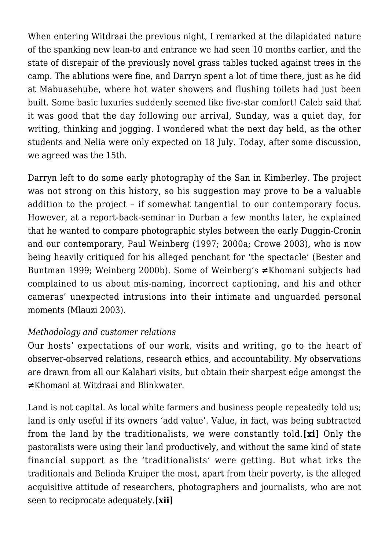When entering Witdraai the previous night, I remarked at the dilapidated nature of the spanking new lean-to and entrance we had seen 10 months earlier, and the state of disrepair of the previously novel grass tables tucked against trees in the camp. The ablutions were fine, and Darryn spent a lot of time there, just as he did at Mabuasehube, where hot water showers and flushing toilets had just been built. Some basic luxuries suddenly seemed like five-star comfort! Caleb said that it was good that the day following our arrival, Sunday, was a quiet day, for writing, thinking and jogging. I wondered what the next day held, as the other students and Nelia were only expected on 18 July. Today, after some discussion, we agreed was the 15th.

Darryn left to do some early photography of the San in Kimberley. The project was not strong on this history, so his suggestion may prove to be a valuable addition to the project – if somewhat tangential to our contemporary focus. However, at a report-back-seminar in Durban a few months later, he explained that he wanted to compare photographic styles between the early Duggin-Cronin and our contemporary, Paul Weinberg (1997; 2000a; Crowe 2003), who is now being heavily critiqued for his alleged penchant for 'the spectacle' (Bester and Buntman 1999; Weinberg 2000b). Some of Weinberg's ≠Khomani subjects had complained to us about mis-naming, incorrect captioning, and his and other cameras' unexpected intrusions into their intimate and unguarded personal moments (Mlauzi 2003).

### *Methodology and customer relations*

Our hosts' expectations of our work, visits and writing, go to the heart of observer-observed relations, research ethics, and accountability. My observations are drawn from all our Kalahari visits, but obtain their sharpest edge amongst the ≠Khomani at Witdraai and Blinkwater.

Land is not capital. As local white farmers and business people repeatedly told us; land is only useful if its owners 'add value'. Value, in fact, was being subtracted from the land by the traditionalists, we were constantly told.**[xi]** Only the pastoralists were using their land productively, and without the same kind of state financial support as the 'traditionalists' were getting. But what irks the traditionals and Belinda Kruiper the most, apart from their poverty, is the alleged acquisitive attitude of researchers, photographers and journalists, who are not seen to reciprocate adequately.**[xii]**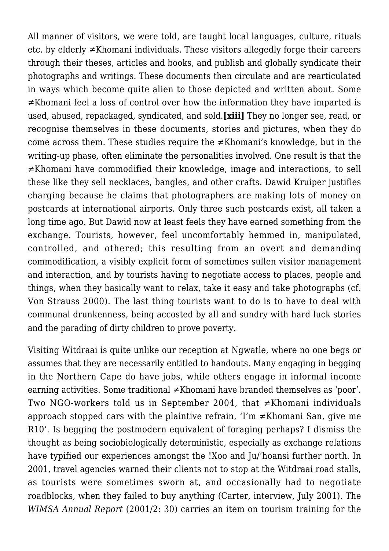All manner of visitors, we were told, are taught local languages, culture, rituals etc. by elderly ≠Khomani individuals. These visitors allegedly forge their careers through their theses, articles and books, and publish and globally syndicate their photographs and writings. These documents then circulate and are rearticulated in ways which become quite alien to those depicted and written about. Some ≠Khomani feel a loss of control over how the information they have imparted is used, abused, repackaged, syndicated, and sold.**[xiii]** They no longer see, read, or recognise themselves in these documents, stories and pictures, when they do come across them. These studies require the ≠Khomani's knowledge, but in the writing-up phase, often eliminate the personalities involved. One result is that the ≠Khomani have commodified their knowledge, image and interactions, to sell these like they sell necklaces, bangles, and other crafts. Dawid Kruiper justifies charging because he claims that photographers are making lots of money on postcards at international airports. Only three such postcards exist, all taken a long time ago. But Dawid now at least feels they have earned something from the exchange. Tourists, however, feel uncomfortably hemmed in, manipulated, controlled, and othered; this resulting from an overt and demanding commodification, a visibly explicit form of sometimes sullen visitor management and interaction, and by tourists having to negotiate access to places, people and things, when they basically want to relax, take it easy and take photographs (cf. Von Strauss 2000). The last thing tourists want to do is to have to deal with communal drunkenness, being accosted by all and sundry with hard luck stories and the parading of dirty children to prove poverty.

Visiting Witdraai is quite unlike our reception at Ngwatle, where no one begs or assumes that they are necessarily entitled to handouts. Many engaging in begging in the Northern Cape do have jobs, while others engage in informal income earning activities. Some traditional ≠Khomani have branded themselves as 'poor'. Two NGO-workers told us in September 2004, that ≠Khomani individuals approach stopped cars with the plaintive refrain, 'I'm ≠Khomani San, give me R10'. Is begging the postmodern equivalent of foraging perhaps? I dismiss the thought as being sociobiologically deterministic, especially as exchange relations have typified our experiences amongst the !Xoo and Ju/'hoansi further north. In 2001, travel agencies warned their clients not to stop at the Witdraai road stalls, as tourists were sometimes sworn at, and occasionally had to negotiate roadblocks, when they failed to buy anything (Carter, interview, July 2001). The *WIMSA Annual Report* (2001/2: 30) carries an item on tourism training for the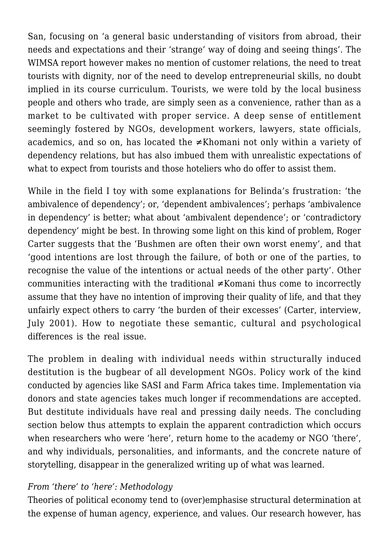San, focusing on 'a general basic understanding of visitors from abroad, their needs and expectations and their 'strange' way of doing and seeing things'. The WIMSA report however makes no mention of customer relations, the need to treat tourists with dignity, nor of the need to develop entrepreneurial skills, no doubt implied in its course curriculum. Tourists, we were told by the local business people and others who trade, are simply seen as a convenience, rather than as a market to be cultivated with proper service. A deep sense of entitlement seemingly fostered by NGOs, development workers, lawyers, state officials, academics, and so on, has located the ≠Khomani not only within a variety of dependency relations, but has also imbued them with unrealistic expectations of what to expect from tourists and those hoteliers who do offer to assist them.

While in the field I toy with some explanations for Belinda's frustration: 'the ambivalence of dependency'; or, 'dependent ambivalences'; perhaps 'ambivalence in dependency' is better; what about 'ambivalent dependence'; or 'contradictory dependency' might be best. In throwing some light on this kind of problem, Roger Carter suggests that the 'Bushmen are often their own worst enemy', and that 'good intentions are lost through the failure, of both or one of the parties, to recognise the value of the intentions or actual needs of the other party'. Other communities interacting with the traditional ≠Komani thus come to incorrectly assume that they have no intention of improving their quality of life, and that they unfairly expect others to carry 'the burden of their excesses' (Carter, interview, July 2001). How to negotiate these semantic, cultural and psychological differences is the real issue.

The problem in dealing with individual needs within structurally induced destitution is the bugbear of all development NGOs. Policy work of the kind conducted by agencies like SASI and Farm Africa takes time. Implementation via donors and state agencies takes much longer if recommendations are accepted. But destitute individuals have real and pressing daily needs. The concluding section below thus attempts to explain the apparent contradiction which occurs when researchers who were 'here', return home to the academy or NGO 'there', and why individuals, personalities, and informants, and the concrete nature of storytelling, disappear in the generalized writing up of what was learned.

### *From 'there' to 'here': Methodology*

Theories of political economy tend to (over)emphasise structural determination at the expense of human agency, experience, and values. Our research however, has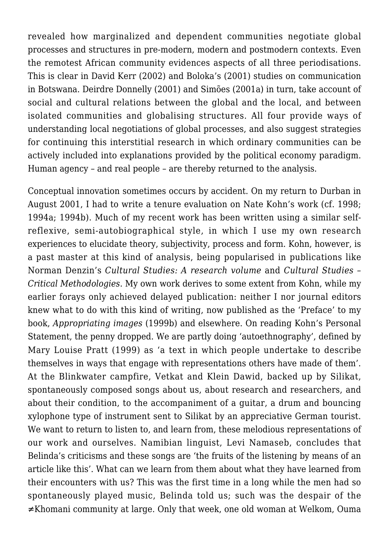revealed how marginalized and dependent communities negotiate global processes and structures in pre-modern, modern and postmodern contexts. Even the remotest African community evidences aspects of all three periodisations. This is clear in David Kerr (2002) and Boloka's (2001) studies on communication in Botswana. Deirdre Donnelly (2001) and Simões (2001a) in turn, take account of social and cultural relations between the global and the local, and between isolated communities and globalising structures. All four provide ways of understanding local negotiations of global processes, and also suggest strategies for continuing this interstitial research in which ordinary communities can be actively included into explanations provided by the political economy paradigm. Human agency – and real people – are thereby returned to the analysis.

Conceptual innovation sometimes occurs by accident. On my return to Durban in August 2001, I had to write a tenure evaluation on Nate Kohn's work (cf. 1998; 1994a; 1994b). Much of my recent work has been written using a similar selfreflexive, semi-autobiographical style, in which I use my own research experiences to elucidate theory, subjectivity, process and form. Kohn, however, is a past master at this kind of analysis, being popularised in publications like Norman Denzin's *Cultural Studies: A research volume* and *Cultural Studies – Critical Methodologies*. My own work derives to some extent from Kohn, while my earlier forays only achieved delayed publication: neither I nor journal editors knew what to do with this kind of writing, now published as the 'Preface' to my book, *Appropriating images* (1999b) and elsewhere. On reading Kohn's Personal Statement, the penny dropped. We are partly doing 'autoethnography', defined by Mary Louise Pratt (1999) as 'a text in which people undertake to describe themselves in ways that engage with representations others have made of them'. At the Blinkwater campfire, Vetkat and Klein Dawid, backed up by Silikat, spontaneously composed songs about us, about research and researchers, and about their condition, to the accompaniment of a guitar, a drum and bouncing xylophone type of instrument sent to Silikat by an appreciative German tourist. We want to return to listen to, and learn from, these melodious representations of our work and ourselves. Namibian linguist, Levi Namaseb, concludes that Belinda's criticisms and these songs are 'the fruits of the listening by means of an article like this'. What can we learn from them about what they have learned from their encounters with us? This was the first time in a long while the men had so spontaneously played music, Belinda told us; such was the despair of the ≠Khomani community at large. Only that week, one old woman at Welkom, Ouma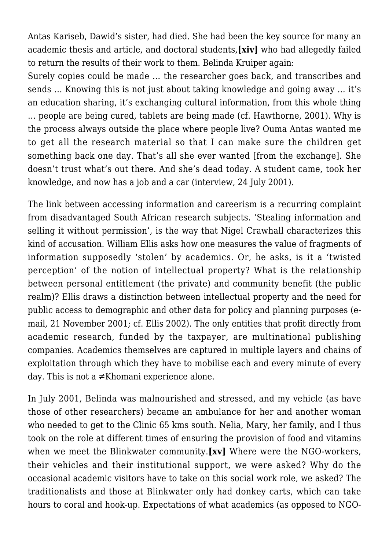Antas Kariseb, Dawid's sister, had died. She had been the key source for many an academic thesis and article, and doctoral students,**[xiv]** who had allegedly failed to return the results of their work to them. Belinda Kruiper again:

Surely copies could be made … the researcher goes back, and transcribes and sends … Knowing this is not just about taking knowledge and going away … it's an education sharing, it's exchanging cultural information, from this whole thing … people are being cured, tablets are being made (cf. Hawthorne, 2001). Why is the process always outside the place where people live? Ouma Antas wanted me to get all the research material so that I can make sure the children get something back one day. That's all she ever wanted [from the exchange]. She doesn't trust what's out there. And she's dead today. A student came, took her knowledge, and now has a job and a car (interview, 24 July 2001).

The link between accessing information and careerism is a recurring complaint from disadvantaged South African research subjects. 'Stealing information and selling it without permission', is the way that Nigel Crawhall characterizes this kind of accusation. William Ellis asks how one measures the value of fragments of information supposedly 'stolen' by academics. Or, he asks, is it a 'twisted perception' of the notion of intellectual property? What is the relationship between personal entitlement (the private) and community benefit (the public realm)? Ellis draws a distinction between intellectual property and the need for public access to demographic and other data for policy and planning purposes (email, 21 November 2001; cf. Ellis 2002). The only entities that profit directly from academic research, funded by the taxpayer, are multinational publishing companies. Academics themselves are captured in multiple layers and chains of exploitation through which they have to mobilise each and every minute of every day. This is not a ≠Khomani experience alone.

In July 2001, Belinda was malnourished and stressed, and my vehicle (as have those of other researchers) became an ambulance for her and another woman who needed to get to the Clinic 65 kms south. Nelia, Mary, her family, and I thus took on the role at different times of ensuring the provision of food and vitamins when we meet the Blinkwater community.**[xv]** Where were the NGO-workers, their vehicles and their institutional support, we were asked? Why do the occasional academic visitors have to take on this social work role, we asked? The traditionalists and those at Blinkwater only had donkey carts, which can take hours to coral and hook-up. Expectations of what academics (as opposed to NGO-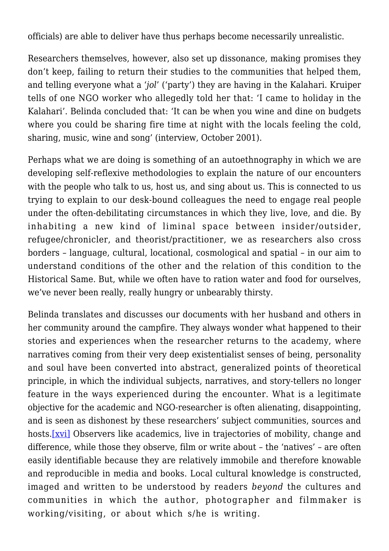officials) are able to deliver have thus perhaps become necessarily unrealistic.

Researchers themselves, however, also set up dissonance, making promises they don't keep, failing to return their studies to the communities that helped them, and telling everyone what a '*jol*' ('party') they are having in the Kalahari. Kruiper tells of one NGO worker who allegedly told her that: 'I came to holiday in the Kalahari'. Belinda concluded that: 'It can be when you wine and dine on budgets where you could be sharing fire time at night with the locals feeling the cold, sharing, music, wine and song' (interview, October 2001).

Perhaps what we are doing is something of an autoethnography in which we are developing self-reflexive methodologies to explain the nature of our encounters with the people who talk to us, host us, and sing about us. This is connected to us trying to explain to our desk-bound colleagues the need to engage real people under the often-debilitating circumstances in which they live, love, and die. By inhabiting a new kind of liminal space between insider/outsider, refugee/chronicler, and theorist/practitioner, we as researchers also cross borders – language, cultural, locational, cosmological and spatial – in our aim to understand conditions of the other and the relation of this condition to the Historical Same. But, while we often have to ration water and food for ourselves, we've never been really, really hungry or unbearably thirsty.

Belinda translates and discusses our documents with her husband and others in her community around the campfire. They always wonder what happened to their stories and experiences when the researcher returns to the academy, where narratives coming from their very deep existentialist senses of being, personality and soul have been converted into abstract, generalized points of theoretical principle, in which the individual subjects, narratives, and story-tellers no longer feature in the ways experienced during the encounter. What is a legitimate objective for the academic and NGO-researcher is often alienating, disappointing, and is seen as dishonest by these researchers' subject communities, sources and hosts.<sup>[\[xvi\]](#page--1-0)</sup> Observers like academics, live in trajectories of mobility, change and difference, while those they observe, film or write about – the 'natives' – are often easily identifiable because they are relatively immobile and therefore knowable and reproducible in media and books. Local cultural knowledge is constructed, imaged and written to be understood by readers *beyond* the cultures and communities in which the author, photographer and filmmaker is working/visiting, or about which s/he is writing.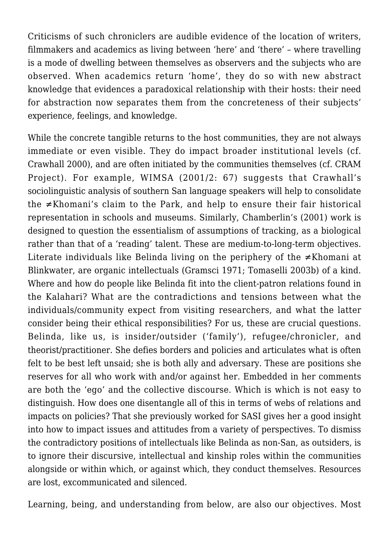Criticisms of such chroniclers are audible evidence of the location of writers, filmmakers and academics as living between 'here' and 'there' – where travelling is a mode of dwelling between themselves as observers and the subjects who are observed. When academics return 'home', they do so with new abstract knowledge that evidences a paradoxical relationship with their hosts: their need for abstraction now separates them from the concreteness of their subjects' experience, feelings, and knowledge.

While the concrete tangible returns to the host communities, they are not always immediate or even visible. They do impact broader institutional levels (cf. Crawhall 2000), and are often initiated by the communities themselves (cf. CRAM Project). For example, WIMSA (2001/2: 67) suggests that Crawhall's sociolinguistic analysis of southern San language speakers will help to consolidate the ≠Khomani's claim to the Park, and help to ensure their fair historical representation in schools and museums. Similarly, Chamberlin's (2001) work is designed to question the essentialism of assumptions of tracking, as a biological rather than that of a 'reading' talent. These are medium-to-long-term objectives. Literate individuals like Belinda living on the periphery of the ≠Khomani at Blinkwater, are organic intellectuals (Gramsci 1971; Tomaselli 2003b) of a kind. Where and how do people like Belinda fit into the client-patron relations found in the Kalahari? What are the contradictions and tensions between what the individuals/community expect from visiting researchers, and what the latter consider being their ethical responsibilities? For us, these are crucial questions. Belinda, like us, is insider/outsider ('family'), refugee/chronicler, and theorist/practitioner. She defies borders and policies and articulates what is often felt to be best left unsaid; she is both ally and adversary. These are positions she reserves for all who work with and/or against her. Embedded in her comments are both the 'ego' and the collective discourse. Which is which is not easy to distinguish. How does one disentangle all of this in terms of webs of relations and impacts on policies? That she previously worked for SASI gives her a good insight into how to impact issues and attitudes from a variety of perspectives. To dismiss the contradictory positions of intellectuals like Belinda as non-San, as outsiders, is to ignore their discursive, intellectual and kinship roles within the communities alongside or within which, or against which, they conduct themselves. Resources are lost, excommunicated and silenced.

Learning, being, and understanding from below, are also our objectives. Most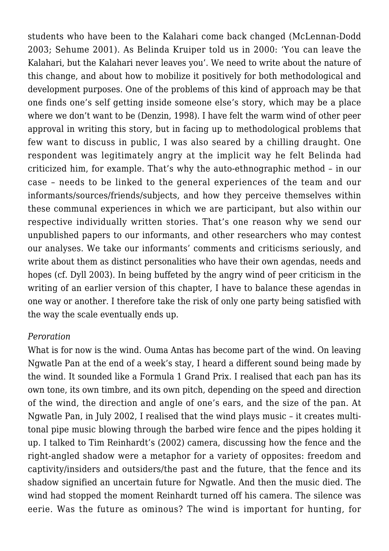students who have been to the Kalahari come back changed (McLennan-Dodd 2003; Sehume 2001). As Belinda Kruiper told us in 2000: 'You can leave the Kalahari, but the Kalahari never leaves you'. We need to write about the nature of this change, and about how to mobilize it positively for both methodological and development purposes. One of the problems of this kind of approach may be that one finds one's self getting inside someone else's story, which may be a place where we don't want to be (Denzin, 1998). I have felt the warm wind of other peer approval in writing this story, but in facing up to methodological problems that few want to discuss in public, I was also seared by a chilling draught. One respondent was legitimately angry at the implicit way he felt Belinda had criticized him, for example. That's why the auto-ethnographic method – in our case – needs to be linked to the general experiences of the team and our informants/sources/friends/subjects, and how they perceive themselves within these communal experiences in which we are participant, but also within our respective individually written stories. That's one reason why we send our unpublished papers to our informants, and other researchers who may contest our analyses. We take our informants' comments and criticisms seriously, and write about them as distinct personalities who have their own agendas, needs and hopes (cf. Dyll 2003). In being buffeted by the angry wind of peer criticism in the writing of an earlier version of this chapter, I have to balance these agendas in one way or another. I therefore take the risk of only one party being satisfied with the way the scale eventually ends up.

#### *Peroration*

What is for now is the wind. Ouma Antas has become part of the wind. On leaving Ngwatle Pan at the end of a week's stay, I heard a different sound being made by the wind. It sounded like a Formula 1 Grand Prix. I realised that each pan has its own tone, its own timbre, and its own pitch, depending on the speed and direction of the wind, the direction and angle of one's ears, and the size of the pan. At Ngwatle Pan, in July 2002, I realised that the wind plays music – it creates multitonal pipe music blowing through the barbed wire fence and the pipes holding it up. I talked to Tim Reinhardt's (2002) camera, discussing how the fence and the right-angled shadow were a metaphor for a variety of opposites: freedom and captivity/insiders and outsiders/the past and the future, that the fence and its shadow signified an uncertain future for Ngwatle. And then the music died. The wind had stopped the moment Reinhardt turned off his camera. The silence was eerie. Was the future as ominous? The wind is important for hunting, for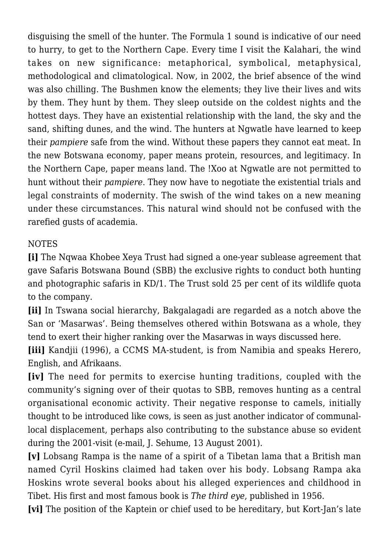disguising the smell of the hunter. The Formula 1 sound is indicative of our need to hurry, to get to the Northern Cape. Every time I visit the Kalahari, the wind takes on new significance: metaphorical, symbolical, metaphysical, methodological and climatological. Now, in 2002, the brief absence of the wind was also chilling. The Bushmen know the elements; they live their lives and wits by them. They hunt by them. They sleep outside on the coldest nights and the hottest days. They have an existential relationship with the land, the sky and the sand, shifting dunes, and the wind. The hunters at Ngwatle have learned to keep their *pampiere* safe from the wind. Without these papers they cannot eat meat. In the new Botswana economy, paper means protein, resources, and legitimacy. In the Northern Cape, paper means land. The !Xoo at Ngwatle are not permitted to hunt without their *pampiere*. They now have to negotiate the existential trials and legal constraints of modernity. The swish of the wind takes on a new meaning under these circumstances. This natural wind should not be confused with the rarefied gusts of academia.

#### NOTES

**[i]** The Nqwaa Khobee Xeya Trust had signed a one-year sublease agreement that gave Safaris Botswana Bound (SBB) the exclusive rights to conduct both hunting and photographic safaris in KD/1. The Trust sold 25 per cent of its wildlife quota to the company.

**[ii]** In Tswana social hierarchy, Bakgalagadi are regarded as a notch above the San or 'Masarwas'. Being themselves othered within Botswana as a whole, they tend to exert their higher ranking over the Masarwas in ways discussed here.

**[iii]** Kandjii (1996), a CCMS MA-student, is from Namibia and speaks Herero, English, and Afrikaans.

**[iv]** The need for permits to exercise hunting traditions, coupled with the community's signing over of their quotas to SBB, removes hunting as a central organisational economic activity. Their negative response to camels, initially thought to be introduced like cows, is seen as just another indicator of communallocal displacement, perhaps also contributing to the substance abuse so evident during the 2001-visit (e-mail, J. Sehume, 13 August 2001).

**[v]** Lobsang Rampa is the name of a spirit of a Tibetan lama that a British man named Cyril Hoskins claimed had taken over his body. Lobsang Rampa aka Hoskins wrote several books about his alleged experiences and childhood in Tibet. His first and most famous book is *The third eye*, published in 1956.

**[vi]** The position of the Kaptein or chief used to be hereditary, but Kort-Jan's late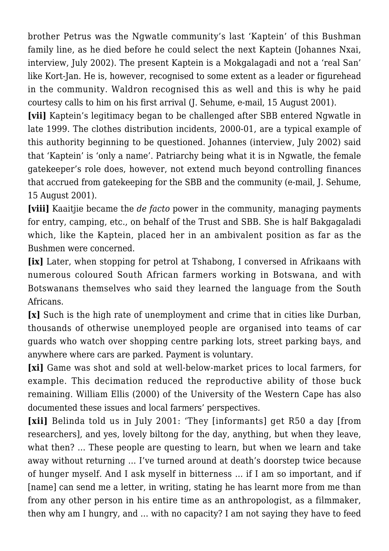brother Petrus was the Ngwatle community's last 'Kaptein' of this Bushman family line, as he died before he could select the next Kaptein (Johannes Nxai, interview, July 2002). The present Kaptein is a Mokgalagadi and not a 'real San' like Kort-Jan. He is, however, recognised to some extent as a leader or figurehead in the community. Waldron recognised this as well and this is why he paid courtesy calls to him on his first arrival (J. Sehume, e-mail, 15 August 2001).

**[vii]** Kaptein's legitimacy began to be challenged after SBB entered Ngwatle in late 1999. The clothes distribution incidents, 2000‑01, are a typical example of this authority beginning to be questioned. Johannes (interview, July 2002) said that 'Kaptein' is 'only a name'. Patriarchy being what it is in Ngwatle, the female gatekeeper's role does, however, not extend much beyond controlling finances that accrued from gatekeeping for the SBB and the community (e-mail, J. Sehume, 15 August 2001).

**[viii]** Kaaitjie became the *de facto* power in the community, managing payments for entry, camping, etc., on behalf of the Trust and SBB. She is half Bakgagaladi which, like the Kaptein, placed her in an ambivalent position as far as the Bushmen were concerned.

**[ix]** Later, when stopping for petrol at Tshabong, I conversed in Afrikaans with numerous coloured South African farmers working in Botswana, and with Botswanans themselves who said they learned the language from the South Africans.

**[x]** Such is the high rate of unemployment and crime that in cities like Durban, thousands of otherwise unemployed people are organised into teams of car guards who watch over shopping centre parking lots, street parking bays, and anywhere where cars are parked. Payment is voluntary.

**[xi]** Game was shot and sold at well-below-market prices to local farmers, for example. This decimation reduced the reproductive ability of those buck remaining. William Ellis (2000) of the University of the Western Cape has also documented these issues and local farmers' perspectives.

**[xii]** Belinda told us in July 2001: 'They [informants] get R50 a day [from researchers], and yes, lovely biltong for the day, anything, but when they leave, what then? … These people are questing to learn, but when we learn and take away without returning … I've turned around at death's doorstep twice because of hunger myself. And I ask myself in bitterness … if I am so important, and if [name] can send me a letter, in writing, stating he has learnt more from me than from any other person in his entire time as an anthropologist, as a filmmaker, then why am I hungry, and … with no capacity? I am not saying they have to feed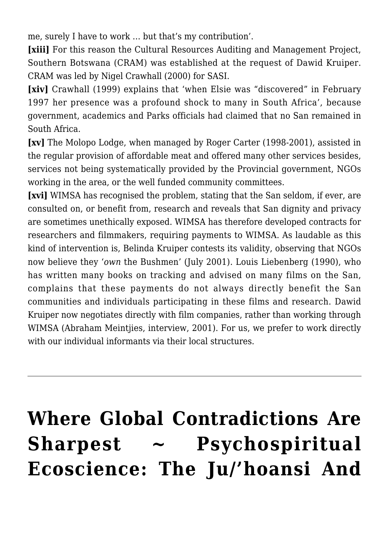me, surely I have to work … but that's my contribution'.

**[xiii]** For this reason the Cultural Resources Auditing and Management Project, Southern Botswana (CRAM) was established at the request of Dawid Kruiper. CRAM was led by Nigel Crawhall (2000) for SASI.

**[xiv]** Crawhall (1999) explains that 'when Elsie was "discovered" in February 1997 her presence was a profound shock to many in South Africa', because government, academics and Parks officials had claimed that no San remained in South Africa.

**[xv]** The Molopo Lodge, when managed by Roger Carter (1998-2001), assisted in the regular provision of affordable meat and offered many other services besides, services not being systematically provided by the Provincial government, NGOs working in the area, or the well funded community committees.

**[xvi]** WIMSA has recognised the problem, stating that the San seldom, if ever, are consulted on, or benefit from, research and reveals that San dignity and privacy are sometimes unethically exposed. WIMSA has therefore developed contracts for researchers and filmmakers, requiring payments to WIMSA. As laudable as this kind of intervention is, Belinda Kruiper contests its validity, observing that NGOs now believe they '*own* the Bushmen' (July 2001). Louis Liebenberg (1990), who has written many books on tracking and advised on many films on the San, complains that these payments do not always directly benefit the San communities and individuals participating in these films and research. Dawid Kruiper now negotiates directly with film companies, rather than working through WIMSA (Abraham Meintjies, interview, 2001). For us, we prefer to work directly with our individual informants via their local structures.

# **[Where Global Contradictions Are](https://rozenbergquarterly.com/where-global-contradictions-are-sharpest-psychospiritual-ecoscience-the-juhoansi-and-cultural-tourism/) [Sharpest ~ Psychospiritual](https://rozenbergquarterly.com/where-global-contradictions-are-sharpest-psychospiritual-ecoscience-the-juhoansi-and-cultural-tourism/) [Ecoscience: The Ju/'hoansi And](https://rozenbergquarterly.com/where-global-contradictions-are-sharpest-psychospiritual-ecoscience-the-juhoansi-and-cultural-tourism/)**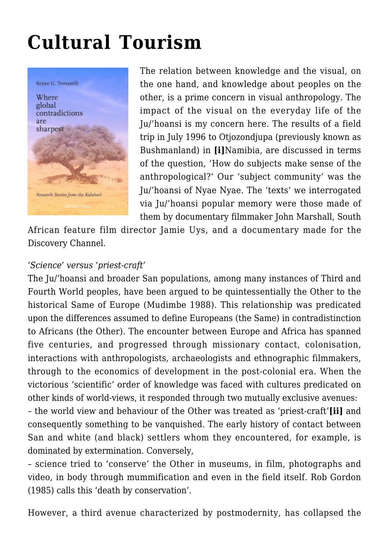# **[Cultural Tourism](https://rozenbergquarterly.com/where-global-contradictions-are-sharpest-psychospiritual-ecoscience-the-juhoansi-and-cultural-tourism/)**



The relation between knowledge and the visual, on the one hand, and knowledge about peoples on the other, is a prime concern in visual anthropology. The impact of the visual on the everyday life of the Ju/'hoansi is my concern here. The results of a field trip in July 1996 to Otjozondjupa (previously known as Bushmanland) in **[i]**Namibia, are discussed in terms of the question, 'How do subjects make sense of the anthropological?' Our 'subject community' was the Ju/'hoansi of Nyae Nyae. The 'texts' we interrogated via Ju/'hoansi popular memory were those made of them by documentary filmmaker John Marshall, South

African feature film director Jamie Uys, and a documentary made for the Discovery Channel.

#### *'Science' versus 'priest-craft'*

The Ju/'hoansi and broader San populations, among many instances of Third and Fourth World peoples, have been argued to be quintessentially the Other to the historical Same of Europe (Mudimbe 1988). This relationship was predicated upon the differences assumed to define Europeans (the Same) in contradistinction to Africans (the Other). The encounter between Europe and Africa has spanned five centuries, and progressed through missionary contact, colonisation, interactions with anthropologists, archaeologists and ethnographic filmmakers, through to the economics of development in the post-colonial era. When the victorious 'scientific' order of knowledge was faced with cultures predicated on other kinds of world-views, it responded through two mutually exclusive avenues:

– the world view and behaviour of the Other was treated as 'priest-craft'**[ii]** and consequently something to be vanquished. The early history of contact between San and white (and black) settlers whom they encountered, for example, is dominated by extermination. Conversely,

– science tried to 'conserve' the Other in museums, in film, photographs and video, in body through mummification and even in the field itself. Rob Gordon (1985) calls this 'death by conservation'.

However, a third avenue characterized by postmodernity, has collapsed the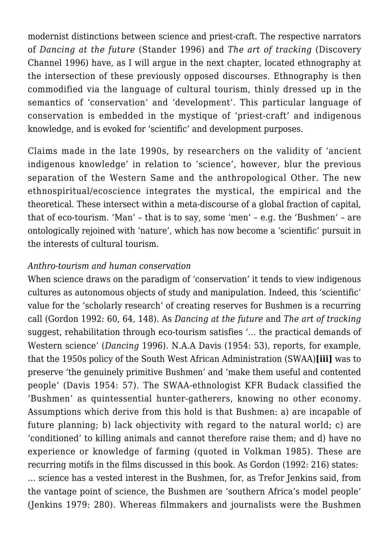modernist distinctions between science and priest-craft. The respective narrators of *Dancing at the future* (Stander 1996) and *The art of tracking* (Discovery Channel 1996) have, as I will argue in the next chapter, located ethnography at the intersection of these previously opposed discourses. Ethnography is then commodified via the language of cultural tourism, thinly dressed up in the semantics of 'conservation' and 'development'. This particular language of conservation is embedded in the mystique of 'priest-craft' and indigenous knowledge, and is evoked for 'scientific' and development purposes.

Claims made in the late 1990s, by researchers on the validity of 'ancient indigenous knowledge' in relation to 'science', however, blur the previous separation of the Western Same and the anthropological Other. The new ethnospiritual/ecoscience integrates the mystical, the empirical and the theoretical. These intersect within a meta-discourse of a global fraction of capital, that of eco-tourism. 'Man' – that is to say, some 'men' – e.g. the 'Bushmen' – are ontologically rejoined with 'nature', which has now become a 'scientific' pursuit in the interests of cultural tourism.

#### *Anthro-tourism and human conservation*

When science draws on the paradigm of 'conservation' it tends to view indigenous cultures as autonomous objects of study and manipulation. Indeed, this 'scientific' value for the 'scholarly research' of creating reserves for Bushmen is a recurring call (Gordon 1992: 60, 64, 148). As *Dancing at the future* and *The art of tracking* suggest, rehabilitation through eco-tourism satisfies '… the practical demands of Western science' (*Dancing* 1996). N.A.A Davis (1954: 53), reports, for example, that the 1950s policy of the South West African Administration (SWAA)**[iii]** was to preserve 'the genuinely primitive Bushmen' and 'make them useful and contented people' (Davis 1954: 57). The SWAA-ethnologist KFR Budack classified the 'Bushmen' as quintessential hunter-gatherers, knowing no other economy. Assumptions which derive from this hold is that Bushmen: a) are incapable of future planning; b) lack objectivity with regard to the natural world; c) are 'conditioned' to killing animals and cannot therefore raise them; and d) have no experience or knowledge of farming (quoted in Volkman 1985). These are recurring motifs in the films discussed in this book. As Gordon (1992: 216) states: … science has a vested interest in the Bushmen, for, as Trefor Jenkins said, from the vantage point of science, the Bushmen are 'southern Africa's model people' (Jenkins 1979: 280). Whereas filmmakers and journalists were the Bushmen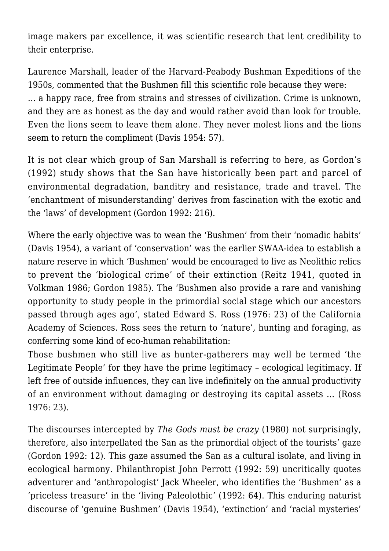image makers par excellence, it was scientific research that lent credibility to their enterprise.

Laurence Marshall, leader of the Harvard-Peabody Bushman Expeditions of the 1950s, commented that the Bushmen fill this scientific role because they were: … a happy race, free from strains and stresses of civilization. Crime is unknown, and they are as honest as the day and would rather avoid than look for trouble. Even the lions seem to leave them alone. They never molest lions and the lions seem to return the compliment (Davis 1954: 57).

It is not clear which group of San Marshall is referring to here, as Gordon's (1992) study shows that the San have historically been part and parcel of environmental degradation, banditry and resistance, trade and travel. The 'enchantment of misunderstanding' derives from fascination with the exotic and the 'laws' of development (Gordon 1992: 216).

Where the early objective was to wean the 'Bushmen' from their 'nomadic habits' (Davis 1954), a variant of 'conservation' was the earlier SWAA-idea to establish a nature reserve in which 'Bushmen' would be encouraged to live as Neolithic relics to prevent the 'biological crime' of their extinction (Reitz 1941, quoted in Volkman 1986; Gordon 1985). The 'Bushmen also provide a rare and vanishing opportunity to study people in the primordial social stage which our ancestors passed through ages ago', stated Edward S. Ross (1976: 23) of the California Academy of Sciences. Ross sees the return to 'nature', hunting and foraging, as conferring some kind of eco-human rehabilitation:

Those bushmen who still live as hunter-gatherers may well be termed 'the Legitimate People' for they have the prime legitimacy – ecological legitimacy. If left free of outside influences, they can live indefinitely on the annual productivity of an environment without damaging or destroying its capital assets … (Ross 1976: 23).

The discourses intercepted by *The Gods must be crazy* (1980) not surprisingly, therefore, also interpellated the San as the primordial object of the tourists' gaze (Gordon 1992: 12). This gaze assumed the San as a cultural isolate, and living in ecological harmony. Philanthropist John Perrott (1992: 59) uncritically quotes adventurer and 'anthropologist' Jack Wheeler, who identifies the 'Bushmen' as a 'priceless treasure' in the 'living Paleolothic' (1992: 64). This enduring naturist discourse of 'genuine Bushmen' (Davis 1954), 'extinction' and 'racial mysteries'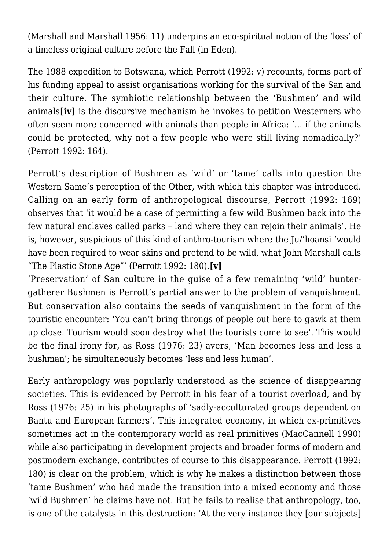(Marshall and Marshall 1956: 11) underpins an eco-spiritual notion of the 'loss' of a timeless original culture before the Fall (in Eden).

The 1988 expedition to Botswana, which Perrott (1992: v) recounts, forms part of his funding appeal to assist organisations working for the survival of the San and their culture. The symbiotic relationship between the 'Bushmen' and wild animals**[iv]** is the discursive mechanism he invokes to petition Westerners who often seem more concerned with animals than people in Africa: '… if the animals could be protected, why not a few people who were still living nomadically?' (Perrott 1992: 164).

Perrott's description of Bushmen as 'wild' or 'tame' calls into question the Western Same's perception of the Other, with which this chapter was introduced. Calling on an early form of anthropological discourse, Perrott (1992: 169) observes that 'it would be a case of permitting a few wild Bushmen back into the few natural enclaves called parks – land where they can rejoin their animals'. He is, however, suspicious of this kind of anthro-tourism where the Ju/'hoansi 'would have been required to wear skins and pretend to be wild, what John Marshall calls "The Plastic Stone Age"' (Perrott 1992: 180).**[v]**

'Preservation' of San culture in the guise of a few remaining 'wild' huntergatherer Bushmen is Perrott's partial answer to the problem of vanquishment. But conservation also contains the seeds of vanquishment in the form of the touristic encounter: 'You can't bring throngs of people out here to gawk at them up close. Tourism would soon destroy what the tourists come to see'. This would be the final irony for, as Ross (1976: 23) avers, 'Man becomes less and less a bushman'; he simultaneously becomes 'less and less human'.

Early anthropology was popularly understood as the science of disappearing societies. This is evidenced by Perrott in his fear of a tourist overload, and by Ross (1976: 25) in his photographs of 'sadly-acculturated groups dependent on Bantu and European farmers'. This integrated economy, in which ex-primitives sometimes act in the contemporary world as real primitives (MacCannell 1990) while also participating in development projects and broader forms of modern and postmodern exchange, contributes of course to this disappearance. Perrott (1992: 180) is clear on the problem, which is why he makes a distinction between those 'tame Bushmen' who had made the transition into a mixed economy and those 'wild Bushmen' he claims have not. But he fails to realise that anthropology, too, is one of the catalysts in this destruction: 'At the very instance they [our subjects]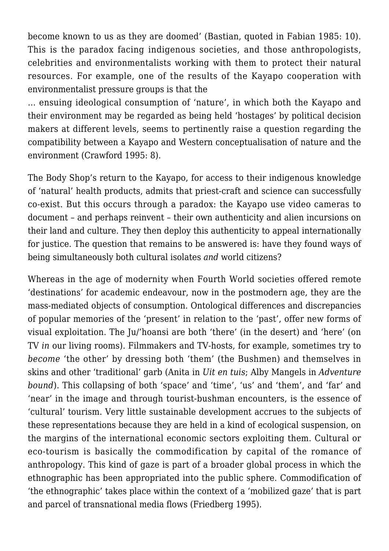become known to us as they are doomed' (Bastian, quoted in Fabian 1985: 10). This is the paradox facing indigenous societies, and those anthropologists, celebrities and environmentalists working with them to protect their natural resources. For example, one of the results of the Kayapo cooperation with environmentalist pressure groups is that the

… ensuing ideological consumption of 'nature', in which both the Kayapo and their environment may be regarded as being held 'hostages' by political decision makers at different levels, seems to pertinently raise a question regarding the compatibility between a Kayapo and Western conceptualisation of nature and the environment (Crawford 1995: 8).

The Body Shop's return to the Kayapo, for access to their indigenous knowledge of 'natural' health products, admits that priest-craft and science can successfully co-exist. But this occurs through a paradox: the Kayapo use video cameras to document – and perhaps reinvent – their own authenticity and alien incursions on their land and culture. They then deploy this authenticity to appeal internationally for justice. The question that remains to be answered is: have they found ways of being simultaneously both cultural isolates *and* world citizens?

Whereas in the age of modernity when Fourth World societies offered remote 'destinations' for academic endeavour, now in the postmodern age, they are the mass-mediated objects of consumption. Ontological differences and discrepancies of popular memories of the 'present' in relation to the 'past', offer new forms of visual exploitation. The Ju/'hoansi are both 'there' (in the desert) and 'here' (on TV *in* our living rooms). Filmmakers and TV-hosts, for example, sometimes try to *become* 'the other' by dressing both 'them' (the Bushmen) and themselves in skins and other 'traditional' garb (Anita in *Uit en tuis*; Alby Mangels in *Adventure bound*). This collapsing of both 'space' and 'time', 'us' and 'them', and 'far' and 'near' in the image and through tourist-bushman encounters, is the essence of 'cultural' tourism. Very little sustainable development accrues to the subjects of these representations because they are held in a kind of ecological suspension, on the margins of the international economic sectors exploiting them. Cultural or eco-tourism is basically the commodification by capital of the romance of anthropology. This kind of gaze is part of a broader global process in which the ethnographic has been appropriated into the public sphere. Commodification of 'the ethnographic' takes place within the context of a 'mobilized gaze' that is part and parcel of transnational media flows (Friedberg 1995).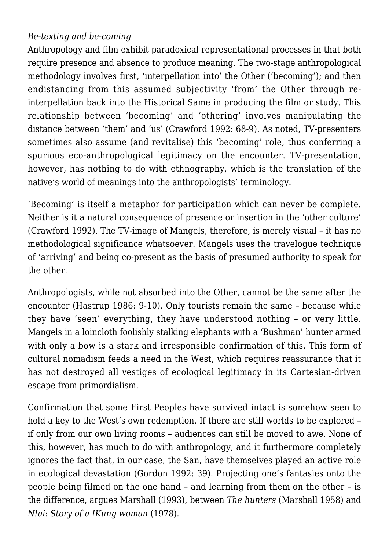### *Be-texting and be-coming*

Anthropology and film exhibit paradoxical representational processes in that both require presence and absence to produce meaning. The two-stage anthropological methodology involves first, 'interpellation into' the Other ('becoming'); and then endistancing from this assumed subjectivity 'from' the Other through reinterpellation back into the Historical Same in producing the film or study. This relationship between 'becoming' and 'othering' involves manipulating the distance between 'them' and 'us' (Crawford 1992: 68-9). As noted, TV-presenters sometimes also assume (and revitalise) this 'becoming' role, thus conferring a spurious eco-anthropological legitimacy on the encounter. TV-presentation, however, has nothing to do with ethnography, which is the translation of the native's world of meanings into the anthropologists' terminology.

'Becoming' is itself a metaphor for participation which can never be complete. Neither is it a natural consequence of presence or insertion in the 'other culture' (Crawford 1992). The TV-image of Mangels, therefore, is merely visual – it has no methodological significance whatsoever. Mangels uses the travelogue technique of 'arriving' and being co-present as the basis of presumed authority to speak for the other.

Anthropologists, while not absorbed into the Other, cannot be the same after the encounter (Hastrup 1986: 9-10). Only tourists remain the same – because while they have 'seen' everything, they have understood nothing – or very little. Mangels in a loincloth foolishly stalking elephants with a 'Bushman' hunter armed with only a bow is a stark and irresponsible confirmation of this. This form of cultural nomadism feeds a need in the West, which requires reassurance that it has not destroyed all vestiges of ecological legitimacy in its Cartesian-driven escape from primordialism.

Confirmation that some First Peoples have survived intact is somehow seen to hold a key to the West's own redemption. If there are still worlds to be explored – if only from our own living rooms – audiences can still be moved to awe. None of this, however, has much to do with anthropology, and it furthermore completely ignores the fact that, in our case, the San, have themselves played an active role in ecological devastation (Gordon 1992: 39). Projecting one's fantasies onto the people being filmed on the one hand – and learning from them on the other – is the difference, argues Marshall (1993), between *The hunters* (Marshall 1958) and *N!ai: Story of a !Kung woman* (1978).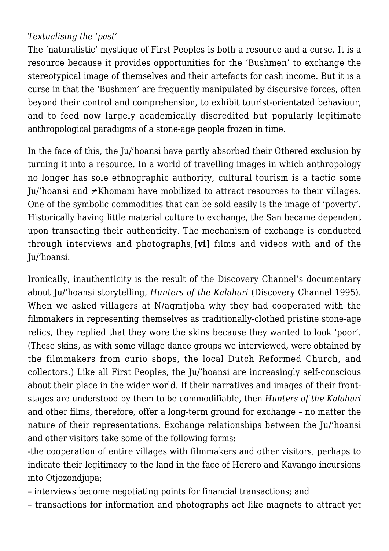## *Textualising the 'past'*

The 'naturalistic' mystique of First Peoples is both a resource and a curse. It is a resource because it provides opportunities for the 'Bushmen' to exchange the stereotypical image of themselves and their artefacts for cash income. But it is a curse in that the 'Bushmen' are frequently manipulated by discursive forces, often beyond their control and comprehension, to exhibit tourist-orientated behaviour, and to feed now largely academically discredited but popularly legitimate anthropological paradigms of a stone-age people frozen in time.

In the face of this, the Ju/'hoansi have partly absorbed their Othered exclusion by turning it into a resource. In a world of travelling images in which anthropology no longer has sole ethnographic authority, cultural tourism is a tactic some Ju/'hoansi and ≠Khomani have mobilized to attract resources to their villages. One of the symbolic commodities that can be sold easily is the image of 'poverty'. Historically having little material culture to exchange, the San became dependent upon transacting their authenticity. The mechanism of exchange is conducted through interviews and photographs,**[vi]** films and videos with and of the Ju/'hoansi.

Ironically, inauthenticity is the result of the Discovery Channel's documentary about Ju/'hoansi storytelling, *Hunters of the Kalahari* (Discovery Channel 1995). When we asked villagers at N/aqmtjoha why they had cooperated with the filmmakers in representing themselves as traditionally-clothed pristine stone-age relics, they replied that they wore the skins because they wanted to look 'poor'. (These skins, as with some village dance groups we interviewed, were obtained by the filmmakers from curio shops, the local Dutch Reformed Church, and collectors.) Like all First Peoples, the Ju/'hoansi are increasingly self-conscious about their place in the wider world. If their narratives and images of their frontstages are understood by them to be commodifiable, then *Hunters of the Kalahari* and other films, therefore, offer a long-term ground for exchange – no matter the nature of their representations. Exchange relationships between the Ju/'hoansi and other visitors take some of the following forms:

-the cooperation of entire villages with filmmakers and other visitors, perhaps to indicate their legitimacy to the land in the face of Herero and Kavango incursions into Otjozondjupa;

– interviews become negotiating points for financial transactions; and

– transactions for information and photographs act like magnets to attract yet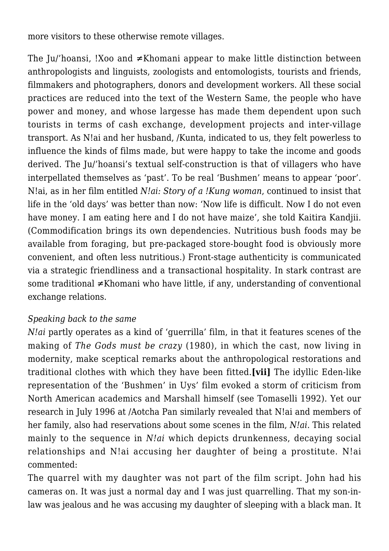more visitors to these otherwise remote villages.

The Ju/'hoansi, !Xoo and ≠Khomani appear to make little distinction between anthropologists and linguists, zoologists and entomologists, tourists and friends, filmmakers and photographers, donors and development workers. All these social practices are reduced into the text of the Western Same, the people who have power and money, and whose largesse has made them dependent upon such tourists in terms of cash exchange, development projects and inter-village transport. As N!ai and her husband, /Kunta, indicated to us, they felt powerless to influence the kinds of films made, but were happy to take the income and goods derived. The Ju/'hoansi's textual self-construction is that of villagers who have interpellated themselves as 'past'. To be real 'Bushmen' means to appear 'poor'. N!ai, as in her film entitled *N!ai: Story of a !Kung woman*, continued to insist that life in the 'old days' was better than now: 'Now life is difficult. Now I do not even have money. I am eating here and I do not have maize', she told Kaitira Kandjii. (Commodification brings its own dependencies. Nutritious bush foods may be available from foraging, but pre-packaged store-bought food is obviously more convenient, and often less nutritious.) Front-stage authenticity is communicated via a strategic friendliness and a transactional hospitality. In stark contrast are some traditional ≠Khomani who have little, if any, understanding of conventional exchange relations.

### *Speaking back to the same*

*N!ai* partly operates as a kind of 'guerrilla' film, in that it features scenes of the making of *The Gods must be crazy* (1980), in which the cast, now living in modernity, make sceptical remarks about the anthropological restorations and traditional clothes with which they have been fitted.**[vii]** The idyllic Eden-like representation of the 'Bushmen' in Uys' film evoked a storm of criticism from North American academics and Marshall himself (see Tomaselli 1992). Yet our research in July 1996 at /Aotcha Pan similarly revealed that N!ai and members of her family, also had reservations about some scenes in the film, *N!ai*. This related mainly to the sequence in *N!ai* which depicts drunkenness, decaying social relationships and N!ai accusing her daughter of being a prostitute. N!ai commented:

The quarrel with my daughter was not part of the film script. John had his cameras on. It was just a normal day and I was just quarrelling. That my son-inlaw was jealous and he was accusing my daughter of sleeping with a black man. It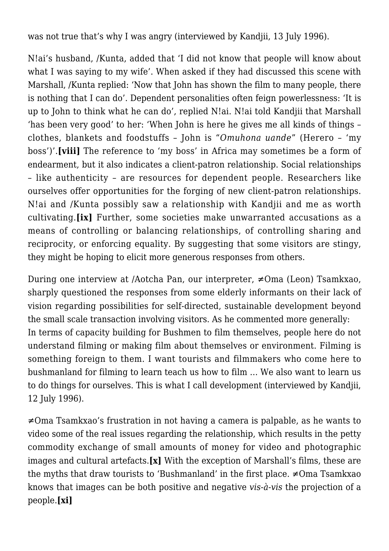was not true that's why I was angry (interviewed by Kandjii, 13 July 1996).

N!ai's husband, /Kunta, added that 'I did not know that people will know about what I was saying to my wife'. When asked if they had discussed this scene with Marshall, /Kunta replied: 'Now that John has shown the film to many people, there is nothing that I can do'. Dependent personalities often feign powerlessness: 'It is up to John to think what he can do', replied N!ai. N!ai told Kandjii that Marshall 'has been very good' to her: 'When John is here he gives me all kinds of things – clothes, blankets and foodstuffs – John is "*Omuhona uande*" (Herero – 'my boss')'.**[viii]** The reference to 'my boss' in Africa may sometimes be a form of endearment, but it also indicates a client-patron relationship. Social relationships – like authenticity – are resources for dependent people. Researchers like ourselves offer opportunities for the forging of new client-patron relationships. N!ai and /Kunta possibly saw a relationship with Kandjii and me as worth cultivating.**[ix]** Further, some societies make unwarranted accusations as a means of controlling or balancing relationships, of controlling sharing and reciprocity, or enforcing equality. By suggesting that some visitors are stingy, they might be hoping to elicit more generous responses from others.

During one interview at /Aotcha Pan, our interpreter, ≠Oma (Leon) Tsamkxao, sharply questioned the responses from some elderly informants on their lack of vision regarding possibilities for self-directed, sustainable development beyond the small scale transaction involving visitors. As he commented more generally: In terms of capacity building for Bushmen to film themselves, people here do not understand filming or making film about themselves or environment. Filming is something foreign to them. I want tourists and filmmakers who come here to bushmanland for filming to learn teach us how to film … We also want to learn us to do things for ourselves. This is what I call development (interviewed by Kandjii, 12 July 1996).

≠Oma Tsamkxao's frustration in not having a camera is palpable, as he wants to video some of the real issues regarding the relationship, which results in the petty commodity exchange of small amounts of money for video and photographic images and cultural artefacts.**[x]** With the exception of Marshall's films, these are the myths that draw tourists to 'Bushmanland' in the first place. ≠Oma Tsamkxao knows that images can be both positive and negative *vis-à-vis* the projection of a people.**[xi]**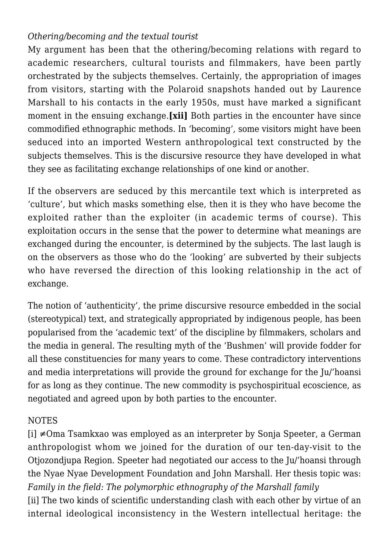## *Othering/becoming and the textual tourist*

My argument has been that the othering/becoming relations with regard to academic researchers, cultural tourists and filmmakers, have been partly orchestrated by the subjects themselves. Certainly, the appropriation of images from visitors, starting with the Polaroid snapshots handed out by Laurence Marshall to his contacts in the early 1950s, must have marked a significant moment in the ensuing exchange.**[xii]** Both parties in the encounter have since commodified ethnographic methods. In 'becoming', some visitors might have been seduced into an imported Western anthropological text constructed by the subjects themselves. This is the discursive resource they have developed in what they see as facilitating exchange relationships of one kind or another.

If the observers are seduced by this mercantile text which is interpreted as 'culture', but which masks something else, then it is they who have become the exploited rather than the exploiter (in academic terms of course). This exploitation occurs in the sense that the power to determine what meanings are exchanged during the encounter, is determined by the subjects. The last laugh is on the observers as those who do the 'looking' are subverted by their subjects who have reversed the direction of this looking relationship in the act of exchange.

The notion of 'authenticity', the prime discursive resource embedded in the social (stereotypical) text, and strategically appropriated by indigenous people, has been popularised from the 'academic text' of the discipline by filmmakers, scholars and the media in general. The resulting myth of the 'Bushmen' will provide fodder for all these constituencies for many years to come. These contradictory interventions and media interpretations will provide the ground for exchange for the Ju/'hoansi for as long as they continue. The new commodity is psychospiritual ecoscience, as negotiated and agreed upon by both parties to the encounter.

### NOTES

[i] ≠Oma Tsamkxao was employed as an interpreter by Sonja Speeter, a German anthropologist whom we joined for the duration of our ten-day-visit to the Otjozondjupa Region. Speeter had negotiated our access to the Ju/'hoansi through the Nyae Nyae Development Foundation and John Marshall. Her thesis topic was: *Family in the field: The polymorphic ethnography of the Marshall family*

[ii] The two kinds of scientific understanding clash with each other by virtue of an internal ideological inconsistency in the Western intellectual heritage: the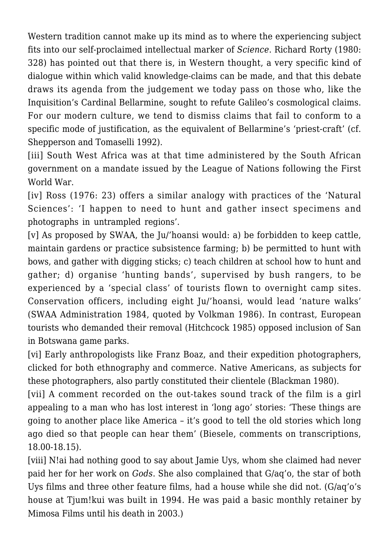Western tradition cannot make up its mind as to where the experiencing subject fits into our self-proclaimed intellectual marker of *Science*. Richard Rorty (1980: 328) has pointed out that there is, in Western thought, a very specific kind of dialogue within which valid knowledge-claims can be made, and that this debate draws its agenda from the judgement we today pass on those who, like the Inquisition's Cardinal Bellarmine, sought to refute Galileo's cosmological claims. For our modern culture, we tend to dismiss claims that fail to conform to a specific mode of justification, as the equivalent of Bellarmine's 'priest-craft' (cf. Shepperson and Tomaselli 1992).

[iii] South West Africa was at that time administered by the South African government on a mandate issued by the League of Nations following the First World War.

[iv] Ross (1976: 23) offers a similar analogy with practices of the 'Natural Sciences': 'I happen to need to hunt and gather insect specimens and photographs in untrampled regions'.

[v] As proposed by SWAA, the Ju/'hoansi would: a) be forbidden to keep cattle, maintain gardens or practice subsistence farming; b) be permitted to hunt with bows, and gather with digging sticks; c) teach children at school how to hunt and gather; d) organise 'hunting bands', supervised by bush rangers, to be experienced by a 'special class' of tourists flown to overnight camp sites. Conservation officers, including eight Ju/'hoansi, would lead 'nature walks' (SWAA Administration 1984, quoted by Volkman 1986). In contrast, European tourists who demanded their removal (Hitchcock 1985) opposed inclusion of San in Botswana game parks.

[vi] Early anthropologists like Franz Boaz, and their expedition photographers, clicked for both ethnography and commerce. Native Americans, as subjects for these photographers, also partly constituted their clientele (Blackman 1980).

[vii] A comment recorded on the out-takes sound track of the film is a girl appealing to a man who has lost interest in 'long ago' stories: 'These things are going to another place like America – it's good to tell the old stories which long ago died so that people can hear them' (Biesele, comments on transcriptions, 18.00-18.15).

[viii] N!ai had nothing good to say about Jamie Uys, whom she claimed had never paid her for her work on *Gods*. She also complained that G/aq'o, the star of both Uys films and three other feature films, had a house while she did not. (G/aq'o's house at Tjum!kui was built in 1994. He was paid a basic monthly retainer by Mimosa Films until his death in 2003.)